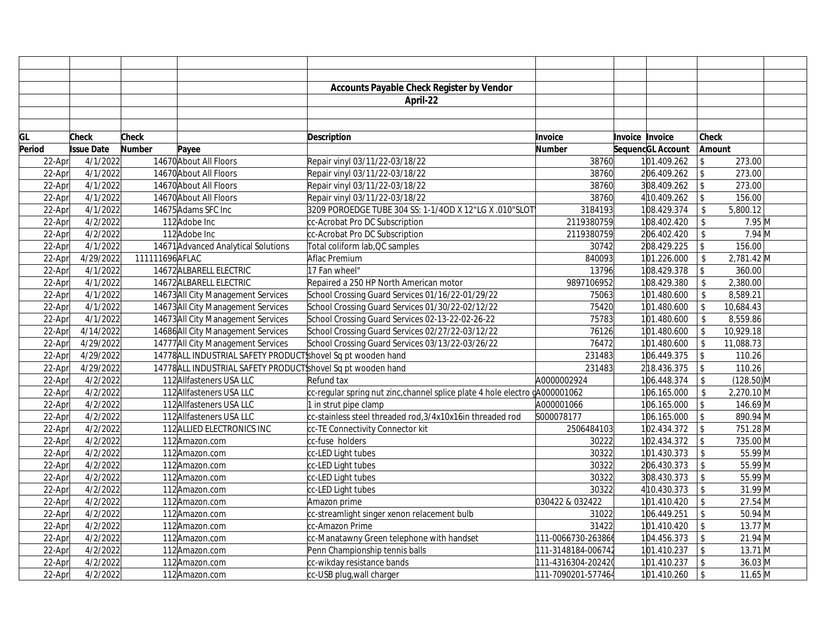|        |                   |                 |                                                              | <b>Accounts Payable Check Register by Vendor</b>                            |                    |                        |                   |                            |                  |  |
|--------|-------------------|-----------------|--------------------------------------------------------------|-----------------------------------------------------------------------------|--------------------|------------------------|-------------------|----------------------------|------------------|--|
|        |                   |                 |                                                              | April-22                                                                    |                    |                        |                   |                            |                  |  |
|        |                   |                 |                                                              |                                                                             |                    |                        |                   |                            |                  |  |
|        |                   |                 |                                                              |                                                                             |                    |                        |                   |                            |                  |  |
| GL     | <b>Check</b>      | Check           |                                                              | <b>Description</b>                                                          | Invoice            | <b>Invoice Invoice</b> |                   | <b>Check</b>               |                  |  |
| Period | <b>Issue Date</b> | Number          | Payee                                                        |                                                                             | <b>Number</b>      |                        | SequencGL Account | Amount                     |                  |  |
| 22-Apr | 4/1/2022          |                 | 14670 About All Floors                                       | Repair vinyl 03/11/22-03/18/22                                              | 38760              |                        | 101.409.262       | $\mathfrak{L}$             | 273.00           |  |
| 22-Apr | 4/1/2022          |                 | 14670 About All Floors                                       | Repair vinyl 03/11/22-03/18/22                                              | 38760              |                        | 206.409.262       | $\sqrt{2}$                 | 273.00           |  |
| 22-Apr | 4/1/2022          |                 | 14670 About All Floors                                       | Repair vinyl 03/11/22-03/18/22                                              | 38760              |                        | 308.409.262       | $\sqrt[6]{\frac{1}{2}}$    | 273.00           |  |
| 22-Apr | 4/1/2022          |                 | 14670 About All Floors                                       | Repair vinyl 03/11/22-03/18/22                                              | 38760              |                        | 410.409.262       | \$                         | 156.00           |  |
| 22-Apr | 4/1/2022          |                 | 14675 Adams SFC Inc                                          | 3209 POROEDGE TUBE 304 SS: 1-1/4OD X 12"LG X .010"SLOT                      | 3184193            |                        | 108.429.374       |                            | 5,800.12         |  |
| 22-Apr | 4/2/2022          |                 | 112 Adobe Inc                                                | cc-Acrobat Pro DC Subscription                                              | 2119380759         |                        | 108.402.420       | $\mathbb{S}$               | $7.95$ M         |  |
| 22-Apr | 4/2/2022          |                 | 112 Adobe Inc                                                | cc-Acrobat Pro DC Subscription                                              | 2119380759         |                        | 206.402.420       | $\mathfrak{L}$             | $7.94 \text{ M}$ |  |
| 22-Apr | 4/1/2022          |                 | 14671 Advanced Analytical Solutions                          | Total coliform lab, QC samples                                              | 30742              |                        | 208.429.225       | $\sqrt[6]{\frac{1}{2}}$    | 156.00           |  |
| 22-Apr | 4/29/2022         | 111111696 AFLAC |                                                              | Aflac Premium                                                               | 840093             |                        | 101.226.000       | \$                         | 2,781.42 M       |  |
| 22-Apr | 4/1/2022          |                 | 14672 ALBARELL ELECTRIC                                      | 17 Fan wheel"                                                               | 13796              |                        | 108.429.378       | $\mathsf{\$}$              | 360.00           |  |
| 22-Apr | 4/1/2022          |                 | 14672 ALBARELL ELECTRIC                                      | Repaired a 250 HP North American motor                                      | 9897106952         |                        | 108.429.380       | $\mathcal{S}$              | 2,380.00         |  |
| 22-Apr | 4/1/2022          |                 | 14673 All City Management Services                           | School Crossing Guard Services 01/16/22-01/29/22                            | 75063              |                        | 101.480.600       | $\mathbb S$                | 8,589.21         |  |
| 22-Apr | 4/1/2022          |                 | 14673 All City Management Services                           | School Crossing Guard Services 01/30/22-02/12/22                            | 75420              |                        | 101.480.600       | $\mathcal{S}$              | 10,684.43        |  |
| 22-Apr | 4/1/2022          |                 | 14673 All City Management Services                           | School Crossing Guard Services 02-13-22-02-26-22                            | 75783              |                        | 101.480.600       | \$                         | 8,559.86         |  |
| 22-Apr | 4/14/2022         |                 | 14686 All City Management Services                           | School Crossing Guard Services 02/27/22-03/12/22                            | 76126              |                        | 101.480.600       | $\mathsf{\$}$              | 10,929.18        |  |
| 22-Apr | 4/29/2022         |                 | 14777 All City Management Services                           | School Crossing Guard Services 03/13/22-03/26/22                            | 76472              |                        | 101.480.600       | \$                         | 11,088.73        |  |
| 22-Apr | 4/29/2022         |                 | 14778 ALL INDUSTRIAL SAFETY PRODUCT shovel Sq pt wooden hand |                                                                             | 231483             |                        | 106.449.375       | $\mathsf{\$}$              | 110.26           |  |
| 22-Apr | 4/29/2022         |                 | 14778 ALL INDUSTRIAL SAFETY PRODUCT shovel Sq pt wooden hand |                                                                             | 231483             |                        | 218.436.375       | $\sqrt[6]{\frac{1}{2}}$    | 110.26           |  |
| 22-Apr | 4/2/2022          |                 | 112 Allfasteners USA LLC                                     | Refund tax                                                                  | A0000002924        |                        | 106.448.374       | $\mathsf{\$}$              | $(128.50)$ M     |  |
| 22-Apr | 4/2/2022          |                 | 112 Allfasteners USA LLC                                     | cc-regular spring nut zinc, channel splice plate 4 hole electro dA000001062 |                    |                        | 106.165.000       |                            | 2,270.10 M       |  |
| 22-Apr | 4/2/2022          |                 | 112 Allfasteners USA LLC                                     | 1 in strut pipe clamp                                                       | A000001066         |                        | 106.165.000       | $\mathcal{L}$              | 146.69 M         |  |
| 22-Apr | 4/2/2022          |                 | 112 Allfasteners USA LLC                                     | cc-stainless steel threaded rod, 3/4x10x16in threaded rod                   | S000078177         |                        | 106.165.000       | $\mathsf{\$}$              | 890.94 M         |  |
| 22-Apr | 4/2/2022          |                 | 112 ALLIED ELECTRONICS INC                                   | cc-TE Connectivity Connector kit                                            | 2506484103         |                        | 102.434.372       | $\mathsf{\$}$              | 751.28 M         |  |
| 22-Apr | 4/2/2022          |                 | 112 Amazon.com                                               | cc-fuse holders                                                             | 30222              |                        | 102.434.372       | $\mathsf{\$}$              | 735.00 M         |  |
| 22-Apr | 4/2/2022          |                 | 112Amazon.com                                                | cc-LED Light tubes                                                          | 30322              |                        | 101.430.373       | \$                         | 55.99 M          |  |
| 22-Apr | 4/2/2022          |                 | 112 Amazon.com                                               | cc-LED Light tubes                                                          | 30322              |                        | 206.430.373       | $\mathsf{\$}$              | 55.99 M          |  |
| 22-Apr | 4/2/2022          |                 | 112 Amazon.com                                               | cc-LED Light tubes                                                          | 30322              |                        | 308.430.373       | $\mathbf S$                | 55.99 M          |  |
| 22-Apr | 4/2/2022          |                 | 112 Amazon.com                                               | cc-LED Light tubes                                                          | 30322              |                        | 4 10.430.373      | \$                         | 31.99 M          |  |
| 22-Apr | 4/2/2022          |                 | 112 Amazon.com                                               | Amazon prime                                                                | 030422 & 032422    |                        | 101.410.420       | $\sqrt{2}$                 | 27.54 M          |  |
| 22-Apr | 4/2/2022          |                 | 112Amazon.com                                                | cc-streamlight singer xenon relacement bulb                                 | 31022              |                        | 106.449.251       | $\sqrt[6]{\frac{1}{2}}$    | 50.94 M          |  |
| 22-Apr | 4/2/2022          |                 | 112 Amazon.com                                               | cc-Amazon Prime                                                             | 31422              |                        | 101.410.420       | $\boldsymbol{\mathsf{\$}}$ | 13.77 M          |  |
| 22-Apr | 4/2/2022          |                 | 112Amazon.com                                                | cc-Manatawny Green telephone with handset                                   | 111-0066730-263866 |                        | 104.456.373       | \$                         | $21.94 \, M$     |  |
| 22-Apr | 4/2/2022          |                 | 112 Amazon.com                                               | Penn Championship tennis balls                                              | 111-3148184-006742 |                        | 101.410.237       | $\mathbb{S}$               | 13.71 M          |  |
| 22-Apr | 4/2/2022          |                 | 112 Amazon.com                                               | cc-wikday resistance bands                                                  | 111-4316304-202420 |                        | 101.410.237       | $\mathsf{\$}$              | $36.03$ M        |  |
| 22-Apr | 4/2/2022          |                 | 112 Amazon.com                                               | cc-USB plug, wall charger                                                   | 111-7090201-577464 |                        | 101.410.260       | $\mathcal{S}$              | $11.65$ M        |  |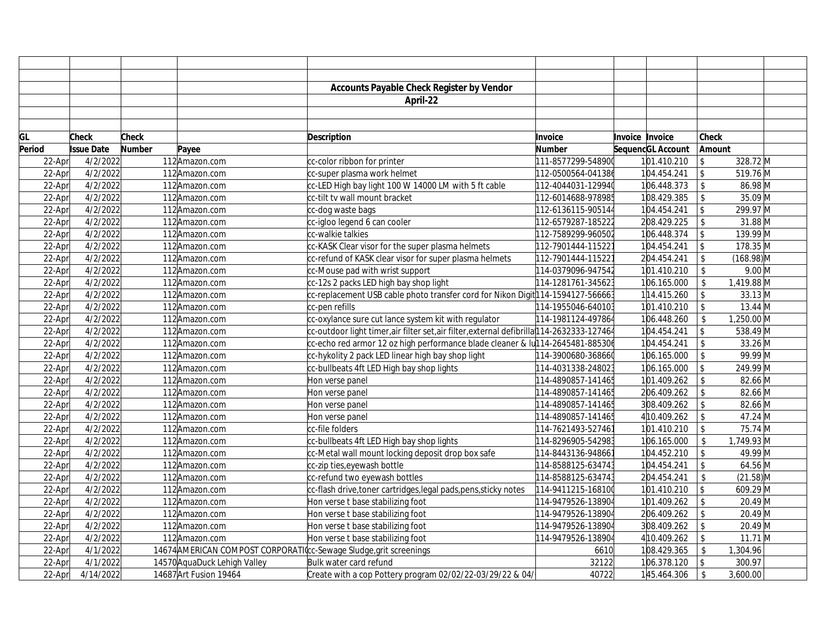|        |                   |        |                                                                     | <b>Accounts Payable Check Register by Vendor</b>                                            |                    |                        |                   |                            |              |  |
|--------|-------------------|--------|---------------------------------------------------------------------|---------------------------------------------------------------------------------------------|--------------------|------------------------|-------------------|----------------------------|--------------|--|
|        |                   |        |                                                                     | April-22                                                                                    |                    |                        |                   |                            |              |  |
|        |                   |        |                                                                     |                                                                                             |                    |                        |                   |                            |              |  |
|        |                   |        |                                                                     |                                                                                             |                    |                        |                   |                            |              |  |
| GL     | <b>Check</b>      | Check  |                                                                     | <b>Description</b>                                                                          | Invoice            | <b>Invoice Invoice</b> |                   | <b>Check</b>               |              |  |
| Period | <b>Issue Date</b> | Number | Payee                                                               |                                                                                             | <b>Number</b>      |                        | SequencGL Account | Amount                     |              |  |
| 22-Apr | 4/2/2022          |        | 112 Amazon.com                                                      | cc-color ribbon for printer                                                                 | 111-8577299-548900 |                        | 101.410.210       | \$                         | 328.72 M     |  |
| 22-Apr | 4/2/2022          |        | 112 Amazon.com                                                      | cc-super plasma work helmet                                                                 | 112-0500564-041386 |                        | 104.454.241       | $\sqrt{2}$                 | 519.76 M     |  |
| 22-Apr | 4/2/2022          |        | 112 Amazon.com                                                      | cc-LED High bay light 100 W 14000 LM with 5 ft cable                                        | 112-4044031-129940 |                        | 106.448.373       | $\boldsymbol{\mathsf{\$}}$ | 86.98 M      |  |
| 22-Apr | 4/2/2022          |        | 112 Amazon.com                                                      | cc-tilt tv wall mount bracket                                                               | 112-6014688-978985 |                        | 108.429.385       | $\sqrt[6]{\frac{1}{2}}$    | 35.09 M      |  |
| 22-Apr | 4/2/2022          |        | 112 Amazon.com                                                      | cc-dog waste bags                                                                           | 112-6136115-905144 |                        | 104.454.241       | $\sqrt[6]{}$               | 299.97 M     |  |
| 22-Apr | 4/2/2022          |        | 112 Amazon.com                                                      | cc-igloo legend 6 can cooler                                                                | 112-6579287-185222 |                        | 208.429.225       | $\mathcal{S}$              | 31.88 M      |  |
| 22-Apr | 4/2/2022          |        | 112 Amazon.com                                                      | cc-walkie talkies                                                                           | 112-7589299-960502 |                        | 106.448.374       | $\sqrt[6]{\frac{1}{2}}$    | 139.99 M     |  |
| 22-Apr | 4/2/2022          |        | 112 Amazon.com                                                      | cc-KASK Clear visor for the super plasma helmets                                            | 112-7901444-115221 |                        | 104.454.241       | $\sqrt[6]{\frac{1}{2}}$    | 178.35 M     |  |
| 22-Apr | 4/2/2022          |        | 112 Amazon.com                                                      | cc-refund of KASK clear visor for super plasma helmets                                      | 112-7901444-115221 |                        | 204.454.241       | $\mathbb{S}$               | $(168.98)$ M |  |
| 22-Apr | 4/2/2022          |        | 112 Amazon.com                                                      | cc-Mouse pad with wrist support                                                             | 114-0379096-947542 |                        | 101.410.210       | $\sqrt[6]{\frac{1}{2}}$    | $9.00$ M     |  |
| 22-Apr | 4/2/2022          |        | 112 Amazon.com                                                      | cc-12s 2 packs LED high bay shop light                                                      | 114-1281761-345623 |                        | 106.165.000       | $\sqrt[6]{\frac{1}{2}}$    | 1,419.88 M   |  |
| 22-Apr | 4/2/2022          |        | 112 Amazon.com                                                      | cc-replacement USB cable photo transfer cord for Nikon Digit <sup>1</sup> 14-1594127-566663 |                    |                        | 114.415.260       | $\sqrt[6]{\frac{1}{2}}$    | $33.13$ M    |  |
| 22-Apr | 4/2/2022          |        | 112 Amazon.com                                                      | cc-pen refills                                                                              | 114-1955046-640103 |                        | 101.410.210       | $\mathsf{\$}$              | $13.44 \, M$ |  |
| 22-Apr | 4/2/2022          |        | 112 Amazon.com                                                      | cc-oxylance sure cut lance system kit with regulator                                        | 114-1981124-497864 |                        | 106.448.260       | \$                         | 1,250.00 M   |  |
| 22-Apr | 4/2/2022          |        | 112 Amazon.com                                                      | cc-outdoor light timer, air filter set, air filter, external defibrilla 114-2632333-127464  |                    |                        | 104.454.241       | $\sqrt[6]{\frac{1}{2}}$    | 538.49 M     |  |
| 22-Apr | 4/2/2022          |        | 112 Amazon.com                                                      | cc-echo red armor 12 oz high performance blade cleaner & Iu114-2645481-885306               |                    |                        | 104.454.241       | $\sqrt[6]{\frac{1}{2}}$    | 33.26 M      |  |
| 22-Apr | 4/2/2022          |        | 112 Amazon.com                                                      | cc-hykolity 2 pack LED linear high bay shop light                                           | 114-3900680-368660 |                        | 106.165.000       | $\sqrt{2}$                 | 99.99 M      |  |
| 22-Apr | 4/2/2022          |        | 112 Amazon.com                                                      | cc-bullbeats 4ft LED High bay shop lights                                                   | 114-4031338-248023 |                        | 106.165.000       | $\updownarrow$             | 249.99 M     |  |
| 22-Apr | 4/2/2022          |        | 112 Amazon.com                                                      | Hon verse panel                                                                             | 114-4890857-141465 |                        | 101.409.262       | $\mathfrak{S}$             | 82.66 M      |  |
| 22-Apr | 4/2/2022          |        | 112 Amazon.com                                                      | Hon verse panel                                                                             | 114-4890857-141465 |                        | 206.409.262       | $\sqrt[6]{\frac{1}{2}}$    | 82.66 M      |  |
| 22-Apr | 4/2/2022          |        | 112 Amazon.com                                                      | Hon verse panel                                                                             | 114-4890857-141465 |                        | 308.409.262       | $\mathbf{\hat{S}}$         | 82.66 M      |  |
| 22-Apr | 4/2/2022          |        | 112 Amazon.com                                                      | Hon verse panel                                                                             | 114-4890857-141465 |                        | 410.409.262       | \$                         | 47.24 M      |  |
| 22-Apr | 4/2/2022          |        | 112 Amazon.com                                                      | cc-file folders                                                                             | 114-7621493-52746  |                        | 101.410.210       | \$                         | 75.74 M      |  |
| 22-Apr | 4/2/2022          |        | 112 Amazon.com                                                      | cc-bullbeats 4ft LED High bay shop lights                                                   | 114-8296905-542983 |                        | 106.165.000       | $\mathfrak{L}$             | 1,749.93 M   |  |
| 22-Apr | 4/2/2022          |        | 112 Amazon.com                                                      | cc-Metal wall mount locking deposit drop box safe                                           | 114-8443136-94866  |                        | 104.452.210       | $\mathbb{S}$               | 49.99 M      |  |
| 22-Apr | 4/2/2022          |        | 112 Amazon.com                                                      | cc-zip ties, eyewash bottle                                                                 | 114-8588125-634743 |                        | 104.454.241       | \$                         | 64.56 M      |  |
| 22-Apr | 4/2/2022          |        | 112 Amazon.com                                                      | cc-refund two eyewash bottles                                                               | 114-8588125-634743 |                        | 204.454.241       | $\sqrt[6]{\frac{1}{2}}$    | $(21.58)$ M  |  |
| 22-Apr | 4/2/2022          |        | 112 Amazon.com                                                      | cc-flash drive, toner cartridges, legal pads, pens, sticky notes                            | 114-9411215-168100 |                        | 101.410.210       | $\sqrt[6]{\frac{1}{2}}$    | 609.29 M     |  |
| 22-Apr | 4/2/2022          |        | 112 Amazon.com                                                      | Hon verse t base stabilizing foot                                                           | 114-9479526-138904 |                        | 101.409.262       | $\sqrt{2}$                 | 20.49 M      |  |
| 22-Apr | 4/2/2022          |        | 112 Amazon.com                                                      | Hon verse t base stabilizing foot                                                           | 114-9479526-138904 |                        | 206.409.262       | $\mathsf{\$}$              | 20.49 M      |  |
| 22-Apr | 4/2/2022          |        | 112 Amazon.com                                                      | Hon verse t base stabilizing foot                                                           | 114-9479526-138904 |                        | 308.409.262       | $\boldsymbol{\mathsf{\$}}$ | 20.49 M      |  |
| 22-Apr | 4/2/2022          |        | 112Amazon.com                                                       | Hon verse t base stabilizing foot                                                           | 114-9479526-138904 |                        | 4 10.409.262      | $\sqrt[6]{\frac{1}{2}}$    | $11.71 \, M$ |  |
| 22-Apr | 4/1/2022          |        | 14674 AMERICAN COMPOST CORPORATI (cc-Sewage Sludge, grit screenings |                                                                                             | 6610               |                        | 108.429.365       | $\sqrt[6]{\frac{1}{2}}$    | 1,304.96     |  |
| 22-Apr | 4/1/2022          |        | 14570 AquaDuck Lehigh Valley                                        | Bulk water card refund                                                                      | 32122              |                        | 106.378.120       | $\mathfrak{S}$             | 300.97       |  |
| 22-Apr | 4/14/2022         |        | 14687 Art Fusion 19464                                              | Create with a cop Pottery program 02/02/22-03/29/22 & 04/                                   | 40722              |                        | 145.464.306       | \$                         | 3,600.00     |  |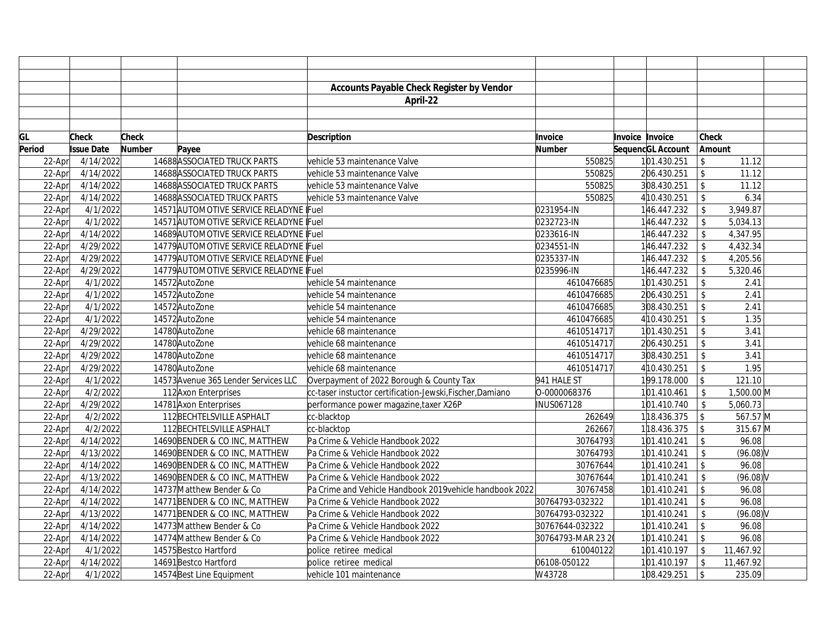|        |                   |              |                                        | Accounts Payable Check Register by Vendor                 |                    |                   |                            |            |  |
|--------|-------------------|--------------|----------------------------------------|-----------------------------------------------------------|--------------------|-------------------|----------------------------|------------|--|
|        |                   |              |                                        | April-22                                                  |                    |                   |                            |            |  |
|        |                   |              |                                        |                                                           |                    |                   |                            |            |  |
|        |                   |              |                                        |                                                           |                    |                   |                            |            |  |
| GL     | <b>Check</b>      | <b>Check</b> |                                        | <b>Description</b>                                        | Invoice            | Invoice Invoice   | <b>Check</b>               |            |  |
| Period | <b>Issue Date</b> | Number       | Payee                                  |                                                           | <b>Number</b>      | SequencGL Account | Amount                     |            |  |
| 22-Apr | 4/14/2022         |              | 14688 ASSOCIATED TRUCK PARTS           | vehicle 53 maintenance Valve                              | 550825             | 101.430.251       | $\mathbb{S}$               | 11.12      |  |
| 22-Apr | 4/14/2022         |              | 14688 ASSOCIATED TRUCK PARTS           | vehicle 53 maintenance Valve                              | 550825             | 206.430.251       | $\boldsymbol{\mathsf{\$}}$ | 11.12      |  |
| 22-Apr | 4/14/2022         |              | 14688 ASSOCIATED TRUCK PARTS           | vehicle 53 maintenance Valve                              | 550825             | 308.430.251       | \$                         | 11.12      |  |
| 22-Apr | 4/14/2022         |              | 14688 ASSOCIATED TRUCK PARTS           | vehicle 53 maintenance Valve                              | 550825             | 410.430.251       | \$                         | 6.34       |  |
| 22-Apr | 4/1/2022          |              | 14571 AUTOMOTIVE SERVICE RELADYNE Fuel |                                                           | 0231954-IN         | 146.447.232       | $\sqrt[6]{2}$              | 3,949.87   |  |
| 22-Apr | 4/1/2022          |              | 14571 AUTOMOTIVE SERVICE RELADYNE Fuel |                                                           | 0232723-IN         | 146.447.232       | $\mathbb{S}$               | 5,034.13   |  |
| 22-Apr | 4/14/2022         |              | 14689 AUTOMOTIVE SERVICE RELADYNE Fuel |                                                           | 0233616-IN         | 146.447.232       | \$                         | 4,347.95   |  |
| 22-Apr | 4/29/2022         |              | 14779 AUTOMOTIVE SERVICE RELADYNE Fuel |                                                           | 0234551-IN         | 146.447.232       | $\sqrt[6]{2}$              | 4,432.34   |  |
| 22-Apr | 4/29/2022         |              | 14779 AUTOMOTIVE SERVICE RELADYNE Fuel |                                                           | 0235337-IN         | 146.447.232       | $\sqrt[6]{2}$              | 4,205.56   |  |
| 22-Apr | 4/29/2022         |              | 14779 AUTOMOTIVE SERVICE RELADYNE Fuel |                                                           | 0235996-IN         | 146.447.232       | $\mathbb{S}$               | 5,320.46   |  |
| 22-Apr | 4/1/2022          |              | 14572 AutoZone                         | vehicle 54 maintenance                                    | 4610476685         | 101.430.251       | \$                         | 2.41       |  |
| 22-Apr | 4/1/2022          |              | 14572 AutoZone                         | vehicle 54 maintenance                                    | 4610476685         | 206.430.251       | \$                         | 2.41       |  |
| 22-Apr | 4/1/2022          |              | 14572 AutoZone                         | vehicle 54 maintenance                                    | 4610476685         | 308.430.251       | $\mathbb{S}$               | 2.41       |  |
| 22-Apr | 4/1/2022          |              | 14572 AutoZone                         | vehicle 54 maintenance                                    | 4610476685         | 410.430.251       | $\mathsf{\$}$              | 1.35       |  |
| 22-Apr | 4/29/2022         |              | 14780 AutoZone                         | vehicle 68 maintenance                                    | 4610514717         | 101.430.251       | $\sqrt{2}$                 | 3.41       |  |
| 22-Apr | 4/29/2022         |              | 14780 AutoZone                         | vehicle 68 maintenance                                    | 4610514717         | 206.430.251       | \$                         | 3.41       |  |
| 22-Apr | 4/29/2022         |              | 14780 AutoZone                         | vehicle 68 maintenance                                    | 4610514717         | 308.430.251       | \$                         | 3.41       |  |
| 22-Apr | 4/29/2022         |              | 14780 AutoZone                         | vehicle 68 maintenance                                    | 4610514717         | 410.430.251       | \$                         | 1.95       |  |
| 22-Apr | 4/1/2022          |              | 14573 Avenue 365 Lender Services LLC   | Overpayment of 2022 Borough & County Tax                  | 941 HALE ST        | 199.178.000       | $\sqrt[6]{\frac{1}{2}}$    | 121.10     |  |
| 22-Apr | 4/2/2022          |              | 112 Axon Enterprises                   | cc-taser instuctor certification-Jewski, Fischer, Damiano | 0-0000068376       | 101.410.461       | \$                         | 1,500.00 M |  |
| 22-Apr | 4/29/2022         |              | 14781 Axon Enterprises                 | performance power magazine, taxer X26P                    | INUS067128         | 101.410.740       | \$                         | 5,060.73   |  |
| 22-Apr | 4/2/2022          |              | 112BECHTELSVILLE ASPHALT               | cc-blacktop                                               | 262649             | 118.436.375       | \$                         | 567.57 M   |  |
| 22-Apr | 4/2/2022          |              | 112BECHTELSVILLE ASPHALT               | cc-blacktop                                               | 262667             | 118.436.375       | $\mathsf{\$}$              | 315.67 M   |  |
| 22-Apr | 4/14/2022         |              | 14690 BENDER & CO INC, MATTHEW         | Pa Crime & Vehicle Handbook 2022                          | 30764793           | 101.410.241       | $\mathsf{\$}$              | 96.08      |  |
| 22-Apr | 4/13/2022         |              | 14690 BENDER & CO INC, MATTHEW         | Pa Crime & Vehicle Handbook 2022                          | 30764793           | 101.410.241       | \$                         | (96.08)    |  |
| 22-Apr | 4/14/2022         |              | 14690 BENDER & CO INC, MATTHEW         | Pa Crime & Vehicle Handbook 2022                          | 30767644           | 101.410.241       | \$                         | 96.08      |  |
| 22-Apr | 4/13/2022         |              | 14690 BENDER & CO INC, MATTHEW         | Pa Crime & Vehicle Handbook 2022                          | 30767644           | 101.410.241       | $\mathbb{S}$               | (96.08)    |  |
| 22-Apr | 4/14/2022         |              | 14737 Matthew Bender & Co              | Pa Crime and Vehicle Handbook 2019vehicle handbook 2022   | 30767458           | 101.410.241       | $\mathbb{S}$               | 96.08      |  |
| 22-Apr | 4/14/2022         |              | 14771 BENDER & CO INC, MATTHEW         | Pa Crime & Vehicle Handbook 2022                          | 30764793-032322    | 101.410.241       | $\mathbb{S}$               | 96.08      |  |
| 22-Apr | 4/13/2022         |              | 14771 BENDER & CO INC, MATTHEW         | Pa Crime & Vehicle Handbook 2022                          | 30764793-032322    | 101.410.241       | \$                         | (96.08)    |  |
| 22-Apr | 4/14/2022         |              | 14773 Matthew Bender & Co              | Pa Crime & Vehicle Handbook 2022                          | 30767644-032322    | 101.410.241       | $\mathbb{S}$               | 96.08      |  |
| 22-Apr | 4/14/2022         |              | 14774 Matthew Bender & Co              | Pa Crime & Vehicle Handbook 2022                          | 30764793-MAR 23 20 | 101.410.241       | \$                         | 96.08      |  |
| 22-Apr | 4/1/2022          |              | 14575 Bestco Hartford                  | police retiree medical                                    | 610040122          | 101.410.197       | $\mathsf{\$}$              | 11,467.92  |  |
| 22-Apr | 4/14/2022         |              | 14691 Bestco Hartford                  | police retiree medical                                    | 06108-050122       | 101.410.197       |                            | 11,467.92  |  |
| 22-Apr | 4/1/2022          |              | 14574 Best Line Equipment              | vehicle 101 maintenance                                   | W43728             | 108.429.251       | $\mathfrak{S}$             | 235.09     |  |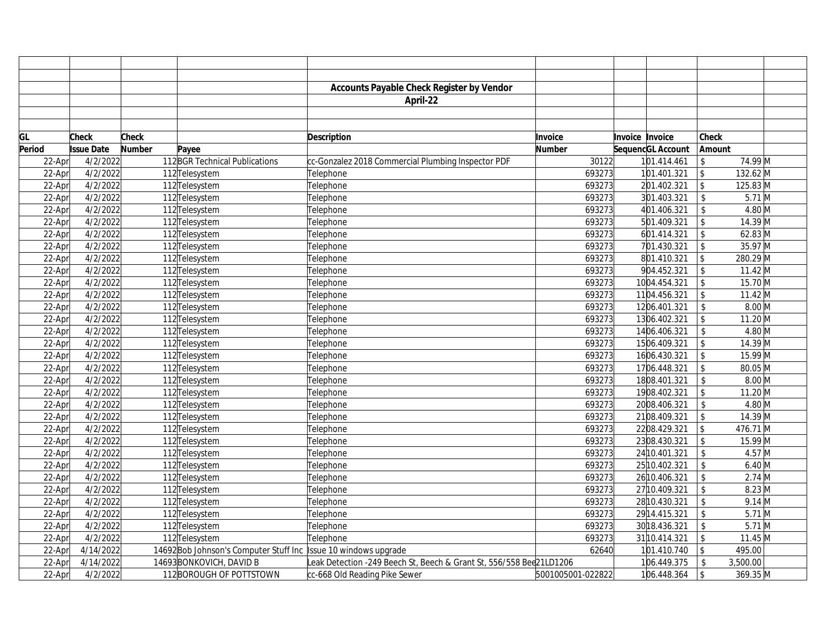|        |                   |              |                                                                  | <b>Accounts Payable Check Register by Vendor</b>                   |                   |                   |                         |                  |  |
|--------|-------------------|--------------|------------------------------------------------------------------|--------------------------------------------------------------------|-------------------|-------------------|-------------------------|------------------|--|
|        |                   |              |                                                                  | April-22                                                           |                   |                   |                         |                  |  |
|        |                   |              |                                                                  |                                                                    |                   |                   |                         |                  |  |
|        |                   |              |                                                                  |                                                                    |                   |                   |                         |                  |  |
| GL     | <b>Check</b>      | <b>Check</b> |                                                                  | <b>Description</b>                                                 | Invoice           | Invoice Invoice   | Check                   |                  |  |
| Period | <b>Issue Date</b> | Number       | Payee                                                            |                                                                    | Number            | SequencGL Account | Amount                  |                  |  |
| 22-Apr | 4/2/2022          |              | 112 BGR Technical Publications                                   | cc-Gonzalez 2018 Commercial Plumbing Inspector PDF                 | 30122             | 101.414.461       | \$                      | 74.99 M          |  |
| 22-Apr | 4/2/2022          |              | 112 Telesystem                                                   | Telephone                                                          | 693273            | 101.401.321       | $\mathfrak{L}$          | 132.62 M         |  |
| 22-Apr | 4/2/2022          |              | 112 Telesystem                                                   | Telephone                                                          | 693273            | 201.402.321       | $\sqrt[6]{\frac{1}{2}}$ | 125.83 M         |  |
| 22-Apr | 4/2/2022          |              | 112 Telesystem                                                   | Telephone                                                          | 693273            | 301.403.321       | $\mathcal{S}$           | $5.71$ M         |  |
| 22-Apr | 4/2/2022          |              | 112 Telesystem                                                   | Telephone                                                          | 693273            | 401.406.321       | \$                      | 4.80 M           |  |
| 22-Apr | 4/2/2022          |              | 112 Telesystem                                                   | Telephone                                                          | 693273            | 501.409.321       | $\mathfrak{L}$          | 14.39 M          |  |
| 22-Apr | 4/2/2022          |              | 112 Telesystem                                                   | Telephone                                                          | 693273            | 601.414.321       | $\mathsf{\$}$           | 62.83 M          |  |
| 22-Apr | 4/2/2022          |              | 112 Telesystem                                                   | Telephone                                                          | 693273            | 701.430.321       | \$                      | 35.97 M          |  |
| 22-Apr | 4/2/2022          |              | 112 Telesystem                                                   | Telephone                                                          | 693273            | 801.410.321       | $\mathsf{\$}$           | 280.29 M         |  |
| 22-Apr | 4/2/2022          |              | 112 Telesystem                                                   | Telephone                                                          | 693273            | 904.452.321       | \$                      | $11.42 \, M$     |  |
| 22-Apr | 4/2/2022          |              | 112 Telesystem                                                   | Telephone                                                          | 693273            | 1004.454.321      | $\mathfrak{L}$          | 15.70 M          |  |
| 22-Apr | 4/2/2022          |              | 112 Telesystem                                                   | Telephone                                                          | 693273            | 1104.456.321      | $\mathsf{\$}$           | $11.42 \, M$     |  |
| 22-Apr | 4/2/2022          |              | 112 Telesystem                                                   | Telephone                                                          | 693273            | 1206.401.321      | $\mathcal{S}$           | $8.00$ M         |  |
| 22-Apr | 4/2/2022          |              | 112 Telesystem                                                   | Telephone                                                          | 693273            | 1306.402.321      | \$                      | 11.20 M          |  |
| 22-Apr | 4/2/2022          |              | 112 Telesystem                                                   | Telephone                                                          | 693273            | 1406.406.321      | $\mathbf{\hat{S}}$      | $4.80$ M         |  |
| 22-Apr | 4/2/2022          |              | 112 Telesystem                                                   | Telephone                                                          | 693273            | 1506.409.321      | $\sqrt[6]{\frac{1}{2}}$ | 14.39 M          |  |
| 22-Apr | 4/2/2022          |              | 112 Telesystem                                                   | Telephone                                                          | 693273            | 1606.430.321      | $\mathsf{\$}$           | 15.99 M          |  |
| 22-Apr | 4/2/2022          |              | 112 Telesystem                                                   | Telephone                                                          | 693273            | 1706.448.321      | \$                      | 80.05 M          |  |
| 22-Apr | 4/2/2022          |              | 112 Telesystem                                                   | Telephone                                                          | 693273            | 1808.401.321      | \$                      | $8.00$ M         |  |
| 22-Apr | 4/2/2022          |              | 112 Telesystem                                                   | Telephone                                                          | 693273            | 1908.402.321      | $\mathsf{\$}$           | $11.20$ M        |  |
| 22-Apr | 4/2/2022          |              | 112 Telesystem                                                   | Telephone                                                          | 693273            | 2008.406.321      | $\hat{\mathbf{S}}$      | 4.80 M           |  |
| 22-Apr | 4/2/2022          |              | 112 Telesystem                                                   | Telephone                                                          | 693273            | 2108.409.321      | $\mathsf{\$}$           | 14.39 M          |  |
| 22-Apr | 4/2/2022          |              | 112 Telesystem                                                   | Telephone                                                          | 693273            | 2208.429.321      | $\mathsf{\$}$           | 476.71 M         |  |
| 22-Apr | 4/2/2022          |              | 112 Telesystem                                                   | Telephone                                                          | 693273            | 2308.430.321      | $\mathbb{S}$            | 15.99 M          |  |
| 22-Apr | 4/2/2022          |              | 112 Telesystem                                                   | Telephone                                                          | 693273            | 24 10.401.321     | $\mathsf{\$}$           | $4.57$ M         |  |
| 22-Apr | 4/2/2022          |              | 112 Telesystem                                                   | Telephone                                                          | 693273            | 25 10.402.321     | \$                      | $6.40$ M         |  |
| 22-Apr | 4/2/2022          |              | 112 Telesystem                                                   | Telephone                                                          | 693273            | 26 10.406.321     | \$                      | $2.74$ M         |  |
| 22-Apr | 4/2/2022          |              | 112 Telesystem                                                   | Telephone                                                          | 693273            | 27 10.409.321     | \$                      | $8.23$ M         |  |
| 22-Apr | 4/2/2022          |              | 112 Telesystem                                                   | Telephone                                                          | 693273            | 28 10.430.321     | \$                      | $9.14 \text{ M}$ |  |
| 22-Apr | 4/2/2022          |              | 112 Telesystem                                                   | Telephone                                                          | 693273            | 29 14.415.321     | $\mathcal{S}$           | $5.71$ M         |  |
| 22-Apr | 4/2/2022          |              | 112 Telesystem                                                   | Telephone                                                          | 693273            | 30 18.436.321     | \$                      | $5.71$ M         |  |
| 22-Apr | 4/2/2022          |              | 112 Telesystem                                                   | Telephone                                                          | 693273            | 31 10.414.321     | \$                      | $11.45$ M        |  |
| 22-Apr | 4/14/2022         |              | 14692 Bob Johnson's Computer Stuff Inc  Issue 10 windows upgrade |                                                                    | 62640             | 101.410.740       | $\sqrt{2}$              | 495.00           |  |
| 22-Apr | 4/14/2022         |              | 14693BONKOVICH, DAVID B                                          | eak Detection -249 Beech St, Beech & Grant St, 556/558 Bee21LD1206 |                   | 106.449.375       |                         | 3,500.00         |  |
| 22-Apr | 4/2/2022          |              | 112BOROUGH OF POTTSTOWN                                          | cc-668 Old Reading Pike Sewer                                      | 5001005001-022822 | 106.448.364       | $\mathcal{S}$           | 369.35 M         |  |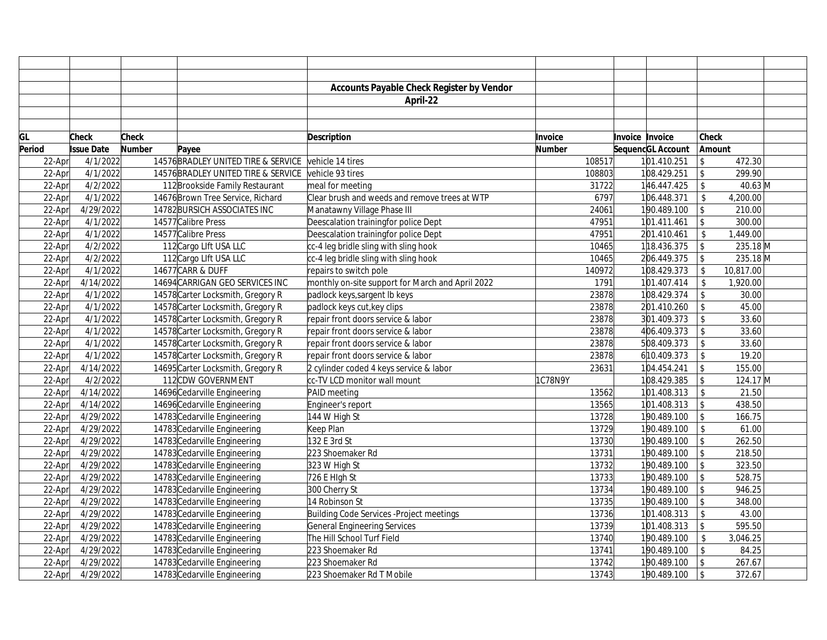|        |                   |              |                                                      | <b>Accounts Payable Check Register by Vendor</b> |               |                   |                         |            |  |
|--------|-------------------|--------------|------------------------------------------------------|--------------------------------------------------|---------------|-------------------|-------------------------|------------|--|
|        |                   |              |                                                      | April-22                                         |               |                   |                         |            |  |
|        |                   |              |                                                      |                                                  |               |                   |                         |            |  |
|        |                   |              |                                                      |                                                  |               |                   |                         |            |  |
| GL     | <b>Check</b>      | <b>Check</b> |                                                      | <b>Description</b>                               | Invoice       | Invoice Invoice   | <b>Check</b>            |            |  |
| Period | <b>Issue Date</b> | Number       | Payee                                                |                                                  | <b>Number</b> | SequencGL Account |                         | Amount     |  |
| 22-Apr | 4/1/2022          |              | 14576 BRADLEY UNITED TIRE & SERVICE vehicle 14 tires |                                                  | 108517        | 101.410.251       | $\mathbb{S}$            | 472.30     |  |
| 22-Apr | 4/1/2022          |              | 14576 BRADLEY UNITED TIRE & SERVICE vehicle 93 tires |                                                  | 108803        | 108.429.251       | $\sqrt[6]{\frac{1}{2}}$ | 299.90     |  |
| 22-Apr | 4/2/2022          |              | 112 Brookside Family Restaurant                      | meal for meeting                                 | 31722         | 146.447.425       | \$                      | 40.63 M    |  |
| 22-Apr | 4/1/2022          |              | 14676 Brown Tree Service, Richard                    | Clear brush and weeds and remove trees at WTP    | 6797          | 106.448.371       | \$                      | 4,200.00   |  |
| 22-Apr | 4/29/2022         |              | 14782 BURSICH ASSOCIATES INC                         | Manatawny Village Phase III                      | 24061         | 190.489.100       | $\mathsf{\$}$           | 210.00     |  |
| 22-Apr | 4/1/2022          |              | 14577 Calibre Press                                  | Deescalation trainingfor police Dept             | 47951         | 101.411.461       | $\mathcal{L}$           | 300.00     |  |
| 22-Apr | 4/1/2022          |              | 14577 Calibre Press                                  | Deescalation trainingfor police Dept             | 47951         | 201.410.461       | \$                      | 1,449.00   |  |
| 22-Apr | 4/2/2022          |              | 112 Cargo Lift USA LLC                               | cc-4 leg bridle sling with sling hook            | 10465         | 118.436.375       | $\mathsf{\$}$           | 235.18 M   |  |
| 22-Apr | 4/2/2022          |              | 112 Cargo Lift USA LLC                               | cc-4 leg bridle sling with sling hook            | 10465         | 206.449.375       | $\mathsf S$             | 235.18 M   |  |
| 22-Apr | 4/1/2022          |              | 14677 CARR & DUFF                                    | repairs to switch pole                           | 140972        | 108.429.373       | \$                      | 10,817.00  |  |
| 22-Apr | 4/14/2022         |              | 14694 CARRIGAN GEO SERVICES INC                      | monthly on-site support for March and April 2022 | 1791          | 101.407.414       | \$                      | 1,920.00   |  |
| 22-Apr | 4/1/2022          |              | 14578 Carter Locksmith, Gregory R                    | padlock keys, sargent Ib keys                    | 23878         | 108.429.374       | \$                      | 30.00      |  |
| 22-Apr | 4/1/2022          |              | 14578 Carter Locksmith, Gregory R                    | padlock keys cut, key clips                      | 23878         | 201.410.260       | \$                      | 45.00      |  |
| 22-Apr | 4/1/2022          |              | 14578 Carter Locksmith, Gregory R                    | repair front doors service & labor               | 23878         | 301.409.373       | $\sqrt[6]{\frac{1}{2}}$ | 33.60      |  |
| 22-Apr | 4/1/2022          |              | 14578 Carter Locksmith, Gregory R                    | repair front doors service & labor               | 23878         | 406.409.373       | \$                      | 33.60      |  |
| 22-Apr | 4/1/2022          |              | 14578 Carter Locksmith, Gregory R                    | repair front doors service & labor               | 23878         | 508.409.373       | $\sqrt[6]{\frac{1}{2}}$ | 33.60      |  |
| 22-Apr | 4/1/2022          |              | 14578 Carter Locksmith, Gregory R                    | repair front doors service & labor               | 23878         | 610.409.373       | \$                      | 19.20      |  |
| 22-Apr | 4/14/2022         |              | 14695 Carter Locksmith, Gregory R                    | 2 cylinder coded 4 keys service & labor          | 23631         | 104.454.241       | $\sqrt[6]{\frac{1}{2}}$ | 155.00     |  |
| 22-Apr | 4/2/2022          |              | 112CDW GOVERNMENT                                    | cc-TV LCD monitor wall mount                     | 1C78N9Y       | 108.429.385       | $\mathsf{\$}$           | $124.17$ M |  |
| 22-Apr | 4/14/2022         |              | 14696 Cedarville Engineering                         | PAID meeting                                     | 13562         | 101.408.313       | $\sqrt[6]{\frac{1}{2}}$ | 21.50      |  |
| 22-Apr | 4/14/2022         |              | 14696 Cedarville Engineering                         | Engineer's report                                | 13565         | 101.408.313       | $\sqrt[6]{\frac{1}{2}}$ | 438.50     |  |
| 22-Apr | 4/29/2022         |              | 14783 Cedarville Engineering                         | 144 W High St                                    | 13728         | 190.489.100       | $\sqrt[6]{\frac{1}{2}}$ | 166.75     |  |
| 22-Apr | 4/29/2022         |              | 14783 Cedarville Engineering                         | Keep Plan                                        | 13729         | 190.489.100       | $\sqrt{2}$              | 61.00      |  |
| 22-Apr | 4/29/2022         |              | 14783 Cedarville Engineering                         | 132 E 3rd St                                     | 13730         | 190.489.100       | $\mathsf{\$}$           | 262.50     |  |
| 22-Apr | 4/29/2022         |              | 14783 Cedarville Engineering                         | 223 Shoemaker Rd                                 | 13731         | 190.489.100       | \$                      | 218.50     |  |
| 22-Apr | 4/29/2022         |              | 14783 Cedarville Engineering                         | 323 W High St                                    | 13732         | 190.489.100       | $\mathfrak{S}$          | 323.50     |  |
| 22-Apr | 4/29/2022         |              | 14783 Cedarville Engineering                         | 726 E High St                                    | 13733         | 190.489.100       | $\sqrt[6]{\frac{1}{2}}$ | 528.75     |  |
| 22-Apr | 4/29/2022         |              | 14783 Cedarville Engineering                         | 300 Cherry St                                    | 13734         | 190.489.100       | $\mathsf S$             | 946.25     |  |
| 22-Apr | 4/29/2022         |              | 14783 Cedarville Engineering                         | 14 Robinson St                                   | 13735         | 190.489.100       | $\mathcal{S}$           | 348.00     |  |
| 22-Apr | 4/29/2022         |              | 14783 Cedarville Engineering                         | Building Code Services - Project meetings        | 13736         | 101.408.313       | \$                      | 43.00      |  |
| 22-Apr | 4/29/2022         |              | 14783 Cedarville Engineering                         | General Engineering Services                     | 13739         | 101.408.313       | $\sqrt{3}$              | 595.50     |  |
| 22-Apr | 4/29/2022         |              | 14783 Cedarville Engineering                         | The Hill School Turf Field                       | 13740         | 190.489.100       | $\mathbb{S}$            | 3,046.25   |  |
| 22-Apr | 4/29/2022         |              | 14783 Cedarville Engineering                         | 223 Shoemaker Rd                                 | 13741         | 190.489.100       | $\sqrt[6]{\frac{1}{2}}$ | 84.25      |  |
| 22-Apr | 4/29/2022         |              | 14783 Cedarville Engineering                         | 223 Shoemaker Rd                                 | 13742         | 190.489.100       | $\mathcal{S}$           | 267.67     |  |
| 22-Apr | 4/29/2022         |              | 14783 Cedarville Engineering                         | 223 Shoemaker Rd T Mobile                        | 13743         | 190.489.100       | $\mathfrak{S}$          | 372.67     |  |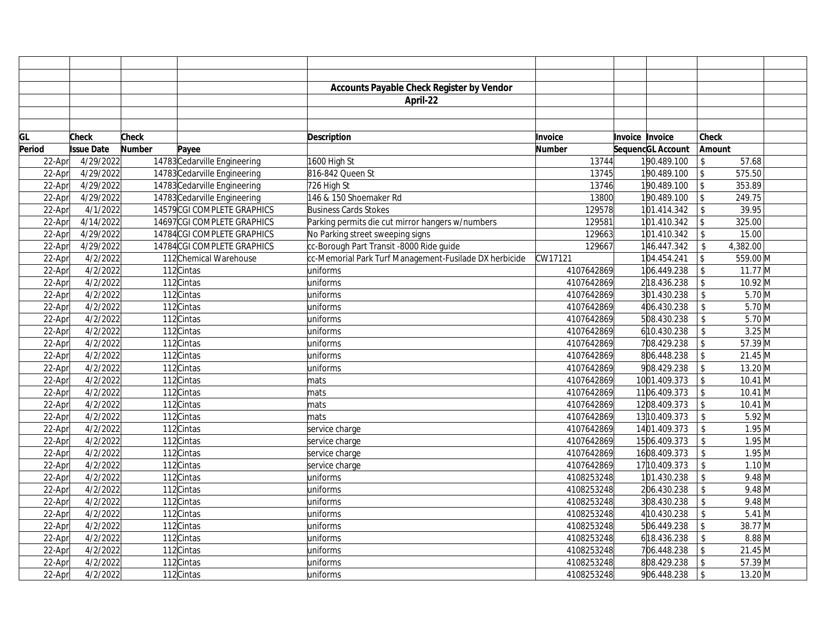|        |                   |        |                              | <b>Accounts Payable Check Register by Vendor</b>       |               |                        |                                   |           |
|--------|-------------------|--------|------------------------------|--------------------------------------------------------|---------------|------------------------|-----------------------------------|-----------|
|        |                   |        |                              | April-22                                               |               |                        |                                   |           |
|        |                   |        |                              |                                                        |               |                        |                                   |           |
|        |                   |        |                              |                                                        |               |                        |                                   |           |
| GL     | <b>Check</b>      | Check  |                              | <b>Description</b>                                     | Invoice       | <b>Invoice Invoice</b> | Check                             |           |
| Period | <b>Issue Date</b> | Number | Payee                        |                                                        | <b>Number</b> | SequencGL Account      | Amount                            |           |
| 22-Apr | 4/29/2022         |        | 14783 Cedarville Engineering | 1600 High St                                           | 13744         | 190.489.100            | \$<br>57.68                       |           |
| 22-Apr | 4/29/2022         |        | 14783 Cedarville Engineering | 816-842 Queen St                                       | 13745         | 190.489.100            | 575.50<br>$\sqrt[6]{\frac{1}{2}}$ |           |
| 22-Apr | 4/29/2022         |        | 14783 Cedarville Engineering | 726 High St                                            | 13746         | 190.489.100            | $\sqrt[6]{\frac{1}{2}}$<br>353.89 |           |
| 22-Apr | 4/29/2022         |        | 14783 Cedarville Engineering | 146 & 150 Shoemaker Rd                                 | 13800         | 190.489.100            | 249.75<br>$\mathcal{S}$           |           |
| 22-Apr | 4/1/2022          |        | 14579 CGI COMPLETE GRAPHICS  | <b>Business Cards Stokes</b>                           | 129578        | 101.414.342            | 39.95<br>\$                       |           |
| 22-Apr | 4/14/2022         |        | 14697 CGI COMPLETE GRAPHICS  | Parking permits die cut mirror hangers w/numbers       | 129581        | 101.410.342            | $\mathbb{S}$<br>325.00            |           |
| 22-Apr | 4/29/2022         |        | 14784 CGI COMPLETE GRAPHICS  | No Parking street sweeping signs                       | 129663        | 101.410.342            | \$<br>15.00                       |           |
| 22-Apr | 4/29/2022         |        | 14784 CGI COMPLETE GRAPHICS  | cc-Borough Part Transit -8000 Ride guide               | 129667        | 146.447.342            | \$<br>4,382.00                    |           |
| 22-Apr | 4/2/2022          |        | 112Chemical Warehouse        | cc-Memorial Park Turf Management-Fusilade DX herbicide | CW17121       | 104.454.241            | 559.00 M<br>\$                    |           |
| 22-Apr | 4/2/2022          |        | 112 Cintas                   | uniforms                                               | 4107642869    | 106.449.238            | \$                                | $11.77$ M |
| 22-Apr | 4/2/2022          |        | 112 Cintas                   | uniforms                                               | 4107642869    | 218.436.238            | \$                                | 10.92 M   |
| 22-Apr | 4/2/2022          |        | 112 Cintas                   | uniforms                                               | 4107642869    | 301.430.238            | \$                                | $5.70$ M  |
| 22-Apr | 4/2/2022          |        | 112 Cintas                   | uniforms                                               | 4107642869    | 406.430.238            | $\mathcal{S}$                     | $5.70$ M  |
| 22-Apr | 4/2/2022          |        | 112 Cintas                   | uniforms                                               | 4107642869    | 508.430.238            | $\mathsf{\$}$                     | $5.70$ M  |
| 22-Apr | 4/2/2022          |        | 112 Cintas                   | uniforms                                               | 4107642869    | 610.430.238            | $\mathsf{\$}$                     | $3.25$ M  |
| 22-Apr | 4/2/2022          |        | 112 Cintas                   | uniforms                                               | 4107642869    | 708.429.238            | \$                                | 57.39 M   |
| 22-Apr | 4/2/2022          |        | 112 Cintas                   | uniforms                                               | 4107642869    | 806.448.238            | \$                                | $21.45$ M |
| 22-Apr | 4/2/2022          |        | 112 Cintas                   | uniforms                                               | 4107642869    | 908.429.238            | \$                                | 13.20 M   |
| 22-Apr | 4/2/2022          |        | 112 Cintas                   | mats                                                   | 4107642869    | 1001.409.373           | $\mathsf{\$}$                     | $10.41$ M |
| 22-Apr | 4/2/2022          |        | 112 Cintas                   | mats                                                   | 4107642869    | 1106.409.373           | \$                                | $10.41$ M |
| 22-Apr | 4/2/2022          |        | 112 Cintas                   | mats                                                   | 4107642869    | 1208.409.373           | $\mathsf{\$}$                     | $10.41$ M |
| 22-Apr | 4/2/2022          |        | 112 Cintas                   | mats                                                   | 4107642869    | 13 10.409.373          | $\mathcal{S}$                     | $5.92$ M  |
| 22-Apr | 4/2/2022          |        | 112 Cintas                   | service charge                                         | 4107642869    | 1401.409.373           | $\mathbb{S}$                      | $1.95$ M  |
| 22-Apr | 4/2/2022          |        | 112 Cintas                   | service charge                                         | 4107642869    | 1506.409.373           | \$                                | $1.95$ M  |
| 22-Apr | 4/2/2022          |        | 112 Cintas                   | service charge                                         | 4107642869    | 1608.409.373           | \$                                | $1.95$ M  |
| 22-Apr | 4/2/2022          |        | 112 Cintas                   | service charge                                         | 4107642869    | 17 10.409.373          | $\mathbf S$                       | $1.10$ M  |
| 22-Apr | 4/2/2022          |        | 112 Cintas                   | uniforms                                               | 4108253248    | 101.430.238            | $\mathsf{\$}$                     | $9.48$ M  |
| 22-Apr | 4/2/2022          |        | 112 Cintas                   | uniforms                                               | 4108253248    | 206.430.238            | $\mathcal{S}$                     | $9.48$ M  |
| 22-Apr | 4/2/2022          |        | 112 Cintas                   | uniforms                                               | 4108253248    | 308.430.238            | \$                                | $9.48$ M  |
| 22-Apr | 4/2/2022          |        | 112 Cintas                   | uniforms                                               | 4108253248    | 410.430.238            | $\mathbb{S}$                      | $5.41$ M  |
| 22-Apr | 4/2/2022          |        | 112 Cintas                   | uniforms                                               | 4108253248    | 506.449.238            | $\mathsf{\$}$                     | 38.77 M   |
| 22-Apr | 4/2/2022          |        | 112 Cintas                   | uniforms                                               | 4108253248    | 618.436.238            | \$                                | $8.88$ M  |
| 22-Apr | 4/2/2022          |        | 112 Cintas                   | uniforms                                               | 4108253248    | 706.448.238            | \$                                | $21.45$ M |
| 22-Apr | 4/2/2022          |        | 112 Cintas                   | uniforms                                               | 4108253248    | 808.429.238            | \$                                | 57.39 M   |
| 22-Apr | 4/2/2022          |        | 112 Cintas                   | uniforms                                               | 4108253248    | 906.448.238            | $\mathsf{\$}$                     | 13.20 M   |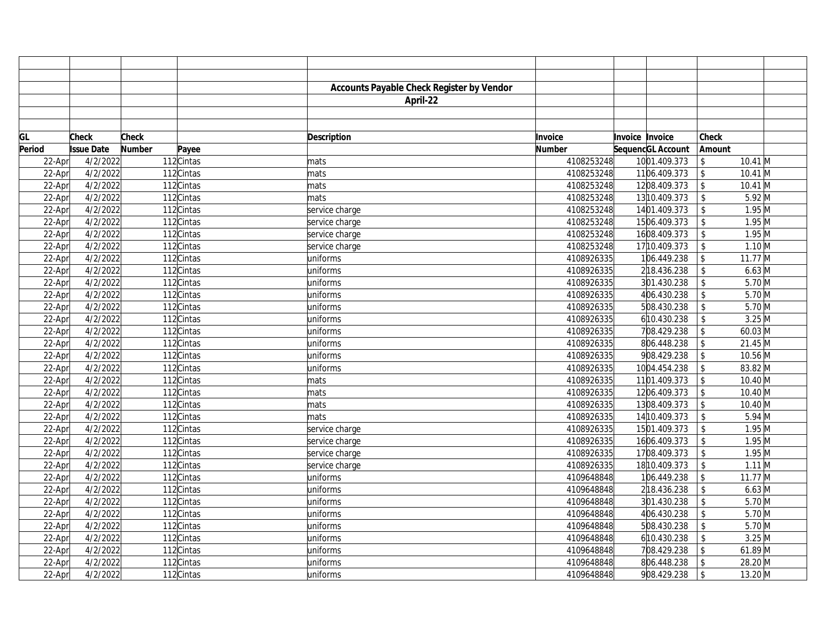|        |                   |        |              | <b>Accounts Payable Check Register by Vendor</b> |            |                 |                   |                    |                             |  |
|--------|-------------------|--------|--------------|--------------------------------------------------|------------|-----------------|-------------------|--------------------|-----------------------------|--|
|        |                   |        |              | April-22                                         |            |                 |                   |                    |                             |  |
|        |                   |        |              |                                                  |            |                 |                   |                    |                             |  |
|        |                   |        |              |                                                  |            |                 |                   |                    |                             |  |
| GL     | <b>Check</b>      | Check  |              | <b>Description</b>                               | Invoice    | Invoice Invoice |                   | Check              |                             |  |
| Period | <b>Issue Date</b> | Number | Payee        |                                                  | Number     |                 | SequencGL Account | Amount             |                             |  |
| 22-Apr | 4/2/2022          |        | 112 Cintas   | mats                                             | 4108253248 |                 | 1001.409.373      | \$                 | $10.41$ M                   |  |
| 22-Apr | 4/2/2022          |        | $112$ Cintas | mats                                             | 4108253248 |                 | 1106.409.373      | \$                 | $10.41$ M                   |  |
| 22-Apr | 4/2/2022          |        | 112 Cintas   | mats                                             | 4108253248 |                 | 1208.409.373      | \$                 | $10.41$ M                   |  |
| 22-Apr | 4/2/2022          |        | 112 Cintas   | mats                                             | 4108253248 |                 | 13 10.409.373     | \$                 | $5.92$ M                    |  |
| 22-Apr | 4/2/2022          |        | 112 Cintas   | service charge                                   | 4108253248 |                 | 1401.409.373      | \$                 | $1.95$ M                    |  |
| 22-Apr | 4/2/2022          |        | $112$ Cintas | service charge                                   | 4108253248 |                 | 1506.409.373      | \$                 | $1.95$ M                    |  |
| 22-Apr | 4/2/2022          |        | 112 Cintas   | service charge                                   | 4108253248 |                 | 1608.409.373      | $\mathsf{\$}$      | $1.95$ M                    |  |
| 22-Apr | 4/2/2022          |        | 112 Cintas   | service charge                                   | 4108253248 |                 | 17 10.409.373     | $\mathsf{\$}$      | $1.10$ M                    |  |
| 22-Apr | 4/2/2022          |        | 112 Cintas   | uniforms                                         | 4108926335 |                 | 106.449.238       | \$                 | $11.77$ M                   |  |
| 22-Apr | 4/2/2022          |        | 112 Cintas   | uniforms                                         | 4108926335 |                 | 218.436.238       | \$                 | $6.63$ M                    |  |
| 22-Apr | 4/2/2022          |        | 112 Cintas   | uniforms                                         | 4108926335 |                 | 301.430.238       | $\mathsf{\$}$      | $5.70$ M                    |  |
| 22-Apr | 4/2/2022          |        | 112 Cintas   | uniforms                                         | 4108926335 |                 | 406.430.238       | $\mathbb{S}$       | $5.70$ M                    |  |
| 22-Apr | 4/2/2022          |        | 112 Cintas   | uniforms                                         | 4108926335 |                 | 508.430.238       | $\mathbb{S}$       | $5.70$ M                    |  |
| 22-Apr | 4/2/2022          |        | 112 Cintas   | uniforms                                         | 4108926335 |                 | 610.430.238       | \$                 | $3.25$ M                    |  |
| 22-Apr | 4/2/2022          |        | 112 Cintas   | uniforms                                         | 4108926335 |                 | 708.429.238       | \$                 | $60.03$ M                   |  |
| 22-Apr | 4/2/2022          |        | 112 Cintas   | uniforms                                         | 4108926335 |                 | 806.448.238       | \$                 | $21.45$ M                   |  |
| 22-Apr | 4/2/2022          |        | 112 Cintas   | uniforms                                         | 4108926335 |                 | 908.429.238       | $\mathsf{\$}$      | $10.56$ M                   |  |
| 22-Apr | 4/2/2022          |        | 112 Cintas   | uniforms                                         | 4108926335 |                 | 1004.454.238      | \$                 | 83.82 M                     |  |
| 22-Apr | 4/2/2022          |        | 112 Cintas   | mats                                             | 4108926335 |                 | 1101.409.373      | \$                 | $10.40$ M                   |  |
| 22-Apr | 4/2/2022          |        | 112 Cintas   | mats                                             | 4108926335 |                 | 1206.409.373      | \$                 | $10.40$ M                   |  |
| 22-Apr | 4/2/2022          |        | 112 Cintas   | mats                                             | 4108926335 |                 | 1308.409.373      | $\mathsf{\$}$      | $10.40$ M                   |  |
| 22-Apr | 4/2/2022          |        | 112 Cintas   | mats                                             | 4108926335 |                 | 14 10.409.373     | $\mathsf{\$}$      | $5.94$ M                    |  |
| 22-Apr | 4/2/2022          |        | 112 Cintas   | service charge                                   | 4108926335 |                 | 1501.409.373      | \$                 | $1.95$ M                    |  |
| 22-Apr | 4/2/2022          |        | 112 Cintas   | service charge                                   | 4108926335 |                 | 1606.409.373      | $\mathbf S$        | $1.95$ M                    |  |
| 22-Apr | 4/2/2022          |        | 112 Cintas   | service charge                                   | 4108926335 |                 | 1708.409.373      | \$                 | $1.95$ M                    |  |
| 22-Apr | 4/2/2022          |        | 112 Cintas   | service charge                                   | 4108926335 |                 | 18 10.409.373     | $\mathbf S$        | $1.11$ M                    |  |
| 22-Apr | 4/2/2022          |        | 112 Cintas   | uniforms                                         | 4109648848 |                 | 106.449.238       | \$                 | $11.77$ M                   |  |
| 22-Apr | 4/2/2022          |        | 112 Cintas   | uniforms                                         | 4109648848 |                 | 218.436.238       | \$                 | $6.63$ M                    |  |
| 22-Apr | 4/2/2022          |        | 112 Cintas   | uniforms                                         | 4109648848 |                 | 301.430.238       | \$                 | $5.70$ M                    |  |
| 22-Apr | 4/2/2022          |        | 112 Cintas   | uniforms                                         | 4109648848 |                 | 406.430.238       | $\mathsf{\$}$      | $5.70$ M                    |  |
| 22-Apr | 4/2/2022          |        | 112 Cintas   | uniforms                                         | 4109648848 |                 | 508.430.238       | \$                 | $5.70$ M                    |  |
| 22-Apr | 4/2/2022          |        | 112 Cintas   | uniforms                                         | 4109648848 |                 | 610.430.238       | \$                 | $3.25\overline{\mathrm{M}}$ |  |
| 22-Apr | 4/2/2022          |        | 112 Cintas   | uniforms                                         | 4109648848 |                 | 708.429.238       | \$                 | 61.89 M                     |  |
| 22-Apr | 4/2/2022          |        | 112 Cintas   | uniforms                                         | 4109648848 |                 | 806.448.238       | $\mathbf{\hat{S}}$ | 28.20 M                     |  |
| 22-Apr | 4/2/2022          |        | 112 Cintas   | uniforms                                         | 4109648848 |                 | 908.429.238       | $\mathbf{\hat{S}}$ | 13.20 M                     |  |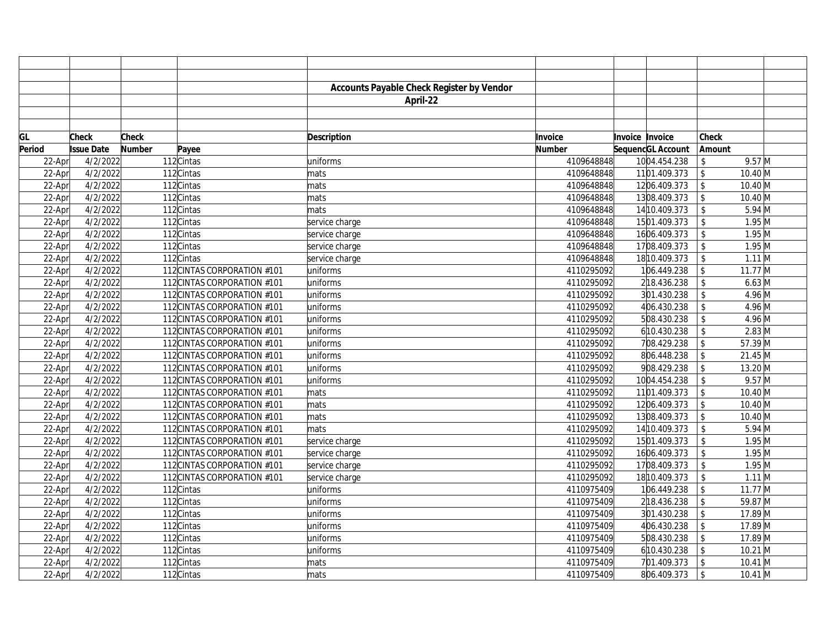|        |                   |        |                             | <b>Accounts Payable Check Register by Vendor</b> |               |                   |                            |                  |  |
|--------|-------------------|--------|-----------------------------|--------------------------------------------------|---------------|-------------------|----------------------------|------------------|--|
|        |                   |        |                             | April-22                                         |               |                   |                            |                  |  |
|        |                   |        |                             |                                                  |               |                   |                            |                  |  |
|        |                   |        |                             |                                                  |               |                   |                            |                  |  |
| GL     | <b>Check</b>      | Check  |                             | <b>Description</b>                               | Invoice       | Invoice Invoice   | Check                      |                  |  |
| Period | <b>Issue Date</b> | Number | Payee                       |                                                  | <b>Number</b> | SequencGL Account | Amount                     |                  |  |
| 22-Apr | 4/2/2022          |        | 112 Cintas                  | uniforms                                         | 4109648848    | 1004.454.238      | \$                         | $9.57$ M         |  |
| 22-Apr | 4/2/2022          |        | 112 Cintas                  | mats                                             | 4109648848    | 1101.409.373      | $\updownarrow$             | $10.40$ M        |  |
| 22-Apr | 4/2/2022          |        | 112 Cintas                  | mats                                             | 4109648848    | 1206.409.373      | \$                         | $10.40$ M        |  |
| 22-Apr | 4/2/2022          |        | 112 Cintas                  | mats                                             | 4109648848    | 1308.409.373      | \$                         | $10.40$ M        |  |
| 22-Apr | 4/2/2022          |        | 112 Cintas                  | mats                                             | 4109648848    | 14 10.409.373     | $\mathsf{\$}$              | $5.94 \text{ M}$ |  |
| 22-Apr | 4/2/2022          |        | 112 Cintas                  | service charge                                   | 4109648848    | 1501.409.373      | $\mathsf{\$}$              | $1.95$ M         |  |
| 22-Apr | 4/2/2022          |        | 112 Cintas                  | service charge                                   | 4109648848    | 1606.409.373      | $\mathbf S$                | $1.95$ M         |  |
| 22-Apr | 4/2/2022          |        | 112 Cintas                  | service charge                                   | 4109648848    | 1708.409.373      | \$                         | $1.95$ M         |  |
| 22-Apr | 4/2/2022          |        | 112 Cintas                  | service charge                                   | 4109648848    | 18 10.409.373     | \$                         | $1.11$ M         |  |
| 22-Apr | 4/2/2022          |        | 112CINTAS CORPORATION #101  | uniforms                                         | 4110295092    | 106.449.238       | \$                         | $11.77$ M        |  |
| 22-Apr | 4/2/2022          |        | 112 CINTAS CORPORATION #101 | uniforms                                         | 4110295092    | 218.436.238       | $\mathbf S$                | $6.63$ M         |  |
| 22-Apr | 4/2/2022          |        | 112 CINTAS CORPORATION #101 | uniforms                                         | 4110295092    | 301.430.238       | $\mathbb S$                | 4.96 M           |  |
| 22-Apr | 4/2/2022          |        | 112 CINTAS CORPORATION #101 | uniforms                                         | 4110295092    | 406.430.238       | $\mathsf{\$}$              | $4.96$ M         |  |
| 22-Apr | 4/2/2022          |        | 112 CINTAS CORPORATION #101 | uniforms                                         | 4110295092    | 508.430.238       | \$                         | $4.96$ M         |  |
| 22-Apr | 4/2/2022          |        | 112 CINTAS CORPORATION #101 | uniforms                                         | 4110295092    | 610.430.238       | \$                         | $2.83$ M         |  |
| 22-Apr | 4/2/2022          |        | 112 CINTAS CORPORATION #101 | uniforms                                         | 4110295092    | 708.429.238       | $\$\,$                     | 57.39 M          |  |
| 22-Apr | 4/2/2022          |        | 112 CINTAS CORPORATION #101 | uniforms                                         | 4110295092    | 806.448.238       | \$                         | $21.45$ M        |  |
| 22-Apr | 4/2/2022          |        | 112 CINTAS CORPORATION #101 | uniforms                                         | 4110295092    | 908.429.238       | \$                         | 13.20 M          |  |
| 22-Apr | 4/2/2022          |        | 112 CINTAS CORPORATION #101 | uniforms                                         | 4110295092    | 1004.454.238      | $\mathcal{S}$              | $9.57$ M         |  |
| 22-Apr | 4/2/2022          |        | 112 CINTAS CORPORATION #101 | mats                                             | 4110295092    | 1101.409.373      | \$                         | $10.40$ M        |  |
| 22-Apr | 4/2/2022          |        | 112 CINTAS CORPORATION #101 | mats                                             | 4110295092    | 1206.409.373      | $\mathsf{\$}$              | $10.40$ M        |  |
| 22-Apr | 4/2/2022          |        | 112 CINTAS CORPORATION #101 | mats                                             | 4110295092    | 1308.409.373      | \$                         | $10.40$ M        |  |
| 22-Apr | 4/2/2022          |        | 112 CINTAS CORPORATION #101 | mats                                             | 4110295092    | 14 10.409.373     | $\mathbb{S}$               | $5.94$ M         |  |
| 22-Apr | 4/2/2022          |        | 112 CINTAS CORPORATION #101 | service charge                                   | 4110295092    | 1501.409.373      | \$                         | $1.95$ M         |  |
| 22-Apr | 4/2/2022          |        | 112 CINTAS CORPORATION #101 | service charge                                   | 4110295092    | 1606.409.373      | \$                         | $1.95$ M         |  |
| 22-Apr | 4/2/2022          |        | 112 CINTAS CORPORATION #101 | service charge                                   | 4110295092    | 1708.409.373      | $\mathbf S$                | $1.95$ M         |  |
| 22-Apr | 4/2/2022          |        | 112 CINTAS CORPORATION #101 | service charge                                   | 4110295092    | 18 10.409.373     | $\boldsymbol{\mathsf{\$}}$ | $1.11$ M         |  |
| 22-Apr | 4/2/2022          |        | 112 Cintas                  | uniforms                                         | 4110975409    | 106.449.238       | \$                         | $11.77 \, M$     |  |
| 22-Apr | 4/2/2022          |        | 112 Cintas                  | uniforms                                         | 4110975409    | 218.436.238       | \$                         | 59.87 M          |  |
| 22-Apr | 4/2/2022          |        | 112 Cintas                  | uniforms                                         | 4110975409    | 301.430.238       | \$                         | 17.89 M          |  |
| 22-Apr | 4/2/2022          |        | 112 Cintas                  | uniforms                                         | 4110975409    | 406.430.238       | $\sqrt[6]{\frac{1}{2}}$    | 17.89 M          |  |
| 22-Apr | 4/2/2022          |        | 112 Cintas                  | uniforms                                         | 4110975409    | 508.430.238       | \$                         | 17.89 M          |  |
| 22-Apr | 4/2/2022          |        | 112 Cintas                  | uniforms                                         | 4110975409    | 610.430.238       | \$                         | $10.21$ M        |  |
| 22-Apr | 4/2/2022          |        | 112 Cintas                  | mats                                             | 4110975409    | 701.409.373       | \$                         | $10.41$ M        |  |
| 22-Apr | 4/2/2022          |        | 112 Cintas                  | mats                                             | 4110975409    | 806.409.373       | \$                         | $10.41$ M        |  |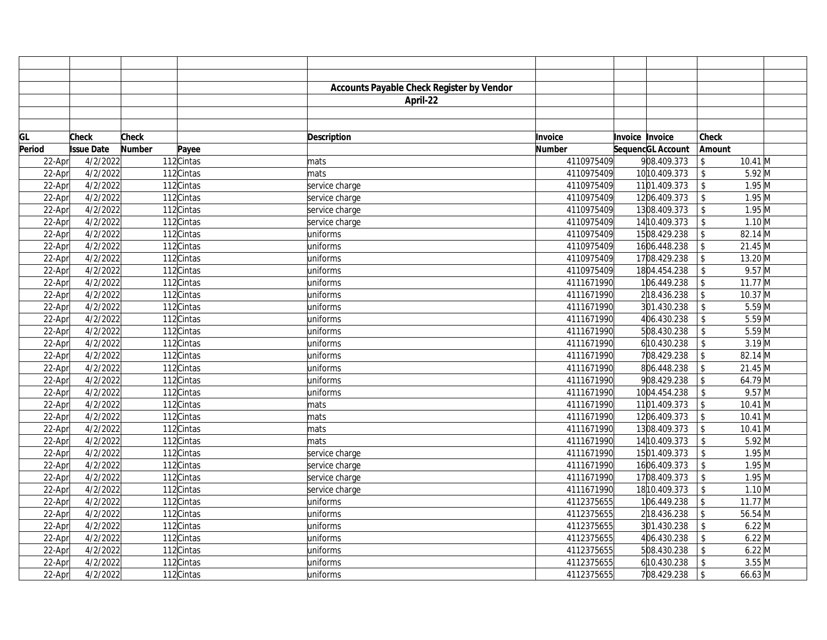|        |                   |        |                                        | <b>Accounts Payable Check Register by Vendor</b> |               |                 |                   |                         |           |  |
|--------|-------------------|--------|----------------------------------------|--------------------------------------------------|---------------|-----------------|-------------------|-------------------------|-----------|--|
|        |                   |        |                                        | April-22                                         |               |                 |                   |                         |           |  |
|        |                   |        |                                        |                                                  |               |                 |                   |                         |           |  |
|        |                   |        |                                        |                                                  |               |                 |                   |                         |           |  |
| GL     | <b>Check</b>      | Check  |                                        | <b>Description</b>                               | Invoice       | Invoice Invoice |                   | <b>Check</b>            |           |  |
| Period | <b>Issue Date</b> | Number | Payee                                  |                                                  | <b>Number</b> |                 | SequencGL Account | Amount                  |           |  |
| 22-Apr | 4/2/2022          |        | 112 Cintas                             | mats                                             | 4110975409    |                 | 908.409.373       | $\sqrt[6]{\frac{1}{2}}$ | $10.41$ M |  |
| 22-Apr | 4/2/2022          |        | 112 Cintas                             | mats                                             | 4110975409    |                 | 10 10.409.373     | \$                      | $5.92$ M  |  |
| 22-Apr | 4/2/2022          |        | 112 Cintas                             | service charge                                   | 4110975409    |                 | 1101.409.373      | \$                      | $1.95$ M  |  |
| 22-Apr | 4/2/2022          |        | 112 Cintas                             | service charge                                   | 4110975409    |                 | 1206.409.373      | $\mathcal{S}$           | $1.95$ M  |  |
| 22-Apr | 4/2/2022          |        | 112 Cintas                             | service charge                                   | 4110975409    |                 | 1308.409.373      | $\mathcal{S}$           | $1.95$ M  |  |
| 22-Apr | 4/2/2022          |        | 112 Cintas                             | service charge                                   | 4110975409    |                 | 14 10.409.373     | \$                      | $1.10$ M  |  |
| 22-Apr | 4/2/2022          |        | 112 Cintas                             | uniforms                                         | 4110975409    |                 | 1508.429.238      | \$                      | 82.14 M   |  |
| 22-Apr | 4/2/2022          |        | 112 Cintas                             | uniforms                                         | 4110975409    |                 | 1606.448.238      | \$                      | $21.45$ M |  |
| 22-Apr | 4/2/2022          |        | 112 Cintas                             | uniforms                                         | 4110975409    |                 | 1708.429.238      | \$                      | 13.20 M   |  |
| 22-Apr | 4/2/2022          |        | 112 Cintas                             | uniforms                                         | 4110975409    |                 | 1804.454.238      | \$                      | $9.57$ M  |  |
| 22-Apr | 4/2/2022          |        | 112 Cintas                             | uniforms                                         | 4111671990    |                 | 106.449.238       | \$                      | $11.77$ M |  |
| 22-Apr | 4/2/2022          |        | 112 Cintas                             | uniforms                                         | 4111671990    |                 | 218.436.238       | $\mathsf{\$}$           | $10.37$ M |  |
| 22-Apr | 4/2/2022          |        | 112 Cintas                             | uniforms                                         | 4111671990    |                 | 301.430.238       | $\mathsf{\$}$           | $5.59$ M  |  |
| 22-Apr | 4/2/2022          |        | 112 Cintas                             | uniforms                                         | 4111671990    |                 | 406.430.238       | \$                      | $5.59$ M  |  |
| 22-Apr | 4/2/2022          |        | 112 Cintas                             | uniforms                                         | 4111671990    |                 | 508.430.238       | $\mathsf{\$}$           | $5.59$ M  |  |
| 22-Apr | 4/2/2022          |        | 112 Cintas                             | uniforms                                         | 4111671990    |                 | 610.430.238       | \$                      | $3.19$ M  |  |
| 22-Apr | 4/2/2022          |        | 112 Cintas                             | uniforms                                         | 4111671990    |                 | 708.429.238       | $\mathsf{\$}$           | 82.14 M   |  |
| 22-Apr | 4/2/2022          |        | 112 Cintas                             | uniforms                                         | 4111671990    |                 | 806.448.238       | \$                      | $21.45$ M |  |
| 22-Apr | 4/2/2022          |        | 112 Cintas                             | uniforms                                         | 4111671990    |                 | 908.429.238       | \$                      | 64.79 M   |  |
| 22-Apr | 4/2/2022          |        | 112 Cintas                             | uniforms                                         | 4111671990    |                 | 1004.454.238      | $\mathbf S$             | $9.57$ M  |  |
| 22-Apr | 4/2/2022          |        | 112 Cintas                             | mats                                             | 4111671990    |                 | 1101.409.373      | \$                      | $10.41$ M |  |
| 22-Apr | 4/2/2022          |        | $\overline{11}$ 2 $\overline{C}$ intas | mats                                             | 4111671990    |                 | 1206.409.373      | \$                      | $10.41$ M |  |
| 22-Apr | 4/2/2022          |        | 112 Cintas                             | mats                                             | 4111671990    |                 | 1308.409.373      | \$                      | $10.41$ M |  |
| 22-Apr | 4/2/2022          |        | 112 Cintas                             | mats                                             | 4111671990    |                 | 14 10.409.373     | \$                      | $5.92$ M  |  |
| 22-Apr | 4/2/2022          |        | 112 Cintas                             | service charge                                   | 4111671990    |                 | 1501.409.373      | $\mathbb{S}$            | $1.95$ M  |  |
| 22-Apr | 4/2/2022          |        | 112 Cintas                             | service charge                                   | 4111671990    |                 | 1606.409.373      | $\mathcal{S}$           | $1.95$ M  |  |
| 22-Apr | 4/2/2022          |        | 112 Cintas                             | service charge                                   | 4111671990    |                 | 1708.409.373      | \$                      | $1.95$ M  |  |
| 22-Apr | 4/2/2022          |        | 112 Cintas                             | service charge                                   | 4111671990    |                 | 18 10.409.373     | \$                      | $1.10$ M  |  |
| 22-Apr | 4/2/2022          |        | $\overline{1}$ 12 $\overline{C}$ intas | uniforms                                         | 4112375655    |                 | 106.449.238       | $\mathsf{\$}$           | $11.77$ M |  |
| 22-Apr | 4/2/2022          |        | 112 Cintas                             | uniforms                                         | 4112375655    |                 | 218.436.238       | $\mathbf{\hat{S}}$      | 56.54 M   |  |
| 22-Apr | 4/2/2022          |        | 112 Cintas                             | uniforms                                         | 4112375655    |                 | 301.430.238       | $\mathsf{\$}$           | $6.22$ M  |  |
| 22-Apr | 4/2/2022          |        | 112 Cintas                             | uniforms                                         | 4112375655    |                 | 406.430.238       | \$                      | $6.22$ M  |  |
| 22-Apr | 4/2/2022          |        | 112 Cintas                             | uniforms                                         | 4112375655    |                 | 508.430.238       | $\mathcal{S}$           | $6.22$ M  |  |
| 22-Apr | 4/2/2022          |        | 112 Cintas                             | uniforms                                         | 4112375655    |                 | 610.430.238       | $\mathcal{S}$           | $3.55$ M  |  |
| 22-Apr | 4/2/2022          |        | 112 Cintas                             | uniforms                                         | 4112375655    |                 | 708.429.238       | \$                      | 66.63 M   |  |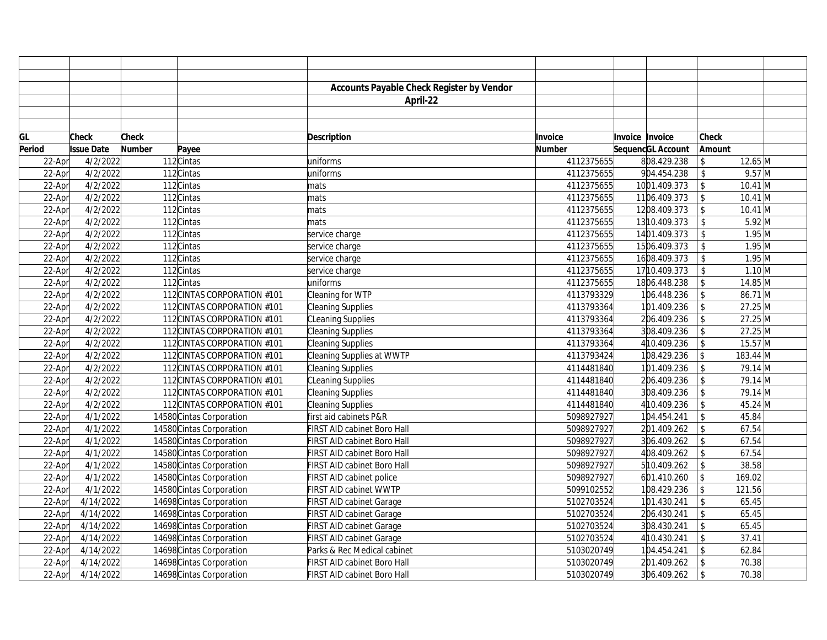|        |                   |        |                             | <b>Accounts Payable Check Register by Vendor</b> |               |                 |                   |                    |                           |  |
|--------|-------------------|--------|-----------------------------|--------------------------------------------------|---------------|-----------------|-------------------|--------------------|---------------------------|--|
|        |                   |        |                             | April-22                                         |               |                 |                   |                    |                           |  |
|        |                   |        |                             |                                                  |               |                 |                   |                    |                           |  |
|        |                   |        |                             |                                                  |               |                 |                   |                    |                           |  |
| GL     | <b>Check</b>      | Check  |                             | <b>Description</b>                               | Invoice       | Invoice Invoice |                   | <b>Check</b>       |                           |  |
| Period | <b>Issue Date</b> | Number | Payee                       |                                                  | <b>Number</b> |                 | SequencGL Account | Amount             |                           |  |
| 22-Apr | 4/2/2022          |        | 112 Cintas                  | uniforms                                         | 4112375655    |                 | 808.429.238       | \$                 | 12.65 M                   |  |
| 22-Apr | 4/2/2022          |        | 112 Cintas                  | uniforms                                         | 4112375655    |                 | 904.454.238       | \$                 | $9.57$ M                  |  |
| 22-Apr | 4/2/2022          |        | 112 Cintas                  | mats                                             | 4112375655    |                 | 1001.409.373      | \$                 | $10.41$ M                 |  |
| 22-Apr | 4/2/2022          |        | 112 Cintas                  | mats                                             | 4112375655    |                 | 1106.409.373      | \$                 | $10.41$ M                 |  |
| 22-Apr | 4/2/2022          |        | 112 Cintas                  | mats                                             | 4112375655    |                 | 1208.409.373      | $\mathsf{\$}$      | $10.41$ M                 |  |
| 22-Apr | 4/2/2022          |        | 112 Cintas                  | mats                                             | 4112375655    |                 | 13 10.409.373     | $\mathcal{L}$      | $5.92$ M                  |  |
| 22-Apr | 4/2/2022          |        | 112 Cintas                  | service charge                                   | 4112375655    |                 | 1401.409.373      | \$                 | $1.95$ M                  |  |
| 22-Apr | 4/2/2022          |        | 112 Cintas                  | service charge                                   | 4112375655    |                 | 1506.409.373      | \$                 | $1.95$ M                  |  |
| 22-Apr | 4/2/2022          |        | 112 Cintas                  | service charge                                   | 4112375655    |                 | 1608.409.373      | \$                 | $1.95$ M                  |  |
| 22-Apr | 4/2/2022          |        | 112 Cintas                  | service charge                                   | 4112375655    |                 | 17 10.409.373     | $\mathsf S$        | $1.10$ M                  |  |
| 22-Apr | 4/2/2022          |        | 112 Cintas                  | uniforms                                         | 4112375655    |                 | 1806.448.238      | $\mathsf{\$}$      | 14.85 M                   |  |
| 22-Apr | 4/2/2022          |        | 112 CINTAS CORPORATION #101 | Cleaning for WTP                                 | 4113793329    |                 | 106.448.236       | \$                 | 86.71 M                   |  |
| 22-Apr | 4/2/2022          |        | 112 CINTAS CORPORATION #101 | <b>Cleaning Supplies</b>                         | 4113793364    |                 | 101.409.236       | \$                 | 27.25 M                   |  |
| 22-Apr | 4/2/2022          |        | 112 CINTAS CORPORATION #101 | CLeaning Supplies                                | 4113793364    |                 | 206.409.236       | \$                 | 27.25 M                   |  |
| 22-Apr | 4/2/2022          |        | 112 CINTAS CORPORATION #101 | <b>Cleaning Supplies</b>                         | 4113793364    |                 | 308.409.236       | $\mathfrak{L}$     | 27.25 M                   |  |
| 22-Apr | 4/2/2022          |        | 112 CINTAS CORPORATION #101 | <b>Cleaning Supplies</b>                         | 4113793364    |                 | 410.409.236       | \$                 | $15.57$ M                 |  |
| 22-Apr | 4/2/2022          |        | 112 CINTAS CORPORATION #101 | Cleaning Supplies at WWTP                        | 4113793424    |                 | 108.429.236       | $\mathcal{S}$      | $183.44 \overline{\rm M}$ |  |
| 22-Apr | 4/2/2022          |        | 112 CINTAS CORPORATION #101 | <b>Cleaning Supplies</b>                         | 4114481840    |                 | 101.409.236       | \$                 | 79.14 M                   |  |
| 22-Apr | 4/2/2022          |        | 112 CINTAS CORPORATION #101 | CLeaning Supplies                                | 4114481840    |                 | 206.409.236       | \$                 | 79.14 M                   |  |
| 22-Apr | 4/2/2022          |        | 112 CINTAS CORPORATION #101 | Cleaning Supplies                                | 4114481840    |                 | 308.409.236       | \$                 | 79.14 M                   |  |
| 22-Apr | 4/2/2022          |        | 112 CINTAS CORPORATION #101 | <b>Cleaning Supplies</b>                         | 4114481840    |                 | 410.409.236       | \$                 | 45.24 M                   |  |
| 22-Apr | 4/1/2022          |        | 14580 Cintas Corporation    | first aid cabinets P&R                           | 5098927927    |                 | 104.454.241       | \$                 | 45.84                     |  |
| 22-Apr | 4/1/2022          |        | 14580 Cintas Corporation    | FIRST AID cabinet Boro Hall                      | 5098927927    |                 | 201.409.262       | \$                 | 67.54                     |  |
| 22-Apr | 4/1/2022          |        | 14580 Cintas Corporation    | FIRST AID cabinet Boro Hall                      | 5098927927    |                 | 306.409.262       | $\mathsf{\$}$      | 67.54                     |  |
| 22-Apr | 4/1/2022          |        | 14580 Cintas Corporation    | FIRST AID cabinet Boro Hall                      | 5098927927    |                 | 408.409.262       | \$                 | 67.54                     |  |
| 22-Apr | 4/1/2022          |        | 14580 Cintas Corporation    | FIRST AID cabinet Boro Hall                      | 5098927927    |                 | 510.409.262       | $\mathsf{\$}$      | 38.58                     |  |
| 22-Apr | 4/1/2022          |        | 14580 Cintas Corporation    | FIRST AID cabinet police                         | 5098927927    |                 | 601.410.260       | $\mathcal{S}$      | 169.02                    |  |
| 22-Apr | 4/1/2022          |        | 14580 Cintas Corporation    | FIRST AID cabinet WWTP                           | 5099102552    |                 | 108.429.236       | $\mathbf{\hat{S}}$ | 121.56                    |  |
| 22-Apr | 4/14/2022         |        | 14698 Cintas Corporation    | FIRST AID cabinet Garage                         | 5102703524    |                 | 101.430.241       | $\mathcal{L}$      | 65.45                     |  |
| 22-Apr | 4/14/2022         |        | 14698 Cintas Corporation    | FIRST AID cabinet Garage                         | 5102703524    |                 | 206.430.241       | \$                 | 65.45                     |  |
| 22-Apr | 4/14/2022         |        | 14698 Cintas Corporation    | FIRST AID cabinet Garage                         | 5102703524    |                 | 308.430.241       | $\mathfrak{L}$     | 65.45                     |  |
| 22-Apr | 4/14/2022         |        | 14698 Cintas Corporation    | FIRST AID cabinet Garage                         | 5102703524    |                 | 4 10.430.241      | \$                 | 37.41                     |  |
| 22-Apr | 4/14/2022         |        | 14698 Cintas Corporation    | Parks & Rec Medical cabinet                      | 5103020749    |                 | 104.454.241       | $\mathsf{\$}$      | 62.84                     |  |
| 22-Apr | 4/14/2022         |        | 14698 Cintas Corporation    | FIRST AID cabinet Boro Hall                      | 5103020749    |                 | 201.409.262       |                    | 70.38                     |  |
| 22-Apr | 4/14/2022         |        | 14698 Cintas Corporation    | FIRST AID cabinet Boro Hall                      | 5103020749    |                 | 306.409.262       | \$                 | 70.38                     |  |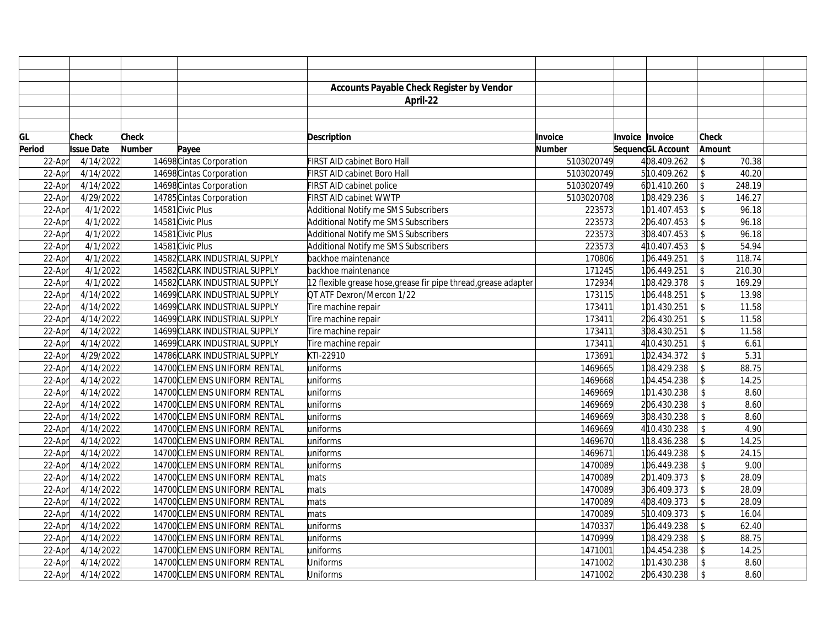|        |                   |        |                               | <b>Accounts Payable Check Register by Vendor</b>                |               |                 |                   |                    |        |  |
|--------|-------------------|--------|-------------------------------|-----------------------------------------------------------------|---------------|-----------------|-------------------|--------------------|--------|--|
|        |                   |        |                               | April-22                                                        |               |                 |                   |                    |        |  |
|        |                   |        |                               |                                                                 |               |                 |                   |                    |        |  |
|        |                   |        |                               |                                                                 |               |                 |                   |                    |        |  |
| GL     | <b>Check</b>      | Check  |                               | <b>Description</b>                                              | Invoice       | Invoice Invoice |                   | Check              |        |  |
| Period | <b>Issue Date</b> | Number | Payee                         |                                                                 | <b>Number</b> |                 | SequencGL Account | Amount             |        |  |
| 22-Apr | 4/14/2022         |        | 14698 Cintas Corporation      | FIRST AID cabinet Boro Hall                                     | 5103020749    |                 | 408.409.262       | \$                 | 70.38  |  |
| 22-Apr | 4/14/2022         |        | 14698 Cintas Corporation      | FIRST AID cabinet Boro Hall                                     | 5103020749    |                 | 510.409.262       | \$                 | 40.20  |  |
| 22-Apr | 4/14/2022         |        | 14698 Cintas Corporation      | FIRST AID cabinet police                                        | 5103020749    |                 | 601.410.260       | $\mathbf{\hat{z}}$ | 248.19 |  |
| 22-Apr | 4/29/2022         |        | 14785 Cintas Corporation      | FIRST AID cabinet WWTP                                          | 5103020708    |                 | 108.429.236       | $\mathfrak{L}$     | 146.27 |  |
| 22-Apr | 4/1/2022          |        | 14581 Civic Plus              | Additional Notify me SMS Subscribers                            | 223573        |                 | 101.407.453       | \$                 | 96.18  |  |
| 22-Apr | 4/1/2022          |        | 14581 Civic Plus              | Additional Notify me SMS Subscribers                            | 223573        |                 | 206.407.453       | $\mathsf{\$}$      | 96.18  |  |
| 22-Apr | 4/1/2022          |        | 14581 Civic Plus              | Additional Notify me SMS Subscribers                            | 223573        |                 | 308.407.453       | \$                 | 96.18  |  |
| 22-Apr | 4/1/2022          |        | 14581 Civic Plus              | Additional Notify me SMS Subscribers                            | 223573        |                 | 4 10.407.453      | \$                 | 54.94  |  |
| 22-Apr | 4/1/2022          |        | 14582 CLARK INDUSTRIAL SUPPLY | backhoe maintenance                                             | 170806        |                 | 106.449.251       | $$\mathbb{S}$$     | 118.74 |  |
| 22-Apr | 4/1/2022          |        | 14582 CLARK INDUSTRIAL SUPPLY | backhoe maintenance                                             | 171245        |                 | 106.449.251       | \$                 | 210.30 |  |
| 22-Apr | 4/1/2022          |        | 14582 CLARK INDUSTRIAL SUPPLY | 12 flexible grease hose, grease fir pipe thread, grease adapter | 172934        |                 | 108.429.378       | \$                 | 169.29 |  |
| 22-Apr | 4/14/2022         |        | 14699 CLARK INDUSTRIAL SUPPLY | QT ATF Dexron/Mercon 1/22                                       | 173115        |                 | 106.448.251       | \$                 | 13.98  |  |
| 22-Apr | 4/14/2022         |        | 14699 CLARK INDUSTRIAL SUPPLY | Tire machine repair                                             | 173411        |                 | 101.430.251       | \$                 | 11.58  |  |
| 22-Apr | 4/14/2022         |        | 14699 CLARK INDUSTRIAL SUPPLY | Tire machine repair                                             | 173411        |                 | 206.430.251       | \$                 | 11.58  |  |
| 22-Apr | 4/14/2022         |        | 14699 CLARK INDUSTRIAL SUPPLY | Tire machine repair                                             | 173411        |                 | 308.430.251       | \$                 | 11.58  |  |
| 22-Apr | 4/14/2022         |        | 14699 CLARK INDUSTRIAL SUPPLY | Tire machine repair                                             | 173411        |                 | 410.430.251       | $\mathbb{S}$       | 6.61   |  |
| 22-Apr | 4/29/2022         |        | 14786 CLARK INDUSTRIAL SUPPLY | KTI-22910                                                       | 173691        |                 | 102.434.372       | $\mathbb{S}$       | 5.31   |  |
| 22-Apr | 4/14/2022         |        | 14700 CLEMENS UNIFORM RENTAL  | uniforms                                                        | 1469665       |                 | 108.429.238       | \$                 | 88.75  |  |
| 22-Apr | 4/14/2022         |        | 14700 CLEMENS UNIFORM RENTAL  | uniforms                                                        | 1469668       |                 | 104.454.238       | \$                 | 14.25  |  |
| 22-Apr | 4/14/2022         |        | 14700 CLEMENS UNIFORM RENTAL  | uniforms                                                        | 1469669       |                 | 101.430.238       | $\mathsf{\$}$      | 8.60   |  |
| 22-Apr | 4/14/2022         |        | 14700 CLEMENS UNIFORM RENTAL  | uniforms                                                        | 1469669       |                 | 206.430.238       | $\mathcal{S}$      | 8.60   |  |
| 22-Apr | 4/14/2022         |        | 14700 CLEMENS UNIFORM RENTAL  | uniforms                                                        | 1469669       |                 | 308.430.238       | $\mathcal{S}$      | 8.60   |  |
| 22-Apr | 4/14/2022         |        | 14700 CLEMENS UNIFORM RENTAL  | uniforms                                                        | 1469669       |                 | 410.430.238       | \$                 | 4.90   |  |
| 22-Apr | 4/14/2022         |        | 14700 CLEMENS UNIFORM RENTAL  | uniforms                                                        | 1469670       |                 | 118.436.238       | \$                 | 14.25  |  |
| 22-Apr | 4/14/2022         |        | 14700 CLEMENS UNIFORM RENTAL  | uniforms                                                        | 1469671       |                 | 106.449.238       | $\mathcal{S}$      | 24.15  |  |
| 22-Apr | 4/14/2022         |        | 14700 CLEMENS UNIFORM RENTAL  | uniforms                                                        | 1470089       |                 | 106.449.238       | $\mathcal{S}$      | 9.00   |  |
| 22-Apr | 4/14/2022         |        | 14700 CLEMENS UNIFORM RENTAL  | mats                                                            | 1470089       |                 | 201.409.373       | \$                 | 28.09  |  |
| 22-Apr | 4/14/2022         |        | 14700 CLEMENS UNIFORM RENTAL  | mats                                                            | 1470089       |                 | 306.409.373       | \$                 | 28.09  |  |
| 22-Apr | 4/14/2022         |        | 14700 CLEMENS UNIFORM RENTAL  | mats                                                            | 1470089       |                 | 408.409.373       | \$                 | 28.09  |  |
| 22-Apr | 4/14/2022         |        | 14700 CLEMENS UNIFORM RENTAL  | mats                                                            | 1470089       |                 | 510.409.373       | $\mathcal{S}$      | 16.04  |  |
| 22-Apr | 4/14/2022         |        | 14700 CLEMENS UNIFORM RENTAL  | uniforms                                                        | 1470337       |                 | 106.449.238       | \$                 | 62.40  |  |
| 22-Apr | 4/14/2022         |        | 14700 CLEMENS UNIFORM RENTAL  | uniforms                                                        | 1470999       |                 | 108.429.238       | \$                 | 88.75  |  |
| 22-Apr | 4/14/2022         |        | 14700 CLEMENS UNIFORM RENTAL  | uniforms                                                        | 1471001       |                 | 104.454.238       | $\mathsf{\$}$      | 14.25  |  |
| 22-Apr | 4/14/2022         |        | 14700 CLEMENS UNIFORM RENTAL  | Uniforms                                                        | 1471002       |                 | 101.430.238       |                    | 8.60   |  |
| 22-Apr | 4/14/2022         |        | 14700 CLEMENS UNIFORM RENTAL  | <b>Uniforms</b>                                                 | 1471002       |                 | 206.430.238       | $\hat{\mathbf{S}}$ | 8.60   |  |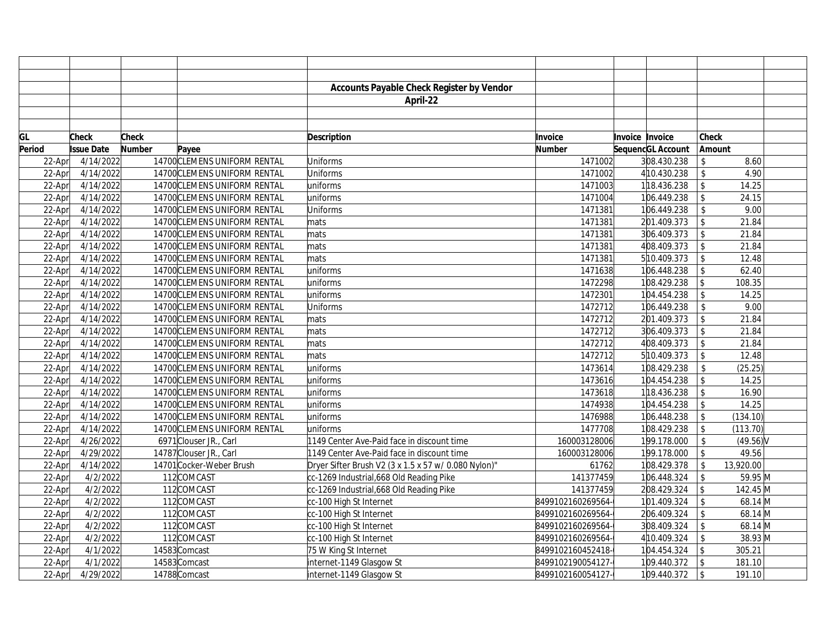|        |                   |              |                              | <b>Accounts Payable Check Register by Vendor</b>     |                   |                   |                         |           |  |
|--------|-------------------|--------------|------------------------------|------------------------------------------------------|-------------------|-------------------|-------------------------|-----------|--|
|        |                   |              |                              | April-22                                             |                   |                   |                         |           |  |
|        |                   |              |                              |                                                      |                   |                   |                         |           |  |
|        |                   |              |                              |                                                      |                   |                   |                         |           |  |
| GL     | <b>Check</b>      | <b>Check</b> |                              | <b>Description</b>                                   | Invoice           | Invoice Invoice   | <b>Check</b>            |           |  |
| Period | <b>Issue Date</b> | Number       | Payee                        |                                                      | <b>Number</b>     | SequencGL Account | Amount                  |           |  |
| 22-Apr | 4/14/2022         |              | 14700 CLEMENS UNIFORM RENTAL | Uniforms                                             | 1471002           | 308.430.238       | $\mathbb{Z}$            | 8.60      |  |
| 22-Apr | 4/14/2022         |              | 14700 CLEMENS UNIFORM RENTAL | Uniforms                                             | 1471002           | 410.430.238       | $\mathbb{S}$            | 4.90      |  |
| 22-Apr | 4/14/2022         |              | 14700 CLEMENS UNIFORM RENTAL | uniforms                                             | 1471003           | 118.436.238       | \$                      | 14.25     |  |
| 22-Apr | 4/14/2022         |              | 14700 CLEMENS UNIFORM RENTAL | uniforms                                             | 1471004           | 106.449.238       | \$                      | 24.15     |  |
| 22-Apr | 4/14/2022         |              | 14700 CLEMENS UNIFORM RENTAL | Uniforms                                             | 1471381           | 106.449.238       | $\mathsf{\$}$           | 9.00      |  |
| 22-Apr | 4/14/2022         |              | 14700 CLEMENS UNIFORM RENTAL | mats                                                 | 1471381           | 201.409.373       | $\mathsf{\$}$           | 21.84     |  |
| 22-Apr | 4/14/2022         |              | 14700 CLEMENS UNIFORM RENTAL | mats                                                 | 1471381           | 306.409.373       | \$                      | 21.84     |  |
| 22-Apr | 4/14/2022         |              | 14700 CLEMENS UNIFORM RENTAL | mats                                                 | 1471381           | 408.409.373       | \$                      | 21.84     |  |
| 22-Apr | 4/14/2022         |              | 14700 CLEMENS UNIFORM RENTAL | mats                                                 | 1471381           | 510.409.373       | \$                      | 12.48     |  |
| 22-Apr | 4/14/2022         |              | 14700 CLEMENS UNIFORM RENTAL | uniforms                                             | 1471638           | 106.448.238       | $\mathsf{\$}$           | 62.40     |  |
| 22-Apr | 4/14/2022         |              | 14700 CLEMENS UNIFORM RENTAL | uniforms                                             | 1472298           | 108.429.238       | $\mathsf{\$}$           | 108.35    |  |
| 22-Apr | 4/14/2022         |              | 14700 CLEMENS UNIFORM RENTAL | uniforms                                             | 1472301           | 104.454.238       | $\mathsf{\$}$           | 14.25     |  |
| 22-Apr | 4/14/2022         |              | 14700 CLEMENS UNIFORM RENTAL | Uniforms                                             | 1472712           | 106.449.238       | $\mathcal{S}$           | 9.00      |  |
| 22-Apr | 4/14/2022         |              | 14700 CLEMENS UNIFORM RENTAL | mats                                                 | 1472712           | 201.409.373       | $\mathbb{S}$            | 21.84     |  |
| 22-Apr | 4/14/2022         |              | 14700 CLEMENS UNIFORM RENTAL | mats                                                 | 1472712           | 306.409.373       | \$                      | 21.84     |  |
| 22-Apr | 4/14/2022         |              | 14700 CLEMENS UNIFORM RENTAL | mats                                                 | 1472712           | 408.409.373       | \$                      | 21.84     |  |
| 22-Apr | 4/14/2022         |              | 14700 CLEMENS UNIFORM RENTAL | mats                                                 | 1472712           | 510.409.373       | \$                      | 12.48     |  |
| 22-Apr | 4/14/2022         |              | 14700 CLEMENS UNIFORM RENTAL | uniforms                                             | 1473614           | 108.429.238       | \$                      | (25.25)   |  |
| 22-Apr | 4/14/2022         |              | 14700 CLEMENS UNIFORM RENTAL | uniforms                                             | 1473616           | 104.454.238       | $\mathbf{\hat{S}}$      | 14.25     |  |
| 22-Apr | 4/14/2022         |              | 14700 CLEMENS UNIFORM RENTAL | uniforms                                             | 1473618           | 118.436.238       | \$                      | 16.90     |  |
| 22-Apr | 4/14/2022         |              | 14700 CLEMENS UNIFORM RENTAL | luniforms                                            | 1474938           | 104.454.238       | $\mathsf{\$}$           | 14.25     |  |
| 22-Apr | 4/14/2022         |              | 14700 CLEMENS UNIFORM RENTAL | uniforms                                             | 1476988           | 106.448.238       | \$                      | (134.10)  |  |
| 22-Apr | 4/14/2022         |              | 14700 CLEMENS UNIFORM RENTAL | uniforms                                             | 1477708           | 108.429.238       | \$                      | (113.70)  |  |
| 22-Apr | 4/26/2022         |              | 6971 Clouser JR., Carl       | 1149 Center Ave-Paid face in discount time           | 160003128006      | 199.178.000       | $\sqrt[6]{\frac{1}{2}}$ | (49.56)   |  |
| 22-Apr | 4/29/2022         |              | 14787 Clouser JR., Carl      | 1149 Center Ave-Paid face in discount time           | 160003128006      | 199.178.000       | $\mathsf{\$}$           | 49.56     |  |
| 22-Apr | 4/14/2022         |              | 14701 Cocker-Weber Brush     | Dryer Sifter Brush V2 (3 x 1.5 x 57 w/ 0.080 Nylon)" | 61762             | 108.429.378       | $\mathsf{\$}$           | 13,920.00 |  |
| 22-Apr | 4/2/2022          |              | 112COMCAST                   | cc-1269 Industrial, 668 Old Reading Pike             | 141377459         | 106.448.324       | $\mathsf{\$}$           | 59.95 M   |  |
| 22-Apr | 4/2/2022          |              | 112COMCAST                   | cc-1269 Industrial, 668 Old Reading Pike             | 141377459         | 208.429.324       | $\mathsf{\$}$           | 142.45 M  |  |
| 22-Apr | 4/2/2022          |              | 112COMCAST                   | cc-100 High St Internet                              | 8499102160269564- | 101.409.324       | \$                      | 68.14 M   |  |
| 22-Apr | 4/2/2022          |              | 112COMCAST                   | cc-100 High St Internet                              | 8499102160269564- | 206.409.324       | \$                      | 68.14 M   |  |
| 22-Apr | 4/2/2022          |              | 112COMCAST                   | cc-100 High St Internet                              | 8499102160269564- | 308.409.324       | $\mathsf{\$}$           | 68.14 M   |  |
| 22-Apr | 4/2/2022          |              | 112COMCAST                   | cc-100 High St Internet                              | 8499102160269564- | 410.409.324       | \$                      | 38.93 M   |  |
| 22-Apr | 4/1/2022          |              | 14583Comcast                 | 75 W King St Internet                                | 8499102160452418- | 104.454.324       | $\mathsf{\$}$           | 305.21    |  |
| 22-Apr | 4/1/2022          |              | 14583Comcast                 | internet-1149 Glasgow St                             | 8499102190054127- | 109.440.372       | $\mathcal{S}$           | 181.10    |  |
| 22-Apr | 4/29/2022         |              | 14788Comcast                 | internet-1149 Glasgow St                             | 8499102160054127- | 109.440.372       | $\sqrt{3}$              | 191.10    |  |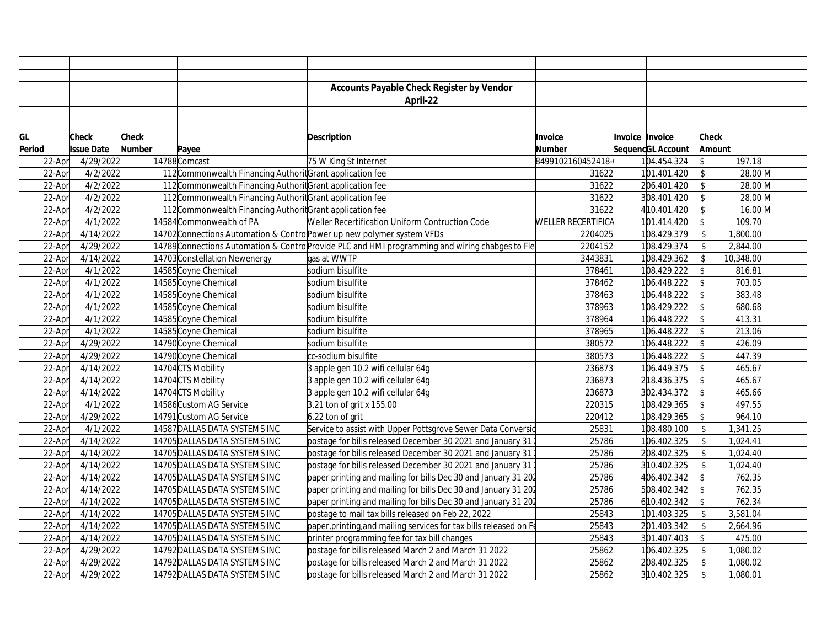|        |                   |        |                                                                        |                    | <b>Accounts Payable Check Register by Vendor</b>                                                |                    |                 |                   |                         |           |  |
|--------|-------------------|--------|------------------------------------------------------------------------|--------------------|-------------------------------------------------------------------------------------------------|--------------------|-----------------|-------------------|-------------------------|-----------|--|
|        |                   |        |                                                                        |                    | April-22                                                                                        |                    |                 |                   |                         |           |  |
|        |                   |        |                                                                        |                    |                                                                                                 |                    |                 |                   |                         |           |  |
|        |                   |        |                                                                        |                    |                                                                                                 |                    |                 |                   |                         |           |  |
| GL     | <b>Check</b>      | Check  |                                                                        | <b>Description</b> |                                                                                                 | Invoice            | Invoice Invoice |                   | Check                   |           |  |
| Period | <b>Issue Date</b> | Number | Payee                                                                  |                    |                                                                                                 | <b>Number</b>      |                 | SequencGL Account | Amount                  |           |  |
| 22-Apr | 4/29/2022         |        | 14788Comcast                                                           |                    | 75 W King St Internet                                                                           | 8499102160452418-  |                 | 104.454.324       | \$                      | 197.18    |  |
| 22-Apr | 4/2/2022          |        | 112 Commonwealth Financing Authorit Grant application fee              |                    |                                                                                                 | 31622              |                 | 101.401.420       | $\sqrt[6]{\frac{1}{2}}$ | 28.00 M   |  |
| 22-Apr | 4/2/2022          |        | 112 Commonwealth Financing Authorit Grant application fee              |                    |                                                                                                 | 31622              |                 | 206.401.420       | \$                      | 28.00 M   |  |
| 22-Apr | 4/2/2022          |        | 112 Commonwealth Financing Authorit Grant application fee              |                    |                                                                                                 | 31622              |                 | 308.401.420       | \$                      | 28.00 M   |  |
| 22-Apr | 4/2/2022          |        | 112 Commonwealth Financing Authorit Grant application fee              |                    |                                                                                                 | 31622              |                 | 410.401.420       | \$                      | 16.00 M   |  |
| 22-Apr | 4/1/2022          |        | 14584 Commonwealth of PA                                               |                    | Weller Recertification Uniform Contruction Code                                                 | WELLER RECERTIFICA |                 | 101.414.420       | $\mathbb{S}$            | 109.70    |  |
| 22-Apr | 4/14/2022         |        | 14702 Connections Automation & Contro Power up new polymer system VFDs |                    |                                                                                                 | 2204025            |                 | 108.429.379       | $\mathbb{S}$            | 1,800.00  |  |
| 22-Apr | 4/29/2022         |        |                                                                        |                    | 14789 Connections Automation & Contro Provide PLC and HMI programming and wiring chabges to Fle | 2204152            |                 | 108.429.374       | \$                      | 2,844.00  |  |
| 22-Apr | 4/14/2022         |        | 14703 Constellation Newenergy                                          | gas at WWTP        |                                                                                                 | 3443831            |                 | 108.429.362       | \$                      | 10,348.00 |  |
| 22-Apr | 4/1/2022          |        | 14585 Coyne Chemical                                                   | sodium bisulfite   |                                                                                                 | 378461             |                 | 108.429.222       | $\sqrt[6]{\frac{1}{2}}$ | 816.81    |  |
| 22-Apr | 4/1/2022          |        | 14585 Coyne Chemical                                                   | sodium bisulfite   |                                                                                                 | 378462             |                 | 106.448.222       | $\mathfrak{L}$          | 703.05    |  |
| 22-Apr | 4/1/2022          |        | 14585 Coyne Chemical                                                   | sodium bisulfite   |                                                                                                 | 378463             |                 | 106.448.222       | $\mathcal{S}$           | 383.48    |  |
| 22-Apr | 4/1/2022          |        | 14585 Coyne Chemical                                                   | sodium bisulfite   |                                                                                                 | 378963             |                 | 108.429.222       | $\mathfrak{L}$          | 680.68    |  |
| 22-Apr | 4/1/2022          |        | 14585 Coyne Chemical                                                   | sodium bisulfite   |                                                                                                 | 378964             |                 | 106.448.222       | $\mathbf{\hat{z}}$      | 413.31    |  |
| 22-Apr | 4/1/2022          |        | 14585 Coyne Chemical                                                   | sodium bisulfite   |                                                                                                 | 378965             |                 | 106.448.222       | $\mathfrak{L}$          | 213.06    |  |
| 22-Apr | 4/29/2022         |        | 14790 Coyne Chemical                                                   | sodium bisulfite   |                                                                                                 | 380572             |                 | 106.448.222       | \$                      | 426.09    |  |
| 22-Apr | 4/29/2022         |        | 14790 Coyne Chemical                                                   |                    | cc-sodium bisulfite                                                                             | 380573             |                 | 106.448.222       | $\sqrt[6]{\frac{1}{2}}$ | 447.39    |  |
| 22-Apr | 4/14/2022         |        | 14704 CTS Mobility                                                     |                    | 3 apple gen 10.2 wifi cellular 64g                                                              | 236873             |                 | 106.449.375       | $\sqrt[6]{\frac{1}{2}}$ | 465.67    |  |
| 22-Apr | 4/14/2022         |        | 14704 CTS Mobility                                                     |                    | 3 apple gen 10.2 wifi cellular 64g                                                              | 236873             |                 | 218.436.375       | $\mathcal{S}$           | 465.67    |  |
| 22-Apr | 4/14/2022         |        | 14704 CTS Mobility                                                     |                    | 3 apple gen 10.2 wifi cellular 64g                                                              | 236873             |                 | 302.434.372       | $\mathcal{S}$           | 465.66    |  |
| 22-Apr | 4/1/2022          |        | 14586 Custom AG Service                                                |                    | 3.21 ton of grit x 155.00                                                                       | 220315             |                 | 108.429.365       | $\mathcal{S}$           | 497.55    |  |
| 22-Apr | 4/29/2022         |        | 14791 Custom AG Service                                                | 6.22 ton of grit   |                                                                                                 | 220412             |                 | 108.429.365       | $\mathsf{\$}$           | 964.10    |  |
| 22-Apr | 4/1/2022          |        | 14587 DALLAS DATA SYSTEMS INC                                          |                    | Service to assist with Upper Pottsgrove Sewer Data Conversic                                    | 25831              |                 | 108.480.100       | $\mathbb{S}$            | 1,341.25  |  |
| 22-Apr | 4/14/2022         |        | 14705 DALLAS DATA SYSTEMS INC                                          |                    | postage for bills released December 30 2021 and January 31:                                     | 25786              |                 | 106.402.325       | \$                      | 1,024.41  |  |
| 22-Apr | 4/14/2022         |        | 14705 DALLAS DATA SYSTEMS INC                                          |                    | postage for bills released December 30 2021 and January 31:                                     | 25786              |                 | 208.402.325       | $\sqrt[6]{\frac{1}{2}}$ | 1,024.40  |  |
| 22-Apr | 4/14/2022         |        | 14705 DALLAS DATA SYSTEMS INC                                          |                    | postage for bills released December 30 2021 and January 31 2                                    | 25786              |                 | 310.402.325       | $\mathbb{S}$            | 1,024.40  |  |
| 22-Apr | 4/14/2022         |        | 14705 DALLAS DATA SYSTEMS INC                                          |                    | paper printing and mailing for bills Dec 30 and January 31 202                                  | 25786              |                 | 406.402.342       | $\mathsf{\$}$           | 762.35    |  |
| 22-Apr | 4/14/2022         |        | 14705 DALLAS DATA SYSTEMS INC                                          |                    | paper printing and mailing for bills Dec 30 and January 31 202                                  | 25786              |                 | 508.402.342       | \$                      | 762.35    |  |
| 22-Apr | 4/14/2022         |        | 14705 DALLAS DATA SYSTEMS INC                                          |                    | paper printing and mailing for bills Dec 30 and January 31 202                                  | 25786              |                 | 610.402.342       | $\mathsf S$             | 762.34    |  |
| 22-Apr | 4/14/2022         |        | 14705 DALLAS DATA SYSTEMS INC                                          |                    | postage to mail tax bills released on Feb 22, 2022                                              | 25843              |                 | 101.403.325       | \$                      | 3,581.04  |  |
| 22-Apr | 4/14/2022         |        | 14705 DALLAS DATA SYSTEMS INC                                          |                    | paper, printing, and mailing services for tax bills released on F                               | 25843              |                 | 201.403.342       | \$                      | 2,664.96  |  |
| 22-Apr | 4/14/2022         |        | 14705 DALLAS DATA SYSTEMS INC                                          |                    | printer programming fee for tax bill changes                                                    | 25843              |                 | 301.407.403       | \$                      | 475.00    |  |
| 22-Apr | 4/29/2022         |        | 14792 DALLAS DATA SYSTEMS INC                                          |                    | postage for bills released March 2 and March 31 2022                                            | 25862              |                 | 106.402.325       | \$                      | 1,080.02  |  |
| 22-Apr | 4/29/2022         |        | 14792 DALLAS DATA SYSTEMS INC                                          |                    | postage for bills released March 2 and March 31 2022                                            | 25862              |                 | 208.402.325       | $\mathbb{S}$            | 1,080.02  |  |
| 22-Apr | 4/29/2022         |        | 14792 DALLAS DATA SYSTEMS INC                                          |                    | postage for bills released March 2 and March 31 2022                                            | 25862              |                 | 310.402.325       | \$                      | 1,080.01  |  |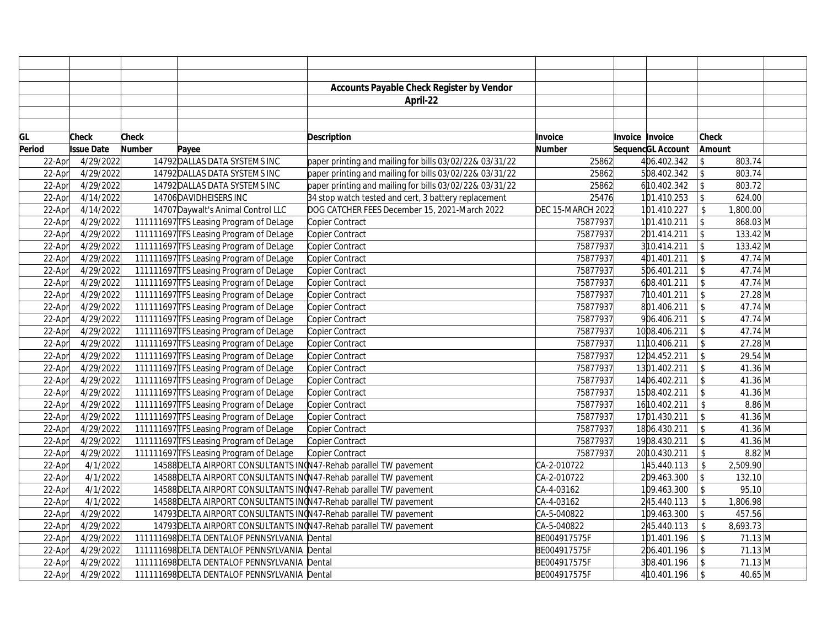|        |                   |              |                                              | <b>Accounts Payable Check Register by Vendor</b>                   |                   |                   |                         |           |  |
|--------|-------------------|--------------|----------------------------------------------|--------------------------------------------------------------------|-------------------|-------------------|-------------------------|-----------|--|
|        |                   |              |                                              | April-22                                                           |                   |                   |                         |           |  |
|        |                   |              |                                              |                                                                    |                   |                   |                         |           |  |
|        |                   |              |                                              |                                                                    |                   |                   |                         |           |  |
| GL     | <b>Check</b>      | <b>Check</b> |                                              | <b>Description</b>                                                 | Invoice           | Invoice Invoice   | Check                   |           |  |
| Period | <b>Issue Date</b> | Number       | Payee                                        |                                                                    | <b>Number</b>     | SequencGL Account | Amount                  |           |  |
| 22-Apr | 4/29/2022         |              | 14792 DALLAS DATA SYSTEMS INC                | paper printing and mailing for bills 03/02/22& 03/31/22            | 25862             | 406.402.342       | $\mathsf{\$}$           | 803.74    |  |
| 22-Apr | 4/29/2022         |              | 14792 DALLAS DATA SYSTEMS INC                | paper printing and mailing for bills 03/02/22& 03/31/22            | 25862             | 508.402.342       | $\sqrt{2}$              | 803.74    |  |
| 22-Apr | 4/29/2022         |              | 14792 DALLAS DATA SYSTEMS INC                | paper printing and mailing for bills 03/02/22& 03/31/22            | 25862             | 610.402.342       | \$                      | 803.72    |  |
| 22-Apr | 4/14/2022         |              | 14706 DAVIDHEISERS INC                       | 34 stop watch tested and cert, 3 battery replacement               | 25476             | 101.410.253       | $\sqrt{3}$              | 624.00    |  |
| 22-Apr | 4/14/2022         |              | 14707 Daywalt's Animal Control LLC           | DOG CATCHER FEES December 15, 2021-March 2022                      | DEC 15-MARCH 2022 | 101.410.227       | \$                      | 1,800.00  |  |
| 22-Apr | 4/29/2022         |              | 111111697 TFS Leasing Program of DeLage      | Copier Contract                                                    | 75877937          | 101.410.211       | $\sqrt{2}$              | 868.03 M  |  |
| 22-Apr | 4/29/2022         |              | 111111697 TFS Leasing Program of DeLage      | Copier Contract                                                    | 75877937          | 201.414.211       | $\sqrt{2}$              | 133.42 M  |  |
| 22-Apr | 4/29/2022         |              | 111111697 TFS Leasing Program of DeLage      | Copier Contract                                                    | 75877937          | 310.414.211       | $\sqrt{2}$              | 133.42 M  |  |
| 22-Apr | 4/29/2022         |              | 111111697 TFS Leasing Program of DeLage      | Copier Contract                                                    | 75877937          | 401.401.211       | $\sqrt{2}$              | 47.74 M   |  |
| 22-Apr | 4/29/2022         |              | 111111697 TFS Leasing Program of DeLage      | Copier Contract                                                    | 75877937          | 506.401.211       | $\mathcal{L}$           | 47.74 M   |  |
| 22-Apr | 4/29/2022         |              | 111111697 TFS Leasing Program of DeLage      | Copier Contract                                                    | 75877937          | 608.401.211       | $\mathcal{L}$           | 47.74 M   |  |
| 22-Apr | 4/29/2022         |              | 111111697 TFS Leasing Program of DeLage      | Copier Contract                                                    | 75877937          | 710.401.211       | $\sqrt[6]{\frac{1}{2}}$ | 27.28 M   |  |
| 22-Apr | 4/29/2022         |              | 111111697 TFS Leasing Program of DeLage      | Copier Contract                                                    | 75877937          | 801.406.211       | $\mathfrak{L}$          | 47.74 M   |  |
| 22-Apr | 4/29/2022         |              | 111111697 TFS Leasing Program of DeLage      | Copier Contract                                                    | 75877937          | 906.406.211       | $\mathfrak{L}$          | 47.74 M   |  |
| 22-Apr | 4/29/2022         |              | 111111697 TFS Leasing Program of DeLage      | Copier Contract                                                    | 75877937          | 1008.406.211      | $\mathfrak{L}$          | 47.74 M   |  |
| 22-Apr | 4/29/2022         |              | 111111697 TFS Leasing Program of DeLage      | Copier Contract                                                    | 75877937          | 11 10.406.211     | $\sqrt[6]{\frac{1}{2}}$ | 27.28 M   |  |
| 22-Apr | 4/29/2022         |              | 111111697 TFS Leasing Program of DeLage      | Copier Contract                                                    | 75877937          | 1204.452.211      | $\mathsf{\$}$           | 29.54 M   |  |
| 22-Apr | 4/29/2022         |              | 111111697 TFS Leasing Program of DeLage      | Copier Contract                                                    | 75877937          | 1301.402.211      | $\mathfrak{L}$          | 41.36 M   |  |
| 22-Apr | 4/29/2022         |              | 111111697 TFS Leasing Program of DeLage      | Copier Contract                                                    | 75877937          | 1406.402.211      | $\mathsf{\$}$           | 41.36 M   |  |
| 22-Apr | 4/29/2022         |              | 111111697 TFS Leasing Program of DeLage      | Copier Contract                                                    | 75877937          | 1508.402.211      | $\sqrt{2}$              | 41.36 M   |  |
| 22-Apr | 4/29/2022         |              | 111111697 TFS Leasing Program of DeLage      | Copier Contract                                                    | 75877937          | 16 10.402.211     | \$                      | $8.86$ M  |  |
| 22-Apr | 4/29/2022         |              | 111111697 TFS Leasing Program of DeLage      | Copier Contract                                                    | 75877937          | 1701.430.211      | \$                      | 41.36 M   |  |
| 22-Apr | 4/29/2022         |              | 111111697 TFS Leasing Program of DeLage      | Copier Contract                                                    | 75877937          | 1806.430.211      | $\mathfrak{L}$          | 41.36 M   |  |
| 22-Apr | 4/29/2022         |              | 111111697 TFS Leasing Program of DeLage      | Copier Contract                                                    | 75877937          | 1908.430.211      | $\sqrt[6]{\frac{1}{2}}$ | 41.36 M   |  |
| 22-Apr | 4/29/2022         |              | 111111697 TFS Leasing Program of DeLage      | Copier Contract                                                    | 75877937          | 20 10.430.211     | \$                      | $8.82$ M  |  |
| 22-Apr | 4/1/2022          |              |                                              | 14588 DELTA AIRPORT CONSULTANTS IN (N47-Rehab parallel TW pavement | CA-2-010722       | 145.440.113       | \$                      | 2,509.90  |  |
| 22-Apr | 4/1/2022          |              |                                              | 14588 DELTA AIRPORT CONSULTANTS IN (N47-Rehab parallel TW pavement | CA-2-010722       | 209.463.300       | $\sqrt{2}$              | 132.10    |  |
| 22-Apr | 4/1/2022          |              |                                              | 14588 DELTA AIRPORT CONSULTANTS IN (N47-Rehab parallel TW pavement | CA-4-03162        | 109.463.300       | \$                      | 95.10     |  |
| 22-Apr | 4/1/2022          |              |                                              | 14588 DELTA AIRPORT CONSULTANTS IN (N47-Rehab parallel TW pavement | CA-4-03162        | 245.440.113       | \$                      | 1,806.98  |  |
| 22-Apr | 4/29/2022         |              |                                              | 14793 DELTA AIRPORT CONSULTANTS IN (N47-Rehab parallel TW pavement | CA-5-040822       | 109.463.300       | $\sqrt[6]{\frac{1}{2}}$ | 457.56    |  |
| 22-Apr | 4/29/2022         |              |                                              | 14793 DELTA AIRPORT CONSULTANTS IN (N47-Rehab parallel TW pavement | CA-5-040822       | 245.440.113       | \$                      | 8,693.73  |  |
| 22-Apr | 4/29/2022         |              | 111111698 DELTA DENTALOF PENNSYLVANIA Dental |                                                                    | BE004917575F      | 101.401.196       | $\mathbb{S}$            | 71.13 M   |  |
| 22-Apr | 4/29/2022         |              | 111111698 DELTA DENTALOF PENNSYLVANIA Dental |                                                                    | BE004917575F      | 206.401.196       | $\mathfrak{L}$          | $71.13$ M |  |
| 22-Apr | 4/29/2022         |              | 111111698 DELTA DENTALOF PENNSYLVANIA Dental |                                                                    | BE004917575F      | 308.401.196       | \$                      | 71.13 M   |  |
| 22-Apr | 4/29/2022         |              | 111111698 DELTA DENTALOF PENNSYLVANIA Dental |                                                                    | BE004917575F      | 410.401.196       | $\mathcal{L}$           | 40.65 M   |  |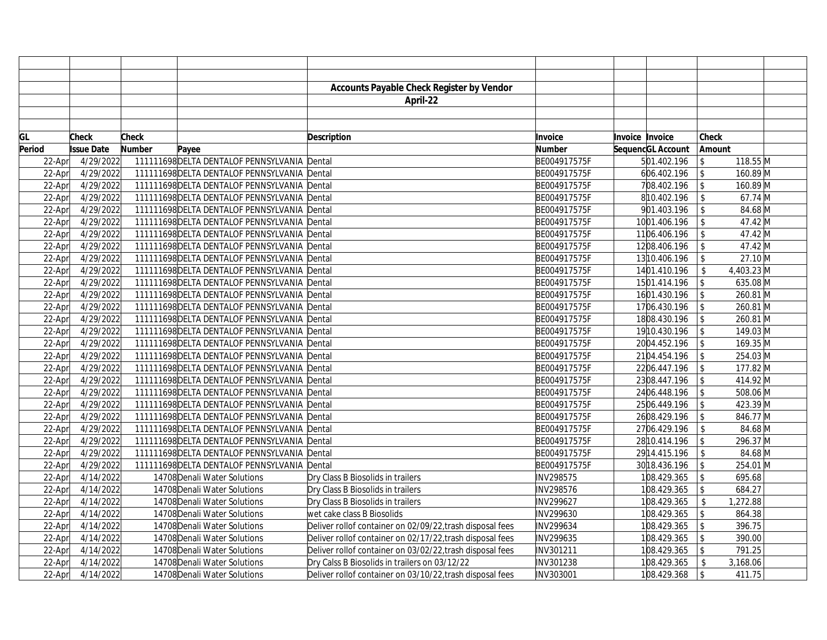|        |                   |        |                                              | <b>Accounts Payable Check Register by Vendor</b>          |              |                   |                |            |  |
|--------|-------------------|--------|----------------------------------------------|-----------------------------------------------------------|--------------|-------------------|----------------|------------|--|
|        |                   |        |                                              | April-22                                                  |              |                   |                |            |  |
|        |                   |        |                                              |                                                           |              |                   |                |            |  |
|        |                   |        |                                              |                                                           |              |                   |                |            |  |
| GL     | <b>Check</b>      | Check  |                                              | <b>Description</b>                                        | Invoice      | Invoice Invoice   | Check          |            |  |
| Period | <b>Issue Date</b> | Number | Payee                                        |                                                           | Number       | SequencGL Account | Amount         |            |  |
| 22-Apr | 4/29/2022         |        | 111111698 DELTA DENTALOF PENNSYLVANIA Dental |                                                           | BE004917575F | 501.402.196       | $\mathcal{S}$  | 118.55 M   |  |
| 22-Apr | 4/29/2022         |        | 111111698 DELTA DENTALOF PENNSYLVANIA Dental |                                                           | BE004917575F | 606.402.196       | \$             | 160.89 M   |  |
| 22-Apr | 4/29/2022         |        | 111111698 DELTA DENTALOF PENNSYLVANIA Dental |                                                           | BE004917575F | 708.402.196       | $\sqrt[6]{2}$  | 160.89 M   |  |
| 22-Apr | 4/29/2022         |        | 111111698 DELTA DENTALOF PENNSYLVANIA Dental |                                                           | BE004917575F | 810.402.196       | \$             | 67.74 M    |  |
| 22-Apr | 4/29/2022         |        | 111111698 DELTA DENTALOF PENNSYLVANIA Dental |                                                           | BE004917575F | 901.403.196       | $\mathsf{\$}$  | 84.68 M    |  |
| 22-Apr | 4/29/2022         |        | 111111698 DELTA DENTALOF PENNSYLVANIA Dental |                                                           | BE004917575F | 1001.406.196      | \$             | 47.42 M    |  |
| 22-Apr | 4/29/2022         |        | 111111698 DELTA DENTALOF PENNSYLVANIA Dental |                                                           | BE004917575F | 1106.406.196      | \$             | 47.42 M    |  |
| 22-Apr | 4/29/2022         |        | 111111698 DELTA DENTALOF PENNSYLVANIA Dental |                                                           | BE004917575F | 1208.406.196      | \$             | 47.42 M    |  |
| 22-Apr | 4/29/2022         |        | 111111698 DELTA DENTALOF PENNSYLVANIA Dental |                                                           | BE004917575F | 13 10.406.196     | \$             | 27.10 M    |  |
| 22-Apr | 4/29/2022         |        | 111111698 DELTA DENTALOF PENNSYLVANIA Dental |                                                           | BE004917575F | 1401.410.196      | \$             | 4,403.23 M |  |
| 22-Apr | 4/29/2022         |        | 111111698 DELTA DENTALOF PENNSYLVANIA Dental |                                                           | BE004917575F | 1501.414.196      | $\mathcal{S}$  | 635.08 M   |  |
| 22-Apr | 4/29/2022         |        | 111111698 DELTA DENTALOF PENNSYLVANIA Dental |                                                           | BE004917575F | 1601.430.196      | \$             | 260.81 M   |  |
| 22-Apr | 4/29/2022         |        | 111111698 DELTA DENTALOF PENNSYLVANIA Dental |                                                           | BE004917575F | 1706.430.196      | $\mathcal{S}$  | 260.81 M   |  |
| 22-Apr | 4/29/2022         |        | 111111698 DELTA DENTALOF PENNSYLVANIA Dental |                                                           | BE004917575F | 1808.430.196      | $\sqrt{2}$     | 260.81 M   |  |
| 22-Apr | 4/29/2022         |        | 111111698 DELTA DENTALOF PENNSYLVANIA Dental |                                                           | BE004917575F | 19 10.430.196     | $\mathcal{S}$  | 149.03 M   |  |
| 22-Apr | 4/29/2022         |        | 111111698 DELTA DENTALOF PENNSYLVANIA Dental |                                                           | BE004917575F | 2004.452.196      | Ŝ              | 169.35 M   |  |
| 22-Apr | 4/29/2022         |        | 111111698 DELTA DENTALOF PENNSYLVANIA Dental |                                                           | BE004917575F | 2104.454.196      | $\mathcal{L}$  | 254.03 M   |  |
| 22-Apr | 4/29/2022         |        | 111111698 DELTA DENTALOF PENNSYLVANIA Dental |                                                           | BE004917575F | 2206.447.196      | \$             | 177.82 M   |  |
| 22-Apr | 4/29/2022         |        | 111111698 DELTA DENTALOF PENNSYLVANIA Dental |                                                           | BE004917575F | 2308.447.196      | \$             | 414.92 M   |  |
| 22-Apr | 4/29/2022         |        | 111111698 DELTA DENTALOF PENNSYLVANIA Dental |                                                           | BE004917575F | 2406.448.196      | \$             | 508.06 M   |  |
| 22-Apr | 4/29/2022         |        | 111111698 DELTA DENTALOF PENNSYLVANIA Dental |                                                           | BE004917575F | 2506.449.196      | $\mathcal{S}$  | 423.39 M   |  |
| 22-Apr | 4/29/2022         |        | 111111698 DELTA DENTALOF PENNSYLVANIA Dental |                                                           | BE004917575F | 2608.429.196      | \$             | 846.77 M   |  |
| 22-Apr | 4/29/2022         |        | 111111698 DELTA DENTALOF PENNSYLVANIA Dental |                                                           | BE004917575F | 2706.429.196      | $\mathcal{S}$  | 84.68 M    |  |
| 22-Apr | 4/29/2022         |        | 111111698 DELTA DENTALOF PENNSYLVANIA Dental |                                                           | BE004917575F | 28 10.414.196     | $\mathcal{S}$  | 296.37 M   |  |
| 22-Apr | 4/29/2022         |        | 111111698 DELTA DENTALOF PENNSYLVANIA Dental |                                                           | BE004917575F | 29 14.415.196     | \$             | 84.68 M    |  |
| 22-Apr | 4/29/2022         |        | 111111698 DELTA DENTALOF PENNSYLVANIA Dental |                                                           | BE004917575F | 30 18.436.196     | Ŝ              | 254.01 M   |  |
| 22-Apr | 4/14/2022         |        | 14708 Denali Water Solutions                 | Dry Class B Biosolids in trailers                         | INV298575    | 108.429.365       | $\mathcal{L}$  | 695.68     |  |
| 22-Apr | 4/14/2022         |        | 14708 Denali Water Solutions                 | Dry Class B Biosolids in trailers                         | INV298576    | 108.429.365       | $\mathcal{L}$  | 684.27     |  |
| 22-Apr | 4/14/2022         |        | 14708 Denali Water Solutions                 | Dry Class B Biosolids in trailers                         | INV299627    | 108.429.365       | \$             | 1,272.88   |  |
| 22-Apr | 4/14/2022         |        | 14708 Denali Water Solutions                 | wet cake class B Biosolids                                | INV299630    | 108.429.365       | $\mathcal{L}$  | 864.38     |  |
| 22-Apr | 4/14/2022         |        | 14708 Denali Water Solutions                 | Deliver rollof container on 02/09/22, trash disposal fees | INV299634    | 108.429.365       | \$             | 396.75     |  |
| 22-Apr | 4/14/2022         |        | 14708 Denali Water Solutions                 | Deliver rollof container on 02/17/22, trash disposal fees | INV299635    | 108.429.365       | $\mathcal{S}$  | 390.00     |  |
| 22-Apr | 4/14/2022         |        | 14708 Denali Water Solutions                 | Deliver rollof container on 03/02/22, trash disposal fees | INV301211    | 108.429.365       | $\mathsf{\$}$  | 791.25     |  |
| 22-Apr | 4/14/2022         |        | 14708 Denali Water Solutions                 | Dry Calss B Biosolids in trailers on 03/12/22             | INV301238    | 108.429.365       |                | 3,168.06   |  |
| 22-Apr | 4/14/2022         |        | 14708 Denali Water Solutions                 | Deliver rollof container on 03/10/22, trash disposal fees | INV303001    | 108.429.368       | $\mathfrak{L}$ | 411.75     |  |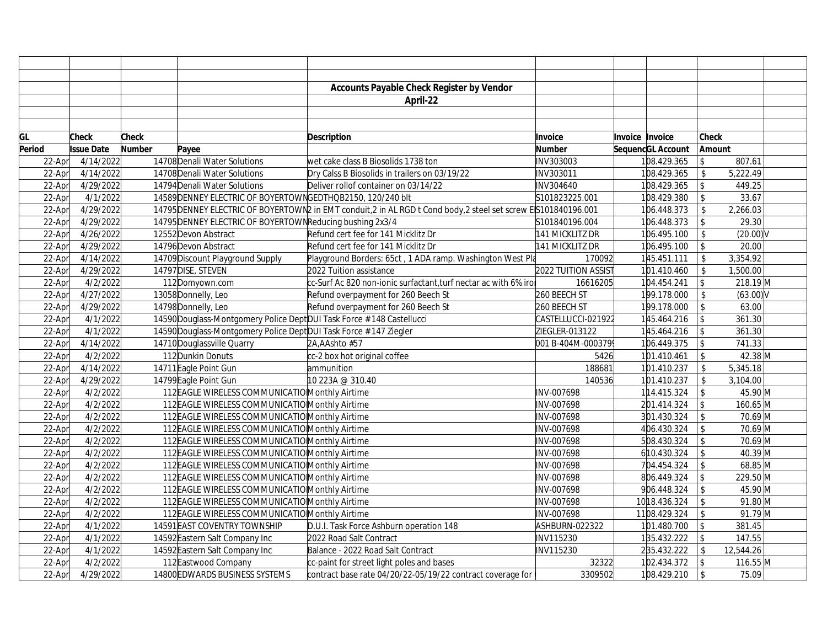|        |                   |        |                                                                        | <b>Accounts Payable Check Register by Vendor</b>                                                                |                     |                        |                   |                         |             |  |
|--------|-------------------|--------|------------------------------------------------------------------------|-----------------------------------------------------------------------------------------------------------------|---------------------|------------------------|-------------------|-------------------------|-------------|--|
|        |                   |        |                                                                        | April-22                                                                                                        |                     |                        |                   |                         |             |  |
|        |                   |        |                                                                        |                                                                                                                 |                     |                        |                   |                         |             |  |
|        |                   |        |                                                                        |                                                                                                                 |                     |                        |                   |                         |             |  |
| GL     | <b>Check</b>      | Check  |                                                                        | <b>Description</b>                                                                                              | Invoice             | <b>Invoice Invoice</b> |                   | Check                   |             |  |
| Period | <b>Issue Date</b> | Number | Payee                                                                  |                                                                                                                 | <b>Number</b>       |                        | SequencGL Account | Amount                  |             |  |
| 22-Apr | 4/14/2022         |        | 14708 Denali Water Solutions                                           | wet cake class B Biosolids 1738 ton                                                                             | INV303003           |                        | 108.429.365       | $\mathfrak{L}$          | 807.61      |  |
| 22-Apr | 4/14/2022         |        | 14708 Denali Water Solutions                                           | Dry Calss B Biosolids in trailers on 03/19/22                                                                   | INV303011           |                        | 108.429.365       | \$                      | 5,222.49    |  |
| 22-Apr | 4/29/2022         |        | 14794 Denali Water Solutions                                           | Deliver rollof container on 03/14/22                                                                            | INV304640           |                        | 108.429.365       | \$                      | 449.25      |  |
| 22-Apr | 4/1/2022          |        | 14589 DENNEY ELECTRIC OF BOYERTOWN GEDTHOB2150, 120/240 blt            |                                                                                                                 | S101823225.001      |                        | 108.429.380       | \$                      | 33.67       |  |
| 22-Apr | 4/29/2022         |        |                                                                        | 14795 DENNEY ELECTRIC OF BOYERTOWN2 in EMT conduit, 2 in AL RGD t Cond body, 2 steel set screw EIS101840196.001 |                     |                        | 106.448.373       |                         | 2,266.03    |  |
| 22-Apr | 4/29/2022         |        | 14795 DENNEY ELECTRIC OF BOYERTOWN Reducing bushing 2x3/4              |                                                                                                                 | S101840196.004      |                        | 106.448.373       | $\mathcal{L}$           | 29.30       |  |
| 22-Apr | 4/26/2022         |        | 12552 Devon Abstract                                                   | Refund cert fee for 141 Micklitz Dr                                                                             | 141 MICKLITZ DR     |                        | 106.495.100       | $\mathfrak{S}$          | $(20.00)$ V |  |
| 22-Apr | 4/29/2022         |        | 14796 Devon Abstract                                                   | Refund cert fee for 141 Micklitz Dr                                                                             | 141 MICKLITZ DR     |                        | 106.495.100       | $\mathfrak{L}$          | 20.00       |  |
| 22-Apr | 4/14/2022         |        | 14709 Discount Playground Supply                                       | Playground Borders: 65ct, 1 ADA ramp. Washington West Pla                                                       | 170092              |                        | 145.451.111       | \$                      | 3,354.92    |  |
| 22-Apr | 4/29/2022         |        | 14797 DISE, STEVEN                                                     | 2022 Tuition assistance                                                                                         | 2022 TUITION ASSIST |                        | 101.410.460       | $\mathsf{\$}$           | 1,500.00    |  |
| 22-Apr | 4/2/2022          |        | 112Domyown.com                                                         | cc-Surf Ac 820 non-ionic surfactant, turf nectar ac with 6% irol                                                | 16616205            |                        | 104.454.241       | $\mathsf{\$}$           | 218.19 M    |  |
| 22-Apr | 4/27/2022         |        | 13058 Donnelly, Leo                                                    | Refund overpayment for 260 Beech St                                                                             | 260 BEECH ST        |                        | 199.178.000       | $\sqrt[6]{\frac{1}{2}}$ | $(63.00)$ V |  |
| 22-Apr | 4/29/2022         |        | 14798 Donnelly, Leo                                                    | Refund overpayment for 260 Beech St                                                                             | 260 BEECH ST        |                        | 199.178.000       | $\mathsf{\$}$           | 63.00       |  |
| 22-Apr | 4/1/2022          |        | 14590 Douglass-Montgomery Police Dept DUI Task Force # 148 Castellucci |                                                                                                                 | CASTELLUCCI-021922  |                        | 145.464.216       | $\sqrt[6]{\frac{1}{2}}$ | 361.30      |  |
| 22-Apr | 4/1/2022          |        | 14590 Douglass-Montgomery Police Dept DUI Task Force # 147 Ziegler     |                                                                                                                 | ZIEGLER-013122      |                        | 145.464.216       | $\sqrt{2}$              | 361.30      |  |
| 22-Apr | 4/14/2022         |        | 14710 Douglassville Quarry                                             | 2A, AAshto #57                                                                                                  | 001 B-404M-000379   |                        | 106.449.375       | $\updownarrow$          | 741.33      |  |
| 22-Apr | 4/2/2022          |        | 112 Dunkin Donuts                                                      | cc-2 box hot original coffee                                                                                    | 5426                |                        | 101.410.461       | $\sqrt[6]{\frac{1}{2}}$ | 42.38 M     |  |
| 22-Apr | 4/14/2022         |        | 14711 Eagle Point Gun                                                  | ammunition                                                                                                      | 188681              |                        | 101.410.237       | \$                      | 5,345.18    |  |
| 22-Apr | 4/29/2022         |        | 14799 Eagle Point Gun                                                  | 10 223A @ 310.40                                                                                                | 140536              |                        | 101.410.237       | \$                      | 3,104.00    |  |
| 22-Apr | 4/2/2022          |        | 112 EAGLE WIRELESS COMMUNICATIO Monthly Airtime                        |                                                                                                                 | INV-007698          |                        | 114.415.324       | \$                      | 45.90 M     |  |
| 22-Apr | 4/2/2022          |        | 112 EAGLE WIRELESS COMMUNICATIO Monthly Airtime                        |                                                                                                                 | INV-007698          |                        | 201.414.324       | $\mathcal{L}$           | 160.65 M    |  |
| 22-Apr | 4/2/2022          |        | 112 EAGLE WIRELESS COMMUNICATIO Monthly Airtime                        |                                                                                                                 | INV-007698          |                        | 301.430.324       | $\sqrt[6]{\frac{1}{2}}$ | 70.69 M     |  |
| 22-Apr | 4/2/2022          |        | 112 EAGLE WIRELESS COMMUNICATIO Monthly Airtime                        |                                                                                                                 | INV-007698          |                        | 406.430.324       | $\mathsf{\$}$           | 70.69 M     |  |
| 22-Apr | 4/2/2022          |        | 112 EAGLE WIRELESS COMMUNICATIO Monthly Airtime                        |                                                                                                                 | INV-007698          |                        | 508.430.324       | \$                      | 70.69 M     |  |
| 22-Apr | 4/2/2022          |        | 112 EAGLE WIRELESS COMMUNICATIO Monthly Airtime                        |                                                                                                                 | INV-007698          |                        | 610.430.324       | \$                      | 40.39 M     |  |
| 22-Apr | 4/2/2022          |        | 112 EAGLE WIRELESS COMMUNICATIO Monthly Airtime                        |                                                                                                                 | INV-007698          |                        | 704.454.324       | $\sqrt{2}$              | 68.85 M     |  |
| 22-Apr | 4/2/2022          |        | 112 EAGLE WIRELESS COMMUNICATIO Monthly Airtime                        |                                                                                                                 | INV-007698          |                        | 806.449.324       | $\mathsf{\$}$           | 229.50 M    |  |
| 22-Apr | 4/2/2022          |        | 112 EAGLE WIRELESS COMMUNICATIO Monthly Airtime                        |                                                                                                                 | INV-007698          |                        | 906.448.324       | $\mathsf{\$}$           | 45.90 M     |  |
| 22-Apr | 4/2/2022          |        | 112 EAGLE WIRELESS COMMUNICATIO Monthly Airtime                        |                                                                                                                 | INV-007698          |                        | 10 18.436.324     | \$                      | 91.80 M     |  |
| 22-Apr | 4/2/2022          |        | 112 EAGLE WIRELESS COMMUNICATIO Monthly Airtime                        |                                                                                                                 | INV-007698          |                        | 1108.429.324      | $\sqrt[6]{\frac{1}{2}}$ | 91.79 M     |  |
| 22-Apr | 4/1/2022          |        | 14591 EAST COVENTRY TOWNSHIP                                           | D.U.I. Task Force Ashburn operation 148                                                                         | ASHBURN-022322      |                        | 101.480.700       | $\sqrt[6]{\frac{1}{2}}$ | 381.45      |  |
| 22-Apr | 4/1/2022          |        | 14592 Eastern Salt Company Inc                                         | 2022 Road Salt Contract                                                                                         | INV115230           |                        | 135.432.222       | $\sqrt{2}$              | 147.55      |  |
| 22-Apr | 4/1/2022          |        | 14592 Eastern Salt Company Inc                                         | Balance - 2022 Road Salt Contract                                                                               | INV115230           |                        | 235.432.222       | $\mathsf{\$}$           | 12,544.26   |  |
| 22-Apr | 4/2/2022          |        | 112 Eastwood Company                                                   | cc-paint for street light poles and bases                                                                       | 32322               |                        | 102.434.372       | $\mathcal{S}$           | 116.55 M    |  |
| 22-Apr | 4/29/2022         |        | 14800 EDWARDS BUSINESS SYSTEMS                                         | contract base rate 04/20/22-05/19/22 contract coverage for                                                      | 3309502             |                        | 108.429.210       | \$                      | 75.09       |  |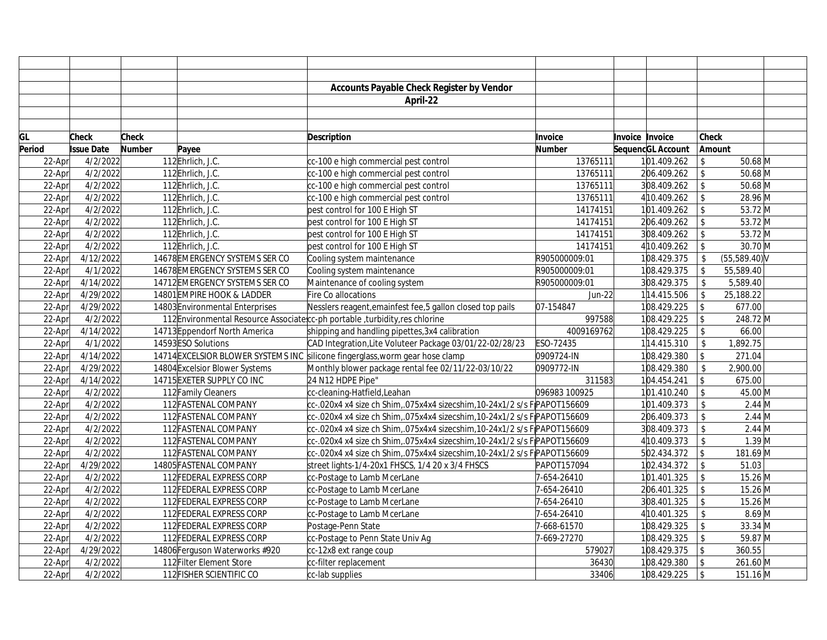|        |                   |        |                                 | <b>Accounts Payable Check Register by Vendor</b>                             |               |                        |                            |                      |
|--------|-------------------|--------|---------------------------------|------------------------------------------------------------------------------|---------------|------------------------|----------------------------|----------------------|
|        |                   |        |                                 | April-22                                                                     |               |                        |                            |                      |
|        |                   |        |                                 |                                                                              |               |                        |                            |                      |
|        |                   |        |                                 |                                                                              |               |                        |                            |                      |
| GL     | <b>Check</b>      | Check  |                                 | <b>Description</b>                                                           | Invoice       | <b>Invoice Invoice</b> | Check                      |                      |
| Period | <b>Issue Date</b> | Number | Payee                           |                                                                              | <b>Number</b> | SequencGL Account      | Amount                     |                      |
| 22-Apr | 4/2/2022          |        | 112Ehrlich, J.C.                | cc-100 e high commercial pest control                                        | 13765111      | 101.409.262            | \$                         | $50.68$ M            |
| 22-Apr | 4/2/2022          |        | 112Ehrlich, J.C.                | cc-100 e high commercial pest control                                        | 13765111      | 206.409.262            | $\sqrt{2}$                 | $50.68$ M            |
| 22-Apr | 4/2/2022          |        | 112Ehrlich, J.C.                | cc-100 e high commercial pest control                                        | 13765111      | 308.409.262            | $\sqrt{2}$                 | $50.68$ M            |
| 22-Apr | 4/2/2022          |        | 112Ehrlich, J.C.                | cc-100 e high commercial pest control                                        | 13765111      | 410.409.262            | \$                         | 28.96 M              |
| 22-Apr | 4/2/2022          |        | 112Ehrlich, J.C.                | pest control for 100 E High ST                                               | 14174151      | 101.409.262            | $\sqrt[6]{\frac{1}{2}}$    | 53.72 M              |
| 22-Apr | 4/2/2022          |        | 112Ehrlich, J.C.                | pest control for 100 E High ST                                               | 14174151      | 206.409.262            | $\mathbb{S}$               | 53.72 M              |
| 22-Apr | 4/2/2022          |        | 112Ehrlich, J.C.                | pest control for 100 E High ST                                               | 14174151      | 308.409.262            | $\mathbb{S}$               | 53.72 M              |
| 22-Apr | 4/2/2022          |        | 112Ehrlich, J.C.                | pest control for 100 E High ST                                               | 14174151      | 4 10.409.262           | $\mathsf{\$}$              | 30.70 M              |
| 22-Apr | 4/12/2022         |        | 14678 EMERGENCY SYSTEMS SER CO  | Cooling system maintenance                                                   | R905000009:01 | 108.429.375            | \$                         | (55,589.40)          |
| 22-Apr | 4/1/2022          |        | 14678 EMERGENCY SYSTEMS SER CO  | Cooling system maintenance                                                   | R905000009:01 | 108.429.375            | $\mathcal{L}$              | 55,589.40            |
| 22-Apr | 4/14/2022         |        | 14712EMERGENCY SYSTEMS SER CO   | Maintenance of cooling system                                                | R905000009:01 | 308.429.375            | $\mathsf{\$}$              | 5,589.40             |
| 22-Apr | 4/29/2022         |        | 14801 EMPIRE HOOK & LADDER      | Fire Co allocations                                                          | Jun-22        | 114.415.506            | $\mathsf{\$}$              | 25,188.22            |
| 22-Apr | 4/29/2022         |        | 14803 Environmental Enterprises | Nesslers reagent, emainfest fee, 5 gallon closed top pails                   | 07-154847     | 108.429.225            | $\sqrt[6]{\frac{1}{2}}$    | 677.00               |
| 22-Apr | 4/2/2022          |        |                                 | 112 Environmental Resource Associate c-ph portable, turbidity, res chlorine  | 997588        | 108.429.225            | $\sqrt[6]{\frac{1}{2}}$    | 248.72 M             |
| 22-Apr | 4/14/2022         |        | 14713 Eppendorf North America   | shipping and handling pipettes, 3x4 calibration                              | 4009169762    | 108.429.225            | $\sqrt{2}$                 | 66.00                |
| 22-Apr | 4/1/2022          |        | 14593ESO Solutions              | CAD Integration, Lite Voluteer Package 03/01/22-02/28/23                     | ESO-72435     | 114.415.310            | $\$\,$                     | 1,892.75             |
| 22-Apr | 4/14/2022         |        |                                 | 14714EXCELSIOR BLOWER SYSTEMS INC silicone fingerglass, worm gear hose clamp | 0909724-IN    | 108.429.380            | $\sqrt{3}$                 | 271.04               |
| 22-Apr | 4/29/2022         |        | 14804 Excelsior Blower Systems  | Monthly blower package rental fee 02/11/22-03/10/22                          | 0909772-IN    | 108.429.380            | $\mathbb{S}$               | 2,900.00             |
| 22-Apr | 4/14/2022         |        | 14715 EXETER SUPPLY CO INC      | 24 N12 HDPE Pipe"                                                            | 311583        | 104.454.241            | $\sqrt[6]{\frac{1}{2}}$    | 675.00               |
| 22-Apr | 4/2/2022          |        | 112 Family Cleaners             | cc-cleaning-Hatfield, Leahan                                                 | 096983 100925 | 101.410.240            | \$                         | 45.00 M              |
| 22-Apr | 4/2/2022          |        | 112 FASTENAL COMPANY            | cc-.020x4 x4 size ch Shim,.075x4x4 sizecshim,10-24x1/2 s/s FIPAPOT156609     |               | 101.409.373            | $\mathcal{L}$              | $2.44$ M             |
| 22-Apr | 4/2/2022          |        | 112 FASTENAL COMPANY            | cc-.020x4 x4 size ch Shim,.075x4x4 sizecshim,10-24x1/2 s/s FIPAPOT156609     |               | 206.409.373            | $\sqrt[6]{\frac{1}{2}}$    | $2.44$ M             |
| 22-Apr | 4/2/2022          |        | 112 FASTENAL COMPANY            | cc-.020x4 x4 size ch Shim,.075x4x4 sizecshim,10-24x1/2 s/s FIPAPOT156609     |               | 308.409.373            | $\$\,$                     | $2.44$ M             |
| 22-Apr | 4/2/2022          |        | 112 FASTENAL COMPANY            | cc-.020x4 x4 size ch Shim,.075x4x4 sizecshim,10-24x1/2 s/s FIPAPOT156609     |               | 410.409.373            | $\sqrt[6]{\frac{1}{2}}$    | $1.39$ M             |
| 22-Apr | 4/2/2022          |        | 112 FASTENAL COMPANY            | cc-.020x4 x4 size ch Shim,.075x4x4 sizecshim,10-24x1/2 s/s FIPAPOT156609     |               | 502.434.372            | $\updownarrow$             | 181.69 M             |
| 22-Apr | 4/29/2022         |        | 14805 FASTENAL COMPANY          | street lights-1/4-20x1 FHSCS, 1/4 20 x 3/4 FHSCS                             | PAPOT157094   | 102.434.372            | $\sqrt{2}$                 | 51.03                |
| 22-Apr | 4/2/2022          |        | 112 FEDERAL EXPRESS CORP        | cc-Postage to Lamb McerLane                                                  | 7-654-26410   | 101.401.325            | $\boldsymbol{\mathsf{\$}}$ | 15.26 M              |
| 22-Apr | 4/2/2022          |        | 112 FEDERAL EXPRESS CORP        | cc-Postage to Lamb McerLane                                                  | 7-654-26410   | 206.401.325            | $\sqrt{2}$                 | $15.26 \overline{M}$ |
| 22-Apr | 4/2/2022          |        | 112 FEDERAL EXPRESS CORP        | cc-Postage to Lamb McerLane                                                  | 7-654-26410   | 308.401.325            | $\sqrt{2}$                 | 15.26 M              |
| 22-Apr | 4/2/2022          |        | 112 FEDERAL EXPRESS CORP        | cc-Postage to Lamb McerLane                                                  | 7-654-26410   | 410.401.325            | $\sqrt{2}$                 | $8.69$ M             |
| 22-Apr | 4/2/2022          |        | 112 FEDERAL EXPRESS CORP        | Postage-Penn State                                                           | 7-668-61570   | 108.429.325            | $\$\,$                     | 33.34 M              |
| 22-Apr | 4/2/2022          |        | 112 FEDERAL EXPRESS CORP        | cc-Postage to Penn State Univ Ag                                             | 7-669-27270   | 108.429.325            | $\sqrt[6]{\frac{1}{2}}$    | 59.87 M              |
| 22-Apr | 4/29/2022         |        | 14806 Ferguson Waterworks #920  | cc-12x8 ext range coup                                                       | 579027        | 108.429.375            | $\sqrt{2}$                 | 360.55               |
| 22-Apr | 4/2/2022          |        | 112 Filter Element Store        | cc-filter replacement                                                        | 36430         | 108.429.380            | $\sqrt[6]{\frac{1}{2}}$    | 261.60 M             |
| 22-Apr | 4/2/2022          |        | 112 FISHER SCIENTIFIC CO        | cc-lab supplies                                                              | 33406         | 108.429.225            | $\mathfrak{S}$             | 151.16 M             |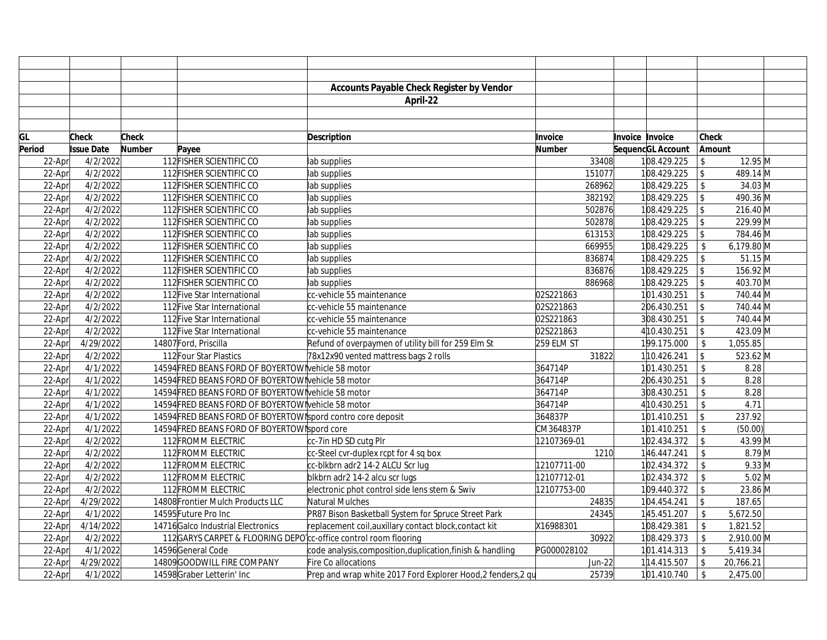|        |                   |        |                                                                 | <b>Accounts Payable Check Register by Vendor</b>             |               |                        |                          |                  |  |
|--------|-------------------|--------|-----------------------------------------------------------------|--------------------------------------------------------------|---------------|------------------------|--------------------------|------------------|--|
|        |                   |        |                                                                 | April-22                                                     |               |                        |                          |                  |  |
|        |                   |        |                                                                 |                                                              |               |                        |                          |                  |  |
|        |                   |        |                                                                 |                                                              |               |                        |                          |                  |  |
| GL     | <b>Check</b>      | Check  |                                                                 | <b>Description</b>                                           | Invoice       | <b>Invoice Invoice</b> | Check                    |                  |  |
| Period | <b>Issue Date</b> | Number | Payee                                                           |                                                              | <b>Number</b> | SequencGL Account      | Amount                   |                  |  |
| 22-Apr | 4/2/2022          |        | 112 FISHER SCIENTIFIC CO                                        | lab supplies                                                 | 33408         | 108.429.225            | \$                       | 12.95 M          |  |
| 22-Apr | 4/2/2022          |        | 112 FISHER SCIENTIFIC CO                                        | lab supplies                                                 | 151077        | 108.429.225            | $\sqrt{2}$               | 489.14 M         |  |
| 22-Apr | 4/2/2022          |        | 112 FISHER SCIENTIFIC CO                                        | lab supplies                                                 | 268962        | 108.429.225            | $\mathsf{\$}$            | 34.03 M          |  |
| 22-Apr | 4/2/2022          |        | 112 FISHER SCIENTIFIC CO                                        | lab supplies                                                 | 382192        | 108.429.225            | $\mathcal{S}$            | 490.36 M         |  |
| 22-Apr | 4/2/2022          |        | 112 FISHER SCIENTIFIC CO                                        | lab supplies                                                 | 502876        | 108.429.225            | $\mathcal{L}$            | 216.40 M         |  |
| 22-Apr | 4/2/2022          |        | 112 FISHER SCIENTIFIC CO                                        | lab supplies                                                 | 502878        | 108.429.225            | $\mathcal{S}$            | 229.99 M         |  |
| 22-Apr | 4/2/2022          |        | 112 FISHER SCIENTIFIC CO                                        | lab supplies                                                 | 613153        | 108.429.225            | $\mathcal{S}$            | 784.46 M         |  |
| 22-Apr | 4/2/2022          |        | 112 FISHER SCIENTIFIC CO                                        | lab supplies                                                 | 669955        | 108.429.225            | \$                       | 6,179.80 M       |  |
| 22-Apr | 4/2/2022          |        | 112 FISHER SCIENTIFIC CO                                        | lab supplies                                                 | 836874        | 108.429.225            | \$                       | $51.15 \, M$     |  |
| 22-Apr | 4/2/2022          |        | 112 FISHER SCIENTIFIC CO                                        | lab supplies                                                 | 836876        | 108.429.225            | $\mathcal{S}$            | 156.92 M         |  |
| 22-Apr | 4/2/2022          |        | 112 FISHER SCIENTIFIC CO                                        | lab supplies                                                 | 886968        | 108.429.225            | $\mathcal{L}$            | 403.70 M         |  |
| 22-Apr | 4/2/2022          |        | 112 Five Star International                                     | cc-vehicle 55 maintenance                                    | 02S221863     | 101.430.251            | $\sqrt{2}$               | 740.44 M         |  |
| 22-Apr | 4/2/2022          |        | 112 Five Star International                                     | cc-vehicle 55 maintenance                                    | 02S221863     | 206.430.251            | $\overline{\mathcal{S}}$ | 740.44 M         |  |
| 22-Apr | 4/2/2022          |        | 112 Five Star International                                     | cc-vehicle 55 maintenance                                    | 02S221863     | 308.430.251            | \$                       | 740.44 M         |  |
| 22-Apr | 4/2/2022          |        | 112 Five Star International                                     | cc-vehicle 55 maintenance                                    | 02S221863     | 410.430.251            | $\sqrt{3}$               | 423.09 M         |  |
| 22-Apr | 4/29/2022         |        | 14807 Ford, Priscilla                                           | Refund of overpaymen of utility bill for 259 Elm St          | 259 ELM ST    | 199.175.000            | \$                       | 1,055.85         |  |
| 22-Apr | 4/2/2022          |        | 112 Four Star Plastics                                          | 78x12x90 vented mattress bags 2 rolls                        | 31822         | 10.426.241             | $\mathcal{L}$            | 523.62 M         |  |
| 22-Apr | 4/1/2022          |        | 14594 FRED BEANS FORD OF BOYERTOW vehicle 58 motor              |                                                              | 364714P       | 101.430.251            | \$                       | 8.28             |  |
| 22-Apr | 4/1/2022          |        | 14594 FRED BEANS FORD OF BOYERTOW lyehicle 58 motor             |                                                              | 364714P       | 206.430.251            | \$                       | 8.28             |  |
| 22-Apr | 4/1/2022          |        | 14594 FRED BEANS FORD OF BOYERTOW lyehicle 58 motor             |                                                              | 364714P       | 308.430.251            | $\mathsf{\$}$            | 8.28             |  |
| 22-Apr | 4/1/2022          |        | 14594 FRED BEANS FORD OF BOYERTOWIvehicle 58 motor              |                                                              | 364714P       | 4 10.430.251           | \$                       | 4.71             |  |
| 22-Apr | 4/1/2022          |        | 14594 FRED BEANS FORD OF BOYERTOWIspord contro core deposit     |                                                              | 364837P       | 101.410.251            | \$                       | 237.92           |  |
| 22-Apr | 4/1/2022          |        | 14594 FRED BEANS FORD OF BOYERTOWISpord core                    |                                                              | CM364837P     | 101.410.251            | $\sqrt[6]{\frac{1}{2}}$  | (50.00)          |  |
| 22-Apr | 4/2/2022          |        | 112 FROMM ELECTRIC                                              | cc-7in HD SD cutg Plr                                        | 12107369-01   | 102.434.372            | $\mathsf{\$}$            | 43.99 M          |  |
| 22-Apr | 4/2/2022          |        | 112 FROMM ELECTRIC                                              | cc-Steel cvr-duplex rcpt for 4 sq box                        | 1210          | 146.447.241            | \$                       | $8.79$ M         |  |
| 22-Apr | 4/2/2022          |        | 112 FROMM ELECTRIC                                              | cc-blkbrn adr2 14-2 ALCU Scr lug                             | 12107711-00   | 102.434.372            | \$                       | $9.33 \text{ M}$ |  |
| 22-Apr | 4/2/2022          |        | 112 FROMM ELECTRIC                                              | blkbrn adr2 14-2 alcu scr lugs                               | 12107712-01   | 102.434.372            | \$                       | $5.02$ M         |  |
| 22-Apr | 4/2/2022          |        | 112 FROMM ELECTRIC                                              | electronic phot control side lens stem & Swiv                | 12107753-00   | 109.440.372            | $\mathbb{S}$             | 23.86 M          |  |
| 22-Apr | 4/29/2022         |        | 14808 Frontier Mulch Products LLC                               | Natural Mulches                                              | 24835         | 104.454.241            | \$                       | 187.65           |  |
| 22-Apr | 4/1/2022          |        | 14595 Future Pro Inc                                            | PR87 Bison Basketball System for Spruce Street Park          | 24345         | 145.451.207            | \$                       | 5,672.50         |  |
| 22-Apr | 4/14/2022         |        | 14716 Galco Industrial Electronics                              | replacement coil, auxillary contact block, contact kit       | X16988301     | 108.429.381            |                          | 1,821.52         |  |
| 22-Apr | 4/2/2022          |        | 112GARYS CARPET & FLOORING DEPO cc-office control room flooring |                                                              | 30922         | 108.429.373            | \$                       | 2,910.00 M       |  |
| 22-Apr | 4/1/2022          |        | 14596 General Code                                              | code analysis, composition, duplication, finish & handling   | PG000028102   | 101.414.313            |                          | 5,419.34         |  |
| 22-Apr | 4/29/2022         |        | 14809 GOODWILL FIRE COMPANY                                     | Fire Co allocations                                          | Jun-22        | 114.415.507            |                          | 20,766.21        |  |
| 22-Apr | 4/1/2022          |        | 14598 Graber Letterin' Inc                                      | Prep and wrap white 2017 Ford Explorer Hood, 2 fenders, 2 qu | 25739         | 101.410.740            | $\mathbf{\hat{S}}$       | 2,475.00         |  |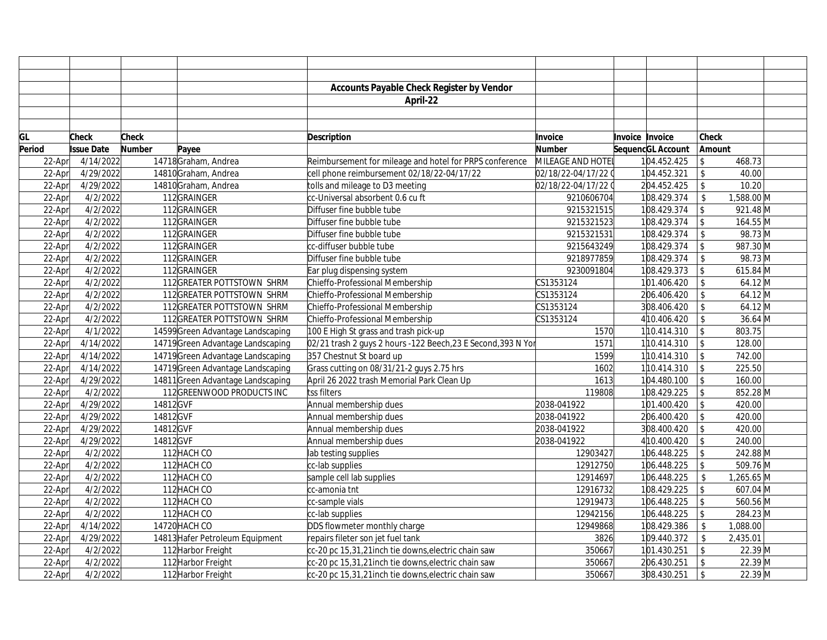|        |                   |          |                                   | <b>Accounts Payable Check Register by Vendor</b>              |                    |                        |                         |            |  |
|--------|-------------------|----------|-----------------------------------|---------------------------------------------------------------|--------------------|------------------------|-------------------------|------------|--|
|        |                   |          |                                   | April-22                                                      |                    |                        |                         |            |  |
|        |                   |          |                                   |                                                               |                    |                        |                         |            |  |
|        |                   |          |                                   |                                                               |                    |                        |                         |            |  |
| GL     | <b>Check</b>      | Check    |                                   | <b>Description</b>                                            | Invoice            | <b>Invoice Invoice</b> | Check                   |            |  |
| Period | <b>Issue Date</b> | Number   | Payee                             |                                                               | <b>Number</b>      | SequencGL Account      | Amount                  |            |  |
| 22-Apr | 4/14/2022         |          | 14718Graham, Andrea               | Reimbursement for mileage and hotel for PRPS conference       | MILEAGE AND HOTEL  | 104.452.425            | \$                      | 468.73     |  |
| 22-Apr | 4/29/2022         |          | 14810Graham, Andrea               | cell phone reimbursement 02/18/22-04/17/22                    | 02/18/22-04/17/220 | 104.452.321            | $\mathbf{\hat{S}}$      | 40.00      |  |
| 22-Apr | 4/29/2022         |          | 14810Graham, Andrea               | tolls and mileage to D3 meeting                               | 02/18/22-04/17/220 | 204.452.425            | $\mathsf{\$}$           | 10.20      |  |
| 22-Apr | 4/2/2022          |          | 112GRAINGER                       | cc-Universal absorbent 0.6 cu ft                              | 9210606704         | 108.429.374            |                         | 1,588.00 M |  |
| 22-Apr | 4/2/2022          |          | 112GRAINGER                       | Diffuser fine bubble tube                                     | 9215321515         | 108.429.374            | $\mathfrak{L}$          | 921.48 M   |  |
| 22-Apr | 4/2/2022          |          | 112GRAINGER                       | Diffuser fine bubble tube                                     | 9215321523         | 108.429.374            | $\mathcal{L}$           | 164.55 M   |  |
| 22-Apr | 4/2/2022          |          | 112GRAINGER                       | Diffuser fine bubble tube                                     | 9215321531         | 108.429.374            | $\mathbb{S}$            | 98.73 M    |  |
| 22-Apr | 4/2/2022          |          | 112GRAINGER                       | cc-diffuser bubble tube                                       | 9215643249         | 108.429.374            | \$                      | 987.30 M   |  |
| 22-Apr | 4/2/2022          |          | 112GRAINGER                       | Diffuser fine bubble tube                                     | 9218977859         | 108.429.374            | \$                      | 98.73 M    |  |
| 22-Apr | 4/2/2022          |          | 112GRAINGER                       | Ear plug dispensing system                                    | 9230091804         | 108.429.373            | $\mathcal{L}$           | 615.84 M   |  |
| 22-Apr | 4/2/2022          |          | 112 GREATER POTTSTOWN SHRM        | Chieffo-Professional Membership                               | CS1353124          | 101.406.420            | $\mathsf{\$}$           | 64.12 M    |  |
| 22-Apr | 4/2/2022          |          | 112 GREATER POTTSTOWN SHRM        | Chieffo-Professional Membership                               | CS1353124          | 206.406.420            | \$                      | 64.12 M    |  |
| 22-Apr | 4/2/2022          |          | 112 GREATER POTTSTOWN SHRM        | Chieffo-Professional Membership                               | CS1353124          | 308.406.420            | $\mathsf{\$}$           | 64.12 M    |  |
| 22-Apr | 4/2/2022          |          | 112 GREATER POTTSTOWN SHRM        | Chieffo-Professional Membership                               | CS1353124          | 410.406.420            | $\sqrt{2}$              | 36.64 M    |  |
| 22-Apr | 4/1/2022          |          | 14599 Green Advantage Landscaping | 100 E High St grass and trash pick-up                         | 1570               | 10.414.310             | $\mathsf{\overline{S}}$ | 803.75     |  |
| 22-Apr | 4/14/2022         |          | 14719 Green Advantage Landscaping | 02/21 trash 2 guys 2 hours -122 Beech, 23 E Second, 393 N Yor | 1571               | 10.414.310             | $\sqrt{2}$              | 128.00     |  |
| 22-Apr | 4/14/2022         |          | 14719 Green Advantage Landscaping | 357 Chestnut St board up                                      | 1599               | 10.414.310             | $\sqrt{2}$              | 742.00     |  |
| 22-Apr | 4/14/2022         |          | 14719 Green Advantage Landscaping | Grass cutting on 08/31/21-2 guys 2.75 hrs                     | 1602               | 10.414.310             | $\sqrt[6]{\frac{1}{2}}$ | 225.50     |  |
| 22-Apr | 4/29/2022         |          | 14811 Green Advantage Landscaping | April 26 2022 trash Memorial Park Clean Up                    | 1613               | 104.480.100            | $\mathsf{\$}$           | 160.00     |  |
| 22-Apr | 4/2/2022          |          | 112GREENWOOD PRODUCTS INC         | tss filters                                                   | 119808             | 108.429.225            | $\hat{\mathbf{S}}$      | 852.28 M   |  |
| 22-Apr | 4/29/2022         | 14812GVF |                                   | Annual membership dues                                        | 2038-041922        | 101.400.420            | $\mathfrak{L}$          | 420.00     |  |
| 22-Apr | 4/29/2022         | 14812GVF |                                   | Annual membership dues                                        | 2038-041922        | 206.400.420            | $\mathcal{S}$           | 420.00     |  |
| 22-Apr | 4/29/2022         | 14812GVF |                                   | Annual membership dues                                        | 2038-041922        | 308.400.420            | $\mathcal{L}$           | 420.00     |  |
| 22-Apr | 4/29/2022         | 14812GVF |                                   | Annual membership dues                                        | 2038-041922        | 410.400.420            | $\mathcal{L}$           | 240.00     |  |
| 22-Apr | 4/2/2022          |          | 112 HACH CO                       | lab testing supplies                                          | 12903427           | 106.448.225            | $\mathsf{\$}$           | 242.88 M   |  |
| 22-Apr | 4/2/2022          |          | 112 HACH CO                       | cc-lab supplies                                               | 12912750           | 106.448.225            | $\mathcal{L}$           | 509.76 M   |  |
| 22-Apr | 4/2/2022          |          | 112 HACH CO                       | sample cell lab supplies                                      | 12914697           | 106.448.225            | $\mathfrak{L}$          | 1,265.65 M |  |
| 22-Apr | 4/2/2022          |          | 112 HACH CO                       | cc-amonia tnt                                                 | 12916732           | 108.429.225            | $\mathcal{S}$           | 607.04 M   |  |
| 22-Apr | 4/2/2022          |          | 112 HACH CO                       | cc-sample vials                                               | 12919473           | 106.448.225            | $\mathsf{\$}$           | 560.56 M   |  |
| 22-Apr | 4/2/2022          |          | 112 HACH CO                       | cc-lab supplies                                               | 12942156           | 106.448.225            | $\mathcal{S}$           | 284.23 M   |  |
| 22-Apr | 4/14/2022         |          | 14720 HACH CO                     | DDS flowmeter monthly charge                                  | 12949868           | 108.429.386            | \$                      | 1,088.00   |  |
| 22-Apr | 4/29/2022         |          | 14813 Hafer Petroleum Equipment   | repairs fileter son jet fuel tank                             | 3826               | 109.440.372            | \$                      | 2,435.01   |  |
| 22-Apr | 4/2/2022          |          | 112 Harbor Freight                | cc-20 pc 15,31,21inch tie downs, electric chain saw           | 350667             | 101.430.251            | $\mathbb{S}$            | 22.39 M    |  |
| 22-Apr | 4/2/2022          |          | 112 Harbor Freight                | cc-20 pc 15,31,21inch tie downs, electric chain saw           | 350667             | 206.430.251            | \$                      | 22.39 M    |  |
| 22-Apr | 4/2/2022          |          | 112 Harbor Freight                | cc-20 pc 15,31,21 inch tie downs, electric chain saw          | 350667             | 308.430.251            | $\mathsf{\$}$           | 22.39 M    |  |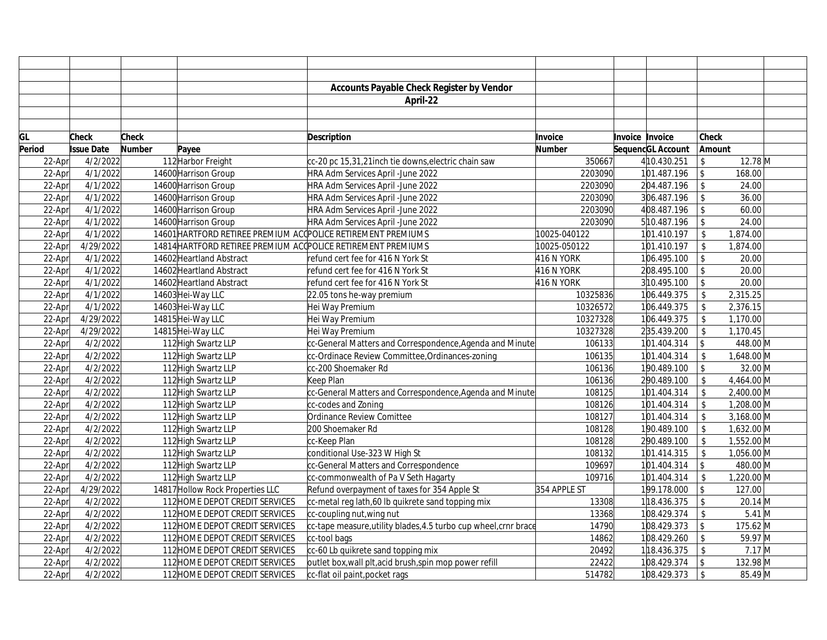|        |                   |              |                                  | <b>Accounts Payable Check Register by Vendor</b>                 |               |                        |                   |                         |            |  |
|--------|-------------------|--------------|----------------------------------|------------------------------------------------------------------|---------------|------------------------|-------------------|-------------------------|------------|--|
|        |                   |              |                                  | April-22                                                         |               |                        |                   |                         |            |  |
|        |                   |              |                                  |                                                                  |               |                        |                   |                         |            |  |
|        |                   |              |                                  |                                                                  |               |                        |                   |                         |            |  |
| GL     | <b>Check</b>      | <b>Check</b> |                                  | <b>Description</b>                                               | Invoice       | <b>Invoice Invoice</b> |                   | Check                   |            |  |
| Period | <b>Issue Date</b> | Number       | Payee                            |                                                                  | <b>Number</b> |                        | SequencGL Account | Amount                  |            |  |
| 22-Apr | 4/2/2022          |              | 112 Harbor Freight               | cc-20 pc 15,31,21 inch tie downs, electric chain saw             | 350667        |                        | 410.430.251       | \$                      | 12.78 M    |  |
| 22-Apr | 4/1/2022          |              | 14600 Harrison Group             | HRA Adm Services April - June 2022                               | 2203090       |                        | 101.487.196       | $\sqrt[6]{\frac{1}{2}}$ | 168.00     |  |
| 22-Apr | 4/1/2022          |              | 14600 Harrison Group             | HRA Adm Services April -June 2022                                | 2203090       |                        | 204.487.196       | $\mathcal{S}$           | 24.00      |  |
| 22-Apr | 4/1/2022          |              | 14600 Harrison Group             | HRA Adm Services April -June 2022                                | 2203090       |                        | 306.487.196       | \$                      | 36.00      |  |
| 22-Apr | 4/1/2022          |              | 14600 Harrison Group             | HRA Adm Services April -June 2022                                | 2203090       |                        | 408.487.196       | $\mathsf{\$}$           | 60.00      |  |
| 22-Apr | 4/1/2022          |              | 14600 Harrison Group             | HRA Adm Services April - June 2022                               | 2203090       |                        | 510.487.196       | $\mathbb{S}$            | 24.00      |  |
| 22-Apr | 4/1/2022          |              |                                  | 14601 HARTFORD RETIREE PREMIUM ACC POLICE RETIREMENT PREMIUMS    | 10025-040122  |                        | 101.410.197       | \$                      | 1,874.00   |  |
| 22-Apr | 4/29/2022         |              |                                  | 14814 HARTFORD RETIREE PREMIUM ACC POLICE RETIREMENT PREMIUMS    | 10025-050122  |                        | 101.410.197       | \$                      | 1,874.00   |  |
| 22-Apr | 4/1/2022          |              | 14602 Heartland Abstract         | refund cert fee for 416 N York St                                | 416 N YORK    |                        | 106.495.100       | \$                      | 20.00      |  |
| 22-Apr | 4/1/2022          |              | 14602 Heartland Abstract         | refund cert fee for 416 N York St                                | 416 N YORK    |                        | 208.495.100       | $\boldsymbol{\$}$       | 20.00      |  |
| 22-Apr | 4/1/2022          |              | 14602 Heartland Abstract         | refund cert fee for 416 N York St                                | 416 N YORK    |                        | 310.495.100       | $\sqrt{2}$              | 20.00      |  |
| 22-Apr | 4/1/2022          |              | 14603 Hei-Way LLC                | 22.05 tons he-way premium                                        | 10325836      |                        | 106.449.375       | $\mathsf{\$}$           | 2,315.25   |  |
| 22-Apr | 4/1/2022          |              | 14603 Hei-Way LLC                | Hei Way Premium                                                  | 10326572      |                        | 106.449.375       | \$                      | 2,376.15   |  |
| 22-Apr | 4/29/2022         |              | 14815 Hei-Way LLC                | Hei Way Premium                                                  | 10327328      |                        | 106.449.375       | \$                      | 1,170.00   |  |
| 22-Apr | 4/29/2022         |              | 14815 Hei-Way LLC                | Hei Way Premium                                                  | 10327328      |                        | 235.439.200       | \$                      | 1,170.45   |  |
| 22-Apr | 4/2/2022          |              | 112 High Swartz LLP              | cc-General Matters and Correspondence, Agenda and Minute         | 106133        |                        | 101.404.314       | $\mathcal{L}$           | 448.00 M   |  |
| 22-Apr | 4/2/2022          |              | 112 High Swartz LLP              | cc-Ordinace Review Committee, Ordinances-zoning                  | 106135        |                        | 101.404.314       | $\mathcal{S}$           | 1,648.00 M |  |
| 22-Apr | 4/2/2022          |              | 112 High Swartz LLP              | cc-200 Shoemaker Rd                                              | 106136        |                        | 190.489.100       | $\sqrt[6]{\frac{1}{2}}$ | 32.00 M    |  |
| 22-Apr | 4/2/2022          |              | 112 High Swartz LLP              | Keep Plan                                                        | 106136        |                        | 290.489.100       | \$                      | 4,464.00 M |  |
| 22-Apr | 4/2/2022          |              | 112 High Swartz LLP              | cc-General Matters and Correspondence, Agenda and Minute         | 108125        |                        | 101.404.314       | \$                      | 2,400.00 M |  |
| 22-Apr | 4/2/2022          |              | 112 High Swartz LLP              | cc-codes and Zoning                                              | 108126        |                        | 101.404.314       | $\mathbb{S}$            | 1,208.00 M |  |
| 22-Apr | 4/2/2022          |              | 112 High Swartz LLP              | Ordinance Review Comittee                                        | 108127        |                        | 101.404.314       | $\mathsf{\$}$           | 3,168.00 M |  |
| 22-Apr | 4/2/2022          |              | 112 High Swartz LLP              | 200 Shoemaker Rd                                                 | 108128        |                        | 190.489.100       | $\sqrt[6]{\frac{1}{2}}$ | 1,632.00 M |  |
| 22-Apr | 4/2/2022          |              | 112 High Swartz LLP              | cc-Keep Plan                                                     | 108128        |                        | 290.489.100       | $\mathsf{\$}$           | 1,552.00 M |  |
| 22-Apr | 4/2/2022          |              | 112 High Swartz LLP              | conditional Use-323 W High St                                    | 108132        |                        | 101.414.315       | \$                      | 1,056.00 M |  |
| 22-Apr | 4/2/2022          |              | 112 High Swartz LLP              | cc-General Matters and Correspondence                            | 109697        |                        | 101.404.314       | $\sqrt[6]{\frac{1}{2}}$ | 480.00 M   |  |
| 22-Apr | 4/2/2022          |              | 112 High Swartz LLP              | cc-commonwealth of Pa V Seth Hagarty                             | 109716        |                        | 101.404.314       | \$                      | 1,220.00 M |  |
| 22-Apr | 4/29/2022         |              | 14817 Hollow Rock Properties LLC | Refund overpayment of taxes for 354 Apple St                     | 354 APPLE ST  |                        | 199.178.000       | $\mathsf{\overline{S}}$ | 127.00     |  |
| 22-Apr | 4/2/2022          |              | 112 HOME DEPOT CREDIT SERVICES   | cc-metal reg lath, 60 lb quikrete sand topping mix               | 13308         |                        | 118.436.375       | \$                      | $20.14$ M  |  |
| 22-Apr | 4/2/2022          |              | 112 HOME DEPOT CREDIT SERVICES   | cc-coupling nut, wing nut                                        | 13368         |                        | 108.429.374       | \$                      | $5.41$ M   |  |
| 22-Apr | 4/2/2022          |              | 112 HOME DEPOT CREDIT SERVICES   | cc-tape measure, utility blades, 4.5 turbo cup wheel, crnr brace | 14790         |                        | 108.429.373       | $\mathcal{L}$           | 175.62 M   |  |
| 22-Apr | 4/2/2022          |              | 112 HOME DEPOT CREDIT SERVICES   | cc-tool bags                                                     | 14862         |                        | 108.429.260       | $\mathbf{\hat{S}}$      | 59.97 M    |  |
| 22-Apr | 4/2/2022          |              | 112 HOME DEPOT CREDIT SERVICES   | cc-60 Lb quikrete sand topping mix                               | 20492         |                        | 118.436.375       | $\mathfrak{L}$          | $7.17$ M   |  |
| 22-Apr | 4/2/2022          |              | 112 HOME DEPOT CREDIT SERVICES   | outlet box, wall plt, acid brush, spin mop power refill          | 22422         |                        | 108.429.374       | $\mathcal{S}$           | 132.98 M   |  |
| 22-Apr | 4/2/2022          |              | 112 HOME DEPOT CREDIT SERVICES   | cc-flat oil paint, pocket rags                                   | 514782        |                        | 108.429.373       | $\mathbb{S}$            | 85.49 M    |  |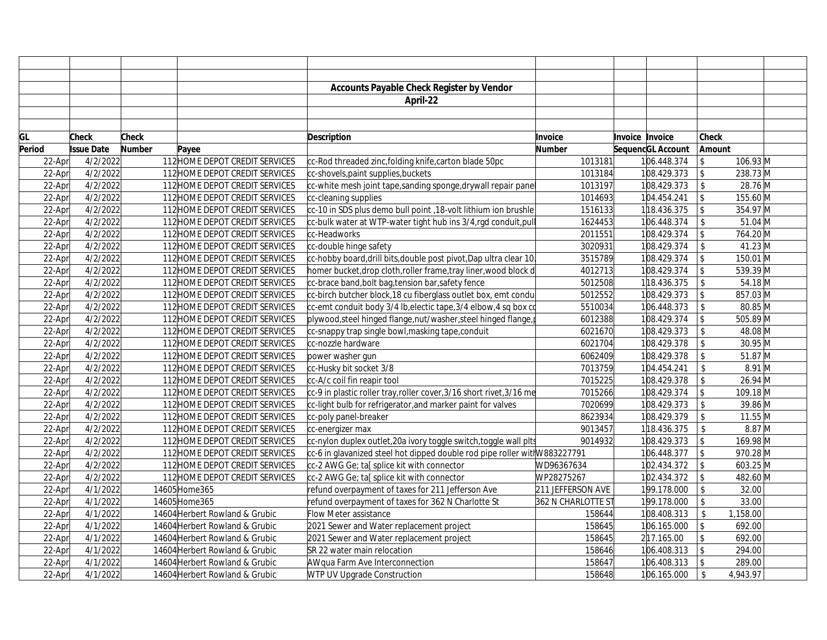|        |                   |        |                                | <b>Accounts Payable Check Register by Vendor</b>                           |                    |                 |                   |                         |                   |  |
|--------|-------------------|--------|--------------------------------|----------------------------------------------------------------------------|--------------------|-----------------|-------------------|-------------------------|-------------------|--|
|        |                   |        |                                | April-22                                                                   |                    |                 |                   |                         |                   |  |
|        |                   |        |                                |                                                                            |                    |                 |                   |                         |                   |  |
|        |                   |        |                                |                                                                            |                    |                 |                   |                         |                   |  |
| GL     | <b>Check</b>      | Check  |                                | <b>Description</b>                                                         | Invoice            | Invoice Invoice |                   | <b>Check</b>            |                   |  |
| Period | <b>Issue Date</b> | Number | Payee                          |                                                                            | <b>Number</b>      |                 | SequencGL Account | Amount                  |                   |  |
| 22-Apr | 4/2/2022          |        | 112 HOME DEPOT CREDIT SERVICES | cc-Rod threaded zinc, folding knife, carton blade 50pc                     | 1013181            |                 | 106.448.374       | $\mathcal{L}$           | 106.93 M          |  |
| 22-Apr | 4/2/2022          |        | 112 HOME DEPOT CREDIT SERVICES | cc-shovels, paint supplies, buckets                                        | 1013184            |                 | 108.429.373       | $\sqrt{2}$              | 238.73 M          |  |
| 22-Apr | 4/2/2022          |        | 112 HOME DEPOT CREDIT SERVICES | cc-white mesh joint tape, sanding sponge, drywall repair pane              | 1013197            |                 | 108.429.373       | $\boldsymbol{\$}$       | 28.76 M           |  |
| 22-Apr | 4/2/2022          |        | 112 HOME DEPOT CREDIT SERVICES | cc-cleaning supplies                                                       | 1014693            |                 | 104.454.241       | $\sqrt{2}$              | 155.60 M          |  |
| 22-Apr | 4/2/2022          |        | 112 HOME DEPOT CREDIT SERVICES | cc-10 in SDS plus demo bull point , 18-volt lithium ion brushle            | 1516133            |                 | 118.436.375       | $\sqrt[6]{\frac{1}{2}}$ | 354.97 M          |  |
| 22-Apr | 4/2/2022          |        | 112 HOME DEPOT CREDIT SERVICES | cc-bulk water at WTP-water tight hub ins 3/4, rgd conduit, pul             | 1624453            |                 | 106.448.374       | $\mathbb{S}$            | $51.04 \text{ M}$ |  |
| 22-Apr | 4/2/2022          |        | 112 HOME DEPOT CREDIT SERVICES | cc-Headworks                                                               | 2011551            |                 | 108.429.374       | $\mathsf{\$}$           | 764.20 M          |  |
| 22-Apr | 4/2/2022          |        | 112 HOME DEPOT CREDIT SERVICES | cc-double hinge safety                                                     | 3020931            |                 | 108.429.374       | \$                      | $41.23 \, M$      |  |
| 22-Apr | 4/2/2022          |        | 112 HOME DEPOT CREDIT SERVICES | cc-hobby board, drill bits, double post pivot, Dap ultra clear 10.         | 3515789            |                 | 108.429.374       | $\mathcal{L}$           | 150.01 M          |  |
| 22-Apr | 4/2/2022          |        | 112 HOME DEPOT CREDIT SERVICES | homer bucket, drop cloth, roller frame, tray liner, wood block d           | 4012713            |                 | 108.429.374       | $\sqrt[6]{\frac{1}{2}}$ | 539.39 M          |  |
| 22-Apr | 4/2/2022          |        | 112 HOME DEPOT CREDIT SERVICES | cc-brace band, bolt bag, tension bar, safety fence                         | 5012508            |                 | 118.436.375       | \$                      | 54.18 M           |  |
| 22-Apr | 4/2/2022          |        | 112 HOME DEPOT CREDIT SERVICES | cc-birch butcher block, 18 cu fiberglass outlet box, emt condui            | 5012552            |                 | 108.429.373       | $\sqrt[6]{\frac{1}{2}}$ | 857.03 M          |  |
| 22-Apr | 4/2/2022          |        | 112 HOME DEPOT CREDIT SERVICES | cc-emt conduit body 3/4 lb, electic tape, 3/4 elbow, 4 sq box cd           | 5510034            |                 | 106.448.373       | $\mathsf{\$}$           | 80.85 M           |  |
| 22-Apr | 4/2/2022          |        | 112 HOME DEPOT CREDIT SERVICES | plywood, steel hinged flange, nut/washer, steel hinged flange,             | 6012388            |                 | 108.429.374       | $\sqrt{2}$              | 505.89 M          |  |
| 22-Apr | 4/2/2022          |        | 112 HOME DEPOT CREDIT SERVICES | cc-snappy trap single bowl, masking tape, conduit                          | 6021670            |                 | 108.429.373       | $\mathsf{\$}$           | 48.08 M           |  |
| 22-Apr | 4/2/2022          |        | 112 HOME DEPOT CREDIT SERVICES | cc-nozzle hardware                                                         | 6021704            |                 | 108.429.378       | \$                      | 30.95 M           |  |
| 22-Apr | 4/2/2022          |        | 112 HOME DEPOT CREDIT SERVICES | power washer gun                                                           | 6062409            |                 | 108.429.378       | \$                      | 51.87 M           |  |
| 22-Apr | 4/2/2022          |        | 112 HOME DEPOT CREDIT SERVICES | cc-Husky bit socket 3/8                                                    | 7013759            |                 | 104.454.241       | \$                      | $8.91$ M          |  |
| 22-Apr | 4/2/2022          |        | 112 HOME DEPOT CREDIT SERVICES | cc-A/c coil fin reapir tool                                                | 7015225            |                 | 108.429.378       | \$                      | 26.94 M           |  |
| 22-Apr | 4/2/2022          |        | 112 HOME DEPOT CREDIT SERVICES | cc-9 in plastic roller tray, roller cover, 3/16 short rivet, 3/16 me       | 7015266            |                 | 108.429.374       | $\mathcal{L}$           | 109.18 M          |  |
| 22-Apr | 4/2/2022          |        | 112 HOME DEPOT CREDIT SERVICES | cc-light bulb for refrigerator, and marker paint for valves                | 7020699            |                 | 108.429.373       | $\mathbb{S}$            | 39.86 M           |  |
| 22-Apr | 4/2/2022          |        | 112 HOME DEPOT CREDIT SERVICES | cc-poly panel-breaker                                                      | 8623934            |                 | 108.429.379       | $\mathbb{S}$            | $11.55$ M         |  |
| 22-Apr | 4/2/2022          |        | 112 HOME DEPOT CREDIT SERVICES | cc-energizer max                                                           | 9013457            |                 | 118.436.375       | \$                      | $8.87$ M          |  |
| 22-Apr | 4/2/2022          |        | 112 HOME DEPOT CREDIT SERVICES | cc-nylon duplex outlet, 20a ivory toggle switch, toggle wall plts          | 9014932            |                 | 108.429.373       | $\mathcal{L}$           | 169.98 M          |  |
| 22-Apr | 4/2/2022          |        | 112 HOME DEPOT CREDIT SERVICES | cc-6 in glavanized steel hot dipped double rod pipe roller with W883227791 |                    |                 | 106.448.377       | $\sqrt[6]{\frac{1}{2}}$ | 970.28 M          |  |
| 22-Apr | 4/2/2022          |        | 112 HOME DEPOT CREDIT SERVICES | cc-2 AWG Ge; ta[ splice kit with connector                                 | WD96367634         |                 | 102.434.372       | $\mathcal{S}$           | 603.25 M          |  |
| 22-Apr | 4/2/2022          |        | 112 HOME DEPOT CREDIT SERVICES | cc-2 AWG Ge; ta[ splice kit with connector                                 | WP28275267         |                 | 102.434.372       | $\mathsf{\$}$           | 482.60 M          |  |
| 22-Apr | 4/1/2022          |        | 14605 Home 365                 | refund overpayment of taxes for 211 Jefferson Ave                          | 211 JEFFERSON AVE  |                 | 199.178.000       | \$                      | 32.00             |  |
| 22-Apr | 4/1/2022          |        | 14605 Home 365                 | refund overpayment of taxes for 362 N Charlotte St                         | 362 N CHARLOTTE ST |                 | 199.178.000       | $\sqrt{2}$              | 33.00             |  |
| 22-Apr | 4/1/2022          |        | 14604 Herbert Rowland & Grubic | Flow Meter assistance                                                      | 158644             |                 | 108.408.313       | \$                      | 1,158.00          |  |
| 22-Apr | 4/1/2022          |        | 14604 Herbert Rowland & Grubic | 2021 Sewer and Water replacement project                                   | 158645             |                 | 106.165.000       | $\sqrt{2}$              | 692.00            |  |
| 22-Apr | 4/1/2022          |        | 14604 Herbert Rowland & Grubic | 2021 Sewer and Water replacement project                                   | 158645             |                 | 217.165.00        | \$                      | 692.00            |  |
| 22-Apr | 4/1/2022          |        | 14604 Herbert Rowland & Grubic | SR 22 water main relocation                                                | 158646             |                 | 106.408.313       | $\sqrt[6]{\frac{1}{2}}$ | 294.00            |  |
| 22-Apr | 4/1/2022          |        | 14604 Herbert Rowland & Grubic | AWqua Farm Ave Interconnection                                             | 158647             |                 | 106.408.313       | $\mathcal{L}$           | 289.00            |  |
| 22-Apr | 4/1/2022          |        | 14604 Herbert Rowland & Grubic | WTP UV Upgrade Construction                                                | 158648             |                 | 106.165.000       |                         | 4,943.97          |  |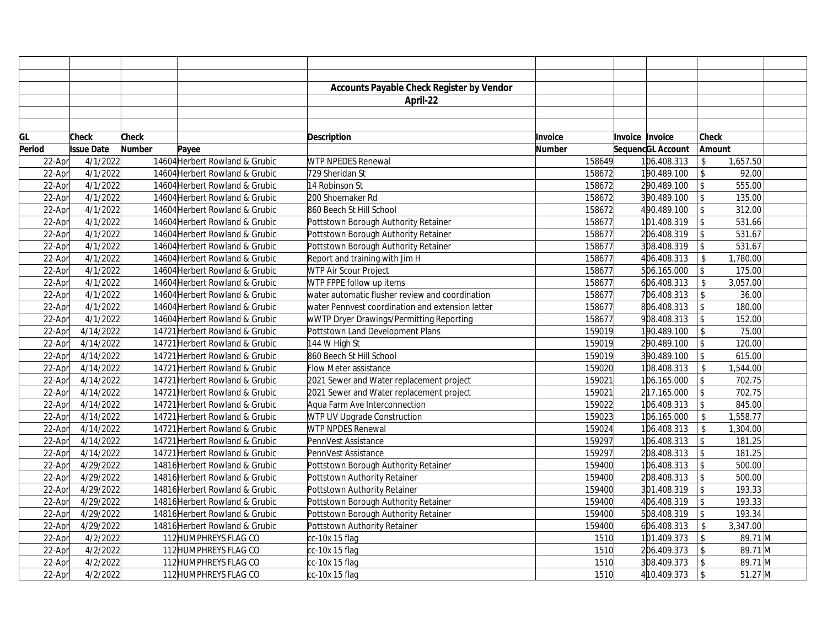|        |                   |              |                                | Accounts Payable Check Register by Vendor        |               |        |                   |                         |           |  |
|--------|-------------------|--------------|--------------------------------|--------------------------------------------------|---------------|--------|-------------------|-------------------------|-----------|--|
|        |                   |              |                                | April-22                                         |               |        |                   |                         |           |  |
|        |                   |              |                                |                                                  |               |        |                   |                         |           |  |
|        |                   |              |                                |                                                  |               |        |                   |                         |           |  |
| GL     | <b>Check</b>      | <b>Check</b> |                                | <b>Description</b>                               | Invoice       |        | Invoice Invoice   | <b>Check</b>            |           |  |
| Period | <b>Issue Date</b> | Number       | Payee                          |                                                  | <b>Number</b> |        | SequencGL Account | Amount                  |           |  |
| 22-Apr | 4/1/2022          |              | 14604 Herbert Rowland & Grubic | <b>WTP NPEDES Renewal</b>                        |               | 158649 | 106.408.313       | $\mathbb{S}$            | 1,657.50  |  |
| 22-Apr | 4/1/2022          |              | 14604 Herbert Rowland & Grubic | 729 Sheridan St                                  |               | 158672 | 190.489.100       | \$                      | 92.00     |  |
| 22-Apr | 4/1/2022          |              | 14604 Herbert Rowland & Grubic | 14 Robinson St                                   |               | 158672 | 290.489.100       | $\sqrt[6]{\frac{1}{2}}$ | 555.00    |  |
| 22-Apr | 4/1/2022          |              | 14604 Herbert Rowland & Grubic | 200 Shoemaker Rd                                 |               | 158672 | 390.489.100       | \$                      | 135.00    |  |
| 22-Apr | 4/1/2022          |              | 14604 Herbert Rowland & Grubic | 860 Beech St Hill School                         |               | 158672 | 490.489.100       | $\sqrt[6]{\frac{1}{2}}$ | 312.00    |  |
| 22-Apr | 4/1/2022          |              | 14604 Herbert Rowland & Grubic | Pottstown Borough Authority Retainer             |               | 158677 | 101.408.319       | $\mathsf S$             | 531.66    |  |
| 22-Apr | 4/1/2022          |              | 14604 Herbert Rowland & Grubic | Pottstown Borough Authority Retainer             |               | 158677 | 206.408.319       | $\mathsf{\$}$           | 531.67    |  |
| 22-Apr | 4/1/2022          |              | 14604 Herbert Rowland & Grubic | Pottstown Borough Authority Retainer             |               | 158677 | 308.408.319       | $\mathcal{S}$           | 531.67    |  |
| 22-Apr | 4/1/2022          |              | 14604 Herbert Rowland & Grubic | Report and training with Jim H                   |               | 158677 | 406.408.313       | \$                      | 1,780.00  |  |
| 22-Apr | 4/1/2022          |              | 14604 Herbert Rowland & Grubic | WTP Air Scour Project                            |               | 158677 | 506.165.000       | $\mathbb{S}$            | 175.00    |  |
| 22-Apr | 4/1/2022          |              | 14604 Herbert Rowland & Grubic | WTP FPPE follow up items                         |               | 158677 | 606.408.313       | \$                      | 3,057.00  |  |
| 22-Apr | 4/1/2022          |              | 14604 Herbert Rowland & Grubic | water automatic flusher review and coordination  |               | 158677 | 706.408.313       | \$                      | 36.00     |  |
| 22-Apr | 4/1/2022          |              | 14604 Herbert Rowland & Grubic | water Pennvest coordination and extension letter |               | 158677 | 806.408.313       | \$                      | 180.00    |  |
| 22-Apr | 4/1/2022          |              | 14604 Herbert Rowland & Grubic | wWTP Dryer Drawings/Permitting Reporting         |               | 158677 | 908.408.313       | $\sqrt[6]{\frac{1}{2}}$ | 152.00    |  |
| 22-Apr | 4/14/2022         |              | 14721 Herbert Rowland & Grubic | Pottstown Land Development Plans                 |               | 159019 | 190.489.100       | \$                      | 75.00     |  |
| 22-Apr | 4/14/2022         |              | 14721 Herbert Rowland & Grubic | 144 W High St                                    |               | 159019 | 290.489.100       | \$                      | 120.00    |  |
| 22-Apr | 4/14/2022         |              | 14721 Herbert Rowland & Grubic | 860 Beech St Hill School                         |               | 159019 | 390.489.100       | \$                      | 615.00    |  |
| 22-Apr | 4/14/2022         |              | 14721 Herbert Rowland & Grubic | <b>Flow Meter assistance</b>                     |               | 159020 | 108.408.313       | $\mathbb{S}$            | 1,544.00  |  |
| 22-Apr | 4/14/2022         |              | 14721 Herbert Rowland & Grubic | 2021 Sewer and Water replacement project         |               | 159021 | 106.165.000       | \$                      | 702.75    |  |
| 22-Apr | 4/14/2022         |              | 14721 Herbert Rowland & Grubic | 2021 Sewer and Water replacement project         |               | 159021 | 217.165.000       | \$                      | 702.75    |  |
| 22-Apr | 4/14/2022         |              | 14721 Herbert Rowland & Grubic | Aqua Farm Ave Interconnection                    |               | 159022 | 106.408.313       | $\mathsf S$             | 845.00    |  |
| 22-Apr | 4/14/2022         |              | 14721 Herbert Rowland & Grubic | WTP UV Upgrade Construction                      |               | 159023 | 106.165.000       | $\mathbb{S}$            | 1,558.77  |  |
| 22-Apr | 4/14/2022         |              | 14721 Herbert Rowland & Grubic | WTP NPDES Renewal                                |               | 159024 | 106.408.313       | \$                      | 1,304.00  |  |
| 22-Apr | 4/14/2022         |              | 14721 Herbert Rowland & Grubic | PennVest Assistance                              |               | 159297 | 106.408.313       | \$                      | 181.25    |  |
| 22-Apr | 4/14/2022         |              | 14721 Herbert Rowland & Grubic | PennVest Assistance                              |               | 159297 | 208.408.313       | $\mathsf{\$}$           | 181.25    |  |
| 22-Apr | 4/29/2022         |              | 14816 Herbert Rowland & Grubic | Pottstown Borough Authority Retainer             |               | 159400 | 106.408.313       | $\mathcal{S}$           | 500.00    |  |
| 22-Apr | 4/29/2022         |              | 14816 Herbert Rowland & Grubic | Pottstown Authority Retainer                     |               | 159400 | 208.408.313       | \$                      | 500.00    |  |
| 22-Apr | 4/29/2022         |              | 14816 Herbert Rowland & Grubic | Pottstown Authority Retainer                     |               | 159400 | 301.408.319       | \$                      | 193.33    |  |
| 22-Apr | 4/29/2022         |              | 14816 Herbert Rowland & Grubic | Pottstown Borough Authority Retainer             |               | 159400 | 406.408.319       | $\mathsf{\$}$           | 193.33    |  |
| 22-Apr | 4/29/2022         |              | 14816 Herbert Rowland & Grubic | Pottstown Borough Authority Retainer             |               | 159400 | 508.408.319       | $\mathfrak{L}$          | 193.34    |  |
| 22-Apr | 4/29/2022         |              | 14816 Herbert Rowland & Grubic | Pottstown Authority Retainer                     |               | 159400 | 606.408.313       | \$                      | 3,347.00  |  |
| 22-Apr | 4/2/2022          |              | 112 HUMPHREYS FLAG CO          | cc-10x 15 flag                                   |               | 1510   | 101.409.373       | \$                      | 89.71 M   |  |
| 22-Apr | 4/2/2022          |              | 112 HUMPHREYS FLAG CO          | cc-10x 15 flag                                   |               | 1510   | 206.409.373       | \$                      | 89.71 M   |  |
| 22-Apr | 4/2/2022          |              | 112 HUMPHREYS FLAG CO          | cc-10x 15 flag                                   |               | 1510   | 308.409.373       | \$                      | 89.71 M   |  |
| 22-Apr | 4/2/2022          |              | 112 HUMPHREYS FLAG CO          | cc-10x 15 flag                                   |               | 1510   | 410.409.373       | $\sqrt[6]{\frac{1}{2}}$ | $51.27$ M |  |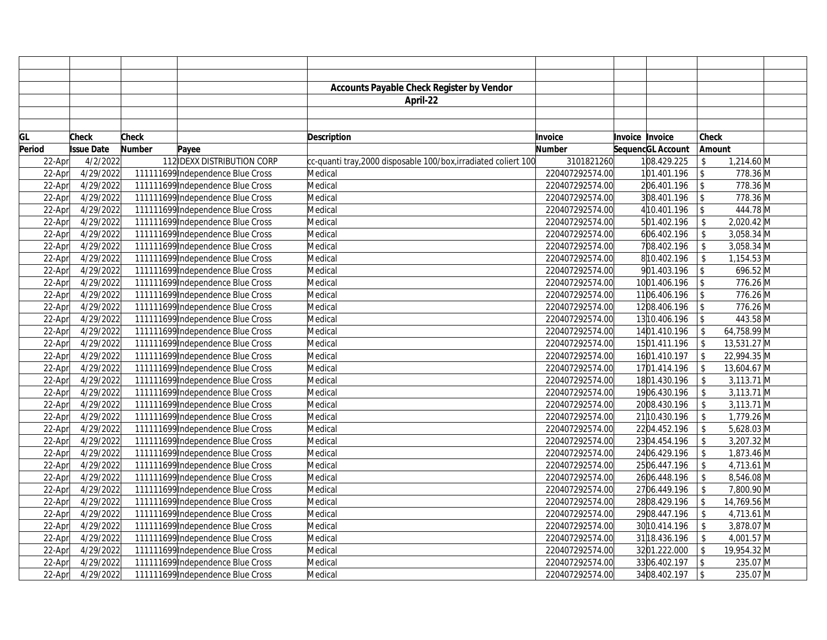|        |                   |        |                                   | <b>Accounts Payable Check Register by Vendor</b>               |                 |                 |                   |                |              |  |
|--------|-------------------|--------|-----------------------------------|----------------------------------------------------------------|-----------------|-----------------|-------------------|----------------|--------------|--|
|        |                   |        |                                   | April-22                                                       |                 |                 |                   |                |              |  |
|        |                   |        |                                   |                                                                |                 |                 |                   |                |              |  |
|        |                   |        |                                   |                                                                |                 |                 |                   |                |              |  |
| GL     | <b>Check</b>      | Check  |                                   | Description                                                    | Invoice         | Invoice Invoice |                   | Check          |              |  |
| Period | <b>Issue Date</b> | Number | Payee                             |                                                                | <b>Number</b>   |                 | SequencGL Account | Amount         |              |  |
| 22-Apr | 4/2/2022          |        | 112 IDEXX DISTRIBUTION CORP       | cc-quanti tray,2000 disposable 100/box, irradiated coliert 100 | 3101821260      |                 | 108.429.225       | \$             | 1,214.60 M   |  |
| 22-Apr | 4/29/2022         |        | 111111699 Independence Blue Cross | Medical                                                        | 220407292574.00 |                 | 101.401.196       | \$             | 778.36 M     |  |
| 22-Apr | 4/29/2022         |        | 111111699 Independence Blue Cross | Medical                                                        | 220407292574.00 |                 | 206.401.196       | $\updownarrow$ | 778.36 M     |  |
| 22-Apr | 4/29/2022         |        | 111111699 Independence Blue Cross | Medical                                                        | 220407292574.00 |                 | 308.401.196       | $\mathsf{\$}$  | 778.36 M     |  |
| 22-Apr | 4/29/2022         |        | 111111699 Independence Blue Cross | Medical                                                        | 220407292574.00 |                 | 410.401.196       | $\sqrt{2}$     | 444.78 M     |  |
| 22-Apr | 4/29/2022         |        | 111111699 Independence Blue Cross | Medical                                                        | 220407292574.00 |                 | 501.402.196       |                | 2,020.42 M   |  |
| 22-Apr | 4/29/2022         |        | 111111699 Independence Blue Cross | Medical                                                        | 220407292574.00 |                 | 606.402.196       |                | $3,058.34$ M |  |
| 22-Apr | 4/29/2022         |        | 111111699 Independence Blue Cross | Medical                                                        | 220407292574.00 |                 | 708.402.196       |                | $3,058.34$ M |  |
| 22-Apr | 4/29/2022         |        | 111111699 Independence Blue Cross | Medical                                                        | 220407292574.00 |                 | 810.402.196       |                | $1,154.53$ M |  |
| 22-Apr | 4/29/2022         |        | 111111699 Independence Blue Cross | Medical                                                        | 220407292574.00 |                 | 901.403.196       | $\mathcal{S}$  | 696.52 M     |  |
| 22-Apr | 4/29/2022         |        | 111111699 Independence Blue Cross | Medical                                                        | 220407292574.00 |                 | 1001.406.196      | $\mathcal{S}$  | 776.26 M     |  |
| 22-Apr | 4/29/2022         |        | 111111699 Independence Blue Cross | Medical                                                        | 220407292574.00 |                 | 1106.406.196      | \$             | 776.26 M     |  |
| 22-Apr | 4/29/2022         |        | 111111699 Independence Blue Cross | Medical                                                        | 220407292574.00 |                 | 1208.406.196      | $\mathcal{S}$  | 776.26 M     |  |
| 22-Apr | 4/29/2022         |        | 111111699 Independence Blue Cross | Medical                                                        | 220407292574.00 |                 | 13 10.406.196     | $\mathsf{\$}$  | 443.58 M     |  |
| 22-Apr | 4/29/2022         |        | 111111699 Independence Blue Cross | Medical                                                        | 220407292574.00 |                 | 1401.410.196      | $\mathcal{L}$  | 64,758.99 M  |  |
| 22-Apr | 4/29/2022         |        | 111111699 Independence Blue Cross | Medical                                                        | 220407292574.00 |                 | 1501.411.196      |                | 13,531.27 M  |  |
| 22-Apr | 4/29/2022         |        | 111111699 Independence Blue Cross | Medical                                                        | 220407292574.00 |                 | 1601.410.197      | $\mathcal{S}$  | 22,994.35 M  |  |
| 22-Apr | 4/29/2022         |        | 111111699 Independence Blue Cross | Medical                                                        | 220407292574.00 |                 | 1701.414.196      | $\mathcal{S}$  | 13,604.67 M  |  |
| 22-Apr | 4/29/2022         |        | 111111699 Independence Blue Cross | Medical                                                        | 220407292574.00 |                 | 1801.430.196      | $\mathcal{S}$  | 3,113.71 M   |  |
| 22-Apr | 4/29/2022         |        | 111111699 Independence Blue Cross | Medical                                                        | 220407292574.00 |                 | 1906.430.196      | \$             | $3,113.71$ M |  |
| 22-Apr | 4/29/2022         |        | 111111699 Independence Blue Cross | Medical                                                        | 220407292574.00 |                 | 2008.430.196      | \$             | $3,113.71$ M |  |
| 22-Apr | 4/29/2022         |        | 111111699 Independence Blue Cross | Medical                                                        | 220407292574.00 |                 | 21 10.430.196     | \$             | 1,779.26 M   |  |
| 22-Apr | 4/29/2022         |        | 111111699 Independence Blue Cross | Medical                                                        | 220407292574.00 |                 | 2204.452.196      | \$             | 5,628.03 M   |  |
| 22-Apr | 4/29/2022         |        | 111111699 Independence Blue Cross | Medical                                                        | 220407292574.00 |                 | 2304.454.196      |                | $3,207.32$ M |  |
| 22-Apr | 4/29/2022         |        | 111111699 Independence Blue Cross | Medical                                                        | 220407292574.00 |                 | 2406.429.196      |                | 1,873.46 M   |  |
| 22-Apr | 4/29/2022         |        | 111111699 Independence Blue Cross | Medical                                                        | 220407292574.00 |                 | 2506.447.196      |                | 4,713.61 M   |  |
| 22-Apr | 4/29/2022         |        | 111111699 Independence Blue Cross | Medical                                                        | 220407292574.00 |                 | 2606.448.196      |                | 8,546.08 M   |  |
| 22-Apr | 4/29/2022         |        | 111111699 Independence Blue Cross | Medical                                                        | 220407292574.00 |                 | 2706.449.196      |                | 7,800.90 M   |  |
| 22-Apr | 4/29/2022         |        | 111111699 Independence Blue Cross | Medical                                                        | 220407292574.00 |                 | 2808.429.196      | $\mathcal{L}$  | 14,769.56 M  |  |
| 22-Apr | 4/29/2022         |        | 111111699 Independence Blue Cross | Medical                                                        | 220407292574.00 |                 | 2908.447.196      | $\mathsf{\$}$  | 4,713.61 M   |  |
| 22-Apr | 4/29/2022         |        | 111111699 Independence Blue Cross | Medical                                                        | 220407292574.00 |                 | 30 10.414.196     | \$             | 3,878.07 M   |  |
| 22-Apr | 4/29/2022         |        | 111111699 Independence Blue Cross | Medical                                                        | 220407292574.00 |                 | 31 18.436.196     |                | 4,001.57 M   |  |
| 22-Apr | 4/29/2022         |        | 111111699 Independence Blue Cross | Medical                                                        | 220407292574.00 |                 | 3201.222.000      | $\mathcal{S}$  | 19,954.32 M  |  |
| 22-Apr | 4/29/2022         |        | 111111699 Independence Blue Cross | Medical                                                        | 220407292574.00 |                 | 3306.402.197      | $\mathcal{L}$  | 235.07 M     |  |
| 22-Apr | 4/29/2022         |        | 111111699 Independence Blue Cross | Medical                                                        | 220407292574.00 |                 | 3408.402.197      | $\mathsf{\$}$  | 235.07 M     |  |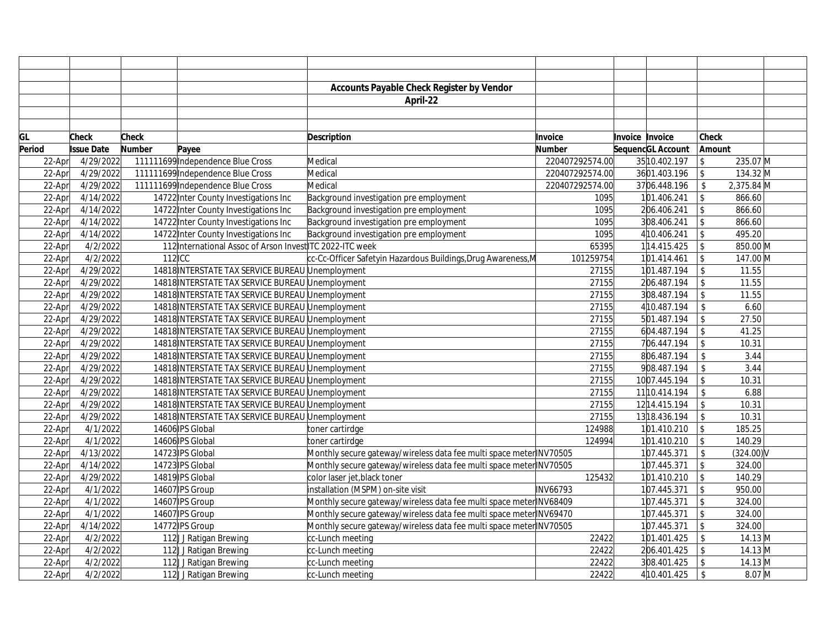|        |                   |              |                                                           | <b>Accounts Payable Check Register by Vendor</b>                    |                 |                 |                   |                         |              |  |
|--------|-------------------|--------------|-----------------------------------------------------------|---------------------------------------------------------------------|-----------------|-----------------|-------------------|-------------------------|--------------|--|
|        |                   |              |                                                           | April-22                                                            |                 |                 |                   |                         |              |  |
|        |                   |              |                                                           |                                                                     |                 |                 |                   |                         |              |  |
|        |                   |              |                                                           |                                                                     |                 |                 |                   |                         |              |  |
| GL     | <b>Check</b>      | <b>Check</b> |                                                           | <b>Description</b>                                                  | Invoice         | Invoice Invoice |                   | <b>Check</b>            |              |  |
| Period | <b>Issue Date</b> | Number       | Payee                                                     |                                                                     | <b>Number</b>   |                 | SequencGL Account | Amount                  |              |  |
| 22-Apr | 4/29/2022         |              | 111111699 Independence Blue Cross                         | Medical                                                             | 220407292574.00 |                 | 35 10.402.197     | $\mathsf{\$}$           | 235.07 M     |  |
| 22-Apr | 4/29/2022         |              | 111111699 Independence Blue Cross                         | Medical                                                             | 220407292574.00 |                 | 3601.403.196      | $\sqrt[6]{\frac{1}{2}}$ | 134.32 M     |  |
| 22-Apr | 4/29/2022         |              | 111111699 Independence Blue Cross                         | Medical                                                             | 220407292574.00 |                 | 3706.448.196      | \$                      | 2,375.84 M   |  |
| 22-Apr | 4/14/2022         |              | 14722 Inter County Investigations Inc                     | Background investigation pre employment                             | 1095            |                 | 101.406.241       | $\sqrt[6]{\frac{1}{2}}$ | 866.60       |  |
| 22-Apr | 4/14/2022         |              | 14722 Inter County Investigations Inc                     | Background investigation pre employment                             | 1095            |                 | 206.406.241       | $\sqrt[6]{\frac{1}{2}}$ | 866.60       |  |
| 22-Apr | 4/14/2022         |              | 14722 Inter County Investigations Inc                     | Background investigation pre employment                             | 1095            |                 | 308.406.241       | $\mathsf{\$}$           | 866.60       |  |
| 22-Apr | 4/14/2022         |              | 14722 Inter County Investigations Inc                     | Background investigation pre employment                             | 1095            |                 | 410.406.241       | $\sqrt[6]{\frac{1}{2}}$ | 495.20       |  |
| 22-Apr | 4/2/2022          |              | 112 International Assoc of Arson Invest ITC 2022-ITC week |                                                                     | 65395           |                 | 114.415.425       | $\mathsf{\$}$           | 850.00 M     |  |
| 22-Apr | 4/2/2022          | $112$ CC     |                                                           | cc-Cc-Officer Safetyin Hazardous Buildings, Drug Awareness, M       | 101259754       |                 | 101.414.461       | $\sqrt[6]{\frac{1}{2}}$ | 147.00 M     |  |
| 22-Apr | 4/29/2022         |              | 14818 INTERSTATE TAX SERVICE BUREAU Unemployment          |                                                                     | 27155           |                 | 101.487.194       | $\mathsf{\$}$           | 11.55        |  |
| 22-Apr | 4/29/2022         |              | 14818 INTERSTATE TAX SERVICE BUREAU Unemployment          |                                                                     | 27155           |                 | 206.487.194       | \$                      | 11.55        |  |
| 22-Apr | 4/29/2022         |              | 14818 INTERSTATE TAX SERVICE BUREAU Unemployment          |                                                                     | 27155           |                 | 308.487.194       | $\mathsf{\$}$           | 11.55        |  |
| 22-Apr | 4/29/2022         |              | 14818 INTERSTATE TAX SERVICE BUREAU Unemployment          |                                                                     | 27155           |                 | 410.487.194       | $\mathsf{\$}$           | 6.60         |  |
| 22-Apr | 4/29/2022         |              | 14818 INTERSTATE TAX SERVICE BUREAU Unemployment          |                                                                     | 27155           |                 | 501.487.194       | \$                      | 27.50        |  |
| 22-Apr | 4/29/2022         |              | 14818 INTERSTATE TAX SERVICE BUREAU Unemployment          |                                                                     | 27155           |                 | 604.487.194       | \$                      | 41.25        |  |
| 22-Apr | 4/29/2022         |              | 14818 INTERSTATE TAX SERVICE BUREAU Unemployment          |                                                                     | 27155           |                 | 706.447.194       | \$                      | 10.31        |  |
| 22-Apr | 4/29/2022         |              | 14818 INTERSTATE TAX SERVICE BUREAU Unemployment          |                                                                     | 27155           |                 | 806.487.194       | \$                      | 3.44         |  |
| 22-Apr | 4/29/2022         |              | 14818 INTERSTATE TAX SERVICE BUREAU Unemployment          |                                                                     | 27155           |                 | 908.487.194       | \$                      | 3.44         |  |
| 22-Apr | 4/29/2022         |              | 14818 INTERSTATE TAX SERVICE BUREAU Unemployment          |                                                                     | 27155           |                 | 1007.445.194      | \$                      | 10.31        |  |
| 22-Apr | 4/29/2022         |              | 14818 INTERSTATE TAX SERVICE BUREAU Unemployment          |                                                                     | 27155           |                 | 11 10.414.194     | $\mathbb{S}$            | 6.88         |  |
| 22-Apr | 4/29/2022         |              | 14818 INTERSTATE TAX SERVICE BUREAU Unemployment          |                                                                     | 27155           |                 | 12 14.415.194     | \$                      | 10.31        |  |
| 22-Apr | 4/29/2022         |              | 14818 INTERSTATE TAX SERVICE BUREAU Unemployment          |                                                                     | 27155           |                 | 13 18.436.194     | \$                      | 10.31        |  |
| 22-Apr | 4/1/2022          |              | 14606 IPS Global                                          | toner cartirdge                                                     | 124988          |                 | 101.410.210       | $\sqrt[6]{\frac{1}{2}}$ | 185.25       |  |
| 22-Apr | 4/1/2022          |              | 14606 IPS Global                                          | toner cartirdge                                                     | 124994          |                 | 101.410.210       | $\mathsf{\$}$           | 140.29       |  |
| 22-Apr | 4/13/2022         |              | 14723 IPS Global                                          | Monthly secure gateway/wireless data fee multi space meter INV70505 |                 |                 | 107.445.371       | \$                      | $(324.00)$ V |  |
| 22-Apr | 4/14/2022         |              | 14723 PS Global                                           | Monthly secure gateway/wireless data fee multi space meter INV70505 |                 |                 | 107.445.371       | $\sqrt[6]{\frac{1}{2}}$ | 324.00       |  |
| 22-Apr | 4/29/2022         |              | 14819 IPS Global                                          | color laser jet, black toner                                        | 125432          |                 | 101.410.210       | $\mathcal{L}$           | 140.29       |  |
| 22-Apr | 4/1/2022          |              | 14607 IPS Group                                           | installation (MSPM) on-site visit                                   | INV66793        |                 | 107.445.371       | $\sqrt[6]{\frac{1}{2}}$ | 950.00       |  |
| 22-Apr | 4/1/2022          |              | 14607 IPS Group                                           | Monthly secure gateway/wireless data fee multi space meter INV68409 |                 |                 | 107.445.371       | $\sqrt[6]{\frac{1}{2}}$ | 324.00       |  |
| 22-Apr | 4/1/2022          |              | 14607 IPS Group                                           | Monthly secure gateway/wireless data fee multi space meter INV69470 |                 |                 | 107.445.371       | $\sqrt{2}$              | 324.00       |  |
| 22-Apr | 4/14/2022         |              | 14772 IPS Group                                           | Monthly secure gateway/wireless data fee multi space meter INV70505 |                 |                 | 107.445.371       | $\sqrt{2}$              | 324.00       |  |
| 22-Apr | 4/2/2022          |              | 112J J Ratigan Brewing                                    | cc-Lunch meeting                                                    | 22422           |                 | 101.401.425       | $\sqrt[6]{\frac{1}{2}}$ | $14.13 \, M$ |  |
| 22-Apr | 4/2/2022          |              | 112J J Ratigan Brewing                                    | cc-Lunch meeting                                                    | 22422           |                 | 206.401.425       | $\$\,$                  | $14.13 \, M$ |  |
| 22-Apr | 4/2/2022          |              | 112J J Ratigan Brewing                                    | cc-Lunch meeting                                                    | 22422           |                 | 308.401.425       | $\mathcal{L}$           | $14.13 \, M$ |  |
| 22-Apr | 4/2/2022          |              | 112J J Ratigan Brewing                                    | cc-Lunch meeting                                                    | 22422           |                 | 410.401.425       | $\mathsf{\$}$           | $8.07$ M     |  |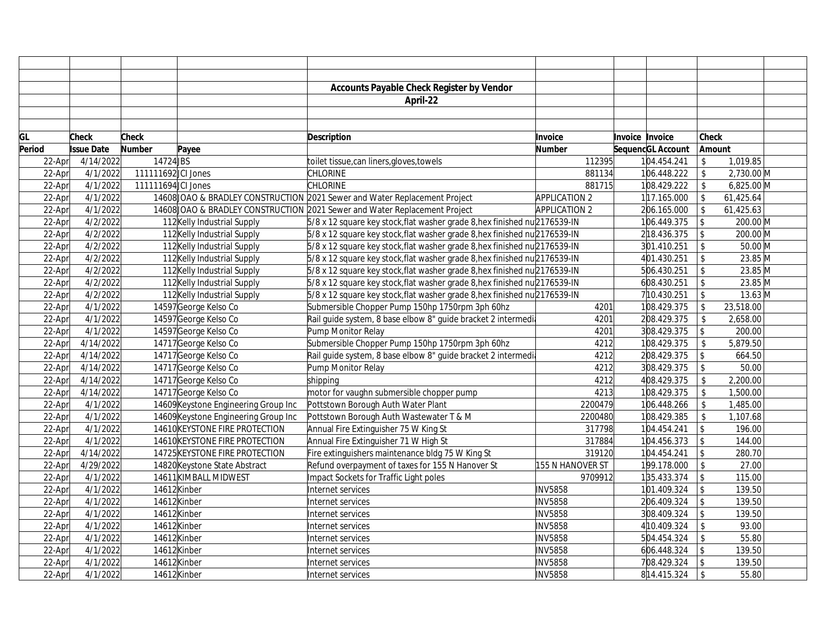|        |                   |                    |                                      | <b>Accounts Payable Check Register by Vendor</b>                           |                      |                 |                   |                         |                               |  |
|--------|-------------------|--------------------|--------------------------------------|----------------------------------------------------------------------------|----------------------|-----------------|-------------------|-------------------------|-------------------------------|--|
|        |                   |                    |                                      | April-22                                                                   |                      |                 |                   |                         |                               |  |
|        |                   |                    |                                      |                                                                            |                      |                 |                   |                         |                               |  |
|        |                   |                    |                                      |                                                                            |                      |                 |                   |                         |                               |  |
| GL     | <b>Check</b>      | Check              |                                      | <b>Description</b>                                                         | Invoice              | Invoice Invoice |                   | Check                   |                               |  |
| Period | <b>Issue Date</b> | Number             | Payee                                |                                                                            | <b>Number</b>        |                 | SequencGL Account | Amount                  |                               |  |
| 22-Apr | 4/14/2022         | 14724 BS           |                                      | toilet tissue, can liners, gloves, towels                                  | 112395               |                 | 104.454.241       | \$                      | 1,019.85                      |  |
| 22-Apr | 4/1/2022          | 111111692 CI Jones |                                      | <b>CHLORINE</b>                                                            | 881134               |                 | 106.448.222       | $\mathfrak{L}$          | 2,730.00 M                    |  |
| 22-Apr | 4/1/2022          | 111111694 CI Jones |                                      | <b>CHLORINE</b>                                                            | 881715               |                 | 108.429.222       | $\mathbb{S}$            | $6,825.00$ M                  |  |
| 22-Apr | 4/1/2022          |                    |                                      | 14608 JOAO & BRADLEY CONSTRUCTION 2021 Sewer and Water Replacement Project | <b>APPLICATION 2</b> |                 | 117.165.000       | $\mathsf{\$}$           | 61,425.64                     |  |
| 22-Apr | 4/1/2022          |                    |                                      | 14608 JOAO & BRADLEY CONSTRUCTION 2021 Sewer and Water Replacement Project | <b>APPLICATION 2</b> |                 | 206.165.000       | \$                      | 61,425.63                     |  |
| 22-Apr | 4/2/2022          |                    | 112 Kelly Industrial Supply          | 5/8 x 12 square key stock, flat washer grade 8, hex finished nu2176539-IN  |                      |                 | 106.449.375       | $\mathcal{S}$           | 200.00 M                      |  |
| 22-Apr | 4/2/2022          |                    | 112 Kelly Industrial Supply          | 5/8 x 12 square key stock, flat washer grade 8, hex finished nu2176539-IN  |                      |                 | 218.436.375       | $\sqrt[6]{\frac{1}{2}}$ | 200.00 M                      |  |
| 22-Apr | 4/2/2022          |                    | 112 Kelly Industrial Supply          | 5/8 x 12 square key stock, flat washer grade 8, hex finished nu2176539-IN  |                      |                 | 301.410.251       | $\sqrt[6]{\frac{1}{2}}$ | 50.00 M                       |  |
| 22-Apr | 4/2/2022          |                    | 112 Kelly Industrial Supply          | 5/8 x 12 square key stock, flat washer grade 8, hex finished nu2176539-IN  |                      |                 | 401.430.251       | \$                      | 23.85 M                       |  |
| 22-Apr | 4/2/2022          |                    | 112 Kelly Industrial Supply          | 5/8 x 12 square key stock, flat washer grade 8, hex finished nu2176539-IN  |                      |                 | 506.430.251       | $\mathcal{L}$           | $23.85 \overline{\mathrm{M}}$ |  |
| 22-Apr | 4/2/2022          |                    | 112 Kelly Industrial Supply          | 5/8 x 12 square key stock, flat washer grade 8, hex finished nu2176539-IN  |                      |                 | 608.430.251       | \$                      | 23.85 M                       |  |
| 22-Apr | 4/2/2022          |                    | 112 Kelly Industrial Supply          | 5/8 x 12 square key stock, flat washer grade 8, hex finished nu2176539-IN  |                      |                 | 710.430.251       | $\mathcal{L}$           | $13.63$ M                     |  |
| 22-Apr | 4/1/2022          |                    | 14597 George Kelso Co                | Submersible Chopper Pump 150hp 1750rpm 3ph 60hz                            | 4201                 |                 | 108.429.375       | \$                      | 23,518.00                     |  |
| 22-Apr | 4/1/2022          |                    | 14597 George Kelso Co                | Rail guide system, 8 base elbow 8" guide bracket 2 intermedia              | 4201                 |                 | 208.429.375       | $\sqrt[6]{2}$           | 2,658.00                      |  |
| 22-Apr | 4/1/2022          |                    | 14597 George Kelso Co                | Pump Monitor Relay                                                         | 4201                 |                 | 308.429.375       | $\mathcal{L}$           | 200.00                        |  |
| 22-Apr | 4/14/2022         |                    | 14717 George Kelso Co                | Submersible Chopper Pump 150hp 1750rpm 3ph 60hz                            | 4212                 |                 | 108.429.375       | \$                      | 5,879.50                      |  |
| 22-Apr | 4/14/2022         |                    | 14717 George Kelso Co                | Rail guide system, 8 base elbow 8" guide bracket 2 intermedia              | 4212                 |                 | 208.429.375       | $\mathcal{S}$           | 664.50                        |  |
| 22-Apr | 4/14/2022         |                    | 14717 George Kelso Co                | Pump Monitor Relay                                                         | 4212                 |                 | 308.429.375       | $\mathcal{S}$           | 50.00                         |  |
| 22-Apr | 4/14/2022         |                    | 14717 George Kelso Co                | shipping                                                                   | 4212                 |                 | 408.429.375       | \$                      | 2,200.00                      |  |
| 22-Apr | 4/14/2022         |                    | 14717George Kelso Co                 | motor for vaughn submersible chopper pump                                  | 4213                 |                 | 108.429.375       | $\mathsf{\$}$           | 1,500.00                      |  |
| 22-Apr | 4/1/2022          |                    | 14609 Keystone Engineering Group Inc | Pottstown Borough Auth Water Plant                                         | 2200479              |                 | 106.448.266       | $\mathfrak{L}$          | 1,485.00                      |  |
| 22-Apr | 4/1/2022          |                    | 14609 Keystone Engineering Group Inc | Pottstown Borough Auth Wastewater T & M                                    | 2200480              |                 | 108.429.385       | \$                      | 1,107.68                      |  |
| 22-Apr | 4/1/2022          |                    | 14610 KEYSTONE FIRE PROTECTION       | Annual Fire Extinguisher 75 W King St                                      | 317798               |                 | 104.454.241       | $\sqrt{2}$              | 196.00                        |  |
| 22-Apr | 4/1/2022          |                    | 14610 KEYSTONE FIRE PROTECTION       | Annual Fire Extinguisher 71 W High St                                      | 317884               |                 | 104.456.373       | $\sqrt{2}$              | 144.00                        |  |
| 22-Apr | 4/14/2022         |                    | 14725 KEYSTONE FIRE PROTECTION       | Fire extinguishers maintenance bldg 75 W King St                           | 319120               |                 | 104.454.241       | $\sqrt{3}$              | 280.70                        |  |
| 22-Apr | 4/29/2022         |                    | 14820 Keystone State Abstract        | Refund overpayment of taxes for 155 N Hanover St                           | 155 N HANOVER ST     |                 | 199.178.000       | \$                      | 27.00                         |  |
| 22-Apr | 4/1/2022          |                    | 14611 KIMBALL MIDWEST                | Impact Sockets for Traffic Light poles                                     | 9709912              |                 | 135.433.374       | \$                      | 115.00                        |  |
| 22-Apr | 4/1/2022          |                    | 14612Kinber                          | Internet services                                                          | <b>INV5858</b>       |                 | 101.409.324       | $\mathcal{L}$           | 139.50                        |  |
| 22-Apr | 4/1/2022          |                    | 14612Kinber                          | Internet services                                                          | <b>INV5858</b>       |                 | 206.409.324       | $\sqrt[6]{\frac{1}{2}}$ | 139.50                        |  |
| 22-Apr | 4/1/2022          |                    | 14612Kinber                          | Internet services                                                          | <b>INV5858</b>       |                 | 308.409.324       | $\mathsf{\$}$           | 139.50                        |  |
| 22-Apr | 4/1/2022          |                    | 14612Kinber                          | Internet services                                                          | <b>INV5858</b>       |                 | 4 10.409.324      | $\sqrt[6]{\frac{1}{2}}$ | 93.00                         |  |
| 22-Apr | 4/1/2022          |                    | 14612Kinber                          | Internet services                                                          | <b>INV5858</b>       |                 | 504.454.324       | $\mathsf{\$}$           | 55.80                         |  |
| 22-Apr | 4/1/2022          |                    | 14612Kinber                          | Internet services                                                          | <b>INV5858</b>       |                 | 606.448.324       | $\mathcal{L}$           | 139.50                        |  |
| 22-Apr | 4/1/2022          |                    | 14612Kinber                          | Internet services                                                          | <b>INV5858</b>       |                 | 708.429.324       | $\mathcal{L}$           | 139.50                        |  |
| 22-Apr | 4/1/2022          |                    | 14612Kinber                          | Internet services                                                          | <b>INV5858</b>       |                 | 814.415.324       | $\hat{\mathbf{S}}$      | 55.80                         |  |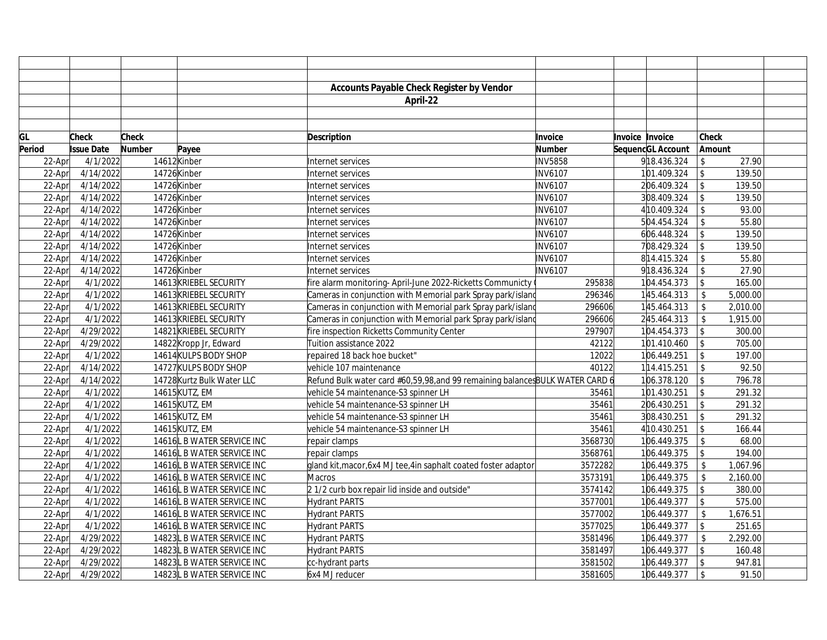|        |                   |        |                            | <b>Accounts Payable Check Register by Vendor</b>                             |                |                        |                   |                         |          |  |
|--------|-------------------|--------|----------------------------|------------------------------------------------------------------------------|----------------|------------------------|-------------------|-------------------------|----------|--|
|        |                   |        |                            | April-22                                                                     |                |                        |                   |                         |          |  |
|        |                   |        |                            |                                                                              |                |                        |                   |                         |          |  |
|        |                   |        |                            |                                                                              |                |                        |                   |                         |          |  |
| GL     | <b>Check</b>      | Check  |                            | <b>Description</b>                                                           | Invoice        | <b>Invoice Invoice</b> |                   | <b>Check</b>            |          |  |
| Period | <b>Issue Date</b> | Number | Payee                      |                                                                              | <b>Number</b>  |                        | SequencGL Account | Amount                  |          |  |
| 22-Apr | 4/1/2022          |        | 14612Kinber                | Internet services                                                            | <b>INV5858</b> |                        | 918.436.324       | \$                      | 27.90    |  |
| 22-Apr | 4/14/2022         |        | 14726 Kinber               | Internet services                                                            | <b>INV6107</b> |                        | 101.409.324       | $\sqrt[6]{\frac{1}{2}}$ | 139.50   |  |
| 22-Apr | 4/14/2022         |        | 14726Kinber                | Internet services                                                            | <b>INV6107</b> |                        | 206.409.324       | $\mathcal{S}$           | 139.50   |  |
| 22-Apr | 4/14/2022         |        | 14726Kinber                | Internet services                                                            | <b>INV6107</b> |                        | 308.409.324       | $\mathfrak{L}$          | 139.50   |  |
| 22-Apr | 4/14/2022         |        | 14726 Kinber               | Internet services                                                            | <b>INV6107</b> |                        | 410.409.324       | $\mathsf{\$}$           | 93.00    |  |
| 22-Apr | 4/14/2022         |        | 14726 Kinber               | Internet services                                                            | <b>INV6107</b> |                        | 504.454.324       | \$                      | 55.80    |  |
| 22-Apr | 4/14/2022         |        | 14726Kinber                | Internet services                                                            | <b>INV6107</b> |                        | 606.448.324       | $\mathsf{\$}$           | 139.50   |  |
| 22-Apr | 4/14/2022         |        | 14726 Kinber               | Internet services                                                            | <b>INV6107</b> |                        | 708.429.324       | $\mathsf S$             | 139.50   |  |
| 22-Apr | 4/14/2022         |        | 14726 Kinber               | Internet services                                                            | <b>INV6107</b> |                        | 814.415.324       | \$                      | 55.80    |  |
| 22-Apr | 4/14/2022         |        | 14726 Kinber               | Internet services                                                            | <b>INV6107</b> |                        | 918.436.324       | $\mathsf{\$}$           | 27.90    |  |
| 22-Apr | 4/1/2022          |        | 14613 KRIEBEL SECURITY     | fire alarm monitoring- April-June 2022-Ricketts Communicty                   | 295838         |                        | 104.454.373       | $\mathcal{S}$           | 165.00   |  |
| 22-Apr | 4/1/2022          |        | 14613 KRIEBEL SECURITY     | Cameras in conjunction with Memorial park Spray park/island                  | 296346         |                        | 145.464.313       | \$                      | 5,000.00 |  |
| 22-Apr | 4/1/2022          |        | 14613 KRIEBEL SECURITY     | Cameras in conjunction with Memorial park Spray park/island                  | 296606         |                        | 145.464.313       | $\mathbb{S}$            | 2,010.00 |  |
| 22-Apr | 4/1/2022          |        | 14613 KRIEBEL SECURITY     | Cameras in conjunction with Memorial park Spray park/island                  | 296606         |                        | 245.464.313       | $\mathsf{\$}$           | 1,915.00 |  |
| 22-Apr | 4/29/2022         |        | 14821 KRIEBEL SECURITY     | fire inspection Ricketts Community Center                                    | 297907         |                        | 104.454.373       | \$                      | 300.00   |  |
| 22-Apr | 4/29/2022         |        | 14822 Kropp Jr, Edward     | Tuition assistance 2022                                                      | 42122          |                        | 101.410.460       | $\sqrt[6]{\frac{1}{2}}$ | 705.00   |  |
| 22-Apr | 4/1/2022          |        | 14614 KULPS BODY SHOP      | repaired 18 back hoe bucket"                                                 | 12022          |                        | 106.449.251       | $\mathsf{\$}$           | 197.00   |  |
| 22-Apr | 4/14/2022         |        | 14727 KULPS BODY SHOP      | vehicle 107 maintenance                                                      | 40122          |                        | 114.415.251       | \$                      | 92.50    |  |
| 22-Apr | 4/14/2022         |        | 14728 Kurtz Bulk Water LLC | Refund Bulk water card #60,59,98,and 99 remaining balances BULK WATER CARD 6 |                |                        | 106.378.120       | \$                      | 796.78   |  |
| 22-Apr | 4/1/2022          |        | 14615 KUTZ, EM             | vehicle 54 maintenance-S3 spinner LH                                         | 35461          |                        | 101.430.251       | $\mathsf{\$}$           | 291.32   |  |
| 22-Apr | 4/1/2022          |        | 14615 KUTZ, EM             | vehicle 54 maintenance-S3 spinner LH                                         | 35461          |                        | 206.430.251       | $\mathcal{S}$           | 291.32   |  |
| 22-Apr | 4/1/2022          |        | 14615 KUTZ, EM             | vehicle 54 maintenance-S3 spinner LH                                         | 35461          |                        | 308.430.251       | \$                      | 291.32   |  |
| 22-Apr | 4/1/2022          |        | 14615 KUTZ, EM             | vehicle 54 maintenance-S3 spinner LH                                         | 35461          |                        | 410.430.251       | $\mathsf S$             | 166.44   |  |
| 22-Apr | 4/1/2022          |        | 14616 B WATER SERVICE INC  | repair clamps                                                                | 3568730        |                        | 106.449.375       | $\mathsf{\$}$           | 68.00    |  |
| 22-Apr | 4/1/2022          |        | 14616 B WATER SERVICE INC  | repair clamps                                                                | 3568761        |                        | 106.449.375       | \$                      | 194.00   |  |
| 22-Apr | 4/1/2022          |        | 14616 B WATER SERVICE INC  | gland kit, macor, 6x4 MJ tee, 4in saphalt coated foster adaptor              | 3572282        |                        | 106.449.375       | $\mathfrak{L}$          | 1,067.96 |  |
| 22-Apr | 4/1/2022          |        | 14616 B WATER SERVICE INC  | <b>Macros</b>                                                                | 3573191        |                        | 106.449.375       | $\mathbb{S}$            | 2,160.00 |  |
| 22-Apr | 4/1/2022          |        | 14616 B WATER SERVICE INC  | 2 1/2 curb box repair lid inside and outside"                                | 3574142        |                        | 106.449.375       | $\mathcal{S}$           | 380.00   |  |
| 22-Apr | 4/1/2022          |        | 14616 B WATER SERVICE INC  | Hydrant PARTS                                                                | 3577001        |                        | 106.449.377       | \$                      | 575.00   |  |
| 22-Apr | 4/1/2022          |        | 14616 B WATER SERVICE INC  | Hydrant PARTS                                                                | 3577002        |                        | 106.449.377       | \$                      | 1,676.51 |  |
| 22-Apr | 4/1/2022          |        | 14616 B WATER SERVICE INC  | Hydrant PARTS                                                                | 3577025        |                        | 106.449.377       | $\mathsf{\$}$           | 251.65   |  |
| 22-Apr | 4/29/2022         |        | 14823L B WATER SERVICE INC | Hydrant PARTS                                                                | 3581496        |                        | 106.449.377       | $\mathbb{S}$            | 2,292.00 |  |
| 22-Apr | 4/29/2022         |        | 14823L B WATER SERVICE INC | Hydrant PARTS                                                                | 3581497        |                        | 106.449.377       | $\mathsf{\$}$           | 160.48   |  |
| 22-Apr | 4/29/2022         |        | 14823L B WATER SERVICE INC | cc-hydrant parts                                                             | 3581502        |                        | 106.449.377       | $\mathsf{\$}$           | 947.81   |  |
| 22-Apr | 4/29/2022         |        | 14823L B WATER SERVICE INC | 6x4 MJ reducer                                                               | 3581605        |                        | 106.449.377       | $\mathsf{\$}$           | 91.50    |  |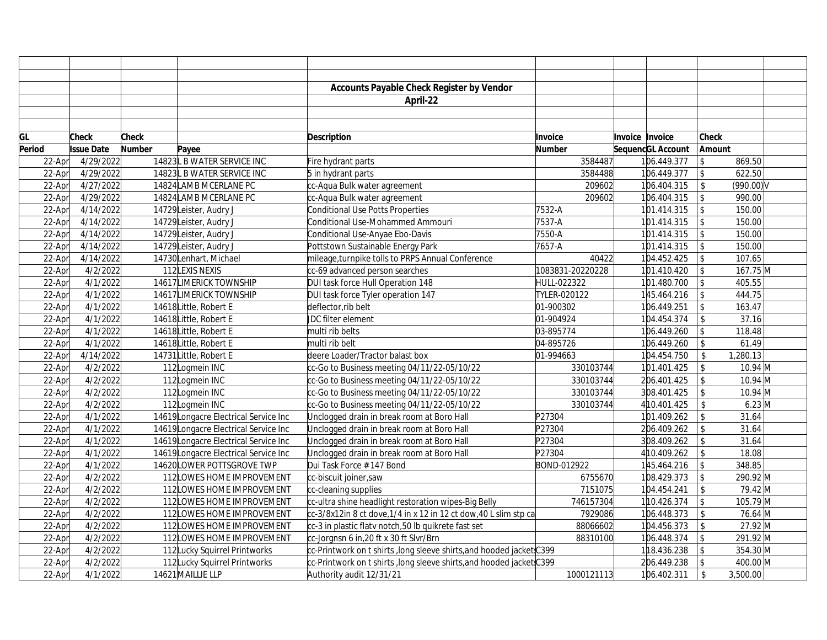|        |                   |        |                                       | Accounts Payable Check Register by Vendor                             |                  |                 |                   |                         |              |
|--------|-------------------|--------|---------------------------------------|-----------------------------------------------------------------------|------------------|-----------------|-------------------|-------------------------|--------------|
|        |                   |        |                                       | April-22                                                              |                  |                 |                   |                         |              |
|        |                   |        |                                       |                                                                       |                  |                 |                   |                         |              |
|        |                   |        |                                       |                                                                       |                  |                 |                   |                         |              |
| GL     | <b>Check</b>      | Check  |                                       | <b>Description</b>                                                    | Invoice          | Invoice Invoice |                   | <b>Check</b>            |              |
| Period | <b>Issue Date</b> | Number | Payee                                 |                                                                       | <b>Number</b>    |                 | SequencGL Account | Amount                  |              |
| 22-Apr | 4/29/2022         |        | 14823L B WATER SERVICE INC            | Fire hydrant parts                                                    | 3584487          |                 | 106.449.377       | $\sqrt[6]{\frac{1}{2}}$ | 869.50       |
| 22-Apr | 4/29/2022         |        | 14823L B WATER SERVICE INC            | 5 in hydrant parts                                                    | 3584488          |                 | 106.449.377       | $\sqrt{3}$              | 622.50       |
| 22-Apr | 4/27/2022         |        | 14824 LAMB MCERLANE PC                | cc-Aqua Bulk water agreement                                          | 209602           |                 | 106.404.315       | $\$\,$                  | $(990.00)$ V |
| 22-Apr | 4/29/2022         |        | 14824 LAMB MCERLANE PC                | cc-Aqua Bulk water agreement                                          | 209602           |                 | 106.404.315       | $\sqrt{2}$              | 990.00       |
| 22-Apr | 4/14/2022         |        | 14729Leister, Audry J                 | Conditional Use Potts Properties                                      | 7532-A           |                 | 101.414.315       | $\sqrt{2}$              | 150.00       |
| 22-Apr | 4/14/2022         |        | 14729Leister, Audry J                 | Conditional Use-Mohammed Ammouri                                      | 7537-A           |                 | 101.414.315       | $\sqrt{2}$              | 150.00       |
| 22-Apr | 4/14/2022         |        | 14729 Leister, Audry J                | Conditional Use-Anyae Ebo-Davis                                       | 7550-A           |                 | 101.414.315       | $\sqrt[6]{\frac{1}{2}}$ | 150.00       |
| 22-Apr | 4/14/2022         |        | 14729Leister, Audry J                 | Pottstown Sustainable Energy Park                                     | 7657-A           |                 | 101.414.315       | $\sqrt[6]{\frac{1}{2}}$ | 150.00       |
| 22-Apr | 4/14/2022         |        | 14730Lenhart, Michael                 | mileage, turnpike tolls to PRPS Annual Conference                     | 40422            |                 | 104.452.425       | $\sqrt[6]{\frac{1}{2}}$ | 107.65       |
| 22-Apr | 4/2/2022          |        | 112LEXIS NEXIS                        | cc-69 advanced person searches                                        | 1083831-20220228 |                 | 101.410.420       | $\sqrt{2}$              | 167.75 M     |
| 22-Apr | 4/1/2022          |        | 14617 LIMERICK TOWNSHIP               | DUI task force Hull Operation 148                                     | HULL-022322      |                 | 101.480.700       | $\sqrt{2}$              | 405.55       |
| 22-Apr | 4/1/2022          |        | 14617 LIMERICK TOWNSHIP               | DUI task force Tyler operation 147                                    | TYLER-020122     |                 | 145.464.216       | $\sqrt[6]{\frac{1}{2}}$ | 444.75       |
| 22-Apr | 4/1/2022          |        | 14618Little, Robert E                 | deflector, rib belt                                                   | 01-900302        |                 | 106.449.251       | $\sqrt{2}$              | 163.47       |
| 22-Apr | 4/1/2022          |        | 14618Little, Robert E                 | JDC filter element                                                    | 01-904924        |                 | 104.454.374       | $\sqrt[6]{\frac{1}{2}}$ | 37.16        |
| 22-Apr | 4/1/2022          |        | 14618Little, Robert E                 | multi rib belts                                                       | 03-895774        |                 | 106.449.260       | $\sqrt[6]{\frac{1}{2}}$ | 118.48       |
| 22-Apr | 4/1/2022          |        | 14618Little, Robert E                 | multi rib belt                                                        | 04-895726        |                 | 106.449.260       | $\sqrt{2}$              | 61.49        |
| 22-Apr | 4/14/2022         |        | 14731 Little, Robert E                | deere Loader/Tractor balast box                                       | 01-994663        |                 | 104.454.750       | $\sqrt[6]{\frac{1}{2}}$ | 1,280.13     |
| 22-Apr | 4/2/2022          |        | 112 Logmein INC                       | cc-Go to Business meeting 04/11/22-05/10/22                           | 330103744        |                 | 101.401.425       | $\$\,$                  | $10.94 \, M$ |
| 22-Apr | 4/2/2022          |        | 112Logmein INC                        | cc-Go to Business meeting 04/11/22-05/10/22                           | 330103744        |                 | 206.401.425       | $\sqrt{2}$              | $10.94 \, M$ |
| 22-Apr | 4/2/2022          |        | 112 Logmein INC                       | cc-Go to Business meeting 04/11/22-05/10/22                           | 330103744        |                 | 308.401.425       | $\sqrt[6]{\frac{1}{2}}$ | 10.94 M      |
| 22-Apr | 4/2/2022          |        | 112Logmein INC                        | cc-Go to Business meeting 04/11/22-05/10/22                           | 330103744        |                 | 410.401.425       | $\mathfrak{L}$          | $6.23$ M     |
| 22-Apr | 4/1/2022          |        | 14619 Longacre Electrical Service Inc | Unclogged drain in break room at Boro Hall                            | P27304           |                 | 101.409.262       | \$                      | 31.64        |
| 22-Apr | 4/1/2022          |        | 14619 Longacre Electrical Service Inc | Unclogged drain in break room at Boro Hall                            | P27304           |                 | 206.409.262       | $\$\,$                  | 31.64        |
| 22-Apr | 4/1/2022          |        | 14619 Longacre Electrical Service Inc | Unclogged drain in break room at Boro Hall                            | P27304           |                 | 308.409.262       | $\mathbf{\hat{S}}$      | 31.64        |
| 22-Apr | 4/1/2022          |        | 14619 Longacre Electrical Service Inc | Unclogged drain in break room at Boro Hall                            | P27304           |                 | 410.409.262       | $\$\,$                  | 18.08        |
| 22-Apr | 4/1/2022          |        | 14620 LOWER POTTSGROVE TWP            | Dui Task Force # 147 Bond                                             | BOND-012922      |                 | 145.464.216       | $\sqrt{2}$              | 348.85       |
| 22-Apr | 4/2/2022          |        | 112LOWES HOME IMPROVEMENT             | cc-biscuit joiner, saw                                                | 6755670          |                 | 108.429.373       | $\sqrt{2}$              | 290.92 M     |
| 22-Apr | 4/2/2022          |        | 112LOWES HOME IMPROVEMENT             | cc-cleaning supplies                                                  | 7151075          |                 | 104.454.241       | $\mathfrak{S}$          | 79.42 M      |
| 22-Apr | 4/2/2022          |        | 112LOWES HOME IMPROVEMENT             | cc-ultra shine headlight restoration wipes-Big Belly                  | 746157304        |                 | 10.426.374        | $\sqrt[6]{\frac{1}{2}}$ | $105.79$ M   |
| 22-Apr | 4/2/2022          |        | 112LOWES HOME IMPROVEMENT             | cc-3/8x12in 8 ct dove, 1/4 in x 12 in 12 ct dow, 40 L slim stp ca     | 7929086          |                 | 106.448.373       | $\mathfrak{S}$          | 76.64 M      |
| 22-Apr | 4/2/2022          |        | 112LOWES HOME IMPROVEMENT             | cc-3 in plastic flatv notch,50 lb quikrete fast set                   | 88066602         |                 | 104.456.373       | $\sqrt{2}$              | 27.92 M      |
| 22-Apr | 4/2/2022          |        | 112LOWES HOME IMPROVEMENT             | cc-Jorgnsn 6 in, 20 ft x 30 ft Slvr/Brn                               | 88310100         |                 | 106.448.374       | $\sqrt[6]{\frac{1}{2}}$ | 291.92 M     |
| 22-Apr | 4/2/2022          |        | 112Lucky Squirrel Printworks          | cc-Printwork on t shirts, long sleeve shirts, and hooded jacket C399  |                  |                 | 118.436.238       | $\mathfrak{S}$          | 354.30 M     |
| 22-Apr | 4/2/2022          |        | 112 Lucky Squirrel Printworks         | cc-Printwork on t shirts , long sleeve shirts, and hooded jacket C399 |                  |                 | 206.449.238       | $\mathsf{\$}$           | 400.00 M     |
| 22-Apr | 4/1/2022          |        | 14621 MAILLIE LLP                     | Authority audit 12/31/21                                              | 1000121113       |                 | 106.402.311       | $\mathsf{\$}$           | 3,500.00     |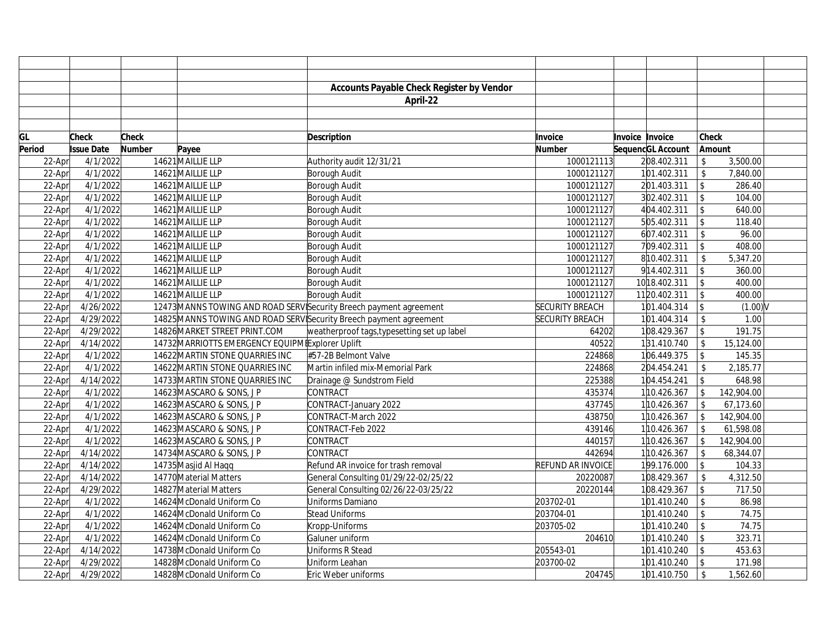|        |                   |        |                                                 | <b>Accounts Payable Check Register by Vendor</b>                   |                        |                   |                          |            |  |
|--------|-------------------|--------|-------------------------------------------------|--------------------------------------------------------------------|------------------------|-------------------|--------------------------|------------|--|
|        |                   |        |                                                 | April-22                                                           |                        |                   |                          |            |  |
|        |                   |        |                                                 |                                                                    |                        |                   |                          |            |  |
|        |                   |        |                                                 |                                                                    |                        |                   |                          |            |  |
| GL     | <b>Check</b>      | Check  |                                                 | <b>Description</b>                                                 | Invoice                | Invoice Invoice   | <b>Check</b>             |            |  |
| Period | <b>Issue Date</b> | Number | Payee                                           |                                                                    | <b>Number</b>          | SequencGL Account | Amount                   |            |  |
| 22-Apr | 4/1/2022          |        | 14621 MAILLIE LLP                               | Authority audit 12/31/21                                           | 1000121113             | 208.402.311       | \$                       | 3,500.00   |  |
| 22-Apr | 4/1/2022          |        | 14621 MAILLIE LLP                               | Borough Audit                                                      | 1000121127             | 101.402.311       | $\sqrt[6]{2}$            | 7,840.00   |  |
| 22-Apr | 4/1/2022          |        | 14621 MAILLIE LLP                               | Borough Audit                                                      | 1000121127             | 201.403.311       | $\updownarrow$           | 286.40     |  |
| 22-Apr | 4/1/2022          |        | 14621 MAILLIE LLP                               | Borough Audit                                                      | 1000121127             | 302.402.311       | $\sqrt[6]{\frac{1}{2}}$  | 104.00     |  |
| 22-Apr | 4/1/2022          |        | 14621 MAILLIE LLP                               | Borough Audit                                                      | 1000121127             | 404.402.311       | $\mathfrak{S}$           | 640.00     |  |
| 22-Apr | 4/1/2022          |        | 14621 MAILLIE LLP                               | Borough Audit                                                      | 1000121127             | 505.402.311       | $\mathcal{L}$            | 118.40     |  |
| 22-Apr | 4/1/2022          |        | 14621 MAILLIE LLP                               | Borough Audit                                                      | 1000121127             | 607.402.311       | \$                       | 96.00      |  |
| 22-Apr | 4/1/2022          |        | 14621 MAILLIE LLP                               | Borough Audit                                                      | 1000121127             | 709.402.311       | $\mathcal{L}$            | 408.00     |  |
| 22-Apr | 4/1/2022          |        | 14621 MAILLIE LLP                               | Borough Audit                                                      | 1000121127             | 810.402.311       | $\mathbb{S}$             | 5,347.20   |  |
| 22-Apr | 4/1/2022          |        | 14621 MAILLIE LLP                               | Borough Audit                                                      | 1000121127             | 914.402.311       | \$                       | 360.00     |  |
| 22-Apr | 4/1/2022          |        | 14621 MAILLIE LLP                               | Borough Audit                                                      | 1000121127             | 10 18.402.311     | $\sqrt[6]{\frac{1}{2}}$  | 400.00     |  |
| 22-Apr | 4/1/2022          |        | 14621 MAILLIE LLP                               | Borough Audit                                                      | 1000121127             | 1120.402.311      | $\mathcal{L}$            | 400.00     |  |
| 22-Apr | 4/26/2022         |        |                                                 | 12473 MANNS TOWING AND ROAD SERVISecurity Breech payment agreement | <b>SECURITY BREACH</b> | 101.404.314       | $\overline{\mathcal{S}}$ | (1.00)     |  |
| 22-Apr | 4/29/2022         |        |                                                 | 14825 MANNS TOWING AND ROAD SERVISecurity Breech payment agreement | <b>SECURITY BREACH</b> | 101.404.314       | $\sqrt[6]{\frac{1}{2}}$  | 1.00       |  |
| 22-Apr | 4/29/2022         |        | 14826 MARKET STREET PRINT.COM                   | weatherproof tags, typesetting set up label                        | 64202                  | 108.429.367       | $\sqrt[6]{\frac{1}{2}}$  | 191.75     |  |
| 22-Apr | 4/14/2022         |        | 14732 MARRIOTTS EMERGENCY EQUIPMExplorer Uplift |                                                                    | 40522                  | 131.410.740       | $\mathsf{\$}$            | 15,124.00  |  |
| 22-Apr | 4/1/2022          |        | 14622 MARTIN STONE QUARRIES INC                 | #57-2B Belmont Valve                                               | 224868                 | 106.449.375       | $\mathcal{L}$            | 145.35     |  |
| 22-Apr | 4/1/2022          |        | 14622 MARTIN STONE QUARRIES INC                 | Martin infiled mix-Memorial Park                                   | 224868                 | 204.454.241       | \$                       | 2,185.77   |  |
| 22-Apr | 4/14/2022         |        | 14733 MARTIN STONE QUARRIES INC                 | Drainage @ Sundstrom Field                                         | 225388                 | 104.454.241       | $\mathcal{L}$            | 648.98     |  |
| 22-Apr | 4/1/2022          |        | 14623 MASCARO & SONS, JP                        | CONTRACT                                                           | 435374                 | 110.426.367       | $\mathcal{L}$            | 142,904.00 |  |
| 22-Apr | 4/1/2022          |        | 14623 MASCARO & SONS, JP                        | CONTRACT-January 2022                                              | 437745                 | 110.426.367       | $\mathcal{S}$            | 67,173.60  |  |
| 22-Apr | 4/1/2022          |        | 14623 MASCARO & SONS, JP                        | CONTRACT-March 2022                                                | 438750                 | 110.426.367       |                          | 142,904.00 |  |
| 22-Apr | 4/1/2022          |        | 14623 MASCARO & SONS, JP                        | CONTRACT-Feb 2022                                                  | 439146                 | 110.426.367       |                          | 61,598.08  |  |
| 22-Apr | 4/1/2022          |        | 14623 MASCARO & SONS, JP                        | CONTRACT                                                           | 440157                 | 110.426.367       | $\mathcal{L}$            | 142,904.00 |  |
| 22-Apr | 4/14/2022         |        | 14734 MASCARO & SONS, JP                        | CONTRACT                                                           | 442694                 | 110.426.367       | $\mathcal{S}$            | 68,344.07  |  |
| 22-Apr | 4/14/2022         |        | 14735 Masjid Al Haqq                            | Refund AR invoice for trash removal                                | REFUND AR INVOICE      | 199.176.000       | \$                       | 104.33     |  |
| 22-Apr | 4/14/2022         |        | 14770 Material Matters                          | General Consulting 01/29/22-02/25/22                               | 20220087               | 108.429.367       | $\sqrt[6]{2}$            | 4,312.50   |  |
| 22-Apr | 4/29/2022         |        | 14827 Material Matters                          | General Consulting 02/26/22-03/25/22                               | 20220144               | 108.429.367       | $\mathsf S$              | 717.50     |  |
| 22-Apr | 4/1/2022          |        | 14624 McDonald Uniform Co                       | Uniforms Damiano                                                   | 203702-01              | 101.410.240       | \$                       | 86.98      |  |
| 22-Apr | 4/1/2022          |        | 14624 McDonald Uniform Co                       | <b>Stead Uniforms</b>                                              | 203704-01              | 101.410.240       | \$                       | 74.75      |  |
| 22-Apr | 4/1/2022          |        | 14624 McDonald Uniform Co                       | Kropp-Uniforms                                                     | 203705-02              | 101.410.240       | \$                       | 74.75      |  |
| 22-Apr | 4/1/2022          |        | 14624 McDonald Uniform Co                       | Galuner uniform                                                    | 204610                 | 101.410.240       | \$                       | 323.71     |  |
| 22-Apr | 4/14/2022         |        | 14738 McDonald Uniform Co                       | Uniforms R Stead                                                   | 205543-01              | 101.410.240       | $\mathcal{L}$            | 453.63     |  |
| 22-Apr | 4/29/2022         |        | 14828 McDonald Uniform Co                       | Uniform Leahan                                                     | 203700-02              | 101.410.240       | $\mathcal{S}$            | 171.98     |  |
| 22-Apr | 4/29/2022         |        | 14828 McDonald Uniform Co                       | Eric Weber uniforms                                                | 204745                 | 101.410.750       | \$                       | 1,562.60   |  |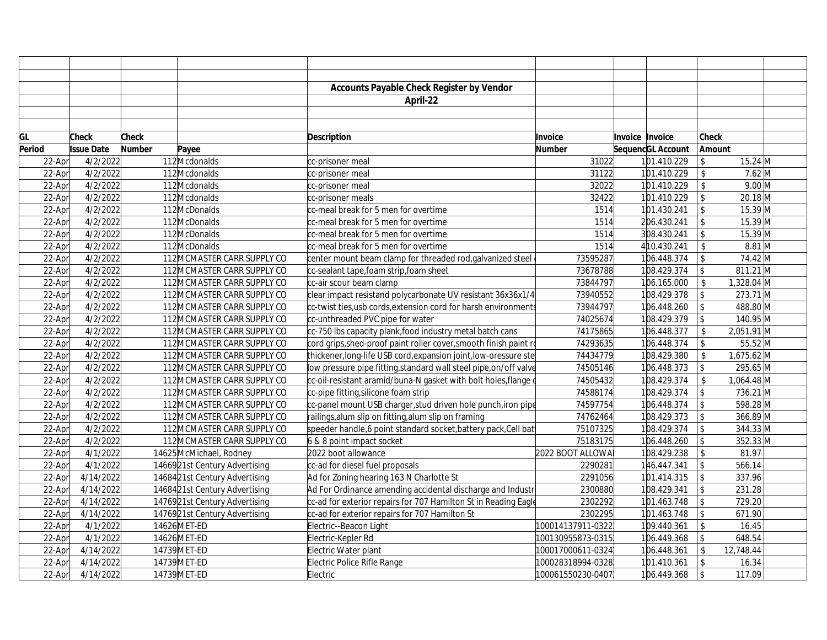|        |                   |              |                               | Accounts Payable Check Register by Vendor                         |                   |                 |                   |                            |                  |  |
|--------|-------------------|--------------|-------------------------------|-------------------------------------------------------------------|-------------------|-----------------|-------------------|----------------------------|------------------|--|
|        |                   |              |                               | April-22                                                          |                   |                 |                   |                            |                  |  |
|        |                   |              |                               |                                                                   |                   |                 |                   |                            |                  |  |
|        |                   |              |                               |                                                                   |                   |                 |                   |                            |                  |  |
| GL     | Check             | <b>Check</b> |                               | <b>Description</b>                                                | Invoice           | Invoice Invoice |                   | Check                      |                  |  |
| Period | <b>Issue Date</b> | Number       | Payee                         |                                                                   | <b>Number</b>     |                 | SequencGL Account | Amount                     |                  |  |
| 22-Apr | 4/2/2022          |              | 112 Mcdonalds                 | cc-prisoner meal                                                  | 31022             |                 | 101.410.229       | $\mathsf S$                | 15.24 M          |  |
| 22-Apr | 4/2/2022          |              | 112 Mcdonalds                 | cc-prisoner meal                                                  | 31122             |                 | 101.410.229       | $\mathbb{S}$               | $7.62$ M         |  |
| 22-Apr | 4/2/2022          |              | 112 Mcdonalds                 | cc-prisoner meal                                                  | 32022             |                 | 101.410.229       | $\boldsymbol{\mathsf{\$}}$ | $9.00 \text{ M}$ |  |
| 22-Apr | 4/2/2022          |              | 112 Mcdonalds                 | cc-prisoner meals                                                 | 32422             |                 | 101.410.229       | \$                         | 20.18 M          |  |
| 22-Apr | 4/2/2022          |              | 112 McDonalds                 | cc-meal break for 5 men for overtime                              | 1514              |                 | 101.430.241       | $\sqrt[6]{\frac{1}{2}}$    | 15.39 M          |  |
| 22-Apr | 4/2/2022          |              | 112 McDonalds                 | cc-meal break for 5 men for overtime                              | 1514              |                 | 206.430.241       | $\mathsf{\$}$              | 15.39 M          |  |
| 22-Apr | 4/2/2022          |              | 112 McDonalds                 | cc-meal break for 5 men for overtime                              | 1514              |                 | 308.430.241       | \$                         | 15.39 M          |  |
| 22-Apr | 4/2/2022          |              | 112 McDonalds                 | cc-meal break for 5 men for overtime                              | 1514              |                 | 410.430.241       | $\mathsf{\$}$              | $8.81$ M         |  |
| 22-Apr | 4/2/2022          |              | 112 MCMASTER CARR SUPPLY CO   | center mount beam clamp for threaded rod, galvanized steel        | 73595287          |                 | 106.448.374       | \$                         | 74.42 M          |  |
| 22-Apr | 4/2/2022          |              | 112 MCMASTER CARR SUPPLY CO   | cc-sealant tape, foam strip, foam sheet                           | 73678788          |                 | 108.429.374       | \$                         | 811.21 M         |  |
| 22-Apr | 4/2/2022          |              | 112 MCMASTER CARR SUPPLY CO   | cc-air scour beam clamp                                           | 73844797          |                 | 106.165.000       | \$                         | 1,328.04 M       |  |
| 22-Apr | 4/2/2022          |              | 112 MCMASTER CARR SUPPLY CO   | clear impact resistand polycarbonate UV resistant 36x36x1/4       | 73940552          |                 | 108.429.378       | $\mathsf{\$}$              | 273.71 M         |  |
| 22-Apr | 4/2/2022          |              | 112 MCMASTER CARR SUPPLY CO   | cc-twist ties, usb cords, extension cord for harsh environments   | 73944797          |                 | 106.448.260       | $\mathfrak{L}$             | 488.80 M         |  |
| 22-Apr | 4/2/2022          |              | 112 MCMASTER CARR SUPPLY CO   | cc-unthreaded PVC pipe for water                                  | 74025674          |                 | 108.429.379       | \$                         | 140.95 M         |  |
| 22-Apr | 4/2/2022          |              | 112 MCMASTER CARR SUPPLY CO   | cc-750 lbs capacity plank, food industry metal batch cans         | 74175865          |                 | 106.448.377       | \$                         | $2,051.91$ M     |  |
| 22-Apr | 4/2/2022          |              | 112 MCMASTER CARR SUPPLY CO   | cord grips, shed-proof paint roller cover, smooth finish paint ro | 74293635          |                 | 106.448.374       | \$                         | 55.52 M          |  |
| 22-Apr | 4/2/2022          |              | 112 MCMASTER CARR SUPPLY CO   | thickener, long-life USB cord, expansion joint, low-oressure ste  | 74434779          |                 | 108.429.380       | $\sqrt[6]{2}$              | 1,675.62 M       |  |
| 22-Apr | 4/2/2022          |              | 112 MCMASTER CARR SUPPLY CO   | low pressure pipe fitting, standard wall steel pipe, on/off valve | 74505146          |                 | 106.448.373       | $\sqrt[6]{\frac{1}{2}}$    | 295.65 M         |  |
| 22-Apr | 4/2/2022          |              | 112 MCMASTER CARR SUPPLY CO   | cc-oil-resistant aramid/buna-N gasket with bolt holes, flange of  | 74505432          |                 | 108.429.374       | $\mathbb{S}$               | 1,064.48 M       |  |
| 22-Apr | 4/2/2022          |              | 112 MCMASTER CARR SUPPLY CO   | cc-pipe fitting, silicone foam strip                              | 74588174          |                 | 108.429.374       | $\mathcal{S}$              | 736.21 M         |  |
| 22-Apr | 4/2/2022          |              | 112 MCMASTER CARR SUPPLY CO   | cc-panel mount USB charger, stud driven hole punch, iron pipe     | 74597754          |                 | 106.448.374       | $\mathsf S$                | 598.28 M         |  |
| 22-Apr | 4/2/2022          |              | 112 MCMASTER CARR SUPPLY CO   | railings, alum slip on fitting, alum slip on framing              | 74762464          |                 | 108.429.373       | $\sqrt[6]{\frac{1}{2}}$    | 366.89 M         |  |
| 22-Apr | 4/2/2022          |              | 112 MCMASTER CARR SUPPLY CO   | speeder handle,6 point standard socket, battery pack, Cell bat    | 75107325          |                 | 108.429.374       | $\mathcal{S}$              | 344.33 M         |  |
| 22-Apr | 4/2/2022          |              | 112 MCMASTER CARR SUPPLY CO   | 6 & 8 point impact socket                                         | 75183175          |                 | 106.448.260       | $\mathcal{S}$              | 352.33 M         |  |
| 22-Apr | 4/1/2022          |              | 14625 McMichael, Rodney       | 2022 boot allowance                                               | 2022 BOOT ALLOWA  |                 | 108.429.238       | \$                         | 81.97            |  |
| 22-Apr | 4/1/2022          |              | 1466921st Century Advertising | cc-ad for diesel fuel proposals                                   | 2290281           |                 | 146.447.341       | $\mathsf{\$}$              | 566.14           |  |
| 22-Apr | 4/14/2022         |              | 1468421st Century Advertising | Ad for Zoning hearing 163 N Charlotte St                          | 2291056           |                 | 101.414.315       | $\mathfrak{L}$             | 337.96           |  |
| 22-Apr | 4/14/2022         |              | 1468421st Century Advertising | Ad For Ordinance amending accidental discharge and Industri       | 2300880           |                 | 108.429.341       | $\mathfrak{L}$             | 231.28           |  |
| 22-Apr | 4/14/2022         |              | 1476921st Century Advertising | cc-ad for exterior repairs for 707 Hamilton St in Reading Eagle   | 2302292           |                 | 101.463.748       | \$                         | 729.20           |  |
| 22-Apr | 4/14/2022         |              | 1476921st Century Advertising | cc-ad for exterior repairs for 707 Hamilton St                    | 2302295           |                 | 101.463.748       | $\sqrt[6]{\frac{1}{2}}$    | 671.90           |  |
| 22-Apr | 4/1/2022          |              | 14626 MET-ED                  | Electric--Beacon Light                                            | 100014137911-0322 |                 | 109.440.361       | \$                         | 16.45            |  |
| 22-Apr | 4/1/2022          |              | 14626 MET-ED                  | Electric-Kepler Rd                                                | 100130955873-0315 |                 | 106.449.368       | $\mathcal{S}$              | 648.54           |  |
| 22-Apr | 4/14/2022         |              | 14739 MET-ED                  | Electric Water plant                                              | 100017000611-0324 |                 | 106.448.361       |                            | 12,748.44        |  |
| 22-Apr | 4/14/2022         |              | 14739 MET-ED                  | Electric Police Rifle Range                                       | 100028318994-0328 |                 | 101.410.361       | \$                         | 16.34            |  |
| 22-Apr | 4/14/2022         |              | 14739 MET-ED                  | Electric                                                          | 100061550230-0407 |                 | 106.449.368       | $\mathcal{S}$              | 117.09           |  |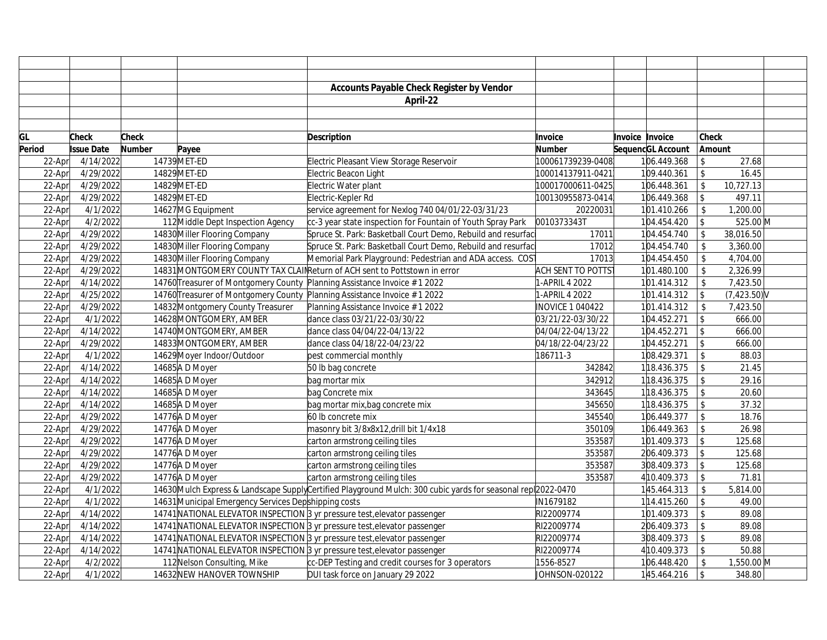|        |                   |        |                                                      | <b>Accounts Payable Check Register by Vendor</b>                                                               |                         |                 |                   |                         |            |  |
|--------|-------------------|--------|------------------------------------------------------|----------------------------------------------------------------------------------------------------------------|-------------------------|-----------------|-------------------|-------------------------|------------|--|
|        |                   |        |                                                      | April-22                                                                                                       |                         |                 |                   |                         |            |  |
|        |                   |        |                                                      |                                                                                                                |                         |                 |                   |                         |            |  |
|        |                   |        |                                                      |                                                                                                                |                         |                 |                   |                         |            |  |
| GL     | <b>Check</b>      | Check  |                                                      | <b>Description</b>                                                                                             | Invoice                 | Invoice Invoice |                   | Check                   |            |  |
| Period | <b>Issue Date</b> | Number | Payee                                                |                                                                                                                | <b>Number</b>           |                 | SequencGL Account | Amount                  |            |  |
| 22-Apr | 4/14/2022         |        | 14739 MET-ED                                         | Electric Pleasant View Storage Reservoir                                                                       | 100061739239-0408       |                 | 106.449.368       | \$                      | 27.68      |  |
| 22-Apr | 4/29/2022         |        | 14829 MET-ED                                         | Electric Beacon Light                                                                                          | 100014137911-0421       |                 | 109.440.361       | \$                      | 16.45      |  |
| 22-Apr | 4/29/2022         |        | 14829 MET-ED                                         | Electric Water plant                                                                                           | 100017000611-0425       |                 | 106.448.361       | $\mathsf{\$}$           | 10,727.13  |  |
| 22-Apr | 4/29/2022         |        | 14829 MET-ED                                         | Electric-Kepler Rd                                                                                             | 100130955873-0414       |                 | 106.449.368       | $\mathsf{\$}$           | 497.11     |  |
| 22-Apr | 4/1/2022          |        | 14627 MG Equipment                                   | service agreement for Nexlog 740 04/01/22-03/31/23                                                             | 20220031                |                 | 101.410.266       | \$                      | 1,200.00   |  |
| 22-Apr | 4/2/2022          |        | 112 Middle Dept Inspection Agency                    | cc-3 year state inspection for Fountain of Youth Spray Park                                                    | 0010373343T             |                 | 104.454.420       | $\mathsf S$             | 525.00 M   |  |
| 22-Apr | 4/29/2022         |        | 14830 Miller Flooring Company                        | Spruce St. Park: Basketball Court Demo, Rebuild and resurfac                                                   | 17011                   |                 | 104.454.740       |                         | 38,016.50  |  |
| 22-Apr | 4/29/2022         |        | 14830 Miller Flooring Company                        | Spruce St. Park: Basketball Court Demo, Rebuild and resurfaci                                                  | 17012                   |                 | 104.454.740       | $\mathbb{S}$            | 3,360.00   |  |
| 22-Apr | 4/29/2022         |        | 14830 Miller Flooring Company                        | Memorial Park Playground: Pedestrian and ADA access. COST                                                      | 17013                   |                 | 104.454.450       | $\mathbb{S}$            | 4,704.00   |  |
| 22-Apr | 4/29/2022         |        |                                                      | 14831 MONTGOMERY COUNTY TAX CLAIN Return of ACH sent to Pottstown in error                                     | ACH SENT TO POTTST      |                 | 101.480.100       | $\mathbb{S}$            | 2,326.99   |  |
| 22-Apr | 4/14/2022         |        |                                                      | 14760 Treasurer of Montgomery County Planning Assistance Invoice #1 2022                                       | -APRIL 4 2022           |                 | 101.414.312       | $\mathbb{S}$            | 7,423.50   |  |
| 22-Apr | 4/25/2022         |        |                                                      | 14760 Treasurer of Montgomery County Planning Assistance Invoice #1 2022                                       | 1-APRIL 4 2022          |                 | 101.414.312       | $\mathcal{L}$           | (7,423.50) |  |
| 22-Apr | 4/29/2022         |        | 14832 Montgomery County Treasurer                    | Planning Assistance Invoice #1 2022                                                                            | <b>INOVICE 1 040422</b> |                 | 101.414.312       | $\mathbb{S}$            | 7,423.50   |  |
| 22-Apr | 4/1/2022          |        | 14628 MONTGOMERY, AMBER                              | dance class 03/21/22-03/30/22                                                                                  | 03/21/22-03/30/22       |                 | 104.452.271       | $\sqrt[6]{\frac{1}{2}}$ | 666.00     |  |
| 22-Apr | 4/14/2022         |        | 14740 MONTGOMERY, AMBER                              | dance class 04/04/22-04/13/22                                                                                  | 04/04/22-04/13/22       |                 | 104.452.271       | $\mathcal{S}$           | 666.00     |  |
| 22-Apr | 4/29/2022         |        | 14833 MONTGOMERY, AMBER                              | dance class 04/18/22-04/23/22                                                                                  | 04/18/22-04/23/22       |                 | 104.452.271       | $\mathsf{\$}$           | 666.00     |  |
| 22-Apr | 4/1/2022          |        | 14629 Moyer Indoor/Outdoor                           | pest commercial monthly                                                                                        | 186711-3                |                 | 108.429.371       | \$                      | 88.03      |  |
| 22-Apr | 4/14/2022         |        | 14685A D Moyer                                       | 50 lb bag concrete                                                                                             | 342842                  |                 | 118.436.375       | \$                      | 21.45      |  |
| 22-Apr | 4/14/2022         |        | 14685A D Moyer                                       | bag mortar mix                                                                                                 | 342912                  |                 | 118.436.375       | \$                      | 29.16      |  |
| 22-Apr | 4/14/2022         |        | 14685 A D Moyer                                      | bag Concrete mix                                                                                               | 343645                  |                 | 118.436.375       | \$                      | 20.60      |  |
| 22-Apr | 4/14/2022         |        | 14685 A D Moyer                                      | bag mortar mix, bag concrete mix                                                                               | 345650                  |                 | 118.436.375       | $\mathsf{\$}$           | 37.32      |  |
| 22-Apr | 4/29/2022         |        | 14776 AD Moyer                                       | 60 lb concrete mix                                                                                             | 345540                  |                 | 106.449.377       | \$                      | 18.76      |  |
| 22-Apr | 4/29/2022         |        | 14776 AD Moyer                                       | masonry bit 3/8x8x12, drill bit 1/4x18                                                                         | 350109                  |                 | 106.449.363       | \$                      | 26.98      |  |
| 22-Apr | 4/29/2022         |        | 14776 AD Moyer                                       | carton armstrong ceiling tiles                                                                                 | 353587                  |                 | 101.409.373       | \$                      | 125.68     |  |
| 22-Apr | 4/29/2022         |        | 14776 A D Moyer                                      | carton armstrong ceiling tiles                                                                                 | 353587                  |                 | 206.409.373       | $\mathbb{S}$            | 125.68     |  |
| 22-Apr | 4/29/2022         |        | 14776 AD Moyer                                       | carton armstrong ceiling tiles                                                                                 | 353587                  |                 | 308.409.373       | $\mathsf{\$}$           | 125.68     |  |
| 22-Apr | 4/29/2022         |        | 14776 AD Moyer                                       | carton armstrong ceiling tiles                                                                                 | 353587                  |                 | 4 10.409.373      | \$                      | 71.81      |  |
| 22-Apr | 4/1/2022          |        |                                                      | 14630 Mulch Express & Landscape Supply Certified Playground Mulch: 300 cubic yards for seasonal repl 2022-0470 |                         |                 | 145.464.313       | $\mathbb{S}$            | 5,814.00   |  |
| 22-Apr | 4/1/2022          |        | 14631 Municipal Emergency Services Depshipping costs |                                                                                                                | IN1679182               |                 | 114.415.260       | \$                      | 49.00      |  |
| 22-Apr | 4/14/2022         |        |                                                      | 14741 NATIONAL ELEVATOR INSPECTION 3 yr pressure test, elevator passenger                                      | RI22009774              |                 | 101.409.373       | $\mathsf{\$}$           | 89.08      |  |
| 22-Apr | 4/14/2022         |        |                                                      | 14741 NATIONAL ELEVATOR INSPECTION 3 yr pressure test, elevator passenger                                      | RI22009774              |                 | 206.409.373       | \$                      | 89.08      |  |
| 22-Apr | 4/14/2022         |        |                                                      | 14741 NATIONAL ELEVATOR INSPECTION 3 yr pressure test, elevator passenger                                      | RI22009774              |                 | 308.409.373       | \$                      | 89.08      |  |
| 22-Apr | 4/14/2022         |        |                                                      | 14741 NATIONAL ELEVATOR INSPECTION 3 yr pressure test, elevator passenger                                      | RI22009774              |                 | 410.409.373       | $\mathsf{\$}$           | 50.88      |  |
| 22-Apr | 4/2/2022          |        | 112 Nelson Consulting, Mike                          | cc-DEP Testing and credit courses for 3 operators                                                              | 1556-8527               |                 | 106.448.420       |                         | 1,550.00 M |  |
| 22-Apr | 4/1/2022          |        | 14632 NEW HANOVER TOWNSHIP                           | DUI task force on January 29 2022                                                                              | JOHNSON-020122          |                 | 145.464.216       | $\mathcal{S}$           | 348.80     |  |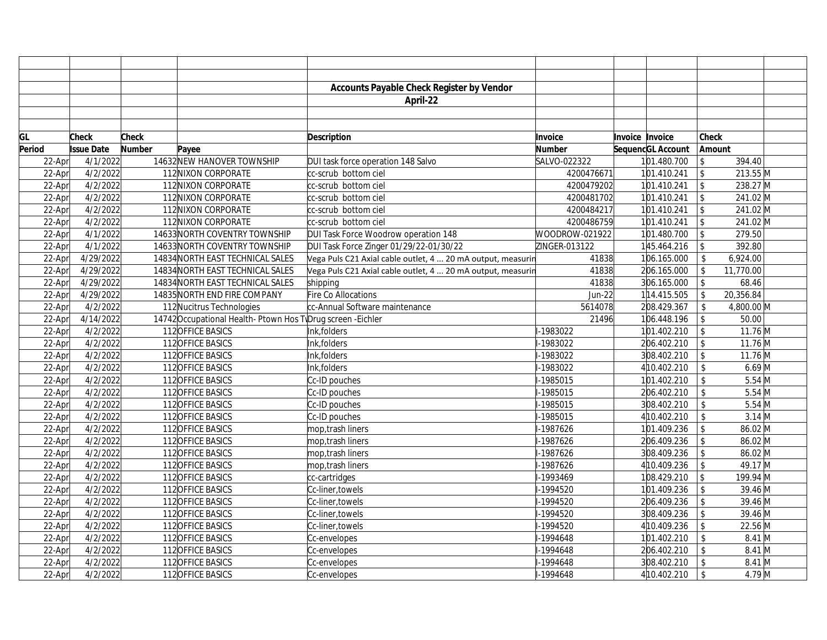|        |                   |        |                                                             | Accounts Payable Check Register by Vendor<br>April-22       |                |                   |                         |                    |  |
|--------|-------------------|--------|-------------------------------------------------------------|-------------------------------------------------------------|----------------|-------------------|-------------------------|--------------------|--|
|        |                   |        |                                                             |                                                             |                |                   |                         |                    |  |
|        |                   |        |                                                             |                                                             |                |                   |                         |                    |  |
| GL     | <b>Check</b>      | Check  |                                                             | <b>Description</b>                                          | Invoice        | Invoice Invoice   | <b>Check</b>            |                    |  |
| Period | <b>Issue Date</b> | Number | Payee                                                       |                                                             | <b>Number</b>  | SequencGL Account | Amount                  |                    |  |
| 22-Apr | 4/1/2022          |        | 14632 NEW HANOVER TOWNSHIP                                  | DUI task force operation 148 Salvo                          | SALVO-022322   | 101.480.700       | $\mathsf{\$}$           | 394.40             |  |
| 22-Apr | 4/2/2022          |        | 112 NIXON CORPORATE                                         | cc-scrub bottom ciel                                        | 4200476671     | 101.410.241       | $\sqrt{2}$              | 213.55 M           |  |
| 22-Apr | 4/2/2022          |        | 112 NIXON CORPORATE                                         | cc-scrub bottom ciel                                        | 4200479202     | 101.410.241       | $\updownarrow$          | 238.27 M           |  |
| 22-Apr | 4/2/2022          |        | 112 NIXON CORPORATE                                         | cc-scrub bottom ciel                                        | 4200481702     | 101.410.241       | $\sqrt{2}$              | 241.02 M           |  |
| 22-Apr | 4/2/2022          |        | 112 NIXON CORPORATE                                         | cc-scrub bottom ciel                                        | 4200484217     | 101.410.241       | $\sqrt{2}$              | 241.02 M           |  |
| 22-Apr | 4/2/2022          |        | 112 NIXON CORPORATE                                         | cc-scrub bottom ciel                                        | 4200486759     | 101.410.241       | $\sqrt{2}$              | 241.02 M           |  |
| 22-Apr | 4/1/2022          |        | 14633 NORTH COVENTRY TOWNSHIP                               | DUI Task Force Woodrow operation 148                        | WOODROW-021922 | 101.480.700       | $\sqrt{2}$              | 279.50             |  |
| 22-Apr | 4/1/2022          |        | 14633 NORTH COVENTRY TOWNSHIP                               | DUI Task Force Zinger 01/29/22-01/30/22                     | ZINGER-013122  | 145.464.216       | \$                      | 392.80             |  |
| 22-Apr | 4/29/2022         |        | 14834 NORTH EAST TECHNICAL SALES                            | Vega Puls C21 Axial cable outlet, 4  20 mA output, measurin | 41838          | 106.165.000       |                         | 6,924.00           |  |
| 22-Apr | 4/29/2022         |        | 14834 NORTH EAST TECHNICAL SALES                            | Vega Puls C21 Axial cable outlet, 4  20 mA output, measurin | 41838          | 206.165.000       | $\mathsf{\$}$           | 11,770.00          |  |
| 22-Apr | 4/29/2022         |        | 14834 NORTH EAST TECHNICAL SALES                            | shipping                                                    | 41838          | 306.165.000       | $\sqrt[6]{}$            | 68.46              |  |
| 22-Apr | 4/29/2022         |        | 14835 NORTH END FIRE COMPANY                                | Fire Co Allocations                                         | Jun-22         | 114.415.505       | $\mathsf{\$}$           | 20,356.84          |  |
| 22-Apr | 4/2/2022          |        | 112 Nucitrus Technologies                                   | cc-Annual Software maintenance                              | 5614078        | 208.429.367       | \$                      | 4,800.00 M         |  |
| 22-Apr | 4/14/2022         |        | 14742 Occupational Health-Ptown Hos TyDrug screen - Eichler |                                                             | 21496          | 106.448.196       | $\sqrt[6]{\frac{1}{2}}$ | 50.00              |  |
| 22-Apr | 4/2/2022          |        | 112 OFFICE BASICS                                           | Ink, folders                                                | -1983022       | 101.402.210       | $\sqrt[6]{\frac{1}{2}}$ | 11.76 M            |  |
| 22-Apr | 4/2/2022          |        | 112OFFICE BASICS                                            | Ink, folders                                                | -1983022       | 206.402.210       | $\mathsf{\$}$           | 11.76 M            |  |
| 22-Apr | 4/2/2022          |        | 112OFFICE BASICS                                            | Ink,folders                                                 | -1983022       | 308.402.210       | $\sqrt{2}$              | $11.76$ M          |  |
| 22-Apr | 4/2/2022          |        | 112OFFICE BASICS                                            | Ink,folders                                                 | -1983022       | 410.402.210       | $\sqrt{2}$              | $6.69$ M           |  |
| 22-Apr | 4/2/2022          |        | 112 OFFICE BASICS                                           | Cc-ID pouches                                               | -1985015       | 101.402.210       | \$                      | $5.54 \, \text{M}$ |  |
| 22-Apr | 4/2/2022          |        | 112OFFICE BASICS                                            | Cc-ID pouches                                               | I-1985015      | 206.402.210       | $\sqrt[6]{\frac{1}{2}}$ | $5.54$ M           |  |
| 22-Apr | 4/2/2022          |        | 112 OFFICE BASICS                                           | Cc-ID pouches                                               | -1985015       | 308.402.210       | $\mathsf{\$}$           | $5.54$ M           |  |
| 22-Apr | 4/2/2022          |        | 112OFFICE BASICS                                            | Cc-ID pouches                                               | -1985015       | 410.402.210       | $\sqrt[6]{\frac{1}{2}}$ | $3.14 \text{ M}$   |  |
| 22-Apr | 4/2/2022          |        | 112OFFICE BASICS                                            | mop, trash liners                                           | -1987626       | 101.409.236       | \$                      | 86.02 M            |  |
| 22-Apr | 4/2/2022          |        | 112OFFICE BASICS                                            | mop, trash liners                                           | -1987626       | 206.409.236       | \$                      | 86.02 M            |  |
| 22-Apr | 4/2/2022          |        | 112OFFICE BASICS                                            | mop, trash liners                                           | -1987626       | 308.409.236       | $\mathsf{\$}$           | 86.02 M            |  |
| 22-Apr | 4/2/2022          |        | 112OFFICE BASICS                                            | mop, trash liners                                           | -1987626       | 410.409.236       | \$                      | 49.17 M            |  |
| 22-Apr | 4/2/2022          |        | 112OFFICE BASICS                                            | cc-cartridges                                               | -1993469       | 108.429.210       | $\mathcal{S}$           | 199.94 M           |  |
| 22-Apr | 4/2/2022          |        | 112OFFICE BASICS                                            | Cc-liner, towels                                            | -1994520       | 101.409.236       | $\mathcal{S}$           | 39.46 M            |  |
| 22-Apr | 4/2/2022          |        | 112OFFICE BASICS                                            | Cc-liner, towels                                            | -1994520       | 206.409.236       | $\mathfrak{L}$          | 39.46 M            |  |
| 22-Apr | 4/2/2022          |        | 112 OFFICE BASICS                                           | Cc-liner, towels                                            | -1994520       | 308.409.236       | \$                      | 39.46 M            |  |
| 22-Apr | 4/2/2022          |        | 112OFFICE BASICS                                            | Cc-liner, towels                                            | -1994520       | 410.409.236       | $\sqrt[6]{\frac{1}{2}}$ | 22.56 M            |  |
| 22-Apr | 4/2/2022          |        | 112OFFICE BASICS                                            | Cc-envelopes                                                | -1994648       | 101.402.210       | \$                      | $8.41$ M           |  |
| 22-Apr | 4/2/2022          |        | 112OFFICE BASICS                                            | Cc-envelopes                                                | I-1994648      | 206.402.210       | $\mathbb{S}$            | $8.41$ M           |  |
| 22-Apr | 4/2/2022          |        | 112 OFFICE BASICS                                           | Cc-envelopes                                                | -1994648       | 308.402.210       | \$                      | $8.41$ M           |  |
| 22-Apr | 4/2/2022          |        | 112 OFFICE BASICS                                           | Cc-envelopes                                                | 1-1994648      | 410.402.210       | $\sqrt{2}$              | $4.79$ M           |  |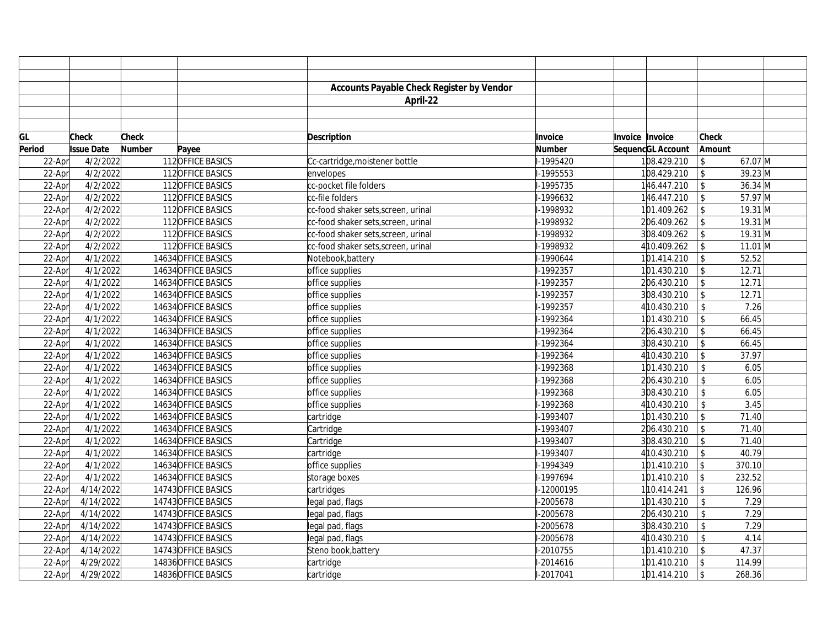|        |                   |        |                     | <b>Accounts Payable Check Register by Vendor</b> |               |                        |                            |           |  |
|--------|-------------------|--------|---------------------|--------------------------------------------------|---------------|------------------------|----------------------------|-----------|--|
|        |                   |        |                     | April-22                                         |               |                        |                            |           |  |
|        |                   |        |                     |                                                  |               |                        |                            |           |  |
|        |                   |        |                     |                                                  |               |                        |                            |           |  |
| GL     | <b>Check</b>      | Check  |                     | <b>Description</b>                               | Invoice       | <b>Invoice Invoice</b> | <b>Check</b>               |           |  |
| Period | <b>Issue Date</b> | Number | Payee               |                                                  | <b>Number</b> | SequencGL Account      | Amount                     |           |  |
| 22-Apr | 4/2/2022          |        | 112OFFICE BASICS    | Cc-cartridge, moistener bottle                   | -1995420      | 108.429.210            | $\mathbb{S}$               | 67.07 M   |  |
| 22-Apr | 4/2/2022          |        | 112OFFICE BASICS    | envelopes                                        | -1995553      | 108.429.210            | \$                         | 39.23 M   |  |
| 22-Apr | 4/2/2022          |        | 112OFFICE BASICS    | cc-pocket file folders                           | -1995735      | 146.447.210            | \$                         | 36.34 M   |  |
| 22-Apr | 4/2/2022          |        | 112OFFICE BASICS    | cc-file folders                                  | -1996632      | 146.447.210            | \$                         | 57.97 M   |  |
| 22-Apr | 4/2/2022          |        | 112OFFICE BASICS    | cc-food shaker sets, screen, urinal              | -1998932      | 101.409.262            | \$                         | 19.31 M   |  |
| 22-Apr | 4/2/2022          |        | 112OFFICE BASICS    | cc-food shaker sets, screen, urinal              | -1998932      | 206.409.262            | $\mathsf{\$}$              | 19.31 M   |  |
| 22-Apr | 4/2/2022          |        | 112OFFICE BASICS    | cc-food shaker sets, screen, urinal              | -1998932      | 308.409.262            | \$                         | 19.31 M   |  |
| 22-Apr | 4/2/2022          |        | 112 OFFICE BASICS   | cc-food shaker sets, screen, urinal              | -1998932      | 410.409.262            | \$                         | $11.01$ M |  |
| 22-Apr | 4/1/2022          |        | 14634 OFFICE BASICS | Notebook, battery                                | -1990644      | 101.414.210            | \$                         | 52.52     |  |
| 22-Apr | 4/1/2022          |        | 14634 OFFICE BASICS | office supplies                                  | -1992357      | 101.430.210            | $\mathbb{S}$               | 12.71     |  |
| 22-Apr | 4/1/2022          |        | 14634 OFFICE BASICS | office supplies                                  | -1992357      | 206.430.210            | \$                         | 12.71     |  |
| 22-Apr | 4/1/2022          |        | 14634 OFFICE BASICS | office supplies                                  | -1992357      | 308.430.210            | \$                         | 12.71     |  |
| 22-Apr | 4/1/2022          |        | 14634 OFFICE BASICS | office supplies                                  | -1992357      | 410.430.210            | $\mathsf{\$}$              | 7.26      |  |
| 22-Apr | 4/1/2022          |        | 14634 OFFICE BASICS | office supplies                                  | -1992364      | 101.430.210            | \$                         | 66.45     |  |
| 22-Apr | 4/1/2022          |        | 14634 OFFICE BASICS | office supplies                                  | -1992364      | 206.430.210            | \$                         | 66.45     |  |
| 22-Apr | 4/1/2022          |        | 14634 OFFICE BASICS | office supplies                                  | -1992364      | 308.430.210            | $\boldsymbol{\mathsf{\$}}$ | 66.45     |  |
| 22-Apr | 4/1/2022          |        | 14634 OFFICE BASICS | office supplies                                  | -1992364      | 410.430.210            | \$                         | 37.97     |  |
| 22-Apr | 4/1/2022          |        | 14634 OFFICE BASICS | office supplies                                  | -1992368      | 101.430.210            | $\mathbb{S}$               | 6.05      |  |
| 22-Apr | 4/1/2022          |        | 14634 OFFICE BASICS | office supplies                                  | -1992368      | 206.430.210            | $\mathsf{\$}$              | 6.05      |  |
| 22-Apr | 4/1/2022          |        | 14634 OFFICE BASICS | office supplies                                  | -1992368      | 308.430.210            | \$                         | 6.05      |  |
| 22-Apr | 4/1/2022          |        | 14634 OFFICE BASICS | office supplies                                  | -1992368      | 410.430.210            | \$                         | 3.45      |  |
| 22-Apr | 4/1/2022          |        | 14634 OFFICE BASICS | cartridge                                        | -1993407      | 101.430.210            | \$                         | 71.40     |  |
| 22-Apr | 4/1/2022          |        | 14634 OFFICE BASICS | Cartridge                                        | -1993407      | 206.430.210            | $\sqrt[6]{\frac{1}{2}}$    | 71.40     |  |
| 22-Apr | 4/1/2022          |        | 14634 OFFICE BASICS | Cartridge                                        | -1993407      | 308.430.210            | \$                         | 71.40     |  |
| 22-Apr | 4/1/2022          |        | 14634 OFFICE BASICS | cartridge                                        | -1993407      | 410.430.210            | \$                         | 40.79     |  |
| 22-Apr | 4/1/2022          |        | 14634 OFFICE BASICS | office supplies                                  | -1994349      | 101.410.210            | \$                         | 370.10    |  |
| 22-Apr | 4/1/2022          |        | 14634 OFFICE BASICS | storage boxes                                    | -1997694      | 101.410.210            | $\mathsf{\$}$              | 232.52    |  |
| 22-Apr | 4/14/2022         |        | 14743 OFFICE BASICS | cartridges                                       | -12000195     | 110.414.241            | $\mathcal{L}$              | 126.96    |  |
| 22-Apr | 4/14/2022         |        | 14743 OFFICE BASICS | legal pad, flags                                 | -2005678      | 101.430.210            | $\mathbb{S}$               | 7.29      |  |
| 22-Apr | 4/14/2022         |        | 14743 OFFICE BASICS | legal pad, flags                                 | $-2005678$    | 206.430.210            | \$                         | 7.29      |  |
| 22-Apr | 4/14/2022         |        | 14743 OFFICE BASICS | legal pad, flags                                 | -2005678      | 308.430.210            | \$                         | 7.29      |  |
| 22-Apr | 4/14/2022         |        | 14743 OFFICE BASICS | legal pad, flags                                 | $-2005678$    | 410.430.210            | \$                         | 4.14      |  |
| 22-Apr | 4/14/2022         |        | 14743 OFFICE BASICS | Steno book, battery                              | -2010755      | 101.410.210            | \$                         | 47.37     |  |
| 22-Apr | 4/29/2022         |        | 14836 OFFICE BASICS | cartridge                                        | $-2014616$    | 101.410.210            | $\mathcal{S}$              | 114.99    |  |
| 22-Apr | 4/29/2022         |        | 14836 OFFICE BASICS | cartridge                                        | $-2017041$    | 101.414.210            | $\mathcal{S}$              | 268.36    |  |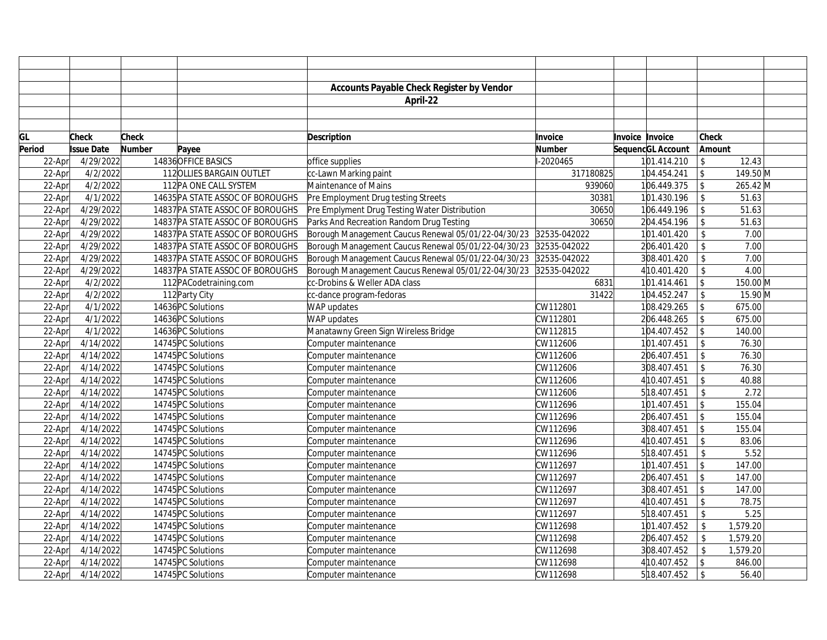|        |                   |        |                                  | <b>Accounts Payable Check Register by Vendor</b>                 |               |                 |                   |                         |                                  |  |
|--------|-------------------|--------|----------------------------------|------------------------------------------------------------------|---------------|-----------------|-------------------|-------------------------|----------------------------------|--|
|        |                   |        |                                  | April-22                                                         |               |                 |                   |                         |                                  |  |
|        |                   |        |                                  |                                                                  |               |                 |                   |                         |                                  |  |
|        |                   |        |                                  |                                                                  |               |                 |                   |                         |                                  |  |
| GL     | <b>Check</b>      | Check  |                                  | <b>Description</b>                                               | Invoice       | Invoice Invoice |                   | <b>Check</b>            |                                  |  |
| Period | <b>Issue Date</b> | Number | Payee                            |                                                                  | <b>Number</b> |                 | SequencGL Account | Amount                  |                                  |  |
| 22-Apr | 4/29/2022         |        | 14836 OFFICE BASICS              | office supplies                                                  | $-2020465$    |                 | 101.414.210       | $\mathbb{S}$            | 12.43                            |  |
| 22-Apr | 4/2/2022          |        | 112 OLLIES BARGAIN OUTLET        | cc-Lawn Marking paint                                            | 317180825     |                 | 104.454.241       | \$                      | 149.50 M                         |  |
| 22-Apr | 4/2/2022          |        | 112 PA ONE CALL SYSTEM           | Maintenance of Mains                                             | 939060        |                 | 106.449.375       | $\mathbf{\hat{z}}$      | 265.42 M                         |  |
| 22-Apr | 4/1/2022          |        | 14635 PA STATE ASSOC OF BOROUGHS | Pre Employment Drug testing Streets                              | 30381         |                 | 101.430.196       | \$                      | 51.63                            |  |
| 22-Apr | 4/29/2022         |        | 14837 PA STATE ASSOC OF BOROUGHS | Pre Emplyment Drug Testing Water Distribution                    | 30650         |                 | 106.449.196       | $\mathsf{\$}$           | 51.63                            |  |
| 22-Apr | 4/29/2022         |        | 14837 PA STATE ASSOC OF BOROUGHS | Parks And Recreation Random Drug Testing                         | 30650         |                 | 204.454.196       | $\hat{\mathbf{S}}$      | 51.63                            |  |
| 22-Apr | 4/29/2022         |        | 14837 PA STATE ASSOC OF BOROUGHS | Borough Management Caucus Renewal 05/01/22-04/30/23 32535-042022 |               |                 | 101.401.420       | $\mathsf{\$}$           | 7.00                             |  |
| 22-Apr | 4/29/2022         |        | 14837 PA STATE ASSOC OF BOROUGHS | Borough Management Caucus Renewal 05/01/22-04/30/23              | 32535-042022  |                 | 206.401.420       | $\mathbb{S}$            | 7.00                             |  |
| 22-Apr | 4/29/2022         |        | 14837 PA STATE ASSOC OF BOROUGHS | Borough Management Caucus Renewal 05/01/22-04/30/23 32535-042022 |               |                 | 308.401.420       | \$                      | 7.00                             |  |
| 22-Apr | 4/29/2022         |        | 14837 PA STATE ASSOC OF BOROUGHS | Borough Management Caucus Renewal 05/01/22-04/30/23              | 32535-042022  |                 | 410.401.420       | $\mathbb{S}$            | 4.00                             |  |
| 22-Apr | 4/2/2022          |        | 112 PAC ode training.com         | cc-Drobins & Weller ADA class                                    | 6831          |                 | 101.414.461       | \$                      | 150.00 M                         |  |
| 22-Apr | 4/2/2022          |        | 112 Party City                   | cc-dance program-fedoras                                         | 31422         |                 | 104.452.247       | \$                      | $15.90 \, \overline{\mathrm{M}}$ |  |
| 22-Apr | 4/1/2022          |        | 14636 PC Solutions               | WAP updates                                                      | CW112801      |                 | 108.429.265       | $\mathsf{\$}$           | 675.00                           |  |
| 22-Apr | 4/1/2022          |        | 14636 PC Solutions               | WAP updates                                                      | CW112801      |                 | 206.448.265       | $\mathsf{\$}$           | 675.00                           |  |
| 22-Apr | 4/1/2022          |        | 14636 PC Solutions               | Manatawny Green Sign Wireless Bridge                             | CW112815      |                 | 104.407.452       | $\mathfrak{L}$          | 140.00                           |  |
| 22-Apr | 4/14/2022         |        | 14745 PC Solutions               | Computer maintenance                                             | CW112606      |                 | 101.407.451       | \$                      | 76.30                            |  |
| 22-Apr | 4/14/2022         |        | 14745 PC Solutions               | Computer maintenance                                             | CW112606      |                 | 206.407.451       | \$                      | 76.30                            |  |
| 22-Apr | 4/14/2022         |        | 14745 PC Solutions               | Computer maintenance                                             | CW112606      |                 | 308.407.451       | \$                      | 76.30                            |  |
| 22-Apr | 4/14/2022         |        | 14745 PC Solutions               | Computer maintenance                                             | CW112606      |                 | 410.407.451       | \$                      | 40.88                            |  |
| 22-Apr | 4/14/2022         |        | 14745 PC Solutions               | Computer maintenance                                             | CW112606      |                 | 518.407.451       | \$                      | 2.72                             |  |
| 22-Apr | 4/14/2022         |        | 14745 PC Solutions               | Computer maintenance                                             | CW112696      |                 | 101.407.451       | \$                      | 155.04                           |  |
| 22-Apr | 4/14/2022         |        | 14745 PC Solutions               | Computer maintenance                                             | CW112696      |                 | 206.407.451       | $\sqrt[6]{\frac{1}{2}}$ | 155.04                           |  |
| 22-Apr | 4/14/2022         |        | 14745 PC Solutions               | Computer maintenance                                             | CW112696      |                 | 308.407.451       | $\mathcal{L}$           | 155.04                           |  |
| 22-Apr | 4/14/2022         |        | 14745 PC Solutions               | Computer maintenance                                             | CW112696      |                 | 410.407.451       | $\mathsf{\$}$           | 83.06                            |  |
| 22-Apr | 4/14/2022         |        | 14745 PC Solutions               | Computer maintenance                                             | CW112696      |                 | 518.407.451       | $\mathcal{S}$           | 5.52                             |  |
| 22-Apr | 4/14/2022         |        | 14745 PC Solutions               | Computer maintenance                                             | CW112697      |                 | 101.407.451       | $\mathcal{S}$           | 147.00                           |  |
| 22-Apr | 4/14/2022         |        | 14745 PC Solutions               | Computer maintenance                                             | CW112697      |                 | 206.407.451       | $\mathsf{\$}$           | 147.00                           |  |
| 22-Apr | 4/14/2022         |        | 14745 PC Solutions               | Computer maintenance                                             | CW112697      |                 | 308.407.451       | $\mathcal{S}$           | 147.00                           |  |
| 22-Apr | 4/14/2022         |        | 14745 PC Solutions               | Computer maintenance                                             | CW112697      |                 | 410.407.451       | $\mathsf{\$}$           | 78.75                            |  |
| 22-Apr | 4/14/2022         |        | 14745 PC Solutions               | Computer maintenance                                             | CW112697      |                 | 5 18.407.451      | \$                      | 5.25                             |  |
| 22-Apr | 4/14/2022         |        | 14745 PC Solutions               | Computer maintenance                                             | CW112698      |                 | 101.407.452       | $\sqrt[6]{2}$           | 1,579.20                         |  |
| 22-Apr | 4/14/2022         |        | 14745 PC Solutions               | Computer maintenance                                             | CW112698      |                 | 206.407.452       | $\sqrt[6]{2}$           | 1,579.20                         |  |
| 22-Apr | 4/14/2022         |        | 14745 PC Solutions               | Computer maintenance                                             | CW112698      |                 | 308.407.452       | $\sqrt[6]{\frac{1}{2}}$ | 1,579.20                         |  |
| 22-Apr | 4/14/2022         |        | 14745 PC Solutions               | Computer maintenance                                             | CW112698      |                 | 410.407.452       | $\mathsf{\$}$           | 846.00                           |  |
| 22-Apr | 4/14/2022         |        | 14745 PC Solutions               | Computer maintenance                                             | CW112698      |                 | 5 18.407.452      | \$                      | 56.40                            |  |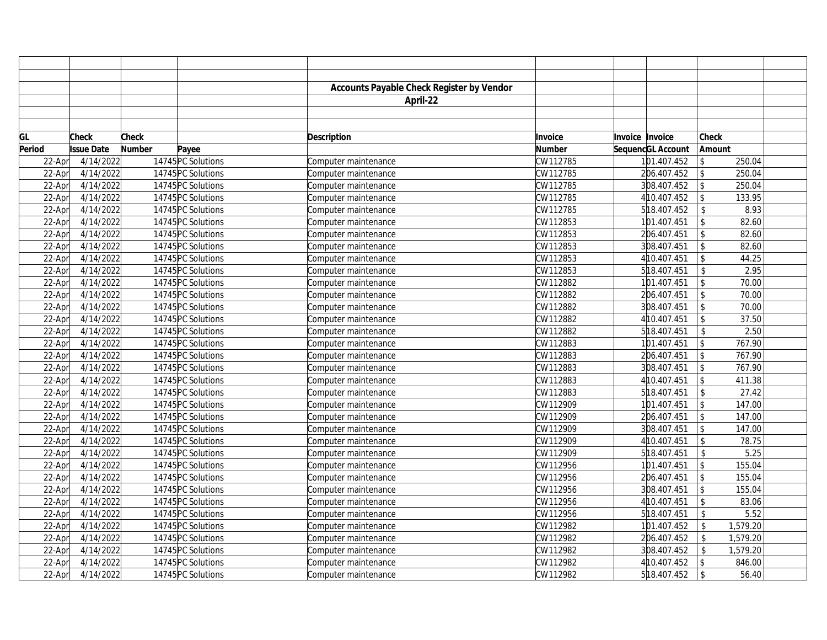|        |                   |              |                    | Accounts Payable Check Register by Vendor |               |                   |                         |          |  |
|--------|-------------------|--------------|--------------------|-------------------------------------------|---------------|-------------------|-------------------------|----------|--|
|        |                   |              |                    | April-22                                  |               |                   |                         |          |  |
|        |                   |              |                    |                                           |               |                   |                         |          |  |
|        |                   |              |                    |                                           |               |                   |                         |          |  |
| GL     | <b>Check</b>      | <b>Check</b> |                    | <b>Description</b>                        | Invoice       | Invoice Invoice   | <b>Check</b>            |          |  |
| Period | <b>Issue Date</b> | Number       | Payee              |                                           | <b>Number</b> | SequencGL Account | Amount                  |          |  |
| 22-Apr | 4/14/2022         |              | 14745 PC Solutions | Computer maintenance                      | CW112785      | 101.407.452       | $\mathsf{\$}$           | 250.04   |  |
| 22-Apr | 4/14/2022         |              | 14745 PC Solutions | Computer maintenance                      | CW112785      | 206.407.452       | $\sqrt[6]{\frac{1}{2}}$ | 250.04   |  |
| 22-Apr | 4/14/2022         |              | 14745 PC Solutions | Computer maintenance                      | CW112785      | 308.407.452       | $\updownarrow$          | 250.04   |  |
| 22-Apr | 4/14/2022         |              | 14745 PC Solutions | Computer maintenance                      | CW112785      | 410.407.452       | $\sqrt[6]{\frac{1}{2}}$ | 133.95   |  |
| 22-Apr | 4/14/2022         |              | 14745 PC Solutions | Computer maintenance                      | CW112785      | 5 18.407.452      | $\mathbb{S}$            | 8.93     |  |
| 22-Apr | 4/14/2022         |              | 14745 PC Solutions | Computer maintenance                      | CW112853      | 101.407.451       | $\mathsf{\$}$           | 82.60    |  |
| 22-Apr | 4/14/2022         |              | 14745 PC Solutions | Computer maintenance                      | CW112853      | 206.407.451       | \$                      | 82.60    |  |
| 22-Apr | 4/14/2022         |              | 14745 PC Solutions | Computer maintenance                      | CW112853      | 308.407.451       | \$                      | 82.60    |  |
| 22-Apr | 4/14/2022         |              | 14745 PC Solutions | Computer maintenance                      | CW112853      | 410.407.451       | \$                      | 44.25    |  |
| 22-Apr | 4/14/2022         |              | 14745 PC Solutions | Computer maintenance                      | CW112853      | 518.407.451       | $\mathbb{S}$            | 2.95     |  |
| 22-Apr | 4/14/2022         |              | 14745 PC Solutions | Computer maintenance                      | CW112882      | 101.407.451       | \$                      | 70.00    |  |
| 22-Apr | 4/14/2022         |              | 14745 PC Solutions | Computer maintenance                      | CW112882      | 206.407.451       | \$                      | 70.00    |  |
| 22-Apr | 4/14/2022         |              | 14745 PC Solutions | Computer maintenance                      | CW112882      | 308.407.451       | \$                      | 70.00    |  |
| 22-Apr | 4/14/2022         |              | 14745 PC Solutions | Computer maintenance                      | CW112882      | 410.407.451       | $\mathsf{\$}$           | 37.50    |  |
| 22-Apr | 4/14/2022         |              | 14745 PC Solutions | Computer maintenance                      | CW112882      | 518.407.451       | \$                      | 2.50     |  |
| 22-Apr | 4/14/2022         |              | 14745 PC Solutions | Computer maintenance                      | CW112883      | 101.407.451       | $\mathfrak{S}$          | 767.90   |  |
| 22-Apr | 4/14/2022         |              | 14745 PC Solutions | Computer maintenance                      | CW112883      | 206.407.451       | $\sqrt[6]{\frac{1}{2}}$ | 767.90   |  |
| 22-Apr | 4/14/2022         |              | 14745 PC Solutions | Computer maintenance                      | CW112883      | 308.407.451       | $\sqrt[6]{\frac{1}{2}}$ | 767.90   |  |
| 22-Apr | 4/14/2022         |              | 14745 PC Solutions | Computer maintenance                      | CW112883      | 410.407.451       | $\sqrt{2}$              | 411.38   |  |
| 22-Apr | 4/14/2022         |              | 14745 PC Solutions | Computer maintenance                      | CW112883      | 518.407.451       | $\mathsf{\$}$           | 27.42    |  |
| 22-Apr | 4/14/2022         |              | 14745 PC Solutions | Computer maintenance                      | CW112909      | 101.407.451       | $\mathfrak{S}$          | 147.00   |  |
| 22-Apr | 4/14/2022         |              | 14745 PC Solutions | Computer maintenance                      | CW112909      | 206.407.451       | $\sqrt[6]{\frac{1}{2}}$ | 147.00   |  |
| 22-Apr | 4/14/2022         |              | 14745 PC Solutions | Computer maintenance                      | CW112909      | 308.407.451       | $\sqrt{2}$              | 147.00   |  |
| 22-Apr | 4/14/2022         |              | 14745 PC Solutions | Computer maintenance                      | CW112909      | 410.407.451       | $\mathsf{\$}$           | 78.75    |  |
| 22-Apr | 4/14/2022         |              | 14745 PC Solutions | Computer maintenance                      | CW112909      | 518.407.451       | \$                      | 5.25     |  |
| 22-Apr | 4/14/2022         |              | 14745 PC Solutions | Computer maintenance                      | CW112956      | 101.407.451       | \$                      | 155.04   |  |
| 22-Apr | 4/14/2022         |              | 14745 PC Solutions | Computer maintenance                      | CW112956      | 206.407.451       | $\mathsf{\$}$           | 155.04   |  |
| 22-Apr | 4/14/2022         |              | 14745 PC Solutions | Computer maintenance                      | CW112956      | 308.407.451       | $\mathcal{L}$           | 155.04   |  |
| 22-Apr | 4/14/2022         |              | 14745 PC Solutions | Computer maintenance                      | CW112956      | 410.407.451       | $\mathsf{\$}$           | 83.06    |  |
| 22-Apr | 4/14/2022         |              | 14745 PC Solutions | Computer maintenance                      | CW112956      | 5 18.407.451      | \$                      | 5.52     |  |
| 22-Apr | 4/14/2022         |              | 14745 PC Solutions | Computer maintenance                      | CW112982      | 101.407.452       | $\sqrt[6]{2}$           | 1,579.20 |  |
| 22-Apr | 4/14/2022         |              | 14745 PC Solutions | Computer maintenance                      | CW112982      | 206.407.452       | $\sqrt[6]{2}$           | 1,579.20 |  |
| 22-Apr | 4/14/2022         |              | 14745 PC Solutions | Computer maintenance                      | CW112982      | 308.407.452       | $\sqrt[6]{2}$           | 1,579.20 |  |
| 22-Apr | 4/14/2022         |              | 14745 PC Solutions | Computer maintenance                      | CW112982      | 410.407.452       | \$                      | 846.00   |  |
| 22-Apr | 4/14/2022         |              | 14745 PC Solutions | Computer maintenance                      | CW112982      | 5 18.407.452      | $\mathbf{\hat{S}}$      | 56.40    |  |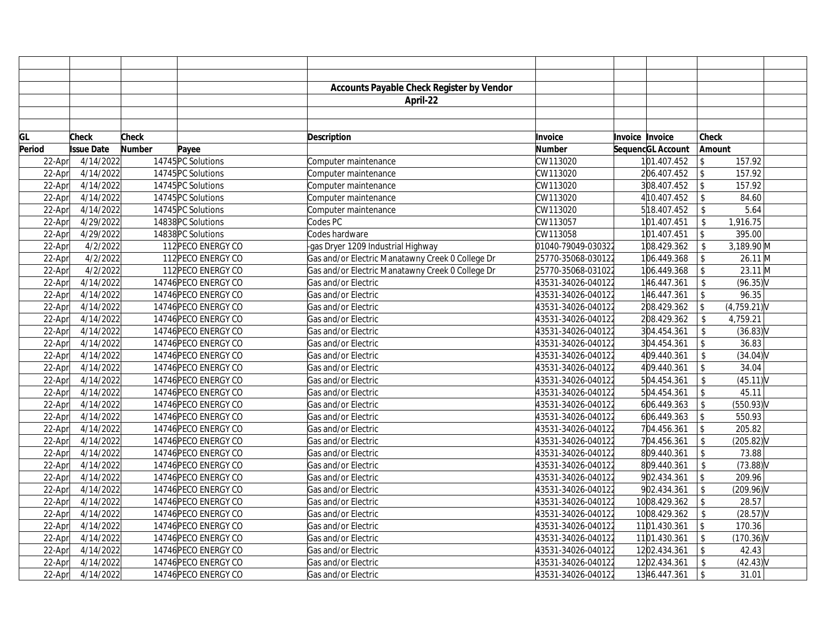|        |                   |        |                      | Accounts Payable Check Register by Vendor        |                    |                 |                   |                         |             |  |
|--------|-------------------|--------|----------------------|--------------------------------------------------|--------------------|-----------------|-------------------|-------------------------|-------------|--|
|        |                   |        |                      | April-22                                         |                    |                 |                   |                         |             |  |
|        |                   |        |                      |                                                  |                    |                 |                   |                         |             |  |
|        |                   |        |                      |                                                  |                    |                 |                   |                         |             |  |
| GL     | <b>Check</b>      | Check  |                      | <b>Description</b>                               | Invoice            | Invoice Invoice |                   | Check                   |             |  |
| Period | <b>Issue Date</b> | Number | Payee                |                                                  | <b>Number</b>      |                 | SequencGL Account | Amount                  |             |  |
| 22-Apr | 4/14/2022         |        | 14745 PC Solutions   | Computer maintenance                             | CW113020           |                 | 101.407.452       | $\mathcal{S}$           | 157.92      |  |
| 22-Apr | 4/14/2022         |        | 14745 PC Solutions   | Computer maintenance                             | CW113020           |                 | 206.407.452       | \$                      | 157.92      |  |
| 22-Apr | 4/14/2022         |        | 14745 PC Solutions   | Computer maintenance                             | CW113020           |                 | 308.407.452       | \$                      | 157.92      |  |
| 22-Apr | 4/14/2022         |        | 14745 PC Solutions   | Computer maintenance                             | CW113020           |                 | 410.407.452       | \$                      | 84.60       |  |
| 22-Apr | 4/14/2022         |        | 14745 PC Solutions   | Computer maintenance                             | CW113020           |                 | 518.407.452       | $\mathcal{S}$           | 5.64        |  |
| 22-Apr | 4/29/2022         |        | 14838 PC Solutions   | Codes PC                                         | CW113057           |                 | 101.407.451       | $\mathbb{S}$            | 1,916.75    |  |
| 22-Apr | 4/29/2022         |        | 14838 PC Solutions   | Codes hardware                                   | CW113058           |                 | 101.407.451       | \$                      | 395.00      |  |
| 22-Apr | 4/2/2022          |        | 112 PECO ENERGY CO   | gas Dryer 1209 Industrial Highway                | 01040-79049-030322 |                 | 108.429.362       | \$                      | 3,189.90 M  |  |
| 22-Apr | 4/2/2022          |        | 112 PECO ENERGY CO   | Gas and/or Electric Manatawny Creek 0 College Dr | 25770-35068-030122 |                 | 106.449.368       | \$                      | 26.11 M     |  |
| 22-Apr | 4/2/2022          |        | 112 PECO ENERGY CO   | Gas and/or Electric Manatawny Creek 0 College Dr | 25770-35068-031022 |                 | 106.449.368       | $\mathbb{S}$            | $23.11$ M   |  |
| 22-Apr | 4/14/2022         |        | 14746 PECO ENERGY CO | Gas and/or Electric                              | 43531-34026-040122 |                 | 146.447.361       | \$                      | (96.35)V    |  |
| 22-Apr | 4/14/2022         |        | 14746 PECO ENERGY CO | Gas and/or Electric                              | 43531-34026-040122 |                 | 146.447.361       | $\mathsf{\$}$           | 96.35       |  |
| 22-Apr | 4/14/2022         |        | 14746 PECO ENERGY CO | Gas and/or Electric                              | 43531-34026-040122 |                 | 208.429.362       | $\mathcal{S}$           | (4,759.21)  |  |
| 22-Apr | 4/14/2022         |        | 14746 PECO ENERGY CO | Gas and/or Electric                              | 43531-34026-040122 |                 | 208.429.362       | $\sqrt[6]{2}$           | 4,759.21    |  |
| 22-Apr | 4/14/2022         |        | 14746 PECO ENERGY CO | Gas and/or Electric                              | 43531-34026-040122 |                 | 304.454.361       | $\updownarrow$          | $(36.83)$ V |  |
| 22-Apr | 4/14/2022         |        | 14746 PECO ENERGY CO | Gas and/or Electric                              | 43531-34026-04012  |                 | 304.454.361       | \$                      | 36.83       |  |
| 22-Apr | 4/14/2022         |        | 14746 PECO ENERGY CO | Gas and/or Electric                              | 43531-34026-040122 |                 | 409.440.361       | \$                      | (34.04)     |  |
| 22-Apr | 4/14/2022         |        | 14746 PECO ENERGY CO | Gas and/or Electric                              | 43531-34026-040122 |                 | 409.440.361       | \$                      | 34.04       |  |
| 22-Apr | 4/14/2022         |        | 14746 PECO ENERGY CO | Gas and/or Electric                              | 43531-34026-040122 |                 | 504.454.361       | $\mathsf S$             | (45.11)     |  |
| 22-Apr | 4/14/2022         |        | 14746 PECO ENERGY CO | Gas and/or Electric                              | 43531-34026-040122 |                 | 504.454.361       | \$                      | 45.11       |  |
| 22-Apr | 4/14/2022         |        | 14746 PECO ENERGY CO | Gas and/or Electric                              | 43531-34026-040122 |                 | 606.449.363       | \$                      | (550.93)    |  |
| 22-Apr | 4/14/2022         |        | 14746 PECO ENERGY CO | Gas and/or Electric                              | 43531-34026-040122 |                 | 606.449.363       | $\sqrt[6]{\frac{1}{2}}$ | 550.93      |  |
| 22-Apr | 4/14/2022         |        | 14746 PECO ENERGY CO | Gas and/or Electric                              | 43531-34026-040122 |                 | 704.456.361       | $\mathcal{S}$           | 205.82      |  |
| 22-Apr | 4/14/2022         |        | 14746 PECO ENERGY CO | Gas and/or Electric                              | 43531-34026-040122 |                 | 704.456.361       | $\mathcal{S}$           | (205.82)    |  |
| 22-Apr | 4/14/2022         |        | 14746 PECO ENERGY CO | Gas and/or Electric                              | 43531-34026-040122 |                 | 809.440.361       | \$                      | 73.88       |  |
| 22-Apr | 4/14/2022         |        | 14746 PECO ENERGY CO | Gas and/or Electric                              | 43531-34026-040122 |                 | 809.440.361       | \$                      | (73.88)     |  |
| 22-Apr | 4/14/2022         |        | 14746 PECO ENERGY CO | Gas and/or Electric                              | 43531-34026-040122 |                 | 902.434.361       | $\mathsf{\$}$           | 209.96      |  |
| 22-Apr | 4/14/2022         |        | 14746 PECO ENERGY CO | Gas and/or Electric                              | 43531-34026-040122 |                 | 902.434.361       | $\mathcal{S}$           | (209.96)    |  |
| 22-Apr | 4/14/2022         |        | 14746 PECO ENERGY CO | Gas and/or Electric                              | 43531-34026-040122 |                 | 1008.429.362      | $\mathsf{\$}$           | 28.57       |  |
| 22-Apr | 4/14/2022         |        | 14746 PECO ENERGY CO | Gas and/or Electric                              | 43531-34026-040122 |                 | 1008.429.362      | \$                      | $(28.57)$ V |  |
| 22-Apr | 4/14/2022         |        | 14746 PECO ENERGY CO | Gas and/or Electric                              | 43531-34026-040122 |                 | 1101.430.361      | $\mathfrak{S}$          | 170.36      |  |
| 22-Apr | 4/14/2022         |        | 14746 PECO ENERGY CO | Gas and/or Electric                              | 43531-34026-040122 |                 | 1101.430.361      | \$                      | (170.36)    |  |
| 22-Apr | 4/14/2022         |        | 14746 PECO ENERGY CO | Gas and/or Electric                              | 43531-34026-040122 |                 | 1202.434.361      | \$                      | 42.43       |  |
| 22-Apr | 4/14/2022         |        | 14746 PECO ENERGY CO | Gas and/or Electric                              | 43531-34026-040122 |                 | 1202.434.361      |                         | (42.43)     |  |
| 22-Apr | 4/14/2022         |        | 14746 PECO ENERGY CO | Gas and/or Electric                              | 43531-34026-040122 |                 | 1346.447.361      | $\hat{\mathbf{S}}$      | 31.01       |  |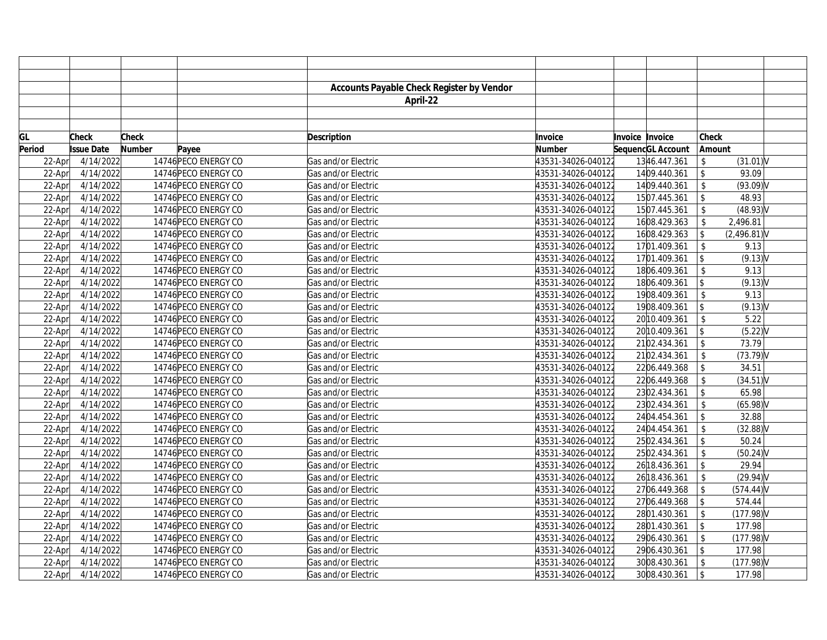|        |                   |        |                      |                     | Accounts Payable Check Register by Vendor |                    |                 |                   |                         |             |  |
|--------|-------------------|--------|----------------------|---------------------|-------------------------------------------|--------------------|-----------------|-------------------|-------------------------|-------------|--|
|        |                   |        |                      |                     | April-22                                  |                    |                 |                   |                         |             |  |
|        |                   |        |                      |                     |                                           |                    |                 |                   |                         |             |  |
|        |                   |        |                      |                     |                                           |                    |                 |                   |                         |             |  |
| GL     | <b>Check</b>      | Check  |                      | <b>Description</b>  |                                           | Invoice            | Invoice Invoice |                   | Check                   |             |  |
| Period | <b>Issue Date</b> | Number | Payee                |                     |                                           | <b>Number</b>      |                 | SequencGL Account | Amount                  |             |  |
| 22-Apr | 4/14/2022         |        | 14746 PECO ENERGY CO | Gas and/or Electric |                                           | 43531-34026-040122 |                 | 1346.447.361      | \$                      | $(31.01)$ V |  |
| 22-Apr | 4/14/2022         |        | 14746 PECO ENERGY CO | Gas and/or Electric |                                           | 43531-34026-040122 |                 | 1409.440.361      | \$                      | 93.09       |  |
| 22-Apr | 4/14/2022         |        | 14746 PECO ENERGY CO | Gas and/or Electric |                                           | 43531-34026-040122 |                 | 1409.440.361      | \$                      | (93.09)     |  |
| 22-Apr | 4/14/2022         |        | 14746 PECO ENERGY CO | Gas and/or Electric |                                           | 43531-34026-040122 |                 | 1507.445.361      | \$                      | 48.93       |  |
| 22-Apr | 4/14/2022         |        | 14746 PECO ENERGY CO | Gas and/or Electric |                                           | 43531-34026-040122 |                 | 1507.445.361      | $\sqrt[6]{\frac{1}{2}}$ | (48.93)     |  |
| 22-Apr | 4/14/2022         |        | 14746 PECO ENERGY CO | Gas and/or Electric |                                           | 43531-34026-040122 |                 | 1608.429.363      | $\mathbb{S}$            | 2,496.81    |  |
| 22-Apr | 4/14/2022         |        | 14746 PECO ENERGY CO | Gas and/or Electric |                                           | 43531-34026-040122 |                 | 1608.429.363      | \$                      | (2,496.81)  |  |
| 22-Apr | 4/14/2022         |        | 14746 PECO ENERGY CO | Gas and/or Electric |                                           | 43531-34026-040122 |                 | 1701.409.361      | \$                      | 9.13        |  |
| 22-Apr | 4/14/2022         |        | 14746 PECO ENERGY CO | Gas and/or Electric |                                           | 43531-34026-040122 |                 | 1701.409.361      | $\mathcal{L}$           | (9.13)      |  |
| 22-Apr | 4/14/2022         |        | 14746 PECO ENERGY CO | Gas and/or Electric |                                           | 43531-34026-040122 |                 | 1806.409.361      | \$                      | 9.13        |  |
| 22-Apr | 4/14/2022         |        | 14746 PECO ENERGY CO | Gas and/or Electric |                                           | 43531-34026-040122 |                 | 1806.409.361      | $\mathcal{L}$           | (9.13)      |  |
| 22-Apr | 4/14/2022         |        | 14746 PECO ENERGY CO | Gas and/or Electric |                                           | 43531-34026-040122 |                 | 1908.409.361      | \$                      | 9.13        |  |
| 22-Apr | 4/14/2022         |        | 14746 PECO ENERGY CO | Gas and/or Electric |                                           | 43531-34026-040122 |                 | 1908.409.361      | $\mathcal{L}$           | (9.13)      |  |
| 22-Apr | 4/14/2022         |        | 14746 PECO ENERGY CO | Gas and/or Electric |                                           | 43531-34026-040122 |                 | 20 10.409.361     | \$                      | 5.22        |  |
| 22-Apr | 4/14/2022         |        | 14746 PECO ENERGY CO | Gas and/or Electric |                                           | 43531-34026-040122 |                 | 20 10.409.361     | $\mathcal{L}$           | (5.22)      |  |
| 22-Apr | 4/14/2022         |        | 14746 PECO ENERGY CO | Gas and/or Electric |                                           | 43531-34026-04012  |                 | 2102.434.361      | \$                      | 73.79       |  |
| 22-Apr | 4/14/2022         |        | 14746 PECO ENERGY CO | Gas and/or Electric |                                           | 43531-34026-040122 |                 | 2102.434.361      | \$                      | (73.79)     |  |
| 22-Apr | 4/14/2022         |        | 14746 PECO ENERGY CO | Gas and/or Electric |                                           | 43531-34026-040122 |                 | 2206.449.368      | \$                      | 34.51       |  |
| 22-Apr | 4/14/2022         |        | 14746 PECO ENERGY CO | Gas and/or Electric |                                           | 43531-34026-040122 |                 | 2206.449.368      | \$                      | (34.51)     |  |
| 22-Apr | 4/14/2022         |        | 14746 PECO ENERGY CO | Gas and/or Electric |                                           | 43531-34026-040122 |                 | 2302.434.361      | \$                      | 65.98       |  |
| 22-Apr | 4/14/2022         |        | 14746 PECO ENERGY CO | Gas and/or Electric |                                           | 43531-34026-040122 |                 | 2302.434.361      | \$                      | (65.98)     |  |
| 22-Apr | 4/14/2022         |        | 14746 PECO ENERGY CO | Gas and/or Electric |                                           | 43531-34026-040122 |                 | 2404.454.361      | \$                      | 32.88       |  |
| 22-Apr | 4/14/2022         |        | 14746 PECO ENERGY CO | Gas and/or Electric |                                           | 43531-34026-040122 |                 | 2404.454.361      | \$                      | $(32.88)$ V |  |
| 22-Apr | 4/14/2022         |        | 14746 PECO ENERGY CO | Gas and/or Electric |                                           | 43531-34026-040122 |                 | 2502.434.361      | \$                      | 50.24       |  |
| 22-Apr | 4/14/2022         |        | 14746 PECO ENERGY CO | Gas and/or Electric |                                           | 43531-34026-040122 |                 | 2502.434.361      | \$                      | (50.24)     |  |
| 22-Apr | 4/14/2022         |        | 14746 PECO ENERGY CO | Gas and/or Electric |                                           | 43531-34026-040122 |                 | 26 18.436.361     | \$                      | 29.94       |  |
| 22-Apr | 4/14/2022         |        | 14746 PECO ENERGY CO | Gas and/or Electric |                                           | 43531-34026-040122 |                 | 26 18.436.361     | \$                      | (29.94)     |  |
| 22-Apr | 4/14/2022         |        | 14746 PECO ENERGY CO | Gas and/or Electric |                                           | 43531-34026-040122 |                 | 2706.449.368      |                         | (574.44)    |  |
| 22-Apr | 4/14/2022         |        | 14746 PECO ENERGY CO | Gas and/or Electric |                                           | 43531-34026-040122 |                 | 2706.449.368      | $\mathfrak{L}$          | 574.44      |  |
| 22-Apr | 4/14/2022         |        | 14746 PECO ENERGY CO | Gas and/or Electric |                                           | 43531-34026-040122 |                 | 2801.430.361      | \$                      | (177.98)    |  |
| 22-Apr | 4/14/2022         |        | 14746 PECO ENERGY CO | Gas and/or Electric |                                           | 43531-34026-040122 |                 | 2801.430.361      | $\mathcal{S}$           | 177.98      |  |
| 22-Apr | 4/14/2022         |        | 14746 PECO ENERGY CO | Gas and/or Electric |                                           | 43531-34026-040122 |                 | 2906.430.361      | \$                      | (177.98)    |  |
| 22-Apr | 4/14/2022         |        | 14746 PECO ENERGY CO | Gas and/or Electric |                                           | 43531-34026-040122 |                 | 2906.430.361      | $\sqrt[6]{\frac{1}{2}}$ | 177.98      |  |
| 22-Apr | 4/14/2022         |        | 14746 PECO ENERGY CO | Gas and/or Electric |                                           | 43531-34026-040122 |                 | 3008.430.361      |                         | (177.98)    |  |
| 22-Apr | 4/14/2022         |        | 14746 PECO ENERGY CO | Gas and/or Electric |                                           | 43531-34026-040122 |                 | 3008.430.361      | \$                      | 177.98      |  |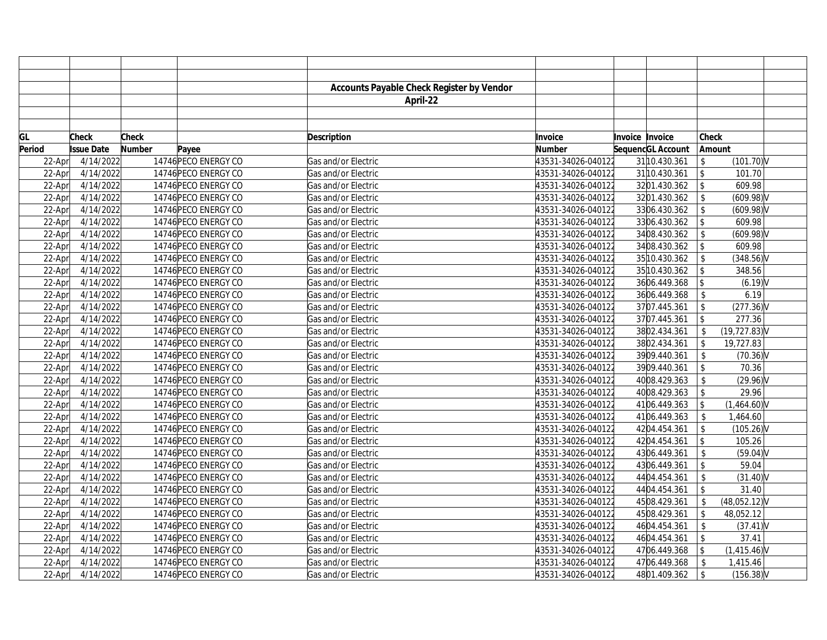|        |                   |        |                      |                     | Accounts Payable Check Register by Vendor |                    |                 |                   |                         |              |  |
|--------|-------------------|--------|----------------------|---------------------|-------------------------------------------|--------------------|-----------------|-------------------|-------------------------|--------------|--|
|        |                   |        |                      |                     | April-22                                  |                    |                 |                   |                         |              |  |
|        |                   |        |                      |                     |                                           |                    |                 |                   |                         |              |  |
|        |                   |        |                      |                     |                                           |                    |                 |                   |                         |              |  |
| GL     | <b>Check</b>      | Check  |                      | <b>Description</b>  |                                           | Invoice            | Invoice Invoice |                   | Check                   |              |  |
| Period | <b>Issue Date</b> | Number | Payee                |                     |                                           | <b>Number</b>      |                 | SequencGL Account | Amount                  |              |  |
| 22-Apr | 4/14/2022         |        | 14746 PECO ENERGY CO | Gas and/or Electric |                                           | 43531-34026-040122 |                 | 31 10.430.361     | $\mathsf{\$}$           | $(101.70)$ V |  |
| 22-Apr | 4/14/2022         |        | 14746 PECO ENERGY CO | Gas and/or Electric |                                           | 43531-34026-040122 |                 | 31 10.430.361     | \$                      | 101.70       |  |
| 22-Apr | 4/14/2022         |        | 14746 PECO ENERGY CO | Gas and/or Electric |                                           | 43531-34026-040122 |                 | 3201.430.362      | \$                      | 609.98       |  |
| 22-Apr | 4/14/2022         |        | 14746 PECO ENERGY CO | Gas and/or Electric |                                           | 43531-34026-040122 |                 | 3201.430.362      | \$                      | (609.98)     |  |
| 22-Apr | 4/14/2022         |        | 14746 PECO ENERGY CO | Gas and/or Electric |                                           | 43531-34026-040122 |                 | 3306.430.362      | $\mathbf{\hat{S}}$      | (609.98)     |  |
| 22-Apr | 4/14/2022         |        | 14746 PECO ENERGY CO | Gas and/or Electric |                                           | 43531-34026-040122 |                 | 3306.430.362      | $\mathsf{\$}$           | 609.98       |  |
| 22-Apr | 4/14/2022         |        | 14746 PECO ENERGY CO | Gas and/or Electric |                                           | 43531-34026-040122 |                 | 3408.430.362      | \$                      | (609.98)     |  |
| 22-Apr | 4/14/2022         |        | 14746 PECO ENERGY CO | Gas and/or Electric |                                           | 43531-34026-040122 |                 | 3408.430.362      | \$                      | 609.98       |  |
| 22-Apr | 4/14/2022         |        | 14746 PECO ENERGY CO | Gas and/or Electric |                                           | 43531-34026-040122 |                 | 35 10.430.362     | \$                      | (348.56)     |  |
| 22-Apr | 4/14/2022         |        | 14746 PECO ENERGY CO | Gas and/or Electric |                                           | 43531-34026-040122 |                 | 35 10.430.362     | $\mathcal{S}$           | 348.56       |  |
| 22-Apr | 4/14/2022         |        | 14746 PECO ENERGY CO | Gas and/or Electric |                                           | 43531-34026-040122 |                 | 3606.449.368      |                         | (6.19)       |  |
| 22-Apr | 4/14/2022         |        | 14746 PECO ENERGY CO | Gas and/or Electric |                                           | 43531-34026-040122 |                 | 3606.449.368      | \$                      | 6.19         |  |
| 22-Apr | 4/14/2022         |        | 14746 PECO ENERGY CO | Gas and/or Electric |                                           | 43531-34026-040122 |                 | 3707.445.361      | \$                      | (277.36)     |  |
| 22-Apr | 4/14/2022         |        | 14746 PECO ENERGY CO | Gas and/or Electric |                                           | 43531-34026-040122 |                 | 3707.445.361      | $\mathsf{\$}$           | 277.36       |  |
| 22-Apr | 4/14/2022         |        | 14746 PECO ENERGY CO | Gas and/or Electric |                                           | 43531-34026-040122 |                 | 3802.434.361      |                         | (19, 727.83) |  |
| 22-Apr | 4/14/2022         |        | 14746 PECO ENERGY CO | Gas and/or Electric |                                           | 43531-34026-04012  |                 | 3802.434.361      | $\mathcal{L}$           | 19,727.83    |  |
| 22-Apr | 4/14/2022         |        | 14746 PECO ENERGY CO | Gas and/or Electric |                                           | 43531-34026-040122 |                 | 3909.440.361      | \$                      | (70.36)      |  |
| 22-Apr | 4/14/2022         |        | 14746 PECO ENERGY CO | Gas and/or Electric |                                           | 43531-34026-040122 |                 | 3909.440.361      | \$                      | 70.36        |  |
| 22-Apr | 4/14/2022         |        | 14746 PECO ENERGY CO | Gas and/or Electric |                                           | 43531-34026-040122 |                 | 4008.429.363      | \$                      | (29.96)      |  |
| 22-Apr | 4/14/2022         |        | 14746 PECO ENERGY CO | Gas and/or Electric |                                           | 43531-34026-040122 |                 | 4008.429.363      | \$                      | 29.96        |  |
| 22-Apr | 4/14/2022         |        | 14746 PECO ENERGY CO | Gas and/or Electric |                                           | 43531-34026-040122 |                 | 4106.449.363      | $\mathfrak{S}$          | (1,464.60)   |  |
| 22-Apr | 4/14/2022         |        | 14746 PECO ENERGY CO | Gas and/or Electric |                                           | 43531-34026-040122 |                 | 4106.449.363      | \$                      | 1,464.60     |  |
| 22-Apr | 4/14/2022         |        | 14746 PECO ENERGY CO | Gas and/or Electric |                                           | 43531-34026-040122 |                 | 4204.454.361      | \$                      | (105.26)     |  |
| 22-Apr | 4/14/2022         |        | 14746 PECO ENERGY CO | Gas and/or Electric |                                           | 43531-34026-040122 |                 | 4204.454.361      | $\sqrt[6]{\frac{1}{2}}$ | 105.26       |  |
| 22-Apr | 4/14/2022         |        | 14746 PECO ENERGY CO | Gas and/or Electric |                                           | 43531-34026-040122 |                 | 4306.449.361      | \$                      | (59.04)      |  |
| 22-Apr | 4/14/2022         |        | 14746 PECO ENERGY CO | Gas and/or Electric |                                           | 43531-34026-040122 |                 | 4306.449.361      | \$                      | 59.04        |  |
| 22-Apr | 4/14/2022         |        | 14746 PECO ENERGY CO | Gas and/or Electric |                                           | 43531-34026-040122 |                 | 4404.454.361      | \$                      | (31.40)      |  |
| 22-Apr | 4/14/2022         |        | 14746 PECO ENERGY CO | Gas and/or Electric |                                           | 43531-34026-040122 |                 | 4404.454.361      | $\mathsf{\$}$           | 31.40        |  |
| 22-Apr | 4/14/2022         |        | 14746 PECO ENERGY CO | Gas and/or Electric |                                           | 43531-34026-040122 |                 | 4508.429.361      | $\mathcal{L}$           | (48,052.12)  |  |
| 22-Apr | 4/14/2022         |        | 14746 PECO ENERGY CO | Gas and/or Electric |                                           | 43531-34026-040122 |                 | 4508.429.361      | \$                      | 48,052.12    |  |
| 22-Apr | 4/14/2022         |        | 14746 PECO ENERGY CO | Gas and/or Electric |                                           | 43531-34026-040122 |                 | 4604.454.361      | $\sqrt[6]{\frac{1}{2}}$ | (37.41)      |  |
| 22-Apr | 4/14/2022         |        | 14746 PECO ENERGY CO | Gas and/or Electric |                                           | 43531-34026-040122 |                 | 4604.454.361      |                         | 37.41        |  |
| 22-Apr | 4/14/2022         |        | 14746 PECO ENERGY CO | Gas and/or Electric |                                           | 43531-34026-040122 |                 | 4706.449.368      | $\mathcal{S}$           | (1,415.46)   |  |
| 22-Apr | 4/14/2022         |        | 14746 PECO ENERGY CO | Gas and/or Electric |                                           | 43531-34026-040122 |                 | 4706.449.368      | \$                      | 1,415.46     |  |
| 22-Apr | 4/14/2022         |        | 14746 PECO ENERGY CO | Gas and/or Electric |                                           | 43531-34026-040122 |                 | 4801.409.362      | \$                      | (156.38)     |  |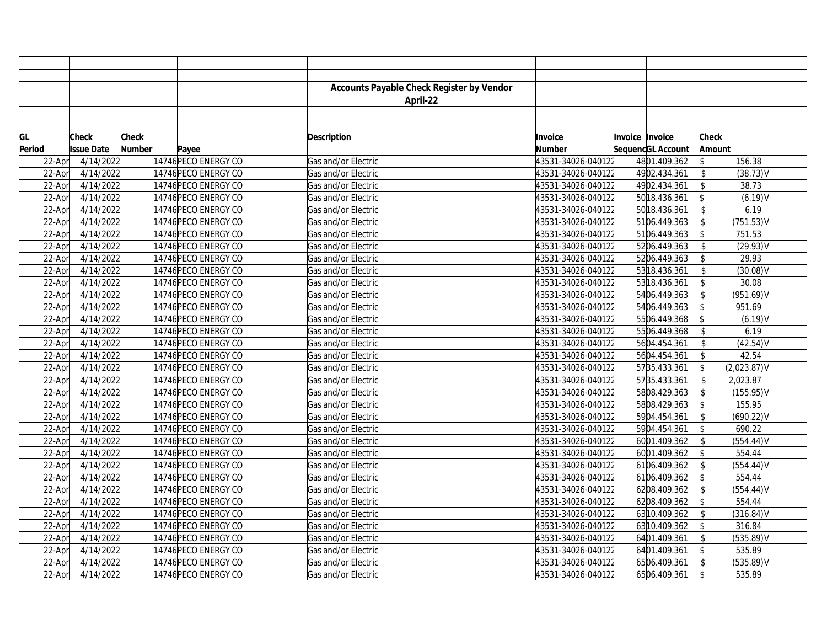|        |                   |        |                      |                     | Accounts Payable Check Register by Vendor |                    |                 |                   |                |              |  |
|--------|-------------------|--------|----------------------|---------------------|-------------------------------------------|--------------------|-----------------|-------------------|----------------|--------------|--|
|        |                   |        |                      |                     | April-22                                  |                    |                 |                   |                |              |  |
|        |                   |        |                      |                     |                                           |                    |                 |                   |                |              |  |
|        |                   |        |                      |                     |                                           |                    |                 |                   |                |              |  |
| GL     | <b>Check</b>      | Check  |                      | <b>Description</b>  |                                           | Invoice            | Invoice Invoice |                   | Check          |              |  |
| Period | <b>Issue Date</b> | Number | Payee                |                     |                                           | <b>Number</b>      |                 | SequencGL Account | Amount         |              |  |
| 22-Apr | 4/14/2022         |        | 14746 PECO ENERGY CO | Gas and/or Electric |                                           | 43531-34026-040122 |                 | 4801.409.362      | $\mathsf{\$}$  | 156.38       |  |
| 22-Apr | 4/14/2022         |        | 14746 PECO ENERGY CO | Gas and/or Electric |                                           | 43531-34026-040122 |                 | 4902.434.361      | \$             | $(38.73)$ V  |  |
| 22-Apr | 4/14/2022         |        | 14746 PECO ENERGY CO | Gas and/or Electric |                                           | 43531-34026-040122 |                 | 4902.434.361      | \$             | 38.73        |  |
| 22-Apr | 4/14/2022         |        | 14746 PECO ENERGY CO | Gas and/or Electric |                                           | 43531-34026-040122 |                 | 50 18.436.361     | $\mathcal{L}$  | (6.19)       |  |
| 22-Apr | 4/14/2022         |        | 14746 PECO ENERGY CO | Gas and/or Electric |                                           | 43531-34026-040122 |                 | 50 18.436.361     | $\mathsf{\$}$  | 6.19         |  |
| 22-Apr | 4/14/2022         |        | 14746 PECO ENERGY CO | Gas and/or Electric |                                           | 43531-34026-040122 |                 | 5106.449.363      | $\mathcal{S}$  | (751.53)     |  |
| 22-Apr | 4/14/2022         |        | 14746 PECO ENERGY CO | Gas and/or Electric |                                           | 43531-34026-040122 |                 | 5106.449.363      | \$             | 751.53       |  |
| 22-Apr | 4/14/2022         |        | 14746 PECO ENERGY CO | Gas and/or Electric |                                           | 43531-34026-040122 |                 | 5206.449.363      | \$             | (29.93)      |  |
| 22-Apr | 4/14/2022         |        | 14746 PECO ENERGY CO | Gas and/or Electric |                                           | 43531-34026-040122 |                 | 5206.449.363      | \$             | 29.93        |  |
| 22-Apr | 4/14/2022         |        | 14746 PECO ENERGY CO | Gas and/or Electric |                                           | 43531-34026-040122 |                 | 53 18.436.361     | $\mathbb{S}$   | $(30.08)$ V  |  |
| 22-Apr | 4/14/2022         |        | 14746 PECO ENERGY CO | Gas and/or Electric |                                           | 43531-34026-040122 |                 | 53 18.436.361     | \$             | 30.08        |  |
| 22-Apr | 4/14/2022         |        | 14746 PECO ENERGY CO | Gas and/or Electric |                                           | 43531-34026-040122 |                 | 5406.449.363      | \$             | $(951.69)$ V |  |
| 22-Apr | 4/14/2022         |        | 14746 PECO ENERGY CO | Gas and/or Electric |                                           | 43531-34026-040122 |                 | 5406.449.363      | $\mathfrak{L}$ | 951.69       |  |
| 22-Apr | 4/14/2022         |        | 14746 PECO ENERGY CO | Gas and/or Electric |                                           | 43531-34026-040122 |                 | 5506.449.368      | $\mathcal{L}$  | (6.19)       |  |
| 22-Apr | 4/14/2022         |        | 14746 PECO ENERGY CO | Gas and/or Electric |                                           | 43531-34026-040122 |                 | 5506.449.368      | \$             | 6.19         |  |
| 22-Apr | 4/14/2022         |        | 14746 PECO ENERGY CO | Gas and/or Electric |                                           | 43531-34026-04012  |                 | 5604.454.361      | \$             | (42.54)      |  |
| 22-Apr | 4/14/2022         |        | 14746 PECO ENERGY CO | Gas and/or Electric |                                           | 43531-34026-040122 |                 | 5604.454.361      | \$             | 42.54        |  |
| 22-Apr | 4/14/2022         |        | 14746 PECO ENERGY CO | Gas and/or Electric |                                           | 43531-34026-040122 |                 | 5735.433.361      | \$             | (2,023.87)   |  |
| 22-Apr | 4/14/2022         |        | 14746 PECO ENERGY CO | Gas and/or Electric |                                           | 43531-34026-040122 |                 | 5735.433.361      | \$             | 2,023.87     |  |
| 22-Apr | 4/14/2022         |        | 14746 PECO ENERGY CO | Gas and/or Electric |                                           | 43531-34026-040122 |                 | 5808.429.363      | $\mathsf{\$}$  | (155.95)     |  |
| 22-Apr | 4/14/2022         |        | 14746 PECO ENERGY CO | Gas and/or Electric |                                           | 43531-34026-040122 |                 | 5808.429.363      | \$             | 155.95       |  |
| 22-Apr | 4/14/2022         |        | 14746 PECO ENERGY CO | Gas and/or Electric |                                           | 43531-34026-040122 |                 | 5904.454.361      | \$             | (690.22)     |  |
| 22-Apr | 4/14/2022         |        | 14746 PECO ENERGY CO | Gas and/or Electric |                                           | 43531-34026-040122 |                 | 5904.454.361      | \$             | 690.22       |  |
| 22-Apr | 4/14/2022         |        | 14746 PECO ENERGY CO | Gas and/or Electric |                                           | 43531-34026-040122 |                 | 6001.409.362      | $\mathfrak{L}$ | (554.44)     |  |
| 22-Apr | 4/14/2022         |        | 14746 PECO ENERGY CO | Gas and/or Electric |                                           | 43531-34026-040122 |                 | 6001.409.362      | $\mathcal{S}$  | 554.44       |  |
| 22-Apr | 4/14/2022         |        | 14746 PECO ENERGY CO | Gas and/or Electric |                                           | 43531-34026-040122 |                 | 6106.409.362      | \$             | (554.44)     |  |
| 22-Apr | 4/14/2022         |        | 14746 PECO ENERGY CO | Gas and/or Electric |                                           | 43531-34026-040122 |                 | 6106.409.362      | $\mathcal{S}$  | 554.44       |  |
| 22-Apr | 4/14/2022         |        | 14746 PECO ENERGY CO | Gas and/or Electric |                                           | 43531-34026-040122 |                 | 6208.409.362      |                | (554.44)     |  |
| 22-Apr | 4/14/2022         |        | 14746 PECO ENERGY CO | Gas and/or Electric |                                           | 43531-34026-040122 |                 | 6208.409.362      | $\mathfrak{L}$ | 554.44       |  |
| 22-Apr | 4/14/2022         |        | 14746 PECO ENERGY CO | Gas and/or Electric |                                           | 43531-34026-040122 |                 | 63 10.409.362     | \$             | (316.84)     |  |
| 22-Apr | 4/14/2022         |        | 14746 PECO ENERGY CO | Gas and/or Electric |                                           | 43531-34026-040122 |                 | 63 10.409.362     | $\mathcal{S}$  | 316.84       |  |
| 22-Apr | 4/14/2022         |        | 14746 PECO ENERGY CO | Gas and/or Electric |                                           | 43531-34026-040122 |                 | 6401.409.361      | $\mathfrak{S}$ | $(535.89)$ V |  |
| 22-Apr | 4/14/2022         |        | 14746 PECO ENERGY CO | Gas and/or Electric |                                           | 43531-34026-040122 |                 | 6401.409.361      | $\mathfrak{L}$ | 535.89       |  |
| 22-Apr | 4/14/2022         |        | 14746 PECO ENERGY CO | Gas and/or Electric |                                           | 43531-34026-040122 |                 | 6506.409.361      |                | $(535.89)$ V |  |
| 22-Apr | 4/14/2022         |        | 14746 PECO ENERGY CO | Gas and/or Electric |                                           | 43531-34026-040122 |                 | 6506.409.361      |                | 535.89       |  |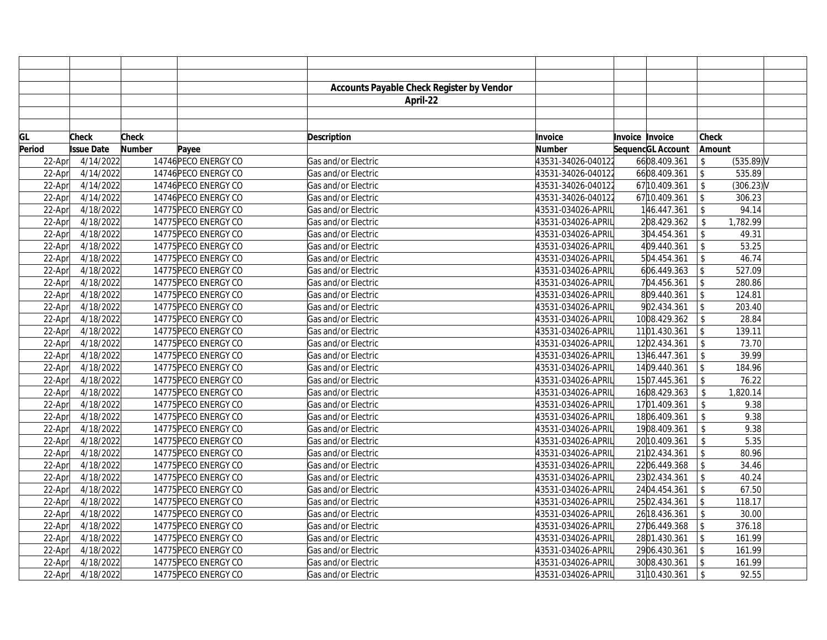|        |                   |        |                      |                     | Accounts Payable Check Register by Vendor |                    |                   |                    |              |  |
|--------|-------------------|--------|----------------------|---------------------|-------------------------------------------|--------------------|-------------------|--------------------|--------------|--|
|        |                   |        |                      |                     | April-22                                  |                    |                   |                    |              |  |
|        |                   |        |                      |                     |                                           |                    |                   |                    |              |  |
|        |                   |        |                      |                     |                                           |                    |                   |                    |              |  |
| GL     | <b>Check</b>      | Check  |                      | <b>Description</b>  |                                           | Invoice            | Invoice Invoice   | Check              |              |  |
| Period | <b>Issue Date</b> | Number | Payee                |                     |                                           | <b>Number</b>      | SequencGL Account | Amount             |              |  |
| 22-Apr | 4/14/2022         |        | 14746 PECO ENERGY CO | Gas and/or Electric |                                           | 43531-34026-040122 | 6608.409.361      | $\mathsf{\$}$      | $(535.89)$ V |  |
| 22-Apr | 4/14/2022         |        | 14746 PECO ENERGY CO | Gas and/or Electric |                                           | 43531-34026-040122 | 6608.409.361      | \$                 | 535.89       |  |
| 22-Apr | 4/14/2022         |        | 14746 PECO ENERGY CO | Gas and/or Electric |                                           | 43531-34026-040122 | 67 10.409.361     | \$                 | (306.23)     |  |
| 22-Apr | 4/14/2022         |        | 14746 PECO ENERGY CO | Gas and/or Electric |                                           | 43531-34026-040122 | 67 10.409.361     | \$                 | 306.23       |  |
| 22-Apr | 4/18/2022         |        | 14775 PECO ENERGY CO | Gas and/or Electric |                                           | 43531-034026-APRIL | 146.447.361       | \$                 | 94.14        |  |
| 22-Apr | 4/18/2022         |        | 14775 PECO ENERGY CO | Gas and/or Electric |                                           | 43531-034026-APRIL | 208.429.362       | \$                 | 1,782.99     |  |
| 22-Apr | 4/18/2022         |        | 14775 PECO ENERGY CO | Gas and/or Electric |                                           | 43531-034026-APRIL | 304.454.361       | \$                 | 49.31        |  |
| 22-Apr | 4/18/2022         |        | 14775 PECO ENERGY CO | Gas and/or Electric |                                           | 43531-034026-APRII | 409.440.361       | \$                 | 53.25        |  |
| 22-Apr | 4/18/2022         |        | 14775 PECO ENERGY CO | Gas and/or Electric |                                           | 43531-034026-APRIL | 504.454.361       | \$                 | 46.74        |  |
| 22-Apr | 4/18/2022         |        | 14775 PECO ENERGY CO | Gas and/or Electric |                                           | 43531-034026-APRIL | 606.449.363       | $\mathcal{S}$      | 527.09       |  |
| 22-Apr | 4/18/2022         |        | 14775 PECO ENERGY CO | Gas and/or Electric |                                           | 43531-034026-APRIL | 704.456.361       | \$                 | 280.86       |  |
| 22-Apr | 4/18/2022         |        | 14775 PECO ENERGY CO | Gas and/or Electric |                                           | 43531-034026-APRIL | 809.440.361       | \$                 | 124.81       |  |
| 22-Apr | 4/18/2022         |        | 14775 PECO ENERGY CO | Gas and/or Electric |                                           | 43531-034026-APRIL | 902.434.361       | $\mathfrak{L}$     | 203.40       |  |
| 22-Apr | 4/18/2022         |        | 14775 PECO ENERGY CO | Gas and/or Electric |                                           | 43531-034026-APRIL | 1008.429.362      | \$                 | 28.84        |  |
| 22-Apr | 4/18/2022         |        | 14775 PECO ENERGY CO | Gas and/or Electric |                                           | 43531-034026-APRIL | 1101.430.361      | \$                 | 139.11       |  |
| 22-Apr | 4/18/2022         |        | 14775 PECO ENERGY CO | Gas and/or Electric |                                           | 43531-034026-APRIL | 1202.434.361      | \$                 | 73.70        |  |
| 22-Apr | 4/18/2022         |        | 14775 PECO ENERGY CO | Gas and/or Electric |                                           | 43531-034026-APRIL | 1346.447.361      | \$                 | 39.99        |  |
| 22-Apr | 4/18/2022         |        | 14775 PECO ENERGY CO | Gas and/or Electric |                                           | 43531-034026-APRIL | 1409.440.361      | \$                 | 184.96       |  |
| 22-Apr | 4/18/2022         |        | 14775 PECO ENERGY CO | Gas and/or Electric |                                           | 43531-034026-APRIL | 1507.445.361      | $\mathbf{\hat{S}}$ | 76.22        |  |
| 22-Apr | 4/18/2022         |        | 14775 PECO ENERGY CO | Gas and/or Electric |                                           | 43531-034026-APRIL | 1608.429.363      | \$                 | 1,820.14     |  |
| 22-Apr | 4/18/2022         |        | 14775 PECO ENERGY CO | Gas and/or Electric |                                           | 43531-034026-APRIL | 1701.409.361      | \$                 | 9.38         |  |
| 22-Apr | 4/18/2022         |        | 14775 PECO ENERGY CO | Gas and/or Electric |                                           | 43531-034026-APRIL | 1806.409.361      | \$                 | 9.38         |  |
| 22-Apr | 4/18/2022         |        | 14775 PECO ENERGY CO | Gas and/or Electric |                                           | 43531-034026-APRIL | 1908.409.361      | \$                 | 9.38         |  |
| 22-Apr | 4/18/2022         |        | 14775 PECO ENERGY CO | Gas and/or Electric |                                           | 43531-034026-APRIL | 20 10.409.361     | \$                 | 5.35         |  |
| 22-Apr | 4/18/2022         |        | 14775 PECO ENERGY CO | Gas and/or Electric |                                           | 43531-034026-APRIL | 2102.434.361      | \$                 | 80.96        |  |
| 22-Apr | 4/18/2022         |        | 14775 PECO ENERGY CO | Gas and/or Electric |                                           | 43531-034026-APRIL | 2206.449.368      | \$                 | 34.46        |  |
| 22-Apr | 4/18/2022         |        | 14775 PECO ENERGY CO | Gas and/or Electric |                                           | 43531-034026-APRIL | 2302.434.361      | \$                 | 40.24        |  |
| 22-Apr | 4/18/2022         |        | 14775 PECO ENERGY CO | Gas and/or Electric |                                           | 43531-034026-APRIL | 2404.454.361      | \$                 | 67.50        |  |
| 22-Apr | 4/18/2022         |        | 14775 PECO ENERGY CO | Gas and/or Electric |                                           | 43531-034026-APRIL | 2502.434.361      | $\mathsf S$        | 118.17       |  |
| 22-Apr | 4/18/2022         |        | 14775 PECO ENERGY CO | Gas and/or Electric |                                           | 43531-034026-APRIL | 26 18.436.361     | \$                 | 30.00        |  |
| 22-Apr | 4/18/2022         |        | 14775 PECO ENERGY CO | Gas and/or Electric |                                           | 43531-034026-APRIL | 2706.449.368      | \$                 | 376.18       |  |
| 22-Apr | 4/18/2022         |        | 14775 PECO ENERGY CO | Gas and/or Electric |                                           | 43531-034026-APRIL | 2801.430.361      | \$                 | 161.99       |  |
| 22-Apr | 4/18/2022         |        | 14775 PECO ENERGY CO | Gas and/or Electric |                                           | 43531-034026-APRIL | 2906.430.361      | $\mathfrak{L}$     | 161.99       |  |
| 22-Apr | 4/18/2022         |        | 14775 PECO ENERGY CO | Gas and/or Electric |                                           | 43531-034026-APRIL | 3008.430.361      |                    | 161.99       |  |
| 22-Apr | 4/18/2022         |        | 14775 PECO ENERGY CO | Gas and/or Electric |                                           | 43531-034026-APRIL | 31 10.430.361     | $\hat{\mathbf{S}}$ | 92.55        |  |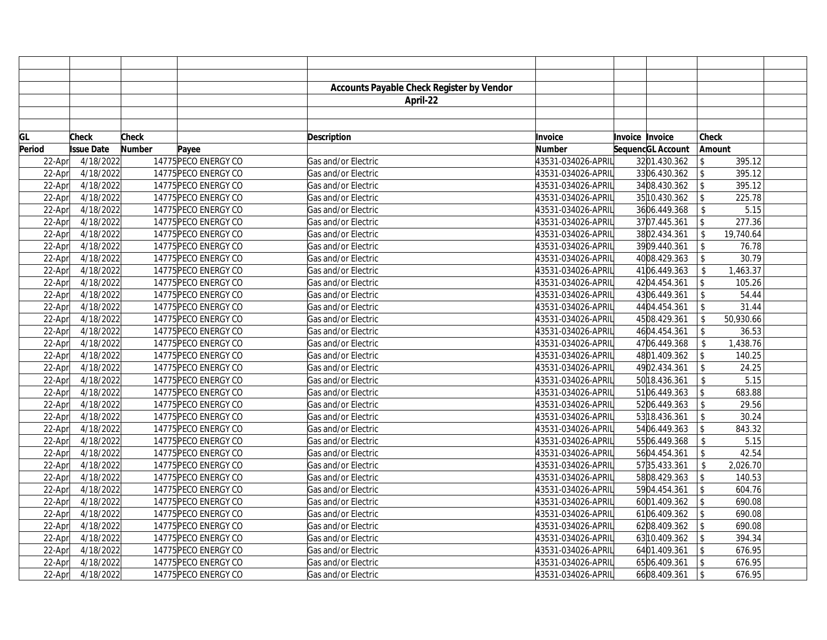|        |                   |              |                      | Accounts Payable Check Register by Vendor |                    |                 |                   |                            |           |  |
|--------|-------------------|--------------|----------------------|-------------------------------------------|--------------------|-----------------|-------------------|----------------------------|-----------|--|
|        |                   |              |                      | April-22                                  |                    |                 |                   |                            |           |  |
|        |                   |              |                      |                                           |                    |                 |                   |                            |           |  |
|        |                   |              |                      |                                           |                    |                 |                   |                            |           |  |
| GL     | <b>Check</b>      | <b>Check</b> |                      | <b>Description</b>                        | Invoice            | Invoice Invoice |                   | Check                      |           |  |
| Period | <b>Issue Date</b> | Number       | Payee                |                                           | <b>Number</b>      |                 | SequencGL Account | Amount                     |           |  |
| 22-Apr | 4/18/2022         |              | 14775 PECO ENERGY CO | Gas and/or Electric                       | 43531-034026-APRIL |                 | 3201.430.362      | $\mathcal{S}$              | 395.12    |  |
| 22-Apr | 4/18/2022         |              | 14775 PECO ENERGY CO | Gas and/or Electric                       | 43531-034026-APRIL |                 | 3306.430.362      | $\sqrt[6]{\frac{1}{2}}$    | 395.12    |  |
| 22-Apr | 4/18/2022         |              | 14775 PECO ENERGY CO | Gas and/or Electric                       | 43531-034026-APRIL |                 | 3408.430.362      | $\boldsymbol{\mathsf{\$}}$ | 395.12    |  |
| 22-Apr | 4/18/2022         |              | 14775 PECO ENERGY CO | Gas and/or Electric                       | 43531-034026-APRIL |                 | 35 10.430.362     | $\mathcal{S}$              | 225.78    |  |
| 22-Apr | 4/18/2022         |              | 14775 PECO ENERGY CO | Gas and/or Electric                       | 43531-034026-APRIL |                 | 3606.449.368      | \$                         | 5.15      |  |
| 22-Apr | 4/18/2022         |              | 14775 PECO ENERGY CO | Gas and/or Electric                       | 43531-034026-APRIL |                 | 3707.445.361      | $\mathcal{L}$              | 277.36    |  |
| 22-Apr | 4/18/2022         |              | 14775 PECO ENERGY CO | Gas and/or Electric                       | 43531-034026-APRIL |                 | 3802.434.361      | \$                         | 19,740.64 |  |
| 22-Apr | 4/18/2022         |              | 14775 PECO ENERGY CO | Gas and/or Electric                       | 43531-034026-APRIL |                 | 3909.440.361      | \$                         | 76.78     |  |
| 22-Apr | 4/18/2022         |              | 14775 PECO ENERGY CO | Gas and/or Electric                       | 43531-034026-APRIL |                 | 4008.429.363      | \$                         | 30.79     |  |
| 22-Apr | 4/18/2022         |              | 14775 PECO ENERGY CO | Gas and/or Electric                       | 43531-034026-APRIL |                 | 4106.449.363      | $\sqrt[6]{2}$              | 1,463.37  |  |
| 22-Apr | 4/18/2022         |              | 14775 PECO ENERGY CO | Gas and/or Electric                       | 43531-034026-APRIL |                 | 4204.454.361      | \$                         | 105.26    |  |
| 22-Apr | 4/18/2022         |              | 14775 PECO ENERGY CO | Gas and/or Electric                       | 43531-034026-APRIL |                 | 4306.449.361      | \$                         | 54.44     |  |
| 22-Apr | 4/18/2022         |              | 14775 PECO ENERGY CO | Gas and/or Electric                       | 43531-034026-APRIL |                 | 4404.454.361      | \$                         | 31.44     |  |
| 22-Apr | 4/18/2022         |              | 14775 PECO ENERGY CO | Gas and/or Electric                       | 43531-034026-APRIL |                 | 4508.429.361      | $\mathsf{\$}$              | 50,930.66 |  |
| 22-Apr | 4/18/2022         |              | 14775 PECO ENERGY CO | Gas and/or Electric                       | 43531-034026-APRIL |                 | 4604.454.361      | \$                         | 36.53     |  |
| 22-Apr | 4/18/2022         |              | 14775 PECO ENERGY CO | Gas and/or Electric                       | 43531-034026-APRIL |                 | 4706.449.368      | \$                         | 1,438.76  |  |
| 22-Apr | 4/18/2022         |              | 14775 PECO ENERGY CO | Gas and/or Electric                       | 43531-034026-APRIL |                 | 4801.409.362      | $\mathcal{S}$              | 140.25    |  |
| 22-Apr | 4/18/2022         |              | 14775 PECO ENERGY CO | Gas and/or Electric                       | 43531-034026-APRIL |                 | 4902.434.361      | \$                         | 24.25     |  |
| 22-Apr | 4/18/2022         |              | 14775 PECO ENERGY CO | Gas and/or Electric                       | 43531-034026-APRIL |                 | 50 18.436.361     | \$                         | 5.15      |  |
| 22-Apr | 4/18/2022         |              | 14775 PECO ENERGY CO | Gas and/or Electric                       | 43531-034026-APRIL |                 | 5106.449.363      | \$                         | 683.88    |  |
| 22-Apr | 4/18/2022         |              | 14775 PECO ENERGY CO | Gas and/or Electric                       | 43531-034026-APRIL |                 | 5206.449.363      | \$                         | 29.56     |  |
| 22-Apr | 4/18/2022         |              | 14775 PECO ENERGY CO | Gas and/or Electric                       | 43531-034026-APRIL |                 | 53 18.436.361     | \$                         | 30.24     |  |
| 22-Apr | 4/18/2022         |              | 14775 PECO ENERGY CO | Gas and/or Electric                       | 43531-034026-APRIL |                 | 5406.449.363      | $\mathcal{S}$              | 843.32    |  |
| 22-Apr | 4/18/2022         |              | 14775 PECO ENERGY CO | Gas and/or Electric                       | 43531-034026-APRIL |                 | 5506.449.368      | $\mathcal{S}$              | 5.15      |  |
| 22-Apr | 4/18/2022         |              | 14775 PECO ENERGY CO | Gas and/or Electric                       | 43531-034026-APRIL |                 | 5604.454.361      | \$                         | 42.54     |  |
| 22-Apr | 4/18/2022         |              | 14775 PECO ENERGY CO | Gas and/or Electric                       | 43531-034026-APRIL |                 | 5735.433.361      | \$                         | 2,026.70  |  |
| 22-Apr | 4/18/2022         |              | 14775 PECO ENERGY CO | Gas and/or Electric                       | 43531-034026-APRIL |                 | 5808.429.363      | $\mathsf{\$}$              | 140.53    |  |
| 22-Apr | 4/18/2022         |              | 14775 PECO ENERGY CO | Gas and/or Electric                       | 43531-034026-APRIL |                 | 5904.454.361      | $\mathsf S$                | 604.76    |  |
| 22-Apr | 4/18/2022         |              | 14775 PECO ENERGY CO | Gas and/or Electric                       | 43531-034026-APRIL |                 | 6001.409.362      | $\sqrt[6]{\frac{1}{2}}$    | 690.08    |  |
| 22-Apr | 4/18/2022         |              | 14775 PECO ENERGY CO | Gas and/or Electric                       | 43531-034026-APRIL |                 | 6106.409.362      | $\mathcal{S}$              | 690.08    |  |
| 22-Apr | 4/18/2022         |              | 14775 PECO ENERGY CO | Gas and/or Electric                       | 43531-034026-APRIL |                 | 6208.409.362      | $\mathsf{\$}$              | 690.08    |  |
| 22-Apr | 4/18/2022         |              | 14775 PECO ENERGY CO | Gas and/or Electric                       | 43531-034026-APRIL |                 | 63 10.409.362     | $\mathcal{S}$              | 394.34    |  |
| 22-Apr | 4/18/2022         |              | 14775 PECO ENERGY CO | Gas and/or Electric                       | 43531-034026-APRIL |                 | 6401.409.361      | $\mathcal{S}$              | 676.95    |  |
| 22-Apr | 4/18/2022         |              | 14775 PECO ENERGY CO | Gas and/or Electric                       | 43531-034026-APRIL |                 | 6506.409.361      |                            | 676.95    |  |
| 22-Apr | 4/18/2022         |              | 14775 PECO ENERGY CO | Gas and/or Electric                       | 43531-034026-APRIL |                 | 6608.409.361      | $\mathcal{S}$              | 676.95    |  |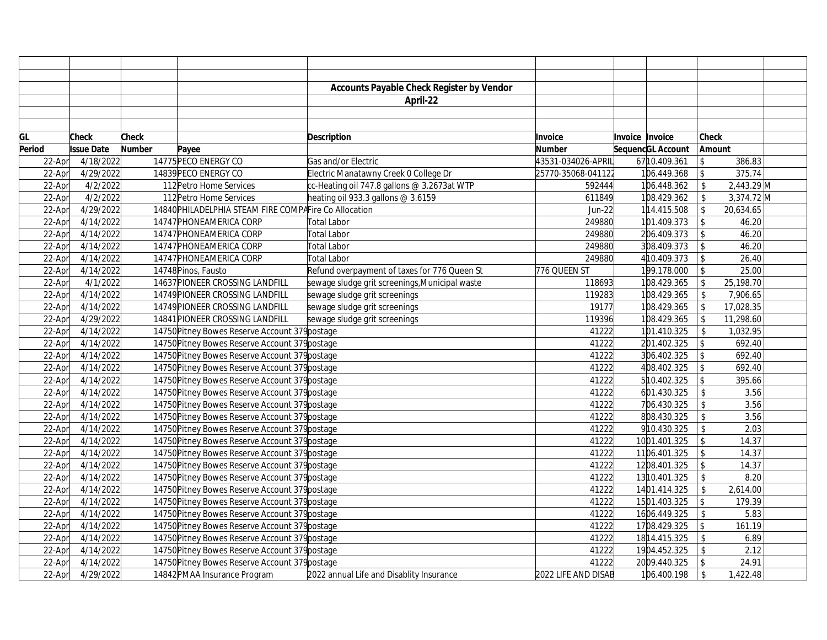|        |                   |        |                                                       | <b>Accounts Payable Check Register by Vendor</b> |                     |                 |                   |                         |            |  |
|--------|-------------------|--------|-------------------------------------------------------|--------------------------------------------------|---------------------|-----------------|-------------------|-------------------------|------------|--|
|        |                   |        |                                                       | April-22                                         |                     |                 |                   |                         |            |  |
|        |                   |        |                                                       |                                                  |                     |                 |                   |                         |            |  |
|        |                   |        |                                                       |                                                  |                     |                 |                   |                         |            |  |
| GL     | <b>Check</b>      | Check  |                                                       | <b>Description</b>                               | Invoice             | Invoice Invoice |                   | <b>Check</b>            |            |  |
| Period | <b>Issue Date</b> | Number | Payee                                                 |                                                  | <b>Number</b>       |                 | SequencGL Account | Amount                  |            |  |
| 22-Apr | 4/18/2022         |        | 14775 PECO ENERGY CO                                  | Gas and/or Electric                              | 43531-034026-APRIL  |                 | 67 10.409.361     | $\hat{\mathcal{L}}$     | 386.83     |  |
| 22-Apr | 4/29/2022         |        | 14839 PECO ENERGY CO                                  | Electric Manatawny Creek 0 College Dr            | 25770-35068-041122  |                 | 106.449.368       | \$                      | 375.74     |  |
| 22-Apr | 4/2/2022          |        | 112 Petro Home Services                               | cc-Heating oil 747.8 gallons @ 3.2673at WTP      | 592444              |                 | 106.448.362       |                         | 2,443.29 M |  |
| 22-Apr | 4/2/2022          |        | 112 Petro Home Services                               | heating oil 933.3 gallons @ 3.6159               | 611849              |                 | 108.429.362       | $\mathbb{S}$            | 3,374.72 M |  |
| 22-Apr | 4/29/2022         |        | 14840 PHILADELPHIA STEAM FIRE COMPAFire Co Allocation |                                                  | <b>Jun-22</b>       |                 | 114.415.508       |                         | 20,634.65  |  |
| 22-Apr | 4/14/2022         |        | 14747 PHONEAMERICA CORP                               | <b>Total Labor</b>                               | 249880              |                 | 101.409.373       | \$                      | 46.20      |  |
| 22-Apr | 4/14/2022         |        | 14747 PHONEAMERICA CORP                               | Total Labor                                      | 249880              |                 | 206.409.373       |                         | 46.20      |  |
| 22-Apr | 4/14/2022         |        | 14747 PHONEAMERICA CORP                               | Total Labor                                      | 249880              |                 | 308.409.373       | $\mathsf{\$}$           | 46.20      |  |
| 22-Apr | 4/14/2022         |        | 14747 PHONEAMERICA CORP                               | Total Labor                                      | 249880              |                 | 4 10.409.373      | $\mathsf{\$}$           | 26.40      |  |
| 22-Apr | 4/14/2022         |        | 14748 Pinos, Fausto                                   | Refund overpayment of taxes for 776 Queen St     | 776 QUEEN ST        |                 | 199.178.000       | \$                      | 25.00      |  |
| 22-Apr | 4/1/2022          |        | 14637 PIONEER CROSSING LANDFILL                       | sewage sludge grit screenings, Municipal waste   | 118693              |                 | 108.429.365       |                         | 25,198.70  |  |
| 22-Apr | 4/14/2022         |        | 14749 PIONEER CROSSING LANDFILL                       | sewage sludge grit screenings                    | 119283              |                 | 108.429.365       | $\mathsf{\$}$           | 7,906.65   |  |
| 22-Apr | 4/14/2022         |        | 14749 PIONEER CROSSING LANDFILL                       | sewage sludge grit screenings                    | 19177               |                 | 108.429.365       |                         | 17,028.35  |  |
| 22-Apr | 4/29/2022         |        | 14841 PIONEER CROSSING LANDFILL                       | sewage sludge grit screenings                    | 119396              |                 | 108.429.365       | \$                      | 11,298.60  |  |
| 22-Apr | 4/14/2022         |        | 14750 Pitney Bowes Reserve Account 379 postage        |                                                  | 41222               |                 | 101.410.325       | $\mathfrak{L}$          | 1,032.95   |  |
| 22-Apr | 4/14/2022         |        | 14750 Pitney Bowes Reserve Account 379 postage        |                                                  | 41222               |                 | 201.402.325       | $\mathcal{S}$           | 692.40     |  |
| 22-Apr | 4/14/2022         |        | 14750 Pitney Bowes Reserve Account 379 postage        |                                                  | 41222               |                 | 306.402.325       | $\mathsf{\$}$           | 692.40     |  |
| 22-Apr | 4/14/2022         |        | 14750 Pitney Bowes Reserve Account 379 postage        |                                                  | 41222               |                 | 408.402.325       | $\sqrt[6]{\frac{1}{2}}$ | 692.40     |  |
| 22-Apr | 4/14/2022         |        | 14750 Pitney Bowes Reserve Account 379 postage        |                                                  | 41222               |                 | 510.402.325       | $\mathfrak{L}$          | 395.66     |  |
| 22-Apr | 4/14/2022         |        | 14750 Pitney Bowes Reserve Account 379 postage        |                                                  | 41222               |                 | 601.430.325       |                         | 3.56       |  |
| 22-Apr | 4/14/2022         |        | 14750 Pitney Bowes Reserve Account 379 postage        |                                                  | 41222               |                 | 706.430.325       |                         | 3.56       |  |
| 22-Apr | 4/14/2022         |        | 14750 Pitney Bowes Reserve Account 379 postage        |                                                  | 41222               |                 | 808.430.325       |                         | 3.56       |  |
| 22-Apr | 4/14/2022         |        | 14750 Pitney Bowes Reserve Account 379 postage        |                                                  | 41222               |                 | 910.430.325       |                         | 2.03       |  |
| 22-Apr | 4/14/2022         |        | 14750 Pitney Bowes Reserve Account 379 postage        |                                                  | 41222               |                 | 1001.401.325      | \$                      | 14.37      |  |
| 22-Apr | 4/14/2022         |        | 14750 Pitney Bowes Reserve Account 379 postage        |                                                  | 41222               |                 | 1106.401.325      | $\mathsf{\$}$           | 14.37      |  |
| 22-Apr | 4/14/2022         |        | 14750 Pitney Bowes Reserve Account 379 postage        |                                                  | 41222               |                 | 1208.401.325      | $\mathsf{\$}$           | 14.37      |  |
| 22-Apr | 4/14/2022         |        | 14750 Pitney Bowes Reserve Account 379 postage        |                                                  | 41222               |                 | 13 10.401.325     | $\mathbb{S}$            | 8.20       |  |
| 22-Apr | 4/14/2022         |        | 14750 Pitney Bowes Reserve Account 379 postage        |                                                  | 41222               |                 | 1401.414.325      | \$                      | 2,614.00   |  |
| 22-Apr | 4/14/2022         |        | 14750 Pitney Bowes Reserve Account 379 postage        |                                                  | 41222               |                 | 1501.403.325      | $\mathcal{S}$           | 179.39     |  |
| 22-Apr | 4/14/2022         |        | 14750 Pitney Bowes Reserve Account 379 postage        |                                                  | 41222               |                 | 1606.449.325      |                         | 5.83       |  |
| 22-Apr | 4/14/2022         |        | 14750 Pitney Bowes Reserve Account 379 postage        |                                                  | 41222               |                 | 1708.429.325      | $\hat{\mathcal{L}}$     | 161.19     |  |
| 22-Apr | 4/14/2022         |        | 14750 Pitney Bowes Reserve Account 379 postage        |                                                  | 41222               |                 | 18 14.415.325     |                         | 6.89       |  |
| 22-Apr | 4/14/2022         |        | 14750 Pitney Bowes Reserve Account 379 postage        |                                                  | 41222               |                 | 1904.452.325      |                         | 2.12       |  |
| 22-Apr | 4/14/2022         |        | 14750 Pitney Bowes Reserve Account 379 postage        |                                                  | 41222               |                 | 2009.440.325      |                         | 24.91      |  |
| 22-Apr | 4/29/2022         |        | 14842 PMAA Insurance Program                          | 2022 annual Life and Disablity Insurance         | 2022 LIFE AND DISAB |                 | 106.400.198       | \$                      | 1,422.48   |  |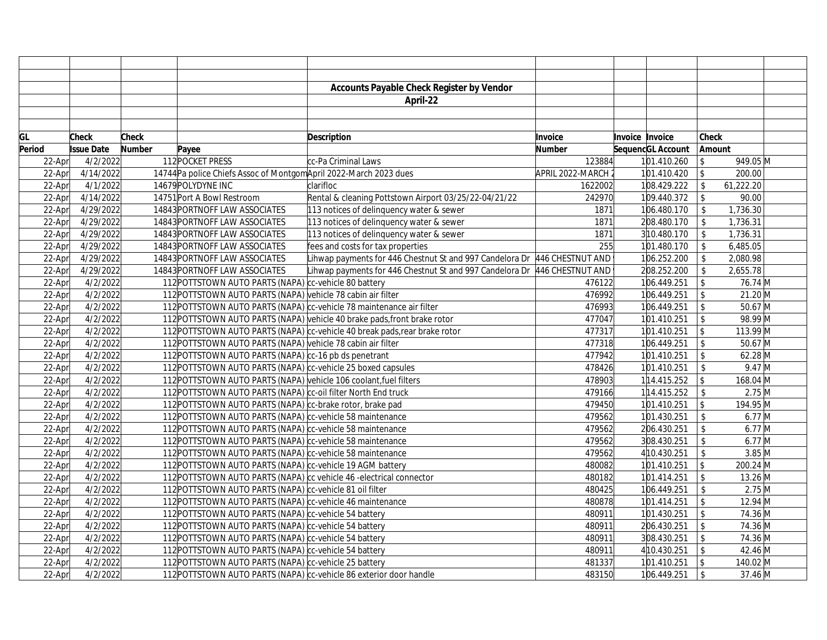|        |                   |        |                                                                      | Accounts Payable Check Register by Vendor                                  |                    |                   |              |                          |           |  |
|--------|-------------------|--------|----------------------------------------------------------------------|----------------------------------------------------------------------------|--------------------|-------------------|--------------|--------------------------|-----------|--|
|        |                   |        |                                                                      | April-22                                                                   |                    |                   |              |                          |           |  |
|        |                   |        |                                                                      |                                                                            |                    |                   |              |                          |           |  |
|        |                   |        |                                                                      |                                                                            |                    |                   |              |                          |           |  |
| GL     | <b>Check</b>      | Check  |                                                                      | <b>Description</b>                                                         | Invoice            | Invoice Invoice   |              | Check                    |           |  |
| Period | <b>Issue Date</b> | Number | Payee                                                                |                                                                            | <b>Number</b>      | SequencGL Account |              | Amount                   |           |  |
| 22-Apr | 4/2/2022          |        | 112 POCKET PRESS                                                     | cc-Pa Criminal Laws                                                        | 123884             |                   | 101.410.260  | \$                       | 949.05 M  |  |
| 22-Apr | 4/14/2022         |        | 14744 Pa police Chiefs Assoc of Montgom April 2022-March 2023 dues   |                                                                            | APRIL 2022-MARCH 2 |                   | 101.410.420  | $\sqrt{2}$               | 200.00    |  |
| 22-Apr | 4/1/2022          |        | 14679 POLYDYNE INC                                                   | clarifloc                                                                  | 1622002            |                   | 108.429.222  | \$                       | 61,222.20 |  |
| 22-Apr | 4/14/2022         |        | 14751 Port A Bowl Restroom                                           | Rental & cleaning Pottstown Airport 03/25/22-04/21/22                      | 242970             |                   | 109.440.372  | $\mathfrak{L}$           | 90.00     |  |
| 22-Apr | 4/29/2022         |        | 14843 PORTNOFF LAW ASSOCIATES                                        | 113 notices of delinquency water & sewer                                   | 1871               |                   | 106.480.170  | \$                       | 1,736.30  |  |
| 22-Apr | 4/29/2022         |        | 14843 PORTNOFF LAW ASSOCIATES                                        | 113 notices of delinquency water & sewer                                   | 1871               |                   | 208.480.170  | $\mathcal{S}$            | 1,736.31  |  |
| 22-Apr | 4/29/2022         |        | 14843 PORTNOFF LAW ASSOCIATES                                        | 113 notices of delinquency water & sewer                                   | 1871               |                   | 310.480.170  | \$                       | 1,736.31  |  |
| 22-Apr | 4/29/2022         |        | 14843 PORTNOFF LAW ASSOCIATES                                        | fees and costs for tax properties                                          | 255                |                   | 101.480.170  | $\mathbb{S}$             | 6,485.05  |  |
| 22-Apr | 4/29/2022         |        | 14843 PORTNOFF LAW ASSOCIATES                                        | Lihwap payments for 446 Chestnut St and 997 Candelora Dr 446 CHESTNUT AND  |                    |                   | 106.252.200  | \$                       | 2,080.98  |  |
| 22-Apr | 4/29/2022         |        | 14843 PORTNOFF LAW ASSOCIATES                                        | Lihwap payments for 446 Chestnut St and 997 Candelora Dr 446 CHESTNUT AND  |                    |                   | 208.252.200  | \$                       | 2,655.78  |  |
| 22-Apr | 4/2/2022          |        | 112 POTTSTOWN AUTO PARTS (NAPA) cc-vehicle 80 battery                |                                                                            | 476122             |                   | 106.449.251  | \$                       | 76.74 M   |  |
| 22-Apr | 4/2/2022          |        | 112 POTTSTOWN AUTO PARTS (NAPA) vehicle 78 cabin air filter          |                                                                            | 476992             |                   | 106.449.251  | $\sqrt[6]{\frac{1}{2}}$  | 21.20 M   |  |
| 22-Apr | 4/2/2022          |        |                                                                      | 112 POTTSTOWN AUTO PARTS (NAPA) cc-vehicle 78 maintenance air filter       | 476993             |                   | 106.449.251  | $\mathbf{\hat{S}}$       | 50.67 M   |  |
| 22-Apr | 4/2/2022          |        |                                                                      | 112 POTTSTOWN AUTO PARTS (NAPA) vehicle 40 brake pads, front brake rotor   | 477047             |                   | 101.410.251  | \$                       | 98.99 M   |  |
| 22-Apr | 4/2/2022          |        |                                                                      | 112 POTTSTOWN AUTO PARTS (NAPA) cc-vehicle 40 break pads, rear brake rotor | 477317             |                   | 101.410.251  | $\sqrt{2}$               | 113.99 M  |  |
| 22-Apr | 4/2/2022          |        | 112 POTTSTOWN AUTO PARTS (NAPA) vehicle 78 cabin air filter          |                                                                            | 477318             |                   | 106.449.251  | $\sqrt[6]{\frac{1}{2}}$  | 50.67 M   |  |
| 22-Apr | 4/2/2022          |        | 112 POTTSTOWN AUTO PARTS (NAPA) cc-16 pb ds penetrant                |                                                                            | 477942             |                   | 101.410.251  | $\sqrt{2}$               | $62.28$ M |  |
| 22-Apr | 4/2/2022          |        | 112 POTTSTOWN AUTO PARTS (NAPA) cc-vehicle 25 boxed capsules         |                                                                            | 478426             |                   | 101.410.251  | $\sqrt[6]{\frac{1}{2}}$  | $9.47$ M  |  |
| 22-Apr | 4/2/2022          |        | 112 POTTSTOWN AUTO PARTS (NAPA) vehicle 106 coolant, fuel filters    |                                                                            | 478903             |                   | 114.415.252  | $\sqrt{2}$               | 168.04 M  |  |
| 22-Apr | 4/2/2022          |        | 112 POTTSTOWN AUTO PARTS (NAPA) cc-oil filter North End truck        |                                                                            | 479166             |                   | 114.415.252  | $\$\,$                   | $2.75$ M  |  |
| 22-Apr | 4/2/2022          |        | 112 POTTSTOWN AUTO PARTS (NAPA) cc-brake rotor, brake pad            |                                                                            | 479450             |                   | 101.410.251  | $\sqrt{2}$               | 194.95 M  |  |
| 22-Apr | 4/2/2022          |        | 112 POTTSTOWN AUTO PARTS (NAPA) cc-vehicle 58 maintenance            |                                                                            | 479562             |                   | 101.430.251  | \$                       | $6.77$ M  |  |
| 22-Apr | 4/2/2022          |        | 112 POTTSTOWN AUTO PARTS (NAPA) cc-vehicle 58 maintenance            |                                                                            | 479562             |                   | 206.430.251  | \$                       | $6.77$ M  |  |
| 22-Apr | 4/2/2022          |        | 112 POTTSTOWN AUTO PARTS (NAPA) cc-vehicle 58 maintenance            |                                                                            | 479562             |                   | 308.430.251  | $\$\,$                   | $6.77$ M  |  |
| 22-Apr | 4/2/2022          |        | 112 POTTSTOWN AUTO PARTS (NAPA) cc-vehicle 58 maintenance            |                                                                            | 479562             |                   | 4 10.430.251 | \$                       | $3.85$ M  |  |
| 22-Apr | 4/2/2022          |        | 112 POTTSTOWN AUTO PARTS (NAPA) cc-vehicle 19 AGM battery            |                                                                            | 480082             |                   | 101.410.251  | $\sqrt{2}$               | 200.24 M  |  |
| 22-Apr | 4/2/2022          |        | 112 POTTSTOWN AUTO PARTS (NAPA) cc vehicle 46 - electrical connector |                                                                            | 480182             |                   | 101.414.251  | $\mathbb{S}$             | 13.26 M   |  |
| 22-Apr | 4/2/2022          |        | 112 POTTSTOWN AUTO PARTS (NAPA) cc-vehicle 81 oil filter             |                                                                            | 480425             |                   | 106.449.251  | \$                       | $2.75$ M  |  |
| 22-Apr | 4/2/2022          |        | 112 POTTSTOWN AUTO PARTS (NAPA) cc-vehicle 46 maintenance            |                                                                            | 480878             |                   | 101.414.251  | \$                       | 12.94 M   |  |
| 22-Apr | 4/2/2022          |        | 112 POTTSTOWN AUTO PARTS (NAPA) cc-vehicle 54 battery                |                                                                            | 480911             |                   | 101.430.251  | $\sqrt{2}$               | 74.36 M   |  |
| 22-Apr | 4/2/2022          |        | 112 POTTSTOWN AUTO PARTS (NAPA) cc-vehicle 54 battery                |                                                                            | 480911             |                   | 206.430.251  | $\mathcal{S}$            | 74.36 M   |  |
| 22-Apr | 4/2/2022          |        | 112 POTTSTOWN AUTO PARTS (NAPA) cc-vehicle 54 battery                |                                                                            | 480911             |                   | 308.430.251  | $\sqrt{3}$               | 74.36 M   |  |
| 22-Apr | 4/2/2022          |        | 112 POTTSTOWN AUTO PARTS (NAPA) cc-vehicle 54 battery                |                                                                            | 480911             |                   | 4 10.430.251 | $\sqrt[6]{\frac{1}{2}}$  | 42.46 M   |  |
| 22-Apr | 4/2/2022          |        | 112 POTTSTOWN AUTO PARTS (NAPA) cc-vehicle 25 battery                |                                                                            | 481337             |                   | 101.410.251  | $\overline{\mathcal{S}}$ | 140.02 M  |  |
| 22-Apr | 4/2/2022          |        |                                                                      | 112 POTTSTOWN AUTO PARTS (NAPA) cc-vehicle 86 exterior door handle         | 483150             |                   | 106.449.251  | $\mathsf{\$}$            | 37.46 M   |  |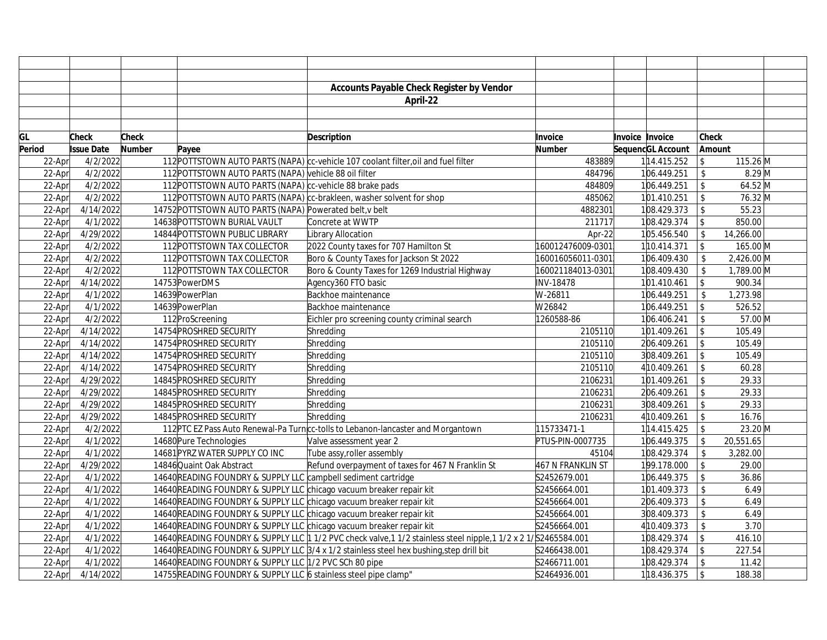|        |                   |              |                                                                      | <b>Accounts Payable Check Register by Vendor</b>                                                                   |                   |                 |                   |                         |            |  |
|--------|-------------------|--------------|----------------------------------------------------------------------|--------------------------------------------------------------------------------------------------------------------|-------------------|-----------------|-------------------|-------------------------|------------|--|
|        |                   |              |                                                                      | April-22                                                                                                           |                   |                 |                   |                         |            |  |
|        |                   |              |                                                                      |                                                                                                                    |                   |                 |                   |                         |            |  |
|        |                   |              |                                                                      |                                                                                                                    |                   |                 |                   |                         |            |  |
| GL     | <b>Check</b>      | <b>Check</b> |                                                                      | <b>Description</b>                                                                                                 | Invoice           | Invoice Invoice |                   | <b>Check</b>            |            |  |
| Period | <b>Issue Date</b> | Number       | Payee                                                                |                                                                                                                    | <b>Number</b>     |                 | SequencGL Account | Amount                  |            |  |
| 22-Apr | 4/2/2022          |              |                                                                      | 112 POTTSTOWN AUTO PARTS (NAPA) c-vehicle 107 coolant filter, oil and fuel filter                                  | 483889            |                 | 114.415.252       | $\mathbb{S}$            | 115.26 M   |  |
| 22-Apr | 4/2/2022          |              | 112 POTTSTOWN AUTO PARTS (NAPA) vehicle 88 oil filter                |                                                                                                                    | 484796            |                 | 106.449.251       | $\mathfrak{L}$          | $8.29$ M   |  |
| 22-Apr | 4/2/2022          |              | 112 POTTSTOWN AUTO PARTS (NAPA) cc-vehicle 88 brake pads             |                                                                                                                    | 484809            |                 | 106.449.251       | \$                      | 64.52 M    |  |
| 22-Apr | 4/2/2022          |              |                                                                      | 112 POTTSTOWN AUTO PARTS (NAPA) cc-brakleen, washer solvent for shop                                               | 485062            |                 | 101.410.251       | $\sqrt[6]{\frac{1}{2}}$ | 76.32 M    |  |
| 22-Apr | 4/14/2022         |              | 14752 POTTSTOWN AUTO PARTS (NAPA) Powerated belt, v belt             |                                                                                                                    | 4882301           |                 | 108.429.373       | \$                      | 55.23      |  |
| 22-Apr | 4/1/2022          |              | 14638 POTTSTOWN BURIAL VAULT                                         | Concrete at WWTP                                                                                                   | 211717            |                 | 108.429.374       | $\mathcal{S}$           | 850.00     |  |
| 22-Apr | 4/29/2022         |              | 14844 POTTSTOWN PUBLIC LIBRARY                                       | Library Allocation                                                                                                 | Apr-22            |                 | 105.456.540       | $\mathcal{S}$           | 14,266.00  |  |
| 22-Apr | 4/2/2022          |              | 112 POTTSTOWN TAX COLLECTOR                                          | 2022 County taxes for 707 Hamilton St                                                                              | 160012476009-0301 |                 | 10.414.371        | $\mathsf{\$}$           | 165.00 M   |  |
| 22-Apr | 4/2/2022          |              | 112 POTTSTOWN TAX COLLECTOR                                          | Boro & County Taxes for Jackson St 2022                                                                            | 160016056011-0301 |                 | 106.409.430       | $\mathbb{S}$            | 2,426.00 M |  |
| 22-Apr | 4/2/2022          |              | 112 POTTSTOWN TAX COLLECTOR                                          | Boro & County Taxes for 1269 Industrial Highway                                                                    | 160021184013-0301 |                 | 108.409.430       | $\mathbb{S}$            | 1,789.00 M |  |
| 22-Apr | 4/14/2022         |              | 14753 PowerDMS                                                       | Agency360 FTO basic                                                                                                | INV-18478         |                 | 101.410.461       | \$                      | 900.34     |  |
| 22-Apr | 4/1/2022          |              | 14639 PowerPlan                                                      | Backhoe maintenance                                                                                                | W-26811           |                 | 106.449.251       | \$                      | 1,273.98   |  |
| 22-Apr | 4/1/2022          |              | 14639 PowerPlan                                                      | Backhoe maintenance                                                                                                | W26842            |                 | 106.449.251       | $\mathcal{L}$           | 526.52     |  |
| 22-Apr | 4/2/2022          |              | 112 ProScreening                                                     | Eichler pro screening county criminal search                                                                       | 1260588-86        |                 | 106.406.241       | \$                      | 57.00 M    |  |
| 22-Apr | 4/14/2022         |              | 14754 PROSHRED SECURITY                                              | Shredding                                                                                                          | 2105110           |                 | 101.409.261       | $\updownarrow$          | 105.49     |  |
| 22-Apr | 4/14/2022         |              | 14754 PROSHRED SECURITY                                              | Shredding                                                                                                          | 2105110           |                 | 206.409.261       | $\sqrt[6]{\frac{1}{2}}$ | 105.49     |  |
| 22-Apr | 4/14/2022         |              | 14754 PROSHRED SECURITY                                              | Shredding                                                                                                          | 2105110           |                 | 308.409.261       | $\mathfrak{S}$          | 105.49     |  |
| 22-Apr | 4/14/2022         |              | 14754 PROSHRED SECURITY                                              | Shredding                                                                                                          | 2105110           |                 | 410.409.261       | \$                      | 60.28      |  |
| 22-Apr | 4/29/2022         |              | 14845 PROSHRED SECURITY                                              | Shredding                                                                                                          | 2106231           |                 | 101.409.261       | $\mathsf{\$}$           | 29.33      |  |
| 22-Apr | 4/29/2022         |              | 14845 PROSHRED SECURITY                                              | Shredding                                                                                                          | 2106231           |                 | 206.409.261       | $\sqrt[6]{\frac{1}{2}}$ | 29.33      |  |
| 22-Apr | 4/29/2022         |              | 14845 PROSHRED SECURITY                                              | Shredding                                                                                                          | 2106231           |                 | 308.409.261       | \$                      | 29.33      |  |
| 22-Apr | 4/29/2022         |              | 14845 PROSHRED SECURITY                                              | Shredding                                                                                                          | 2106231           |                 | 410.409.261       | \$                      | 16.76      |  |
| 22-Apr | 4/2/2022          |              |                                                                      | 112 PTC EZ Pass Auto Renewal-Pa Turn c-tolls to Lebanon-lancaster and Morgantown                                   | 115733471-1       |                 | 114.415.425       | $\mathbf{\hat{S}}$      | 23.20 M    |  |
| 22-Apr | 4/1/2022          |              | 14680 Pure Technologies                                              | Valve assessment year 2                                                                                            | PTUS-PIN-0007735  |                 | 106.449.375       | $\mathcal{S}$           | 20,551.65  |  |
| 22-Apr | 4/1/2022          |              | 14681 PYRZ WATER SUPPLY CO INC                                       | Tube assy, roller assembly                                                                                         | 45104             |                 | 108.429.374       | \$                      | 3,282.00   |  |
| 22-Apr | 4/29/2022         |              | 14846 Quaint Oak Abstract                                            | Refund overpayment of taxes for 467 N Franklin St                                                                  | 467 N FRANKLIN ST |                 | 199.178.000       | \$                      | 29.00      |  |
| 22-Apr | 4/1/2022          |              | 14640 READING FOUNDRY & SUPPLY LLC campbell sediment cartridge       |                                                                                                                    | S2452679.001      |                 | 106.449.375       | $\mathsf{\$}$           | 36.86      |  |
| 22-Apr | 4/1/2022          |              | 14640 READING FOUNDRY & SUPPLY LLC chicago vacuum breaker repair kit |                                                                                                                    | S2456664.001      |                 | 101.409.373       | \$                      | 6.49       |  |
| 22-Apr | 4/1/2022          |              | 14640 READING FOUNDRY & SUPPLY LLC chicago vacuum breaker repair kit |                                                                                                                    | S2456664.001      |                 | 206.409.373       | $\mathbb{S}$            | 6.49       |  |
| 22-Apr | 4/1/2022          |              | 14640 READING FOUNDRY & SUPPLY LLC chicago vacuum breaker repair kit |                                                                                                                    | S2456664.001      |                 | 308.409.373       | \$                      | 6.49       |  |
| 22-Apr | 4/1/2022          |              | 14640 READING FOUNDRY & SUPPLY LLC chicago vacuum breaker repair kit |                                                                                                                    | S2456664.001      |                 | 410.409.373       | \$                      | 3.70       |  |
| 22-Apr | 4/1/2022          |              |                                                                      | 14640 READING FOUNDRY & SUPPLY LLC 1 1/2 PVC check valve, 1 1/2 stainless steel nipple, 1 1/2 x 2 1/ \$2465584.001 |                   |                 | 108.429.374       | \$                      | 416.10     |  |
| 22-Apr | 4/1/2022          |              |                                                                      | 14640 READING FOUNDRY & SUPPLY LLC 3/4 x 1/2 stainless steel hex bushing, step drill bit                           | S2466438.001      |                 | 108.429.374       | $\mathsf{\$}$           | 227.54     |  |
| 22-Apr | 4/1/2022          |              | 14640 READING FOUNDRY & SUPPLY LLC 1/2 PVC SCh 80 pipe               |                                                                                                                    | S2466711.001      |                 | 108.429.374       |                         | 11.42      |  |
| 22-Apr | 4/14/2022         |              | 14755READING FOUNDRY & SUPPLY LLC 6 stainless steel pipe clamp"      |                                                                                                                    | S2464936.001      |                 | 118.436.375       | $\mathcal{L}$           | 188.38     |  |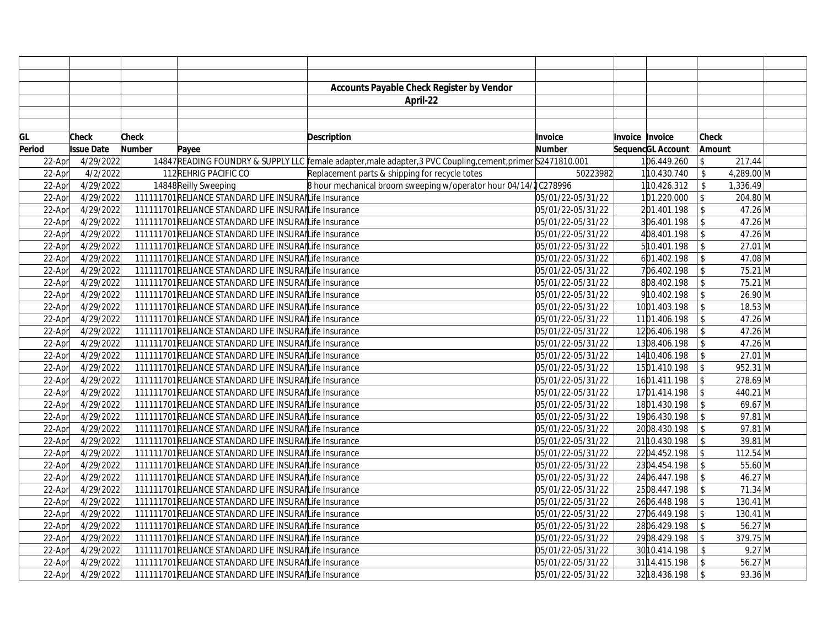|        |                   |        |                                                        | <b>Accounts Payable Check Register by Vendor</b>                                                              |                   |                   |                         |            |  |
|--------|-------------------|--------|--------------------------------------------------------|---------------------------------------------------------------------------------------------------------------|-------------------|-------------------|-------------------------|------------|--|
|        |                   |        |                                                        | April-22                                                                                                      |                   |                   |                         |            |  |
|        |                   |        |                                                        |                                                                                                               |                   |                   |                         |            |  |
|        |                   |        |                                                        |                                                                                                               |                   |                   |                         |            |  |
| GL     | <b>Check</b>      | Check  |                                                        | <b>Description</b>                                                                                            | Invoice           | Invoice Invoice   | Check                   |            |  |
| Period | <b>Issue Date</b> | Number | Payee                                                  |                                                                                                               | Number            | SequencGL Account | Amount                  |            |  |
| 22-Apr | 4/29/2022         |        |                                                        | 14847 READING FOUNDRY & SUPPLY LLC female adapter, male adapter, 3 PVC Coupling, cement, primer \$2471810.001 |                   | 106.449.260       | $\mathsf{\$}$           | 217.44     |  |
| 22-Apr | 4/2/2022          |        | 112 REHRIG PACIFIC CO                                  | Replacement parts & shipping for recycle totes                                                                | 50223982          | 110.430.740       | $\mathcal{S}$           | 4,289.00 M |  |
| 22-Apr | 4/29/2022         |        | 14848 Reilly Sweeping                                  | 8 hour mechanical broom sweeping w/operator hour 04/14/1C278996                                               |                   | 110.426.312       | \$                      | 1,336.49   |  |
| 22-Apr | 4/29/2022         |        | 111111701 RELIANCE STANDARD LIFE INSURAILife Insurance |                                                                                                               | 05/01/22-05/31/22 | 101.220.000       | $\sqrt[6]{\frac{1}{2}}$ | 204.80 M   |  |
| 22-Apr | 4/29/2022         |        | 111111701 RELIANCE STANDARD LIFE INSURAILIfe Insurance |                                                                                                               | 05/01/22-05/31/22 | 201.401.198       | $\mathsf{\$}$           | 47.26 M    |  |
| 22-Apr | 4/29/2022         |        | 111111701 RELIANCE STANDARD LIFE INSURAILife Insurance |                                                                                                               | 05/01/22-05/31/22 | 306.401.198       | $\mathcal{S}$           | 47.26 M    |  |
| 22-Apr | 4/29/2022         |        | 111111701 RELIANCE STANDARD LIFE INSURAILIfe Insurance |                                                                                                               | 05/01/22-05/31/22 | 408.401.198       | $\mathfrak{L}$          | 47.26 M    |  |
| 22-Apr | 4/29/2022         |        | 111111701 RELIANCE STANDARD LIFE INSURAILIfe Insurance |                                                                                                               | 05/01/22-05/31/22 | 510.401.198       | $\sqrt[6]{\frac{1}{2}}$ | 27.01 M    |  |
| 22-Apr | 4/29/2022         |        | 111111701 RELIANCE STANDARD LIFE INSURAILife Insurance |                                                                                                               | 05/01/22-05/31/22 | 601.402.198       | $\sqrt[6]{\frac{1}{2}}$ | 47.08 M    |  |
| 22-Apr | 4/29/2022         |        | 111111701 RELIANCE STANDARD LIFE INSURAILIfe Insurance |                                                                                                               | 05/01/22-05/31/22 | 706.402.198       | $\sqrt[6]{\frac{1}{2}}$ | 75.21 M    |  |
| 22-Apr | 4/29/2022         |        | 111111701 RELIANCE STANDARD LIFE INSURAILIfe Insurance |                                                                                                               | 05/01/22-05/31/22 | 808.402.198       | \$                      | 75.21 M    |  |
| 22-Apr | 4/29/2022         |        | 111111701 RELIANCE STANDARD LIFE INSURAILIfe Insurance |                                                                                                               | 05/01/22-05/31/22 | 910.402.198       | \$                      | 26.90 M    |  |
| 22-Apr | 4/29/2022         |        | 111111701 RELIANCE STANDARD LIFE INSURAILIfe Insurance |                                                                                                               | 05/01/22-05/31/22 | 1001.403.198      | $\mathfrak{L}$          | 18.53 M    |  |
| 22-Apr | 4/29/2022         |        | 111111701 RELIANCE STANDARD LIFE INSURAILIfe Insurance |                                                                                                               | 05/01/22-05/31/22 | 1101.406.198      | \$                      | 47.26 M    |  |
| 22-Apr | 4/29/2022         |        | 111111701 RELIANCE STANDARD LIFE INSURAILIfe Insurance |                                                                                                               | 05/01/22-05/31/22 | 1206.406.198      | $\mathcal{S}$           | 47.26 M    |  |
| 22-Apr | 4/29/2022         |        | 111111701 RELIANCE STANDARD LIFE INSURAILIfe Insurance |                                                                                                               | 05/01/22-05/31/22 | 1308.406.198      | \$                      | 47.26 M    |  |
| 22-Apr | 4/29/2022         |        | 111111701 RELIANCE STANDARD LIFE INSURAILIfe Insurance |                                                                                                               | 05/01/22-05/31/22 | 14 10.406.198     | \$                      | 27.01 M    |  |
| 22-Apr | 4/29/2022         |        | 111111701RELIANCE STANDARD LIFE INSURANLife Insurance  |                                                                                                               | 05/01/22-05/31/22 | 1501.410.198      | $\sqrt{2}$              | 952.31 M   |  |
| 22-Apr | 4/29/2022         |        | 111111701 RELIANCE STANDARD LIFE INSURAILIfe Insurance |                                                                                                               | 05/01/22-05/31/22 | 1601.411.198      | $\mathsf{\$}$           | 278.69 M   |  |
| 22-Apr | 4/29/2022         |        | 111111701 RELIANCE STANDARD LIFE INSURAILIfe Insurance |                                                                                                               | 05/01/22-05/31/22 | 1701.414.198      | \$                      | 440.21 M   |  |
| 22-Apr | 4/29/2022         |        | 111111701 RELIANCE STANDARD LIFE INSURAILIfe Insurance |                                                                                                               | 05/01/22-05/31/22 | 1801.430.198      | \$                      | 69.67 M    |  |
| 22-Apr | 4/29/2022         |        | 111111701RELIANCE STANDARD LIFE INSURAILife Insurance  |                                                                                                               | 05/01/22-05/31/22 | 1906.430.198      | \$                      | 97.81 M    |  |
| 22-Apr | 4/29/2022         |        | 111111701 RELIANCE STANDARD LIFE INSURAILIfe Insurance |                                                                                                               | 05/01/22-05/31/22 | 2008.430.198      | \$                      | 97.81 M    |  |
| 22-Apr | 4/29/2022         |        | 111111701RELIANCE STANDARD LIFE INSURAILife Insurance  |                                                                                                               | 05/01/22-05/31/22 | 21 10.430.198     | $\mathsf{\$}$           | 39.81 M    |  |
| 22-Apr | 4/29/2022         |        | 111111701RELIANCE STANDARD LIFE INSURALIfe Insurance   |                                                                                                               | 05/01/22-05/31/22 | 2204.452.198      | \$                      | 112.54 M   |  |
| 22-Apr | 4/29/2022         |        | 111111701 RELIANCE STANDARD LIFE INSURAILIfe Insurance |                                                                                                               | 05/01/22-05/31/22 | 2304.454.198      | \$                      | 55.60 M    |  |
| 22-Apr | 4/29/2022         |        | 111111701 RELIANCE STANDARD LIFE INSURAILIfe Insurance |                                                                                                               | 05/01/22-05/31/22 | 2406.447.198      | \$                      | 46.27 M    |  |
| 22-Apr | 4/29/2022         |        | 111111701 RELIANCE STANDARD LIFE INSURAILIfe Insurance |                                                                                                               | 05/01/22-05/31/22 | 2508.447.198      | $\mathbb{S}$            | 71.34 M    |  |
| 22-Apr | 4/29/2022         |        | 111111701 RELIANCE STANDARD LIFE INSURAILIfe Insurance |                                                                                                               | 05/01/22-05/31/22 | 2606.448.198      | $\sqrt{2}$              | 130.41 M   |  |
| 22-Apr | 4/29/2022         |        | 111111701 RELIANCE STANDARD LIFE INSURAILIfe Insurance |                                                                                                               | 05/01/22-05/31/22 | 2706.449.198      | \$                      | 130.41 M   |  |
| 22-Apr | 4/29/2022         |        | 111111701 RELIANCE STANDARD LIFE INSURAILIfe Insurance |                                                                                                               | 05/01/22-05/31/22 | 2806.429.198      | \$                      | 56.27 M    |  |
| 22-Apr | 4/29/2022         |        | 111111701 RELIANCE STANDARD LIFE INSURAILIfe Insurance |                                                                                                               | 05/01/22-05/31/22 | 2908.429.198      | $\mathcal{S}$           | 379.75 M   |  |
| 22-Apr | 4/29/2022         |        | 111111701RELIANCE STANDARD LIFE INSURANLife Insurance  |                                                                                                               | 05/01/22-05/31/22 | 30 10.414.198     | $\mathsf{\$}$           | $9.27$ M   |  |
| 22-Apr | 4/29/2022         |        | 111111701 RELIANCE STANDARD LIFE INSURAILife Insurance |                                                                                                               | 05/01/22-05/31/22 | 31 14.415.198     | $\mathfrak{L}$          | 56.27 M    |  |
| 22-Apr | 4/29/2022         |        | 111111701 RELIANCE STANDARD LIFE INSURAILife Insurance |                                                                                                               | 05/01/22-05/31/22 | 32 18.436.198     | $\hat{\mathbf{S}}$      | 93.36 M    |  |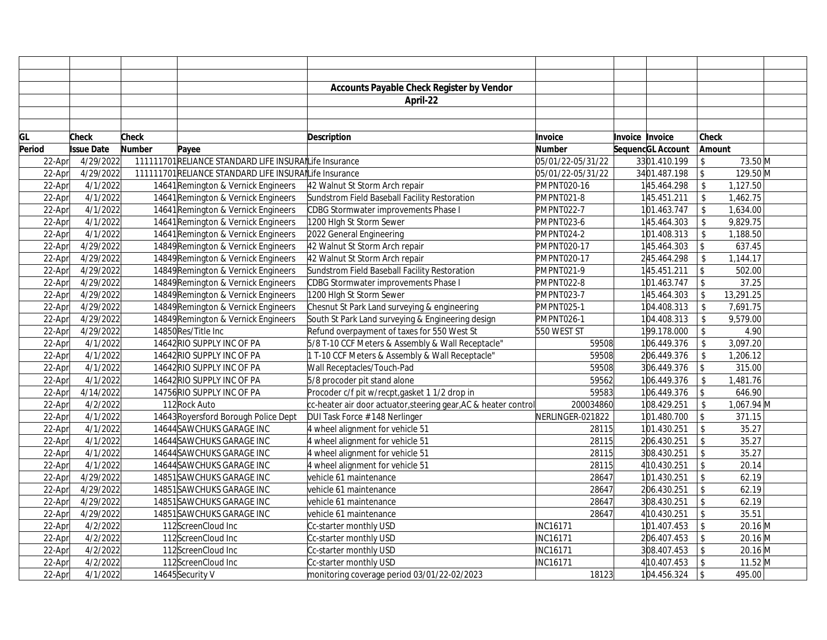|        |                   |        |                                                        | Accounts Payable Check Register by Vendor                       |                    |                 |                   |                           |              |  |
|--------|-------------------|--------|--------------------------------------------------------|-----------------------------------------------------------------|--------------------|-----------------|-------------------|---------------------------|--------------|--|
|        |                   |        |                                                        | April-22                                                        |                    |                 |                   |                           |              |  |
|        |                   |        |                                                        |                                                                 |                    |                 |                   |                           |              |  |
|        |                   |        |                                                        |                                                                 |                    |                 |                   |                           |              |  |
| GL     | <b>Check</b>      | Check  |                                                        | <b>Description</b>                                              | Invoice            | Invoice Invoice |                   | Check                     |              |  |
| Period | <b>Issue Date</b> | Number | Payee                                                  |                                                                 | <b>Number</b>      |                 | SequencGL Account | Amount                    |              |  |
| 22-Apr | 4/29/2022         |        | 111111701 RELIANCE STANDARD LIFE INSURAILife Insurance |                                                                 | 05/01/22-05/31/22  |                 | 3301.410.199      | \$                        | 73.50 M      |  |
| 22-Apr | 4/29/2022         |        | 111111701 RELIANCE STANDARD LIFE INSURAILIfe Insurance |                                                                 | 05/01/22-05/31/22  |                 | 3401.487.198      | \$                        | 129.50 M     |  |
| 22-Apr | 4/1/2022          |        | 14641 Remington & Vernick Engineers                    | 42 Walnut St Storm Arch repair                                  | PMPNT020-16        |                 | 145.464.298       | \$                        | 1,127.50     |  |
| 22-Apr | 4/1/2022          |        | 14641 Remington & Vernick Engineers                    | Sundstrom Field Baseball Facility Restoration                   | PMPNT021-8         |                 | 145.451.211       | \$                        | 1,462.75     |  |
| 22-Apr | 4/1/2022          |        | 14641 Remington & Vernick Engineers                    | CDBG Stormwater improvements Phase I                            | PMPNT022-7         |                 | 101.463.747       | $\mathsf{\$}$             | 1,634.00     |  |
| 22-Apr | 4/1/2022          |        | 14641 Remington & Vernick Engineers                    | 1200 High St Storm Sewer                                        | PMPNT023-6         |                 | 145.464.303       | $\mathsf{\$}$             | 9,829.75     |  |
| 22-Apr | 4/1/2022          |        | 14641 Remington & Vernick Engineers                    | 2022 General Engineering                                        | PMPNT024-2         |                 | 101.408.313       | \$                        | 1,188.50     |  |
| 22-Apr | 4/29/2022         |        | 14849 Remington & Vernick Engineers                    | 42 Walnut St Storm Arch repair                                  | PMPNT020-17        |                 | 145.464.303       | \$                        | 637.45       |  |
| 22-Apr | 4/29/2022         |        | 14849 Remington & Vernick Engineers                    | 42 Walnut St Storm Arch repair                                  | <b>PMPNT020-17</b> |                 | 245.464.298       | \$                        | 1,144.17     |  |
| 22-Apr | 4/29/2022         |        | 14849 Remington & Vernick Engineers                    | Sundstrom Field Baseball Facility Restoration                   | PMPNT021-9         |                 | 145.451.211       | $\sqrt{2}$                | 502.00       |  |
| 22-Apr | 4/29/2022         |        | 14849 Remington & Vernick Engineers                    | CDBG Stormwater improvements Phase I                            | PMPNT022-8         |                 | 101.463.747       | $\mathsf{\$}$             | 37.25        |  |
| 22-Apr | 4/29/2022         |        | 14849 Remington & Vernick Engineers                    | 1200 High St Storm Sewer                                        | PMPNT023-7         |                 | 145.464.303       | \$                        | 13,291.25    |  |
| 22-Apr | 4/29/2022         |        | 14849 Remington & Vernick Engineers                    | Chesnut St Park Land surveying & engineering                    | PMPNT025-1         |                 | 104.408.313       | $\mathcal{S}$             | 7,691.75     |  |
| 22-Apr | 4/29/2022         |        | 14849 Remington & Vernick Engineers                    | South St Park Land surveying & Engineering design               | PMPNT026-1         |                 | 104.408.313       | \$                        | 9,579.00     |  |
| 22-Apr | 4/29/2022         |        | 14850Res/Title Inc                                     | Refund overpayment of taxes for 550 West St                     | 550 WEST ST        |                 | 199.178.000       | \$                        | 4.90         |  |
| 22-Apr | 4/1/2022          |        | 14642RIO SUPPLY INC OF PA                              | 5/8 T-10 CCF Meters & Assembly & Wall Receptacle"               | 59508              |                 | 106.449.376       | $\mathsf{\$}$             | 3,097.20     |  |
| 22-Apr | 4/1/2022          |        | 14642 RIO SUPPLY INC OF PA                             | 1 T-10 CCF Meters & Assembly & Wall Receptacle"                 | 59508              |                 | 206.449.376       | \$                        | 1,206.12     |  |
| 22-Apr | 4/1/2022          |        | 14642RIO SUPPLY INC OF PA                              | Wall Receptacles/Touch-Pad                                      | 59508              |                 | 306.449.376       | $\sqrt[6]{\frac{1}{2}}$   | 315.00       |  |
| 22-Apr | 4/1/2022          |        | 14642 RIO SUPPLY INC OF PA                             | 5/8 procoder pit stand alone                                    | 59562              |                 | 106.449.376       |                           | 1,481.76     |  |
| 22-Apr | 4/14/2022         |        | 14756 RIO SUPPLY INC OF PA                             | Procoder c/f pit w/recpt, gasket 1 1/2 drop in                  | 59583              |                 | 106.449.376       | $\mathsf{\$}$             | 646.90       |  |
| 22-Apr | 4/2/2022          |        | 112 Rock Auto                                          | cc-heater air door actuator, steering gear, AC & heater control | 200034860          |                 | 108.429.251       | \$                        | $1,067.94$ M |  |
| 22-Apr | 4/1/2022          |        | 14643 Royersford Borough Police Dept                   | DUI Task Force # 148 Nerlinger                                  | NERLINGER-021822   |                 | 101.480.700       | $\sqrt[6]{\frac{1}{2}}$   | 371.15       |  |
| 22-Apr | 4/1/2022          |        | 14644 SAWCHUKS GARAGE INC                              | 4 wheel alignment for vehicle 51                                | 28115              |                 | 101.430.251       | \$                        | 35.27        |  |
| 22-Apr | 4/1/2022          |        | 14644 SAWCHUKS GARAGE INC                              | 4 wheel alignment for vehicle 51                                | 28115              |                 | 206.430.251       | $\boldsymbol{\mathsf{S}}$ | 35.27        |  |
| 22-Apr | 4/1/2022          |        | 14644 SAWCHUKS GARAGE INC                              | 4 wheel alignment for vehicle 51                                | 28115              |                 | 308.430.251       | \$                        | 35.27        |  |
| 22-Apr | 4/1/2022          |        | 14644 SAWCHUKS GARAGE INC                              | 4 wheel alignment for vehicle 51                                | 28115              |                 | 4 10.430.251      | \$                        | 20.14        |  |
| 22-Apr | 4/29/2022         |        | 14851 SAWCHUKS GARAGE INC                              | vehicle 61 maintenance                                          | 28647              |                 | 101.430.251       | $\mathsf{\$}$             | 62.19        |  |
| 22-Apr | 4/29/2022         |        | 14851SAWCHUKS GARAGE INC                               | vehicle 61 maintenance                                          | 28647              |                 | 206.430.251       | \$                        | 62.19        |  |
| 22-Apr | 4/29/2022         |        | 14851 SAWCHUKS GARAGE INC                              | vehicle 61 maintenance                                          | 28647              |                 | 308.430.251       | \$                        | 62.19        |  |
| 22-Apr | 4/29/2022         |        | 14851SAWCHUKS GARAGE INC                               | vehicle 61 maintenance                                          | 28647              |                 | 4 10.430.251      | $\mathfrak{L}$            | 35.51        |  |
| 22-Apr | 4/2/2022          |        | 112ScreenCloud Inc                                     | Cc-starter monthly USD                                          | <b>INC16171</b>    |                 | 101.407.453       | $\mathbb{S}$              | 20.16 M      |  |
| 22-Apr | 4/2/2022          |        | 112ScreenCloud Inc                                     | Cc-starter monthly USD                                          | INC16171           |                 | 206.407.453       | $\mathsf{\$}$             | 20.16 M      |  |
| 22-Apr | 4/2/2022          |        | 112ScreenCloud Inc                                     | Cc-starter monthly USD                                          | <b>INC16171</b>    |                 | 308.407.453       | $\mathbb{S}$              | 20.16 M      |  |
| 22-Apr | 4/2/2022          |        | 112ScreenCloud Inc                                     | Cc-starter monthly USD                                          | <b>INC16171</b>    |                 | 4 10.407.453      | \$                        | 11.52 M      |  |
| 22-Apr | 4/1/2022          |        | 14645 Security V                                       | monitoring coverage period 03/01/22-02/2023                     | 18123              |                 | 104.456.324       | $\mathcal{S}$             | 495.00       |  |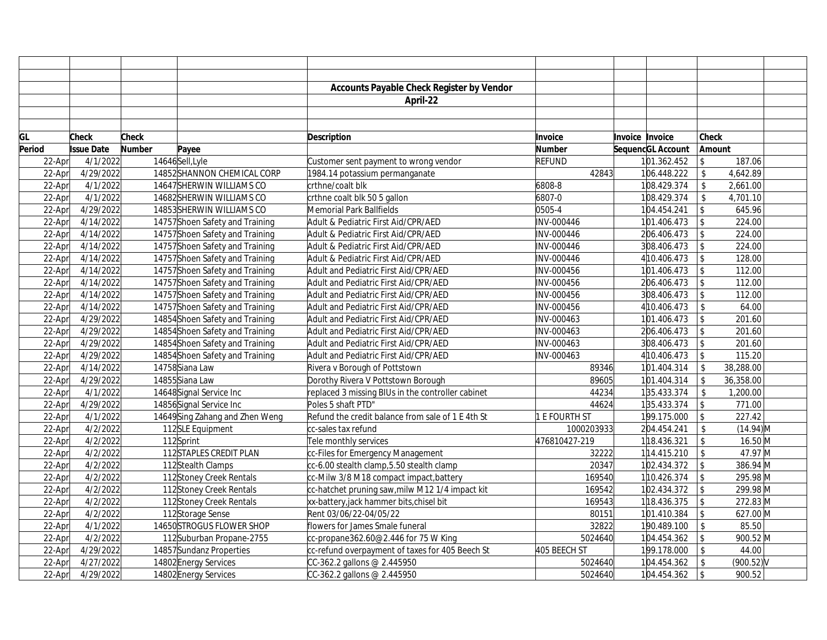|        |                   |        |                                 | <b>Accounts Payable Check Register by Vendor</b>  |               |                        |                         |                                      |  |
|--------|-------------------|--------|---------------------------------|---------------------------------------------------|---------------|------------------------|-------------------------|--------------------------------------|--|
|        |                   |        |                                 | April-22                                          |               |                        |                         |                                      |  |
|        |                   |        |                                 |                                                   |               |                        |                         |                                      |  |
|        |                   |        |                                 |                                                   |               |                        |                         |                                      |  |
| GL     | <b>Check</b>      | Check  |                                 | <b>Description</b>                                | Invoice       | <b>Invoice Invoice</b> |                         | <b>Check</b>                         |  |
| Period | <b>Issue Date</b> | Number | Payee                           |                                                   | <b>Number</b> | SequencGL Account      |                         | Amount                               |  |
| 22-Apr | 4/1/2022          |        | 14646Sell,Lyle                  | Customer sent payment to wrong vendor             | <b>REFUND</b> | 101.362.452            |                         | \$<br>187.06                         |  |
| 22-Apr | 4/29/2022         |        | 14852SHANNON CHEMICAL CORP      | 1984.14 potassium permanganate                    | 42843         | 106.448.222            |                         | \$<br>4,642.89                       |  |
| 22-Apr | 4/1/2022          |        | 14647 SHERWIN WILLIAMS CO       | crthne/coalt blk                                  | 6808-8        | 108.429.374            |                         | $\sqrt[6]{2}$<br>2,661.00            |  |
| 22-Apr | 4/1/2022          |        | 14682SHERWIN WILLIAMS CO        | crthne coalt blk 50 5 gallon                      | 6807-0        | 108.429.374            |                         | \$<br>4,701.10                       |  |
| 22-Apr | 4/29/2022         |        | 14853SHERWIN WILLIAMS CO        | Memorial Park Ballfields                          | 0505-4        | 104.454.241            | \$                      | 645.96                               |  |
| 22-Apr | 4/14/2022         |        | 14757Shoen Safety and Training  | Adult & Pediatric First Aid/CPR/AED               | INV-000446    | 101.406.473            | $\mathsf S$             | 224.00                               |  |
| 22-Apr | 4/14/2022         |        | 14757 Shoen Safety and Training | Adult & Pediatric First Aid/CPR/AED               | INV-000446    | 206.406.473            | $\mathsf{\$}$           | 224.00                               |  |
| 22-Apr | 4/14/2022         |        | 14757 Shoen Safety and Training | Adult & Pediatric First Aid/CPR/AED               | INV-000446    | 308.406.473            | \$                      | 224.00                               |  |
| 22-Apr | 4/14/2022         |        | 14757Shoen Safety and Training  | Adult & Pediatric First Aid/CPR/AED               | INV-000446    | 4 10.406.473           | \$                      | 128.00                               |  |
| 22-Apr | 4/14/2022         |        | 14757 Shoen Safety and Training | Adult and Pediatric First Aid/CPR/AED             | INV-000456    | 101.406.473            | $\sqrt[6]{\frac{1}{2}}$ | 112.00                               |  |
| 22-Apr | 4/14/2022         |        | 14757Shoen Safety and Training  | Adult and Pediatric First Aid/CPR/AED             | INV-000456    | 206.406.473            | $\mathfrak{L}$          | 112.00                               |  |
| 22-Apr | 4/14/2022         |        | 14757 Shoen Safety and Training | Adult and Pediatric First Aid/CPR/AED             | INV-000456    | 308.406.473            | $\mathfrak{L}$          | 112.00                               |  |
| 22-Apr | 4/14/2022         |        | 14757Shoen Safety and Training  | Adult and Pediatric First Aid/CPR/AED             | INV-000456    | 4 10.406.473           |                         | 64.00<br>\$                          |  |
| 22-Apr | 4/29/2022         |        | 14854 Shoen Safety and Training | Adult and Pediatric First Aid/CPR/AED             | INV-000463    | 101.406.473            | $\sqrt[6]{\frac{1}{2}}$ | 201.60                               |  |
| 22-Apr | 4/29/2022         |        | 14854 Shoen Safety and Training | Adult and Pediatric First Aid/CPR/AED             | INV-000463    | 206.406.473            | $\mathcal{L}$           | 201.60                               |  |
| 22-Apr | 4/29/2022         |        | 14854 Shoen Safety and Training | Adult and Pediatric First Aid/CPR/AED             | INV-000463    | 308.406.473            | $\sqrt[6]{\frac{1}{2}}$ | 201.60                               |  |
| 22-Apr | 4/29/2022         |        | 14854 Shoen Safety and Training | Adult and Pediatric First Aid/CPR/AED             | INV-000463    | 410.406.473            | $\sqrt[6]{\frac{1}{2}}$ | 115.20                               |  |
| 22-Apr | 4/14/2022         |        | 14758Siana Law                  | Rivera v Borough of Pottstown                     | 89346         | 101.404.314            |                         | $\sqrt[6]{\frac{1}{2}}$<br>38,288.00 |  |
| 22-Apr | 4/29/2022         |        | 14855Siana Law                  | Dorothy Rivera V Pottstown Borough                | 89605         | 101.404.314            |                         | $\hat{\mathbf{S}}$<br>36,358.00      |  |
| 22-Apr | 4/1/2022          |        | 14648 Signal Service Inc        | replaced 3 missing BIUs in the controller cabinet | 44234         | 135.433.374            |                         | 1,200.00<br>\$                       |  |
| 22-Apr | 4/29/2022         |        | 14856Signal Service Inc         | Poles 5 shaft PTD"                                | 44624         | 135.433.374            |                         | $\mathbb{S}$<br>771.00               |  |
| 22-Apr | 4/1/2022          |        | 14649Sing Zahang and Zhen Weng  | Refund the credit balance from sale of 1 E 4th St | 1 E FOURTH ST | 199.175.000            | $\mathsf{\$}$           | 227.42                               |  |
| 22-Apr | 4/2/2022          |        | 112SLE Equipment                | cc-sales tax refund                               | 1000203933    | 204.454.241            |                         | $(14.94)$ M<br>$\mathbb{S}$          |  |
| 22-Apr | 4/2/2022          |        | 112Sprint                       | Tele monthly services                             | 476810427-219 | 118.436.321            |                         | $16.50$ M<br>\$                      |  |
| 22-Apr | 4/2/2022          |        | 112STAPLES CREDIT PLAN          | cc-Files for Emergency Management                 | 32222         | 114.415.210            |                         | 47.97 M<br>$\sqrt[6]{\frac{1}{2}}$   |  |
| 22-Apr | 4/2/2022          |        | 112Stealth Clamps               | cc-6.00 stealth clamp, 5.50 stealth clamp         | 20347         | 102.434.372            | $\sqrt[6]{\frac{1}{2}}$ | 386.94 M                             |  |
| 22-Apr | 4/2/2022          |        | 112Stoney Creek Rentals         | cc-Milw 3/8 M18 compact impact, battery           | 169540        | 110.426.374            | $\mathcal{S}$           | 295.98 M                             |  |
| 22-Apr | 4/2/2022          |        | 112Stoney Creek Rentals         | cc-hatchet pruning saw, milw M12 1/4 impact kit   | 169542        | 102.434.372            | \$                      | 299.98 M                             |  |
| 22-Apr | 4/2/2022          |        | 112Stoney Creek Rentals         | xx-battery,jack hammer bits,chisel bit            | 169543        | 118.436.375            | $\mathfrak{S}$          | 272.83 M                             |  |
| 22-Apr | 4/2/2022          |        | 112Storage Sense                | Rent 03/06/22-04/05/22                            | 80151         | 101.410.384            | $\sqrt[6]{\frac{1}{2}}$ | 627.00 M                             |  |
| 22-Apr | 4/1/2022          |        | 14650STROGUS FLOWER SHOP        | flowers for James Smale funeral                   | 32822         | 190.489.100            |                         | 85.50<br>$\boldsymbol{\mathsf{\$}}$  |  |
| 22-Apr | 4/2/2022          |        | 112Suburban Propane-2755        | cc-propane 362.60 $@2.446$ for 75 W King          | 5024640       | 104.454.362            | $\mathfrak{S}$          | 900.52 M                             |  |
| 22-Apr | 4/29/2022         |        | 14857 Sundanz Properties        | cc-refund overpayment of taxes for 405 Beech St   | 405 BEECH ST  | 199.178.000            |                         | 44.00<br>\$                          |  |
| 22-Apr | 4/27/2022         |        | 14802 Energy Services           | CC-362.2 gallons @ 2.445950                       | 5024640       | 104.454.362            |                         | $(900.52)$ V<br>$\mathsf{\$}$        |  |
| 22-Apr | 4/29/2022         |        | 14802 Energy Services           | CC-362.2 gallons @ 2.445950                       | 5024640       | 104.454.362            | $\mathsf{\$}$           | 900.52                               |  |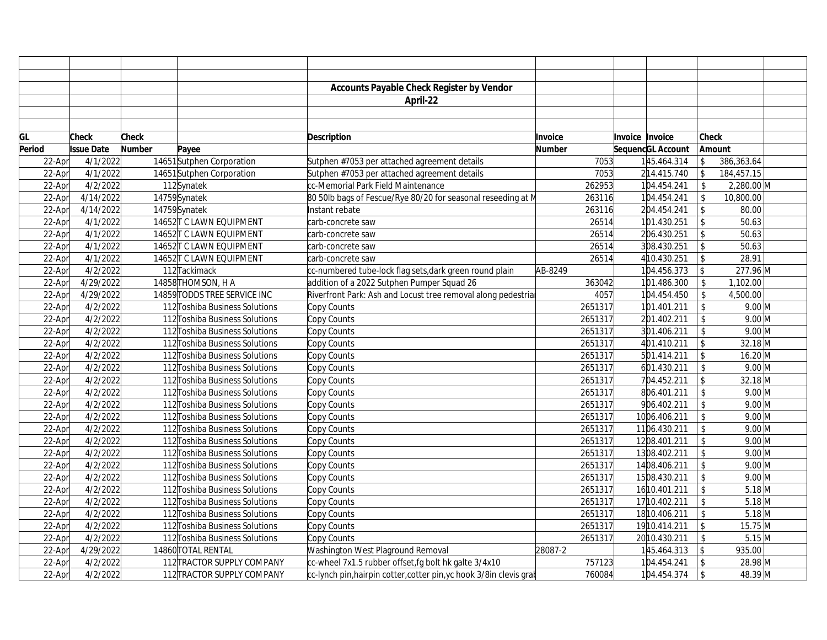|        |                   |        |                                | <b>Accounts Payable Check Register by Vendor</b>                    |               |         |                 |                   |                         |            |  |
|--------|-------------------|--------|--------------------------------|---------------------------------------------------------------------|---------------|---------|-----------------|-------------------|-------------------------|------------|--|
|        |                   |        |                                | April-22                                                            |               |         |                 |                   |                         |            |  |
|        |                   |        |                                |                                                                     |               |         |                 |                   |                         |            |  |
|        |                   |        |                                |                                                                     |               |         |                 |                   |                         |            |  |
| GL     | <b>Check</b>      | Check  |                                | <b>Description</b>                                                  | Invoice       |         | Invoice Invoice |                   | Check                   |            |  |
| Period | <b>Issue Date</b> | Number | Payee                          |                                                                     | <b>Number</b> |         |                 | SequencGL Account |                         | Amount     |  |
| 22-Apr | 4/1/2022          |        | 14651 Sutphen Corporation      | Sutphen #7053 per attached agreement details                        |               | 7053    |                 | 145.464.314       |                         | 386,363.64 |  |
| 22-Apr | 4/1/2022          |        | 14651Sutphen Corporation       | Sutphen #7053 per attached agreement details                        |               | 7053    |                 | 214.415.740       | $\mathcal{S}$           | 184,457.15 |  |
| 22-Apr | 4/2/2022          |        | 112Synatek                     | cc-Memorial Park Field Maintenance                                  |               | 262953  |                 | 104.454.241       | \$                      | 2,280.00 M |  |
| 22-Apr | 4/14/2022         |        | 14759Synatek                   | 80 50lb bags of Fescue/Rye 80/20 for seasonal reseeding at N        |               | 263116  |                 | 104.454.241       | $\mathcal{S}$           | 10,800.00  |  |
| 22-Apr | 4/14/2022         |        | 14759Synatek                   | Instant rebate                                                      |               | 263116  |                 | 204.454.241       | $\mathsf{\$}$           | 80.00      |  |
| 22-Apr | 4/1/2022          |        | 14652 TC LAWN EQUIPMENT        | carb-concrete saw                                                   |               | 26514   |                 | 101.430.251       | $\mathsf{\$}$           | 50.63      |  |
| 22-Apr | 4/1/2022          |        | 14652 TC LAWN EQUIPMENT        | carb-concrete saw                                                   |               | 26514   |                 | 206.430.251       | \$                      | 50.63      |  |
| 22-Apr | 4/1/2022          |        | 14652 TC LAWN EQUIPMENT        | carb-concrete saw                                                   |               | 26514   |                 | 308.430.251       | $\mathsf{\$}$           | 50.63      |  |
| 22-Apr | 4/1/2022          |        | 14652 TC LAWN EQUIPMENT        | carb-concrete saw                                                   |               | 26514   |                 | 410.430.251       | \$                      | 28.91      |  |
| 22-Apr | 4/2/2022          |        | 112Tackimack                   | cc-numbered tube-lock flag sets, dark green round plain             | AB-8249       |         |                 | 104.456.373       | $\mathsf{\$}$           | 277.96 M   |  |
| 22-Apr | 4/29/2022         |        | 14858 THOMSON, HA              | addition of a 2022 Sutphen Pumper Squad 26                          |               | 363042  |                 | 101.486.300       | \$                      | 1,102.00   |  |
| 22-Apr | 4/29/2022         |        | 14859 TODDS TREE SERVICE INC   | Riverfront Park: Ash and Locust tree removal along pedestrial       |               | 4057    |                 | 104.454.450       | $\mathbb{S}$            | 4,500.00   |  |
| 22-Apr | 4/2/2022          |        | 112 Toshiba Business Solutions | Copy Counts                                                         |               | 2651317 |                 | 101.401.211       | \$                      | $9.00$ M   |  |
| 22-Apr | 4/2/2022          |        | 112 Toshiba Business Solutions | Copy Counts                                                         |               | 2651317 |                 | 201.402.211       | $\mathsf{\$}$           | $9.00$ M   |  |
| 22-Apr | 4/2/2022          |        | 112 Toshiba Business Solutions | Copy Counts                                                         |               | 2651317 |                 | 301.406.211       | $\mathcal{S}$           | $9.00$ M   |  |
| 22-Apr | 4/2/2022          |        | 112 Toshiba Business Solutions | Copy Counts                                                         |               | 2651317 |                 | 401.410.211       | \$                      | $32.18$ M  |  |
| 22-Apr | 4/2/2022          |        | 112 Toshiba Business Solutions | Copy Counts                                                         |               | 2651317 |                 | 501.414.211       | \$                      | $16.20$ M  |  |
| 22-Apr | 4/2/2022          |        | 112 Toshiba Business Solutions | Copy Counts                                                         |               | 2651317 |                 | 601.430.211       | \$                      | $9.00$ M   |  |
| 22-Apr | 4/2/2022          |        | 112 Toshiba Business Solutions | Copy Counts                                                         |               | 2651317 |                 | 704.452.211       | \$                      | $32.18$ M  |  |
| 22-Apr | 4/2/2022          |        | 112 Toshiba Business Solutions | Copy Counts                                                         |               | 2651317 |                 | 806.401.211       | \$                      | $9.00$ M   |  |
| 22-Apr | 4/2/2022          |        | 112 Toshiba Business Solutions | Copy Counts                                                         |               | 2651317 |                 | 906.402.211       | \$                      | $9.00$ M   |  |
| 22-Apr | 4/2/2022          |        | 112 Toshiba Business Solutions | Copy Counts                                                         |               | 2651317 |                 | 1006.406.211      | \$                      | $9.00$ M   |  |
| 22-Apr | 4/2/2022          |        | 112 Toshiba Business Solutions | Copy Counts                                                         |               | 2651317 |                 | 1106.430.211      | \$                      | $9.00$ M   |  |
| 22-Apr | 4/2/2022          |        | 112 Toshiba Business Solutions | Copy Counts                                                         |               | 2651317 |                 | 1208.401.211      | \$                      | $9.00$ M   |  |
| 22-Apr | 4/2/2022          |        | 112 Toshiba Business Solutions | Copy Counts                                                         |               | 2651317 |                 | 1308.402.211      | $\mathcal{S}$           | $9.00$ M   |  |
| 22-Apr | 4/2/2022          |        | 112 Toshiba Business Solutions | Copy Counts                                                         |               | 2651317 |                 | 1408.406.211      |                         | $9.00$ M   |  |
| 22-Apr | 4/2/2022          |        | 112 Toshiba Business Solutions | Copy Counts                                                         |               | 2651317 |                 | 1508.430.211      | \$                      | $9.00$ M   |  |
| 22-Apr | 4/2/2022          |        | 112 Toshiba Business Solutions | Copy Counts                                                         |               | 2651317 |                 | 16 10.401.211     | \$                      | $5.18$ M   |  |
| 22-Apr | 4/2/2022          |        | 112 Toshiba Business Solutions | Copy Counts                                                         |               | 2651317 |                 | 17 10.402.211     | $\mathbb{S}$            | $5.18$ M   |  |
| 22-Apr | 4/2/2022          |        | 112 Toshiba Business Solutions | Copy Counts                                                         |               | 2651317 |                 | 18 10.406.211     | $\mathcal{S}$           | $5.18$ M   |  |
| 22-Apr | 4/2/2022          |        | 112 Toshiba Business Solutions | Copy Counts                                                         |               | 2651317 |                 | 19 10.414.211     | $\sqrt[6]{\frac{1}{2}}$ | $15.75$ M  |  |
| 22-Apr | 4/2/2022          |        | 112 Toshiba Business Solutions | Copy Counts                                                         |               | 2651317 |                 | 20 10.430.211     | $\mathsf{\$}$           | $5.15$ M   |  |
| 22-Apr | 4/29/2022         |        | 14860 TOTAL RENTAL             | Washington West Plaground Removal                                   | 28087-2       |         |                 | 145.464.313       | $\mathcal{S}$           | 935.00     |  |
| 22-Apr | 4/2/2022          |        | 112 TRACTOR SUPPLY COMPANY     | cc-wheel 7x1.5 rubber offset, fg bolt hk galte 3/4x10               |               | 757123  |                 | 104.454.241       |                         | 28.98 M    |  |
| 22-Apr | 4/2/2022          |        | 112 TRACTOR SUPPLY COMPANY     | cc-lynch pin, hairpin cotter, cotter pin, yc hook 3/8in clevis grat |               | 760084  |                 | 104.454.374       | $\hat{\mathbf{S}}$      | 48.39 M    |  |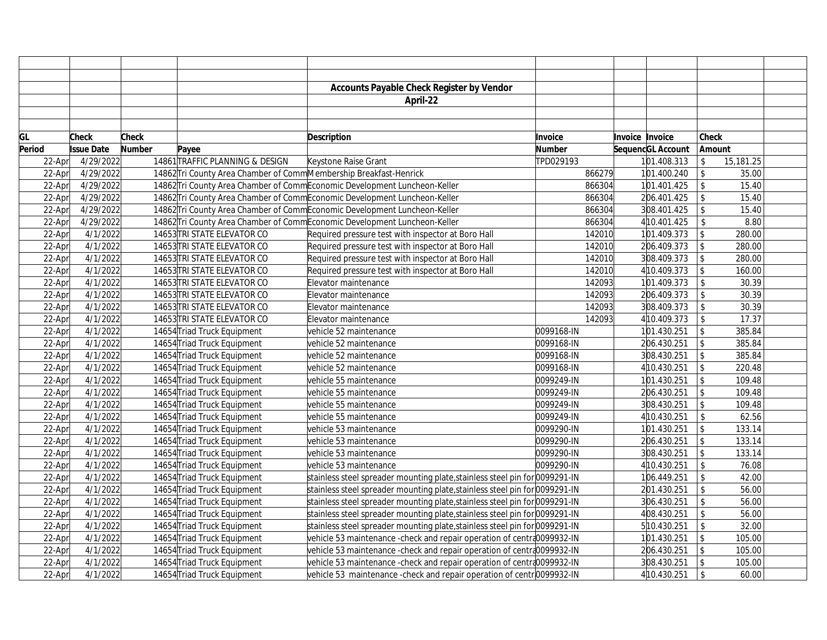|        |                   |              |                                                                    | <b>Accounts Payable Check Register by Vendor</b>                            |            |                 |                   |                           |           |  |
|--------|-------------------|--------------|--------------------------------------------------------------------|-----------------------------------------------------------------------------|------------|-----------------|-------------------|---------------------------|-----------|--|
|        |                   |              |                                                                    | April-22                                                                    |            |                 |                   |                           |           |  |
|        |                   |              |                                                                    |                                                                             |            |                 |                   |                           |           |  |
|        |                   |              |                                                                    |                                                                             |            |                 |                   |                           |           |  |
| GL     | <b>Check</b>      | <b>Check</b> |                                                                    | <b>Description</b>                                                          | Invoice    | Invoice Invoice |                   | Check                     |           |  |
| Period | <b>Issue Date</b> | Number       | Payee                                                              |                                                                             | Number     |                 | SequencGL Account | Amount                    |           |  |
| 22-Apr | 4/29/2022         |              | 14861 TRAFFIC PLANNING & DESIGN                                    | Keystone Raise Grant                                                        | TPD029193  |                 | 101.408.313       | $\mathsf{\$}$             | 15,181.25 |  |
| 22-Apr | 4/29/2022         |              | 14862 Tri County Area Chamber of Comm Membership Breakfast-Henrick |                                                                             | 866279     |                 | 101.400.240       | $\boldsymbol{\mathsf{S}}$ | 35.00     |  |
| 22-Apr | 4/29/2022         |              |                                                                    | 14862 Tri County Area Chamber of CommEconomic Development Luncheon-Keller   | 866304     |                 | 101.401.425       | \$                        | 15.40     |  |
| 22-Apr | 4/29/2022         |              |                                                                    | 14862 Tri County Area Chamber of CommEconomic Development Luncheon-Keller   | 866304     |                 | 206.401.425       | $\sqrt{2}$                | 15.40     |  |
| 22-Apr | 4/29/2022         |              |                                                                    | 14862 Tri County Area Chamber of CommEconomic Development Luncheon-Keller   | 866304     |                 | 308.401.425       | $\hat{\mathbf{S}}$        | 15.40     |  |
| 22-Apr | 4/29/2022         |              |                                                                    | 14862 Tri County Area Chamber of CommEconomic Development Luncheon-Keller   | 866304     |                 | 4 10.401.425      | $\mathfrak{L}$            | 8.80      |  |
| 22-Apr | 4/1/2022          |              | 14653 TRI STATE ELEVATOR CO                                        | Required pressure test with inspector at Boro Hall                          | 142010     |                 | 101.409.373       | $\mathsf{\$}$             | 280.00    |  |
| 22-Apr | 4/1/2022          |              | 14653 TRI STATE ELEVATOR CO                                        | Required pressure test with inspector at Boro Hall                          | 142010     |                 | 206.409.373       | $\sqrt{2}$                | 280.00    |  |
| 22-Apr | 4/1/2022          |              | 14653 TRI STATE ELEVATOR CO                                        | Required pressure test with inspector at Boro Hall                          | 142010     |                 | 308.409.373       | $\mathcal{L}$             | 280.00    |  |
| 22-Apr | 4/1/2022          |              | 14653 TRI STATE ELEVATOR CO                                        | Required pressure test with inspector at Boro Hall                          | 142010     |                 | 4 10.409.373      | $\sqrt[6]{\frac{1}{2}}$   | 160.00    |  |
| 22-Apr | 4/1/2022          |              | 14653 TRI STATE ELEVATOR CO                                        | Elevator maintenance                                                        | 142093     |                 | 101.409.373       | $\mathcal{S}$             | 30.39     |  |
| 22-Apr | 4/1/2022          |              | 14653 TRI STATE ELEVATOR CO                                        | Elevator maintenance                                                        | 142093     |                 | 206.409.373       | \$                        | 30.39     |  |
| 22-Apr | 4/1/2022          |              | 14653 TRI STATE ELEVATOR CO                                        | Elevator maintenance                                                        | 142093     |                 | 308.409.373       | $\mathcal{S}$             | 30.39     |  |
| 22-Apr | 4/1/2022          |              | 14653 TRI STATE ELEVATOR CO                                        | Elevator maintenance                                                        | 142093     |                 | 410.409.373       | $\mathsf{\$}$             | 17.37     |  |
| 22-Apr | 4/1/2022          |              | 14654 Triad Truck Equipment                                        | vehicle 52 maintenance                                                      | 0099168-IN |                 | 101.430.251       | $\sqrt{3}$                | 385.84    |  |
| 22-Apr | 4/1/2022          |              | 14654 Triad Truck Equipment                                        | vehicle 52 maintenance                                                      | 0099168-IN |                 | 206.430.251       | $\sqrt{2}$                | 385.84    |  |
| 22-Apr | 4/1/2022          |              | 14654 Triad Truck Equipment                                        | vehicle 52 maintenance                                                      | 0099168-IN |                 | 308.430.251       | $\sqrt{2}$                | 385.84    |  |
| 22-Apr | 4/1/2022          |              | 14654 Triad Truck Equipment                                        | vehicle 52 maintenance                                                      | 0099168-IN |                 | 410.430.251       | $\sqrt{2}$                | 220.48    |  |
| 22-Apr | 4/1/2022          |              | 14654 Triad Truck Equipment                                        | vehicle 55 maintenance                                                      | 0099249-IN |                 | 101.430.251       | $\sqrt{3}$                | 109.48    |  |
| 22-Apr | 4/1/2022          |              | 14654 Triad Truck Equipment                                        | vehicle 55 maintenance                                                      | 0099249-IN |                 | 206.430.251       | $\sqrt[6]{\frac{1}{2}}$   | 109.48    |  |
| 22-Apr | 4/1/2022          |              | 14654 Triad Truck Equipment                                        | vehicle 55 maintenance                                                      | 0099249-IN |                 | 308.430.251       | $\mathcal{L}$             | 109.48    |  |
| 22-Apr | 4/1/2022          |              | 14654 Triad Truck Equipment                                        | vehicle 55 maintenance                                                      | 0099249-IN |                 | 410.430.251       | \$                        | 62.56     |  |
| 22-Apr | 4/1/2022          |              | 14654 Triad Truck Equipment                                        | vehicle 53 maintenance                                                      | 0099290-IN |                 | 101.430.251       | $\mathsf{\$}$             | 133.14    |  |
| 22-Apr | 4/1/2022          |              | 14654 Triad Truck Equipment                                        | vehicle 53 maintenance                                                      | 0099290-IN |                 | 206.430.251       | $\mathcal{L}$             | 133.14    |  |
| 22-Apr | 4/1/2022          |              | 14654 Triad Truck Equipment                                        | vehicle 53 maintenance                                                      | 0099290-IN |                 | 308.430.251       | $\mathcal{L}$             | 133.14    |  |
| 22-Apr | 4/1/2022          |              | 14654 Triad Truck Equipment                                        | vehicle 53 maintenance                                                      | 0099290-IN |                 | 410.430.251       | \$                        | 76.08     |  |
| 22-Apr | 4/1/2022          |              | 14654 Triad Truck Equipment                                        | stainless steel spreader mounting plate, stainless steel pin for 0099291-IN |            |                 | 106.449.251       | \$                        | 42.00     |  |
| 22-Apr | 4/1/2022          |              | 14654 Triad Truck Equipment                                        | stainless steel spreader mounting plate, stainless steel pin for 0099291-IN |            |                 | 201.430.251       | $\mathsf{\$}$             | 56.00     |  |
| 22-Apr | 4/1/2022          |              | 14654 Triad Truck Equipment                                        | stainless steel spreader mounting plate, stainless steel pin for 0099291-IN |            |                 | 306.430.251       | $\sqrt{2}$                | 56.00     |  |
| 22-Apr | 4/1/2022          |              | 14654 Triad Truck Equipment                                        | stainless steel spreader mounting plate, stainless steel pin for 0099291-IN |            |                 | 408.430.251       | $\mathcal{S}$             | 56.00     |  |
| 22-Apr | 4/1/2022          |              | 14654 Triad Truck Equipment                                        | stainless steel spreader mounting plate, stainless steel pin for 0099291-IN |            |                 | 510.430.251       | $\mathsf{\$}$             | 32.00     |  |
| 22-Apr | 4/1/2022          |              | 14654 Triad Truck Equipment                                        | vehicle 53 maintenance -check and repair operation of centra0099932-IN      |            |                 | 101.430.251       | $\mathsf{\$}$             | 105.00    |  |
| 22-Apr | 4/1/2022          |              | 14654 Triad Truck Equipment                                        | vehicle 53 maintenance - check and repair operation of centra0099932-IN     |            |                 | 206.430.251       | $\sqrt[6]{\frac{1}{2}}$   | 105.00    |  |
| 22-Apr | 4/1/2022          |              | 14654 Triad Truck Equipment                                        | vehicle 53 maintenance -check and repair operation of centra0099932-IN      |            |                 | 308.430.251       | $\mathcal{S}$             | 105.00    |  |
| 22-Apr | 4/1/2022          |              | 14654 Triad Truck Equipment                                        | vehicle 53 maintenance -check and repair operation of centr0099932-IN       |            |                 | 410.430.251       | $\mathcal{S}$             | 60.00     |  |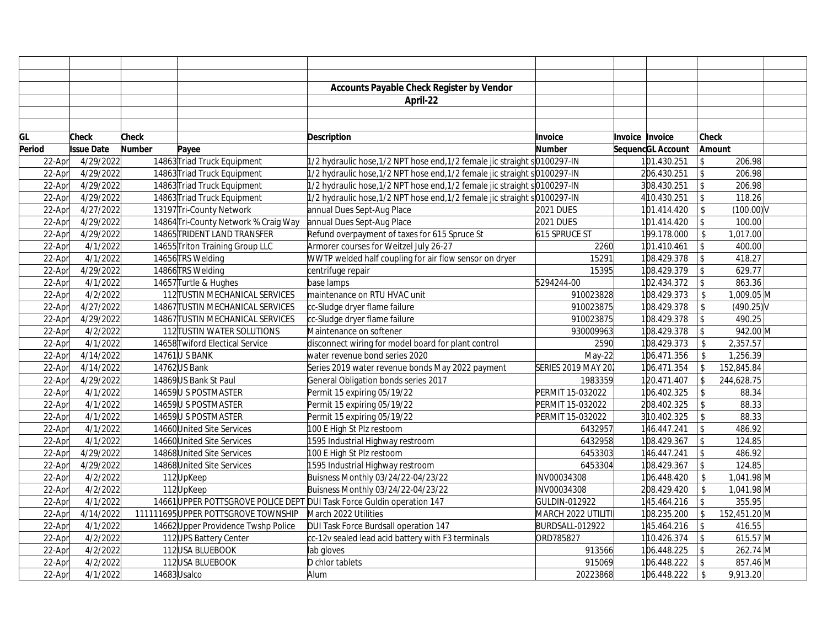|        |                   |        |                                      | Accounts Payable Check Register by Vendor                                 |                    |                        |                   |                         |              |  |
|--------|-------------------|--------|--------------------------------------|---------------------------------------------------------------------------|--------------------|------------------------|-------------------|-------------------------|--------------|--|
|        |                   |        |                                      | April-22                                                                  |                    |                        |                   |                         |              |  |
|        |                   |        |                                      |                                                                           |                    |                        |                   |                         |              |  |
|        |                   |        |                                      |                                                                           |                    |                        |                   |                         |              |  |
| GL     | <b>Check</b>      | Check  |                                      | <b>Description</b>                                                        | Invoice            | <b>Invoice Invoice</b> |                   | <b>Check</b>            |              |  |
| Period | <b>Issue Date</b> | Number | Payee                                |                                                                           | <b>Number</b>      |                        | SequencGL Account | Amount                  |              |  |
| 22-Apr | 4/29/2022         |        | 14863 Triad Truck Equipment          | 1/2 hydraulic hose, 1/2 NPT hose end, 1/2 female jic straight s0100297-IN |                    |                        | 101.430.251       | $\mathcal{S}$           | 206.98       |  |
| 22-Apr | 4/29/2022         |        | 14863 Triad Truck Equipment          | 1/2 hydraulic hose, 1/2 NPT hose end, 1/2 female jic straight s0100297-IN |                    |                        | 206.430.251       | $\sqrt{2}$              | 206.98       |  |
| 22-Apr | 4/29/2022         |        | 14863 Triad Truck Equipment          | 1/2 hydraulic hose, 1/2 NPT hose end, 1/2 female jic straight s0100297-IN |                    |                        | 308.430.251       | $\sqrt[6]{\frac{1}{2}}$ | 206.98       |  |
| 22-Apr | 4/29/2022         |        | 14863 Triad Truck Equipment          | 1/2 hydraulic hose, 1/2 NPT hose end, 1/2 female jic straight s0100297-IN |                    |                        | 4 10.430.251      | $\sqrt{3}$              | 118.26       |  |
| 22-Apr | 4/27/2022         |        | 13197 Tri-County Network             | annual Dues Sept-Aug Place                                                | 2021 DUES          |                        | 101.414.420       | \$                      | (100.00)     |  |
| 22-Apr | 4/29/2022         |        | 14864 Tri-County Network % Craig Way | annual Dues Sept-Aug Place                                                | 2021 DUES          |                        | 101.414.420       | $\mathcal{L}$           | 100.00       |  |
| 22-Apr | 4/29/2022         |        | 14865 TRIDENT LAND TRANSFER          | Refund overpayment of taxes for 615 Spruce St                             | 615 SPRUCE ST      |                        | 199.178.000       | \$                      | 1,017.00     |  |
| 22-Apr | 4/1/2022          |        | 14655 Triton Training Group LLC      | Armorer courses for Weitzel July 26-27                                    | 2260               |                        | 101.410.461       | $\sqrt{2}$              | 400.00       |  |
| 22-Apr | 4/1/2022          |        | 14656 TRS Welding                    | WWTP welded half coupling for air flow sensor on dryer                    | 15291              |                        | 108.429.378       | $\mathcal{L}$           | 418.27       |  |
| 22-Apr | 4/29/2022         |        | 14866 TRS Welding                    | centrifuge repair                                                         | 15395              |                        | 108.429.379       | $\sqrt{2}$              | 629.77       |  |
| 22-Apr | 4/1/2022          |        | 14657 Turtle & Hughes                | base lamps                                                                | 5294244-00         |                        | 102.434.372       | $\mathsf{\$}$           | 863.36       |  |
| 22-Apr | 4/2/2022          |        | 112 TUSTIN MECHANICAL SERVICES       | maintenance on RTU HVAC unit                                              | 910023828          |                        | 108.429.373       | \$                      | 1,009.05 M   |  |
| 22-Apr | 4/27/2022         |        | 14867 TUSTIN MECHANICAL SERVICES     | cc-Sludge dryer flame failure                                             | 910023875          |                        | 108.429.378       | $\mathbf{\hat{z}}$      | (490.25)     |  |
| 22-Apr | 4/29/2022         |        | 14867 TUSTIN MECHANICAL SERVICES     | cc-Sludge dryer flame failure                                             | 910023875          |                        | 108.429.378       | $\mathcal{L}$           | 490.25       |  |
| 22-Apr | 4/2/2022          |        | 112 TUSTIN WATER SOLUTIONS           | Maintenance on softener                                                   | 930009963          |                        | 108.429.378       | $\mathsf{\overline{S}}$ | 942.00 M     |  |
| 22-Apr | 4/1/2022          |        | 14658 Twiford Electical Service      | disconnect wiring for model board for plant control                       | 2590               |                        | 108.429.373       | \$                      | 2,357.57     |  |
| 22-Apr | 4/14/2022         |        | 14761U S BANK                        | water revenue bond series 2020                                            | $May-22$           |                        | 106.471.356       | $\mathbb{S}$            | 1,256.39     |  |
| 22-Apr | 4/14/2022         |        | 14762US Bank                         | Series 2019 water revenue bonds May 2022 payment                          | SERIES 2019 MAY 20 |                        | 106.471.354       | $\mathfrak{L}$          | 152,845.84   |  |
| 22-Apr | 4/29/2022         |        | 14869 US Bank St Paul                | General Obligation bonds series 2017                                      | 1983359            |                        | 120.471.407       | $\sqrt{2}$              | 244,628.75   |  |
| 22-Apr | 4/1/2022          |        | 14659U S POSTMASTER                  | Permit 15 expiring 05/19/22                                               | PERMIT 15-032022   |                        | 106.402.325       | \$                      | 88.34        |  |
| 22-Apr | 4/1/2022          |        | 14659U S POSTMASTER                  | Permit 15 expiring 05/19/22                                               | PERMIT 15-032022   |                        | 208.402.325       | $\mathcal{L}$           | 88.33        |  |
| 22-Apr | 4/1/2022          |        | 14659U S POSTMASTER                  | Permit 15 expiring 05/19/22                                               | PERMIT 15-032022   |                        | 310.402.325       | $\mathbb{S}$            | 88.33        |  |
| 22-Apr | 4/1/2022          |        | 14660 United Site Services           | 100 E High St Plz restoom                                                 | 6432957            |                        | 146.447.241       | $\sqrt{3}$              | 486.92       |  |
| 22-Apr | 4/1/2022          |        | 14660 United Site Services           | 1595 Industrial Highway restroom                                          | 6432958            |                        | 108.429.367       | $\sqrt{3}$              | 124.85       |  |
| 22-Apr | 4/29/2022         |        | 14868 United Site Services           | 100 E High St Plz restoom                                                 | 6453303            |                        | 146.447.241       | $\sqrt{2}$              | 486.92       |  |
| 22-Apr | 4/29/2022         |        | 14868 United Site Services           | 1595 Industrial Highway restroom                                          | 6453304            |                        | 108.429.367       | $\mathsf{\$}$           | 124.85       |  |
| 22-Apr | 4/2/2022          |        | 112UpKeep                            | Buisness Monthly 03/24/22-04/23/22                                        | INV00034308        |                        | 106.448.420       | $\mathsf{\$}$           | 1,041.98 M   |  |
| 22-Apr | 4/2/2022          |        | 112UpKeep                            | Buisness Monthly 03/24/22-04/23/22                                        | INV00034308        |                        | 208.429.420       | \$                      | $1,041.98$ M |  |
| 22-Apr | 4/1/2022          |        |                                      | 14661UPPER POTTSGROVE POLICE DEPT DUI Task Force Guldin operation 147     | GULDIN-012922      |                        | 145.464.216       | $\sqrt[6]{\frac{1}{2}}$ | 355.95       |  |
| 22-Apr | 4/14/2022         |        | 111111695UPPER POTTSGROVE TOWNSHIP   | March 2022 Utilities                                                      | MARCH 2022 UTILITI |                        | 108.235.200       | $\sqrt{2}$              | 152,451.20 M |  |
| 22-Apr | 4/1/2022          |        | 14662 Upper Providence Twshp Police  | DUI Task Force Burdsall operation 147                                     | BURDSALL-012922    |                        | 145.464.216       | $\mathcal{L}$           | 416.55       |  |
| 22-Apr | 4/2/2022          |        | 112UPS Battery Center                | cc-12v sealed lead acid battery with F3 terminals                         | ORD785827          |                        | 110.426.374       | $\sqrt{3}$              | 615.57 M     |  |
| 22-Apr | 4/2/2022          |        | 112USA BLUEBOOK                      | lab gloves                                                                | 913566             |                        | 106.448.225       | $\mathcal{S}$           | 262.74 M     |  |
| 22-Apr | 4/2/2022          |        | 112USA BLUEBOOK                      | D chlor tablets                                                           | 915069             |                        | 106.448.222       | $\mathsf{\$}$           | 857.46 M     |  |
| 22-Apr | 4/1/2022          |        | 14683Usalco                          | Alum                                                                      | 20223868           |                        | 106.448.222       | $\mathcal{S}$           | 9,913.20     |  |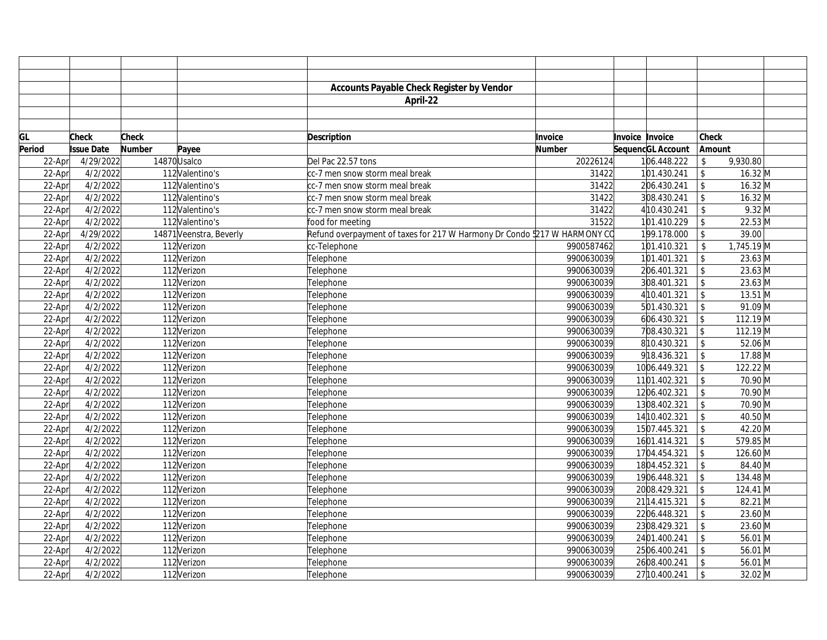|        |                   |        |                         | <b>Accounts Payable Check Register by Vendor</b>                          |               |                        |               |                            |                     |  |
|--------|-------------------|--------|-------------------------|---------------------------------------------------------------------------|---------------|------------------------|---------------|----------------------------|---------------------|--|
|        |                   |        |                         | April-22                                                                  |               |                        |               |                            |                     |  |
|        |                   |        |                         |                                                                           |               |                        |               |                            |                     |  |
|        |                   |        |                         |                                                                           |               |                        |               |                            |                     |  |
| GL     | <b>Check</b>      | Check  |                         | <b>Description</b>                                                        | Invoice       | <b>Invoice Invoice</b> |               | <b>Check</b>               |                     |  |
| Period | <b>Issue Date</b> | Number | Payee                   |                                                                           | <b>Number</b> | SequencGL Account      |               | Amount                     |                     |  |
| 22-Apr | 4/29/2022         |        | 14870 Usalco            | Del Pac 22.57 tons                                                        | 20226124      |                        | 106.448.222   | \$                         | 9,930.80            |  |
| 22-Apr | 4/2/2022          |        | 112 Valentino's         | cc-7 men snow storm meal break                                            | 31422         |                        | 101.430.241   | \$                         | $16.32 \, M$        |  |
| 22-Apr | 4/2/2022          |        | 112 Valentino's         | cc-7 men snow storm meal break                                            | 31422         |                        | 206.430.241   | \$                         | $16.32$ M           |  |
| 22-Apr | 4/2/2022          |        | 112 Valentino's         | cc-7 men snow storm meal break                                            | 31422         |                        | 308.430.241   | $\mathcal{S}$              | 16.32 M             |  |
| 22-Apr | 4/2/2022          |        | 112 Valentino's         | cc-7 men snow storm meal break                                            | 31422         |                        | 410.430.241   | $\mathsf{\$}$              | $9.32 \overline{M}$ |  |
| 22-Apr | 4/2/2022          |        | 112 Valentino's         | food for meeting                                                          | 31522         |                        | 101.410.229   | $\mathbb{S}$               | 22.53 M             |  |
| 22-Apr | 4/29/2022         |        | 14871 Veenstra, Beverly | Refund overpayment of taxes for 217 W Harmony Dr Condo \$217 W HARMONY CO |               |                        | 199.178.000   | \$                         | 39.00               |  |
| 22-Apr | 4/2/2022          |        | 112Verizon              | cc-Telephone                                                              | 9900587462    |                        | 101.410.321   | $\sqrt[6]{\frac{1}{2}}$    | 1,745.19 M          |  |
| 22-Apr | 4/2/2022          |        | 112Verizon              | Telephone                                                                 | 9900630039    |                        | 101.401.321   | \$                         | 23.63 M             |  |
| 22-Apr | 4/2/2022          |        | 112Verizon              | Telephone                                                                 | 9900630039    |                        | 206.401.321   | \$                         | 23.63 M             |  |
| 22-Apr | 4/2/2022          |        | 112Verizon              | Telephone                                                                 | 9900630039    |                        | 308.401.321   | \$                         | 23.63 M             |  |
| 22-Apr | 4/2/2022          |        | 112Verizon              | Telephone                                                                 | 9900630039    |                        | 410.401.321   | \$                         | $13.51$ M           |  |
| 22-Apr | 4/2/2022          |        | 112Verizon              | Telephone                                                                 | 9900630039    |                        | 501.430.321   | $\mathbf{\hat{S}}$         | 91.09 M             |  |
| 22-Apr | 4/2/2022          |        | 112Verizon              | Telephone                                                                 | 9900630039    |                        | 606.430.321   | $\sqrt[6]{\frac{1}{2}}$    | $112.19$ M          |  |
| 22-Apr | 4/2/2022          |        | 112Verizon              | Telephone                                                                 | 9900630039    |                        | 708.430.321   | $\sqrt[6]{\frac{1}{2}}$    | 112.19 M            |  |
| 22-Apr | 4/2/2022          |        | 112Verizon              | Telephone                                                                 | 9900630039    |                        | 810.430.321   | $\boldsymbol{\mathsf{\$}}$ | 52.06 M             |  |
| 22-Apr | 4/2/2022          |        | 112Verizon              | Telephone                                                                 | 9900630039    |                        | 918.436.321   | \$                         | 17.88 M             |  |
| 22-Apr | 4/2/2022          |        | 112Verizon              | Telephone                                                                 | 9900630039    |                        | 1006.449.321  | $\mathbf{\hat{z}}$         | 122.22 M            |  |
| 22-Apr | 4/2/2022          |        | 112Verizon              | Telephone                                                                 | 9900630039    |                        | 1101.402.321  | $\mathbf{\hat{S}}$         | 70.90 M             |  |
| 22-Apr | 4/2/2022          |        | 112Verizon              | Telephone                                                                 | 9900630039    |                        | 1206.402.321  | \$                         | 70.90 M             |  |
| 22-Apr | 4/2/2022          |        | 112Verizon              | Telephone                                                                 | 9900630039    |                        | 1308.402.321  | $\mathsf{\$}$              | 70.90 M             |  |
| 22-Apr | 4/2/2022          |        | 112Verizon              | Telephone                                                                 | 9900630039    |                        | 14 10.402.321 | \$                         | 40.50 M             |  |
| 22-Apr | 4/2/2022          |        | 112Verizon              | Telephone                                                                 | 9900630039    |                        | 1507.445.321  | $\mathsf{\$}$              | 42.20 M             |  |
| 22-Apr | 4/2/2022          |        | 112Verizon              | Telephone                                                                 | 9900630039    |                        | 1601.414.321  | \$                         | 579.85 M            |  |
| 22-Apr | 4/2/2022          |        | 112Verizon              | Telephone                                                                 | 9900630039    |                        | 1704.454.321  | $\sqrt[6]{\frac{1}{2}}$    | 126.60 M            |  |
| 22-Apr | 4/2/2022          |        | 112Verizon              | Telephone                                                                 | 9900630039    |                        | 1804.452.321  | \$                         | 84.40 M             |  |
| 22-Apr | 4/2/2022          |        | 112Verizon              | Telephone                                                                 | 9900630039    |                        | 1906.448.321  | $\mathcal{S}$              | 134.48 M            |  |
| 22-Apr | 4/2/2022          |        | 112Verizon              | Telephone                                                                 | 9900630039    |                        | 2008.429.321  | $\mathcal{S}$              | 124.41 M            |  |
| 22-Apr | 4/2/2022          |        | 112Verizon              | Telephone                                                                 | 9900630039    |                        | 21 14.415.321 | \$                         | 82.21 M             |  |
| 22-Apr | 4/2/2022          |        | 112Verizon              | Telephone                                                                 | 9900630039    |                        | 2206.448.321  | \$                         | 23.60 M             |  |
| 22-Apr | 4/2/2022          |        | 112Verizon              | Telephone                                                                 | 9900630039    |                        | 2308.429.321  | \$                         | 23.60 M             |  |
| 22-Apr | 4/2/2022          |        | 112Verizon              | Telephone                                                                 | 9900630039    |                        | 2401.400.241  | \$                         | 56.01 M             |  |
| 22-Apr | 4/2/2022          |        | 112Verizon              | Telephone                                                                 | 9900630039    |                        | 2506.400.241  | \$                         | 56.01 M             |  |
| 22-Apr | 4/2/2022          |        | 112Verizon              | Telephone                                                                 | 9900630039    |                        | 2608.400.241  | $\mathbf{\hat{S}}$         | 56.01 M             |  |
| 22-Apr | 4/2/2022          |        | 112Verizon              | Telephone                                                                 | 9900630039    |                        | 27 10.400.241 | $\mathcal{S}$              | 32.02 M             |  |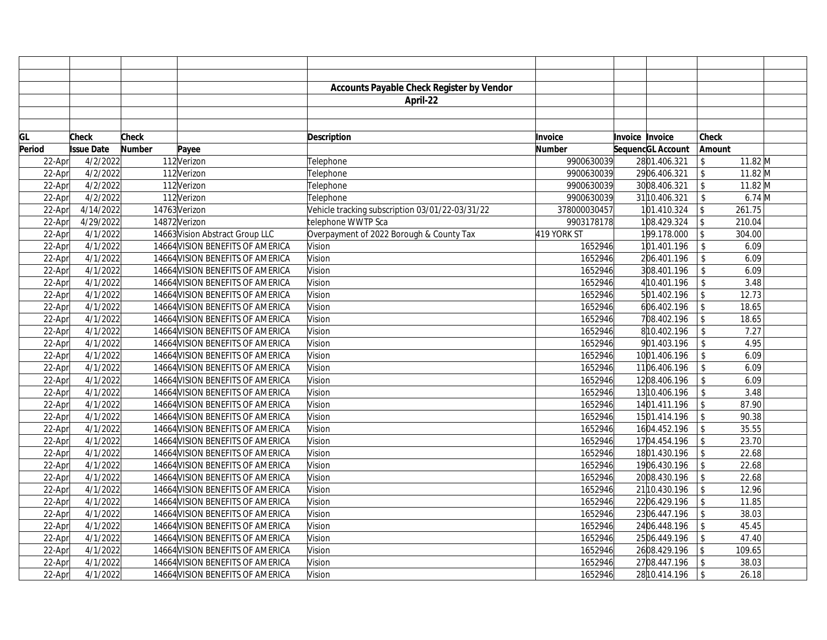|        |                   |        |                                  | <b>Accounts Payable Check Register by Vendor</b> |               |                        |                   |                    |              |  |
|--------|-------------------|--------|----------------------------------|--------------------------------------------------|---------------|------------------------|-------------------|--------------------|--------------|--|
|        |                   |        |                                  | April-22                                         |               |                        |                   |                    |              |  |
|        |                   |        |                                  |                                                  |               |                        |                   |                    |              |  |
|        |                   |        |                                  |                                                  |               |                        |                   |                    |              |  |
| GL     | <b>Check</b>      | Check  |                                  | <b>Description</b>                               | Invoice       | <b>Invoice Invoice</b> |                   | <b>Check</b>       |              |  |
| Period | <b>Issue Date</b> | Number | Payee                            |                                                  | <b>Number</b> |                        | SequencGL Account | Amount             |              |  |
| 22-Apr | 4/2/2022          |        | 112Verizon                       | Telephone                                        | 9900630039    |                        | 2801.406.321      | \$                 | 11.82 M      |  |
| 22-Apr | 4/2/2022          |        | 112Verizon                       | Telephone                                        | 9900630039    |                        | 2906.406.321      | \$                 | $11.82$ M    |  |
| 22-Apr | 4/2/2022          |        | 112Verizon                       | Telephone                                        | 9900630039    |                        | 3008.406.321      | $\mathbf{\hat{S}}$ | $11.82 \, M$ |  |
| 22-Apr | 4/2/2022          |        | 112 Verizon                      | Telephone                                        | 9900630039    |                        | 31 10.406.321     | \$                 | $6.74$ M     |  |
| 22-Apr | 4/14/2022         |        | 14763 Verizon                    | Vehicle tracking subscription 03/01/22-03/31/22  | 378000030457  |                        | 101.410.324       | \$                 | 261.75       |  |
| 22-Apr | 4/29/2022         |        | 14872 Verizon                    | telephone WWTP Sca                               | 9903178178    |                        | 108.429.324       | \$                 | 210.04       |  |
| 22-Apr | 4/1/2022          |        | 14663 Vision Abstract Group LLC  | Overpayment of 2022 Borough & County Tax         | 419 YORK ST   |                        | 199.178.000       | $\mathcal{S}$      | 304.00       |  |
| 22-Apr | 4/1/2022          |        | 14664 VISION BENEFITS OF AMERICA | Vision                                           | 1652946       |                        | 101.401.196       | \$                 | 6.09         |  |
| 22-Apr | 4/1/2022          |        | 14664 VISION BENEFITS OF AMERICA | Vision                                           | 1652946       |                        | 206.401.196       | \$                 | 6.09         |  |
| 22-Apr | 4/1/2022          |        | 14664 VISION BENEFITS OF AMERICA | Vision                                           | 1652946       |                        | 308.401.196       | \$                 | 6.09         |  |
| 22-Apr | 4/1/2022          |        | 14664 VISION BENEFITS OF AMERICA | Vision                                           | 1652946       |                        | 410.401.196       | $\mathbf S$        | 3.48         |  |
| 22-Apr | 4/1/2022          |        | 14664 VISION BENEFITS OF AMERICA | Vision                                           | 1652946       |                        | 501.402.196       | \$                 | 12.73        |  |
| 22-Apr | 4/1/2022          |        | 14664 VISION BENEFITS OF AMERICA | Vision                                           | 1652946       |                        | 606.402.196       | $\mathbf{\hat{S}}$ | 18.65        |  |
| 22-Apr | 4/1/2022          |        | 14664 VISION BENEFITS OF AMERICA | Vision                                           | 1652946       |                        | 708.402.196       | \$                 | 18.65        |  |
| 22-Apr | 4/1/2022          |        | 14664 VISION BENEFITS OF AMERICA | Vision                                           | 1652946       |                        | 810.402.196       | $\mathcal{S}$      | 7.27         |  |
| 22-Apr | 4/1/2022          |        | 14664 VISION BENEFITS OF AMERICA | Vision                                           | 1652946       |                        | 901.403.196       | \$                 | 4.95         |  |
| 22-Apr | 4/1/2022          |        | 14664 VISION BENEFITS OF AMERICA | Vision                                           | 1652946       |                        | 1001.406.196      | \$                 | 6.09         |  |
| 22-Apr | 4/1/2022          |        | 14664 VISION BENEFITS OF AMERICA | Vision                                           | 1652946       |                        | 1106.406.196      | $\mathcal{S}$      | 6.09         |  |
| 22-Apr | 4/1/2022          |        | 14664 VISION BENEFITS OF AMERICA | Vision                                           | 1652946       |                        | 1208.406.196      |                    | 6.09         |  |
| 22-Apr | 4/1/2022          |        | 14664 VISION BENEFITS OF AMERICA | Vision                                           | 1652946       |                        | 13 10.406.196     | \$                 | 3.48         |  |
| 22-Apr | 4/1/2022          |        | 14664 VISION BENEFITS OF AMERICA | Vision                                           | 1652946       |                        | 1401.411.196      | $\mathsf S$        | 87.90        |  |
| 22-Apr | 4/1/2022          |        | 14664 VISION BENEFITS OF AMERICA | Vision                                           | 1652946       |                        | 1501.414.196      | \$                 | 90.38        |  |
| 22-Apr | 4/1/2022          |        | 14664 VISION BENEFITS OF AMERICA | Vision                                           | 1652946       |                        | 1604.452.196      | $\mathsf{\$}$      | 35.55        |  |
| 22-Apr | 4/1/2022          |        | 14664 VISION BENEFITS OF AMERICA | Vision                                           | 1652946       |                        | 1704.454.196      | \$                 | 23.70        |  |
| 22-Apr | 4/1/2022          |        | 14664 VISION BENEFITS OF AMERICA | Vision                                           | 1652946       |                        | 1801.430.196      | \$                 | 22.68        |  |
| 22-Apr | 4/1/2022          |        | 14664 VISION BENEFITS OF AMERICA | Vision                                           | 1652946       |                        | 1906.430.196      | \$                 | 22.68        |  |
| 22-Apr | 4/1/2022          |        | 14664 VISION BENEFITS OF AMERICA | Vision                                           | 1652946       |                        | 2008.430.196      | \$                 | 22.68        |  |
| 22-Apr | 4/1/2022          |        | 14664 VISION BENEFITS OF AMERICA | Vision                                           | 1652946       |                        | 21 10.430.196     | \$                 | 12.96        |  |
| 22-Apr | 4/1/2022          |        | 14664 VISION BENEFITS OF AMERICA | Vision                                           | 1652946       |                        | 2206.429.196      | \$                 | 11.85        |  |
| 22-Apr | 4/1/2022          |        | 14664 VISION BENEFITS OF AMERICA | Vision                                           | 1652946       |                        | 2306.447.196      | \$                 | 38.03        |  |
| 22-Apr | 4/1/2022          |        | 14664 VISION BENEFITS OF AMERICA | Vision                                           | 1652946       |                        | 2406.448.196      | $\mathbf{\hat{S}}$ | 45.45        |  |
| 22-Apr | 4/1/2022          |        | 14664 VISION BENEFITS OF AMERICA | Vision                                           | 1652946       |                        | 2506.449.196      | \$                 | 47.40        |  |
| 22-Apr | 4/1/2022          |        | 14664 VISION BENEFITS OF AMERICA | Vision                                           | 1652946       |                        | 2608.429.196      | $\mathsf{\$}$      | 109.65       |  |
| 22-Apr | 4/1/2022          |        | 14664 VISION BENEFITS OF AMERICA | Vision                                           | 1652946       |                        | 2708.447.196      | $\mathcal{S}$      | 38.03        |  |
| 22-Apr | 4/1/2022          |        | 14664 VISION BENEFITS OF AMERICA | Vision                                           | 1652946       |                        | 28 10.414.196     | $\mathcal{S}$      | 26.18        |  |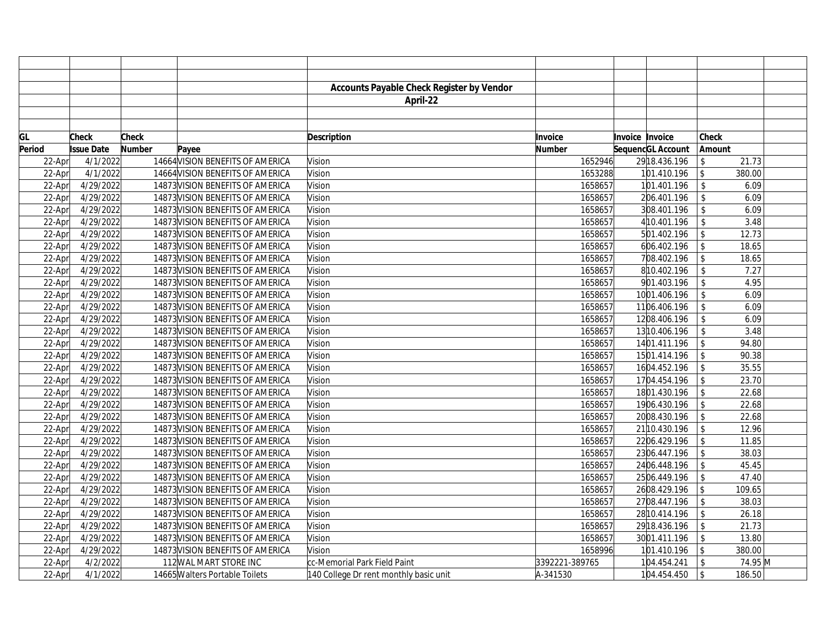|        |                   |              |                                  | <b>Accounts Payable Check Register by Vendor</b> |                |                   |                                   |  |
|--------|-------------------|--------------|----------------------------------|--------------------------------------------------|----------------|-------------------|-----------------------------------|--|
|        |                   |              |                                  | April-22                                         |                |                   |                                   |  |
|        |                   |              |                                  |                                                  |                |                   |                                   |  |
|        |                   |              |                                  |                                                  |                |                   |                                   |  |
| GL     | <b>Check</b>      | <b>Check</b> |                                  | <b>Description</b>                               | Invoice        | Invoice Invoice   | <b>Check</b>                      |  |
| Period | <b>Issue Date</b> | Number       | Payee                            |                                                  | <b>Number</b>  | SequencGL Account | Amount                            |  |
| 22-Apr | 4/1/2022          |              | 14664 VISION BENEFITS OF AMERICA | Vision                                           | 1652946        | 29 18.436.196     | \$<br>21.73                       |  |
| 22-Apr | 4/1/2022          |              | 14664 VISION BENEFITS OF AMERICA | Vision                                           | 1653288        | 101.410.196       | $\sqrt[6]{\frac{1}{2}}$<br>380.00 |  |
| 22-Apr | 4/29/2022         |              | 14873 VISION BENEFITS OF AMERICA | Vision                                           | 1658657        | 101.401.196       | $\sqrt{2}$<br>6.09                |  |
| 22-Apr | 4/29/2022         |              | 14873 VISION BENEFITS OF AMERICA | Vision                                           | 1658657        | 206.401.196       | 6.09<br>\$                        |  |
| 22-Apr | 4/29/2022         |              | 14873 VISION BENEFITS OF AMERICA | Vision                                           | 1658657        | 308.401.196       | 6.09<br>$\mathcal{S}$             |  |
| 22-Apr | 4/29/2022         |              | 14873 VISION BENEFITS OF AMERICA | Vision                                           | 1658657        | 410.401.196       | 3.48<br>\$                        |  |
| 22-Apr | 4/29/2022         |              | 14873 VISION BENEFITS OF AMERICA | Vision                                           | 1658657        | 501.402.196       | \$<br>12.73                       |  |
| 22-Apr | 4/29/2022         |              | 14873 VISION BENEFITS OF AMERICA | Vision                                           | 1658657        | 606.402.196       | $\mathsf{\$}$<br>18.65            |  |
| 22-Apr | 4/29/2022         |              | 14873 VISION BENEFITS OF AMERICA | Vision                                           | 1658657        | 708.402.196       | 18.65<br>\$                       |  |
| 22-Apr | 4/29/2022         |              | 14873 VISION BENEFITS OF AMERICA | Vision                                           | 1658657        | 810.402.196       | \$<br>7.27                        |  |
| 22-Apr | 4/29/2022         |              | 14873 VISION BENEFITS OF AMERICA | Vision                                           | 1658657        | 901.403.196       | 4.95<br>$\mathsf{\$}$             |  |
| 22-Apr | 4/29/2022         |              | 14873 VISION BENEFITS OF AMERICA | Vision                                           | 1658657        | 1001.406.196      | 6.09<br>$\mathbb{S}$              |  |
| 22-Apr | 4/29/2022         |              | 14873 VISION BENEFITS OF AMERICA | Vision                                           | 1658657        | 1106.406.196      | 6.09<br>$\mathcal{S}$             |  |
| 22-Apr | 4/29/2022         |              | 14873 VISION BENEFITS OF AMERICA | Vision                                           | 1658657        | 1208.406.196      | \$<br>6.09                        |  |
| 22-Apr | 4/29/2022         |              | 14873 VISION BENEFITS OF AMERICA | Vision                                           | 1658657        | 13 10.406.196     | 3.48<br>$\mathsf{\$}$             |  |
| 22-Apr | 4/29/2022         |              | 14873 VISION BENEFITS OF AMERICA | Vision                                           | 1658657        | 1401.411.196      | $\mathsf{\$}$<br>94.80            |  |
| 22-Apr | 4/29/2022         |              | 14873 VISION BENEFITS OF AMERICA | Vision                                           | 1658657        | 1501.414.196      | 90.38<br>$\mathsf{\$}$            |  |
| 22-Apr | 4/29/2022         |              | 14873 VISION BENEFITS OF AMERICA | Vision                                           | 1658657        | 1604.452.196      | 35.55<br>\$                       |  |
| 22-Apr | 4/29/2022         |              | 14873 VISION BENEFITS OF AMERICA | Vision                                           | 1658657        | 1704.454.196      | \$<br>23.70                       |  |
| 22-Apr | 4/29/2022         |              | 14873 VISION BENEFITS OF AMERICA | Vision                                           | 1658657        | 1801.430.196      | 22.68<br>\$                       |  |
| 22-Apr | 4/29/2022         |              | 14873 VISION BENEFITS OF AMERICA | Vision                                           | 1658657        | 1906.430.196      | 22.68<br>$\mathsf{\$}$            |  |
| 22-Apr | 4/29/2022         |              | 14873 VISION BENEFITS OF AMERICA | Vision                                           | 1658657        | 2008.430.196      | 22.68<br>\$                       |  |
| 22-Apr | 4/29/2022         |              | 14873 VISION BENEFITS OF AMERICA | Vision                                           | 1658657        | 21 10.430.196     | 12.96<br>\$                       |  |
| 22-Apr | 4/29/2022         |              | 14873 VISION BENEFITS OF AMERICA | Vision                                           | 1658657        | 2206.429.196      | 11.85<br>\$                       |  |
| 22-Apr | 4/29/2022         |              | 14873 VISION BENEFITS OF AMERICA | Vision                                           | 1658657        | 2306.447.196      | $\mathsf{\$}$<br>38.03            |  |
| 22-Apr | 4/29/2022         |              | 14873 VISION BENEFITS OF AMERICA | Vision                                           | 1658657        | 2406.448.196      | 45.45<br>\$                       |  |
| 22-Apr | 4/29/2022         |              | 14873 VISION BENEFITS OF AMERICA | Vision                                           | 1658657        | 2506.449.196      | \$<br>47.40                       |  |
| 22-Apr | 4/29/2022         |              | 14873 VISION BENEFITS OF AMERICA | Vision                                           | 1658657        | 2608.429.196      | 109.65<br>\$                      |  |
| 22-Apr | 4/29/2022         |              | 14873 VISION BENEFITS OF AMERICA | Vision                                           | 1658657        | 2708.447.196      | \$<br>38.03                       |  |
| 22-Apr | 4/29/2022         |              | 14873 VISION BENEFITS OF AMERICA | Vision                                           | 1658657        | 28 10.414.196     | \$<br>26.18                       |  |
| 22-Apr | 4/29/2022         |              | 14873 VISION BENEFITS OF AMERICA | Vision                                           | 1658657        | 29 18.436.196     | 21.73<br>\$                       |  |
| 22-Apr | 4/29/2022         |              | 14873 VISION BENEFITS OF AMERICA | Vision                                           | 1658657        | 3001.411.196      | 13.80<br>\$                       |  |
| 22-Apr | 4/29/2022         |              | 14873 VISION BENEFITS OF AMERICA | Vision                                           | 1658996        | 101.410.196       | 380.00<br>$\mathcal{S}$           |  |
| 22-Apr | 4/2/2022          |              | 112 WAL MART STORE INC           | cc-Memorial Park Field Paint                     | 3392221-389765 | 104.454.241       | 74.95 M<br>$\mathcal{S}$          |  |
| 22-Apr | 4/1/2022          |              | 14665 Walters Portable Toilets   | 140 College Dr rent monthly basic unit           | A-341530       | 104.454.450       | $\mathfrak{S}$<br>186.50          |  |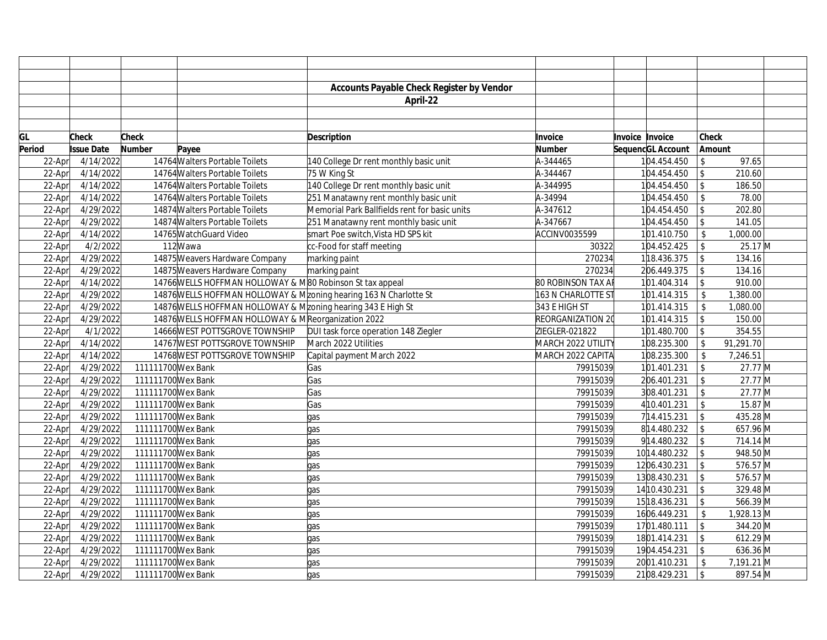|        |                   |                    |                                                               | Accounts Payable Check Register by Vendor                          |                           |                 |                   |                     |            |  |
|--------|-------------------|--------------------|---------------------------------------------------------------|--------------------------------------------------------------------|---------------------------|-----------------|-------------------|---------------------|------------|--|
|        |                   |                    |                                                               | April-22                                                           |                           |                 |                   |                     |            |  |
|        |                   |                    |                                                               |                                                                    |                           |                 |                   |                     |            |  |
|        |                   |                    |                                                               |                                                                    |                           |                 |                   |                     |            |  |
| GL     | <b>Check</b>      | Check              |                                                               | <b>Description</b>                                                 | Invoice                   | Invoice Invoice |                   | Check               |            |  |
| Period | <b>Issue Date</b> | Number             | Payee                                                         |                                                                    | <b>Number</b>             |                 | SequencGL Account | Amount              |            |  |
| 22-Apr | 4/14/2022         |                    | 14764 Walters Portable Toilets                                | 140 College Dr rent monthly basic unit                             | A-344465                  |                 | 104.454.450       | $\mathsf S$         | 97.65      |  |
| 22-Apr | 4/14/2022         |                    | 14764 Walters Portable Toilets                                | 75 W King St                                                       | A-344467                  |                 | 104.454.450       | $$\mathbb{S}$$      | 210.60     |  |
| 22-Apr | 4/14/2022         |                    | 14764 Walters Portable Toilets                                | 140 College Dr rent monthly basic unit                             | A-344995                  |                 | 104.454.450       | $\mathbf{\hat{z}}$  | 186.50     |  |
| 22-Apr | 4/14/2022         |                    | 14764 Walters Portable Toilets                                | 251 Manatawny rent monthly basic unit                              | A-34994                   |                 | 104.454.450       | \$                  | 78.00      |  |
| 22-Apr | 4/29/2022         |                    | 14874 Walters Portable Toilets                                | Memorial Park Ballfields rent for basic units                      | A-347612                  |                 | 104.454.450       | $\mathcal{S}$       | 202.80     |  |
| 22-Apr | 4/29/2022         |                    | 14874 Walters Portable Toilets                                | 251 Manatawny rent monthly basic unit                              | A-347667                  |                 | 104.454.450       | $\hat{\mathcal{L}}$ | 141.05     |  |
| 22-Apr | 4/14/2022         |                    | 14765 Watch Guard Video                                       | smart Poe switch, Vista HD SPS kit                                 | ACCINV0035599             |                 | 101.410.750       | \$                  | 1,000.00   |  |
| 22-Apr | 4/2/2022          |                    | 112 Wawa                                                      | cc-Food for staff meeting                                          | 30322                     |                 | 104.452.425       | $\mathbb{S}$        | 25.17 M    |  |
| 22-Apr | 4/29/2022         |                    | 14875 Weavers Hardware Company                                | marking paint                                                      | 270234                    |                 | 118.436.375       | \$                  | 134.16     |  |
| 22-Apr | 4/29/2022         |                    | 14875 Weavers Hardware Company                                | marking paint                                                      | 270234                    |                 | 206.449.375       | $\mathsf{\$}$       | 134.16     |  |
| 22-Apr | 4/14/2022         |                    | 14766 WELLS HOFFMAN HOLLOWAY & M80 Robinson St tax appeal     |                                                                    | <b>80 ROBINSON TAX AF</b> |                 | 101.404.314       | $\mathfrak{L}$      | 910.00     |  |
| 22-Apr | 4/29/2022         |                    |                                                               | 14876 WELLS HOFFMAN HOLLOWAY & M zoning hearing 163 N Charlotte St | 163 N CHARLOTTE ST        |                 | 101.414.315       | $\mathbb{S}$        | 1,380.00   |  |
| 22-Apr | 4/29/2022         |                    | 14876 WELLS HOFFMAN HOLLOWAY & M zoning hearing 343 E High St |                                                                    | 343 E HIGH ST             |                 | 101.414.315       | $\mathbb{S}$        | 1,080.00   |  |
| 22-Apr | 4/29/2022         |                    | 14876 WELLS HOFFMAN HOLLOWAY & M Reorganization 2022          |                                                                    | <b>REORGANIZATION 20</b>  |                 | 101.414.315       | $\mathbb{S}$        | 150.00     |  |
| 22-Apr | 4/1/2022          |                    | 14666 WEST POTTSGROVE TOWNSHIP                                | DUI task force operation 148 Ziegler                               | ZIEGLER-021822            |                 | 101.480.700       | $\mathcal{L}$       | 354.55     |  |
| 22-Apr | 4/14/2022         |                    | 14767 WEST POTTSGROVE TOWNSHIP                                | March 2022 Utilities                                               | MARCH 2022 UTILITY        |                 | 108.235.300       | \$                  | 91,291.70  |  |
| 22-Apr | 4/14/2022         |                    | 14768 WEST POTTSGROVE TOWNSHIP                                | Capital payment March 2022                                         | MARCH 2022 CAPITA         |                 | 108.235.300       | $\sqrt{2}$          | 7,246.51   |  |
| 22-Apr | 4/29/2022         | 111111700 Wex Bank |                                                               | Gas                                                                | 79915039                  |                 | 101.401.231       | \$                  | 27.77 M    |  |
| 22-Apr | 4/29/2022         | 111111700 Wex Bank |                                                               | Gas                                                                | 79915039                  |                 | 206.401.231       | \$                  | 27.77 M    |  |
| 22-Apr | 4/29/2022         | 111111700 Wex Bank |                                                               | Gas                                                                | 79915039                  |                 | 308.401.231       | \$                  | 27.77 M    |  |
| 22-Apr | 4/29/2022         | 111111700 Wex Bank |                                                               | Gas                                                                | 79915039                  |                 | 410.401.231       | $\mathbb{S}$        | 15.87 M    |  |
| 22-Apr | 4/29/2022         | 111111700 Wex Bank |                                                               | qas                                                                | 79915039                  |                 | 714.415.231       | \$                  | 435.28 M   |  |
| 22-Apr | 4/29/2022         | 111111700 Wex Bank |                                                               | qas                                                                | 79915039                  |                 | 814.480.232       | $\mathcal{L}$       | 657.96 M   |  |
| 22-Apr | 4/29/2022         | 111111700 Wex Bank |                                                               | gas                                                                | 79915039                  |                 | 914.480.232       | $\mathsf{\$}$       | 714.14 M   |  |
| 22-Apr | 4/29/2022         | 111111700 Wex Bank |                                                               | gas                                                                | 79915039                  |                 | 10 14.480.232     | $\mathsf{\$}$       | 948.50 M   |  |
| 22-Apr | 4/29/2022         | 111111700 Wex Bank |                                                               | gas                                                                | 79915039                  |                 | 1206.430.231      | \$                  | 576.57 M   |  |
| 22-Apr | 4/29/2022         | 111111700 Wex Bank |                                                               | qas                                                                | 79915039                  |                 | 1308.430.231      | $\mathsf{\$}$       | 576.57 M   |  |
| 22-Apr | 4/29/2022         | 111111700 Wex Bank |                                                               | gas                                                                | 79915039                  |                 | 14 10.430.231     | $\mathsf{\$}$       | 329.48 M   |  |
| 22-Apr | 4/29/2022         | 111111700 Wex Bank |                                                               | qas                                                                | 79915039                  |                 | 15 18.436.231     | $\mathcal{S}$       | 566.39 M   |  |
| 22-Apr | 4/29/2022         | 111111700 Wex Bank |                                                               | qas                                                                | 79915039                  |                 | 1606.449.231      | $\mathbb{S}$        | 1,928.13 M |  |
| 22-Apr | 4/29/2022         | 111111700 Wex Bank |                                                               | qas                                                                | 79915039                  |                 | 1701.480.111      | $\mathcal{L}$       | 344.20 M   |  |
| 22-Apr | 4/29/2022         | 111111700 Wex Bank |                                                               | qas                                                                | 79915039                  |                 | 1801.414.231      | $\mathsf{\$}$       | 612.29 M   |  |
| 22-Apr | 4/29/2022         | 111111700 Wex Bank |                                                               | qas                                                                | 79915039                  |                 | 1904.454.231      | $\mathsf S$         | 636.36 M   |  |
| 22-Apr | 4/29/2022         | 111111700 Wex Bank |                                                               | qas                                                                | 79915039                  |                 | 2001.410.231      | $\mathbb{S}$        | 7,191.21 M |  |
| 22-Apr | 4/29/2022         | 111111700 Wex Bank |                                                               | qas                                                                | 79915039                  |                 | 2108.429.231      | $\mathsf{\$}$       | 897.54 M   |  |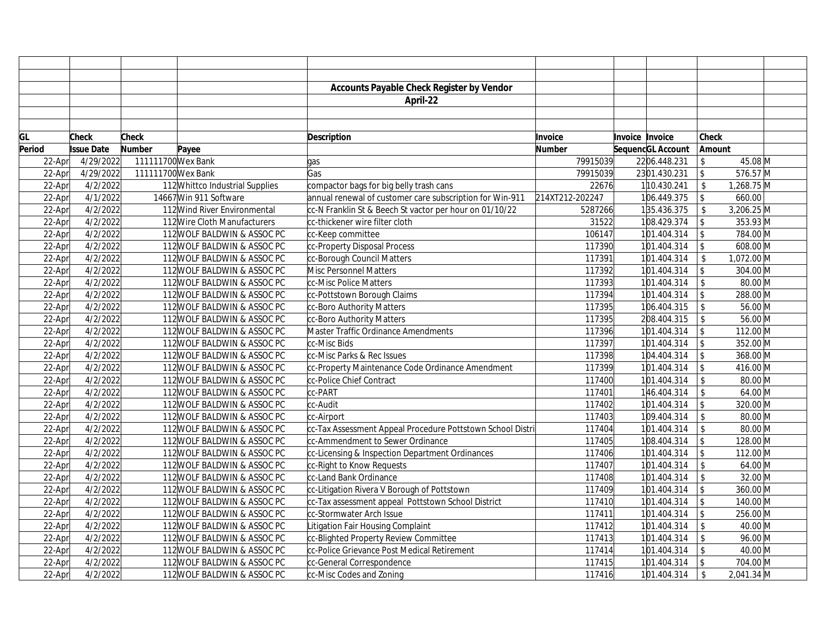|        |                   |                    |                                 | <b>Accounts Payable Check Register by Vendor</b>           |                 |                 |                   |                            |              |  |
|--------|-------------------|--------------------|---------------------------------|------------------------------------------------------------|-----------------|-----------------|-------------------|----------------------------|--------------|--|
|        |                   |                    |                                 | April-22                                                   |                 |                 |                   |                            |              |  |
|        |                   |                    |                                 |                                                            |                 |                 |                   |                            |              |  |
|        |                   |                    |                                 |                                                            |                 |                 |                   |                            |              |  |
| GL     | <b>Check</b>      | Check              |                                 | <b>Description</b>                                         | Invoice         | Invoice Invoice |                   | <b>Check</b>               |              |  |
| Period | <b>Issue Date</b> | Number             | Payee                           |                                                            | <b>Number</b>   |                 | SequencGL Account | Amount                     |              |  |
| 22-Apr | 4/29/2022         | 111111700 Wex Bank |                                 | gas                                                        | 79915039        |                 | 2206.448.231      | $\$\,$                     | 45.08 M      |  |
| 22-Apr | 4/29/2022         | 111111700 Wex Bank |                                 | Gas                                                        | 79915039        |                 | 2301.430.231      | $\sqrt{3}$                 | 576.57 M     |  |
| 22-Apr | 4/2/2022          |                    | 112 Whittco Industrial Supplies | compactor bags for big belly trash cans                    | 22676           |                 | 110.430.241       | $\boldsymbol{\mathsf{\$}}$ | 1,268.75 M   |  |
| 22-Apr | 4/1/2022          |                    | 14667 Win 911 Software          | annual renewal of customer care subscription for Win-911   | 214XT212-202247 |                 | 106.449.375       | $\updownarrow$             | 660.00       |  |
| 22-Apr | 4/2/2022          |                    | 112 Wind River Environmental    | cc-N Franklin St & Beech St vactor per hour on 01/10/22    | 5287266         |                 | 135.436.375       | $\sqrt[6]{\frac{1}{2}}$    | $3,206.25$ M |  |
| 22-Apr | 4/2/2022          |                    | 112 Wire Cloth Manufacturers    | cc-thickener wire filter cloth                             | 31522           |                 | 108.429.374       | $\updownarrow$             | 353.93 M     |  |
| 22-Apr | 4/2/2022          |                    | 112 WOLF BALDWIN & ASSOC PC     | cc-Keep committee                                          | 106147          |                 | 101.404.314       | $\sqrt[6]{\frac{1}{2}}$    | 784.00 M     |  |
| 22-Apr | 4/2/2022          |                    | 112 WOLF BALDWIN & ASSOC PC     | cc-Property Disposal Process                               | 117390          |                 | 101.404.314       | $\sqrt[6]{\frac{1}{2}}$    | 608.00 M     |  |
| 22-Apr | 4/2/2022          |                    | 112 WOLF BALDWIN & ASSOC PC     | cc-Borough Council Matters                                 | 117391          |                 | 101.404.314       | \$                         | 1,072.00 M   |  |
| 22-Apr | 4/2/2022          |                    | 112 WOLF BALDWIN & ASSOC PC     | Misc Personnel Matters                                     | 117392          |                 | 101.404.314       | \$                         | 304.00 M     |  |
| 22-Apr | 4/2/2022          |                    | 112 WOLF BALDWIN & ASSOC PC     | cc-Misc Police Matters                                     | 117393          |                 | 101.404.314       | \$                         | 80.00 M      |  |
| 22-Apr | 4/2/2022          |                    | 112 WOLF BALDWIN & ASSOC PC     | cc-Pottstown Borough Claims                                | 117394          |                 | 101.404.314       | $\sqrt{2}$                 | 288.00 M     |  |
| 22-Apr | 4/2/2022          |                    | 112 WOLF BALDWIN & ASSOC PC     | cc-Boro Authority Matters                                  | 117395          |                 | 106.404.315       | $\mathbf{\hat{S}}$         | 56.00 M      |  |
| 22-Apr | 4/2/2022          |                    | 112 WOLF BALDWIN & ASSOC PC     | cc-Boro Authority Matters                                  | 117395          |                 | 208.404.315       | $\sqrt[6]{\frac{1}{2}}$    | 56.00 M      |  |
| 22-Apr | 4/2/2022          |                    | 112 WOLF BALDWIN & ASSOC PC     | Master Traffic Ordinance Amendments                        | 117396          |                 | 101.404.314       | $\sqrt[6]{\frac{1}{2}}$    | 112.00 M     |  |
| 22-Apr | 4/2/2022          |                    | 112 WOLF BALDWIN & ASSOC PC     | cc-Misc Bids                                               | 117397          |                 | 101.404.314       | $\sqrt{2}$                 | 352.00 M     |  |
| 22-Apr | 4/2/2022          |                    | 112 WOLF BALDWIN & ASSOC PC     | cc-Misc Parks & Rec Issues                                 | 117398          |                 | 104.404.314       | $\sqrt{2}$                 | 368.00 M     |  |
| 22-Apr | 4/2/2022          |                    | 112 WOLF BALDWIN & ASSOC PC     | cc-Property Maintenance Code Ordinance Amendment           | 117399          |                 | 101.404.314       | $\updownarrow$             | 416.00 M     |  |
| 22-Apr | 4/2/2022          |                    | 112 WOLF BALDWIN & ASSOC PC     | cc-Police Chief Contract                                   | 117400          |                 | 101.404.314       | $\sqrt{2}$                 | 80.00 M      |  |
| 22-Apr | 4/2/2022          |                    | 112 WOLF BALDWIN & ASSOC PC     | cc-PART                                                    | 117401          |                 | 146.404.314       | $\sqrt[6]{\frac{1}{2}}$    | 64.00 M      |  |
| 22-Apr | 4/2/2022          |                    | 112 WOLF BALDWIN & ASSOC PC     | cc-Audit                                                   | 117402          |                 | 101.404.314       | $\sqrt[6]{\frac{1}{2}}$    | 320.00 M     |  |
| 22-Apr | 4/2/2022          |                    | 112 WOLF BALDWIN & ASSOC PC     | cc-Airport                                                 | 117403          |                 | 109.404.314       | $\sqrt{2}$                 | 80.00 M      |  |
| 22-Apr | 4/2/2022          |                    | 112 WOLF BALDWIN & ASSOC PC     | cc-Tax Assessment Appeal Procedure Pottstown School Distri | 117404          |                 | 101.404.314       | $\sqrt{2}$                 | 80.00 M      |  |
| 22-Apr | 4/2/2022          |                    | 112 WOLF BALDWIN & ASSOC PC     | cc-Ammendment to Sewer Ordinance                           | 117405          |                 | 108.404.314       | $\sqrt[6]{\frac{1}{2}}$    | 128.00 M     |  |
| 22-Apr | 4/2/2022          |                    | 112 WOLF BALDWIN & ASSOC PC     | cc-Licensing & Inspection Department Ordinances            | 117406          |                 | 101.404.314       | $\updownarrow$             | 112.00 M     |  |
| 22-Apr | 4/2/2022          |                    | 112 WOLF BALDWIN & ASSOC PC     | cc-Right to Know Requests                                  | 117407          |                 | 101.404.314       | $\sqrt[6]{\frac{1}{2}}$    | 64.00 M      |  |
| 22-Apr | 4/2/2022          |                    | 112 WOLF BALDWIN & ASSOC PC     | cc-Land Bank Ordinance                                     | 117408          |                 | 101.404.314       | $\sqrt[6]{\frac{1}{2}}$    | 32.00 M      |  |
| 22-Apr | 4/2/2022          |                    | 112 WOLF BALDWIN & ASSOC PC     | cc-Litigation Rivera V Borough of Pottstown                | 117409          |                 | 101.404.314       | $\sqrt{2}$                 | 360.00 M     |  |
| 22-Apr | 4/2/2022          |                    | 112 WOLF BALDWIN & ASSOC PC     | cc-Tax assessment appeal Pottstown School District         | 117410          |                 | 101.404.314       | $\boldsymbol{\mathsf{\$}}$ | 140.00 M     |  |
| 22-Apr | 4/2/2022          |                    | 112 WOLF BALDWIN & ASSOC PC     | cc-Stormwater Arch Issue                                   | 117411          |                 | 101.404.314       | $\sqrt{2}$                 | 256.00 M     |  |
| 22-Apr | 4/2/2022          |                    | 112 WOLF BALDWIN & ASSOC PC     | Litigation Fair Housing Complaint                          | 117412          |                 | 101.404.314       | $\sqrt{2}$                 | 40.00 M      |  |
| 22-Apr | 4/2/2022          |                    | 112 WOLF BALDWIN & ASSOC PC     | cc-Blighted Property Review Committee                      | 117413          |                 | 101.404.314       | $\mathfrak{S}$             | 96.00 M      |  |
| 22-Apr | 4/2/2022          |                    | 112 WOLF BALDWIN & ASSOC PC     | cc-Police Grievance Post Medical Retirement                | 117414          |                 | 101.404.314       | $\sqrt[6]{\frac{1}{2}}$    | 40.00 M      |  |
| 22-Apr | 4/2/2022          |                    | 112 WOLF BALDWIN & ASSOC PC     | cc-General Correspondence                                  | 117415          |                 | 101.404.314       | \$                         | 704.00 M     |  |
| 22-Apr | 4/2/2022          |                    | 112 WOLF BALDWIN & ASSOC PC     | cc-Misc Codes and Zoning                                   | 117416          |                 | 101.404.314       | \$                         | 2,041.34 M   |  |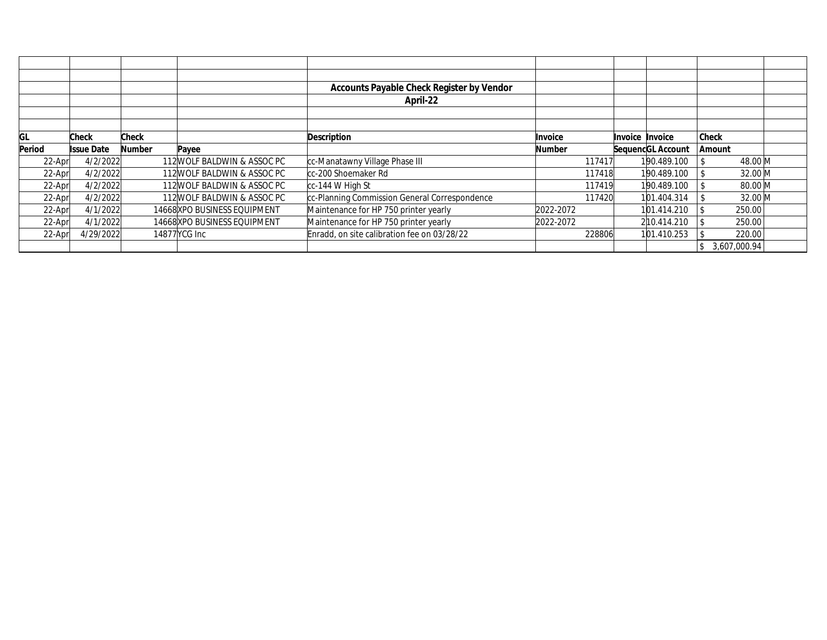|        |                   |              |                              | Accounts Payable Check Register by Vendor     |               |        |                   |               |  |
|--------|-------------------|--------------|------------------------------|-----------------------------------------------|---------------|--------|-------------------|---------------|--|
|        |                   |              |                              | April-22                                      |               |        |                   |               |  |
|        |                   |              |                              |                                               |               |        |                   |               |  |
|        |                   |              |                              |                                               |               |        |                   |               |  |
| GL     | <b>Check</b>      | <b>Check</b> |                              | <b>Description</b>                            | Invoice       |        | Invoice Invoice   | <b>Check</b>  |  |
| Period | <b>Issue Date</b> | Number       | Payee                        |                                               | <b>Number</b> |        | SequencGL Account | <b>Amount</b> |  |
| 22-Apr | 4/2/2022          |              | 112 WOLF BALDWIN & ASSOC PC  | cc-Manatawny Village Phase III                |               | 117417 | 190.489.100       | 48.00 M       |  |
| 22-Apr | 4/2/2022          |              | 112 WOLF BALDWIN & ASSOC PC  | cc-200 Shoemaker Rd                           |               | 117418 | 190.489.100       | 32.00 M       |  |
| 22-Apr | 4/2/2022          |              | 112 WOLF BALDWIN & ASSOC PC  | $cc-144$ W High St                            |               | 117419 | 190.489.100       | 80.00 M       |  |
| 22-Apr | 4/2/2022          |              | 112 WOLF BALDWIN & ASSOC PC  | cc-Planning Commission General Correspondence |               | 117420 | 101.404.314       | 32.00 M       |  |
| 22-Apr | 4/1/2022          |              | 14668 XPO BUSINESS EQUIPMENT | Maintenance for HP 750 printer yearly         | 2022-2072     |        | 101.414.210       | 250.00        |  |
| 22-Apr | 4/1/2022          |              | 14668 XPO BUSINESS EQUIPMENT | Maintenance for HP 750 printer yearly         | 2022-2072     |        | 2 10.414.210      | 250.00        |  |
| 22-Apr | 4/29/2022         |              | 14877 PCG Inc                | Enradd, on site calibration fee on 03/28/22   |               | 228806 | 101.410.253       | 220.00        |  |
|        |                   |              |                              |                                               |               |        |                   | 3,607,000.94  |  |